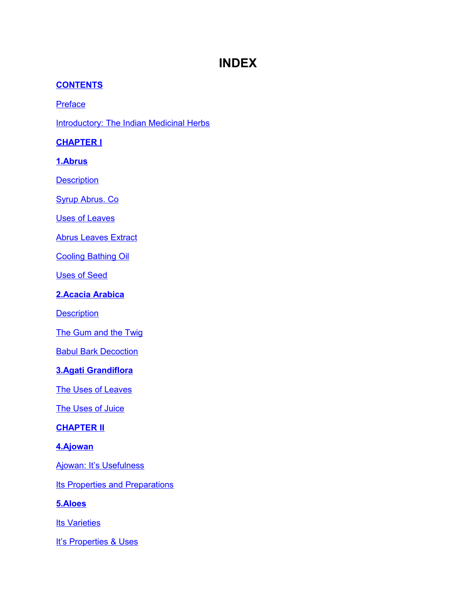# **INDEX**

# **[CONTENTS](#page-38-0)**

[Preface](#page-34-0)

[Introductory: The Indian Medicinal Herbs](#page-35-0)

# **[CHAPTER I](#page-62-3)**

**[1.Abrus](#page-62-2)**

**[Description](#page-62-1)** 

[Syrup Abrus. Co](#page-62-0)

[Uses of Leaves](#page-63-4)

[Abrus Leaves Extract](#page-63-3)

[Cooling Bathing Oil](#page-63-2)

[Uses of Seed](#page-63-1)

# **[2.Acacia Arabica](#page-63-0)**

**[Description](#page-64-3)** 

[The Gum and the Twig](#page-64-2)

**[Babul Bark Decoction](#page-64-1)** 

**[3.Agati Grandiflora](#page-64-0)**

[The Uses of Leaves](#page-65-5)

[The Uses of Juice](#page-65-4)

**[CHAPTER II](#page-65-3)**

**[4.Ajowan](#page-65-2)**

**[Ajowan: It's Usefulness](#page-65-1)** 

**[Its Properties and Preparations](#page-65-0)** 

**[5.Aloes](#page-66-2)**

**[Its Varieties](#page-66-1)** 

**[It's Properties & Uses](#page-66-0)**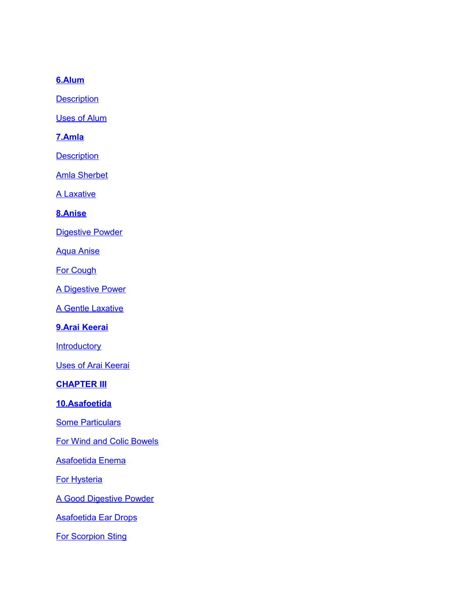# **[6.Alum](#page-67-2)**

**[Description](#page-67-1)** 

[Uses of Alum](#page-67-0)

**[7.Amla](#page-68-3)**

**[Description](#page-68-2)** 

[Amla Sherbet](#page-68-1)

[A Laxative](#page-68-0)

**[8.Anise](#page-69-3)**

**[Digestive Powder](#page-69-2)** 

[Aqua Anise](#page-69-1)

[For Cough](#page-69-0)

[A Digestive Power](#page-70-4)

[A Gentle Laxative](#page-70-3)

**[9.Arai Keerai](#page-70-2)**

**[Introductory](#page-70-1)** 

 [Uses of Arai Keerai](#page-70-0)

**[CHAPTER III](#page-71-5)**

**[10.Asafoetida](#page-71-4)**

**[Some Particulars](#page-71-3)** 

[For Wind and Colic Bowels](#page-71-2)

[Asafoetida Enema](#page-71-1)

**[For Hysteria](#page-71-0)** 

[A Good Digestive Powder](#page-72-2)

[Asafoetida Ear Drops](#page-72-1)

**[For Scorpion Sting](#page-72-0)**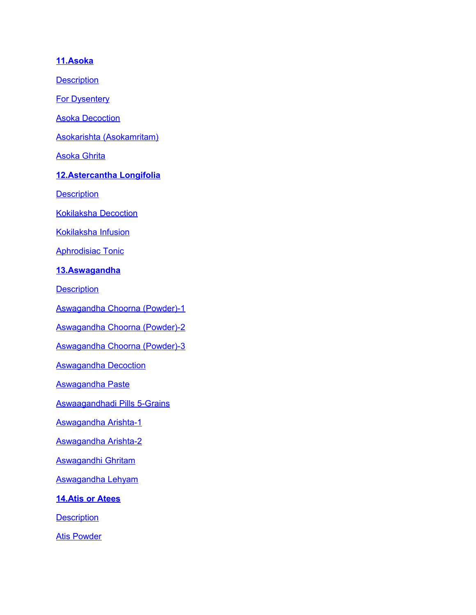## **[11.Asoka](#page-72-4)**

**[Description](#page-72-3)** 

**[For Dysentery](#page-73-3)** 

[Asoka Decoction](#page-73-2)

[Asokarishta \(Asokamritam\)](#page-73-1)

[Asoka Ghrita](#page-73-0)

# **[12.Astercantha Longifolia](#page-74-3)**

**[Description](#page-74-2)** 

[Kokilaksha Decoction](#page-74-1)

[Kokilaksha Infusion](#page-74-0)

[Aphrodisiac Tonic](#page-75-4)

# **[13.Aswagandha](#page-75-3)**

**[Description](#page-75-2)** 

[Aswagandha Choorna \(Powder\)-1](#page-75-1)

[Aswagandha Choorna \(Powder\)-2](#page-75-0)

[Aswagandha Choorna \(Powder\)-3](#page-76-5)

[Aswagandha Decoction](#page-76-4)

[Aswagandha Paste](#page-76-3)

[Aswaagandhadi Pills 5-Grains](#page-76-2)

[Aswagandha Arishta-1](#page-76-1)

[Aswagandha Arishta-2](#page-76-0)

[Aswagandhi Ghritam](#page-77-3)

[Aswagandha Lehyam](#page-77-2)

**[14.Atis or Atees](#page-77-1)**

**[Description](#page-77-0)** 

[Atis Powder](#page-78-0)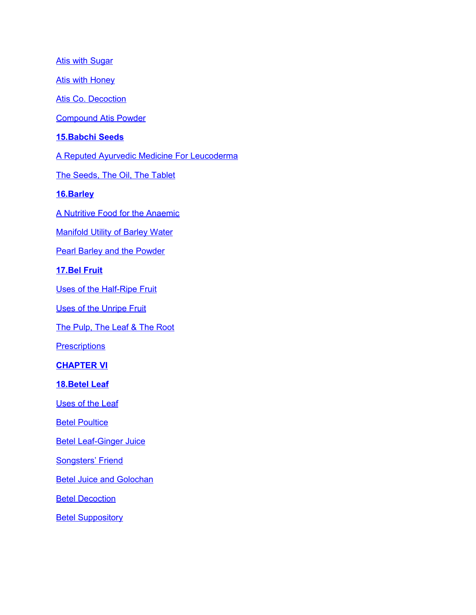**[Atis with Sugar](#page-78-4)** 

**[Atis with Honey](#page-78-3)** 

[Atis Co. Decoction](#page-78-2)

[Compound Atis Powder](#page-78-1)

## **[15.Babchi Seeds](#page-79-2)**

[A Reputed Ayurvedic Medicine For Leucoderma](#page-79-1)

[The Seeds, The Oil, The Tablet](#page-79-0)

## **[16.Barley](#page-80-4)**

[A Nutritive Food for the Anaemic](#page-80-3)

[Manifold Utility of Barley Water](#page-80-2)

[Pearl Barley and the Powder](#page-80-1)

## **[17.Bel Fruit](#page-80-0)**

[Uses of the Half-Ripe Fruit](#page-81-2)

[Uses of the Unripe Fruit](#page-81-1)

[The Pulp, The Leaf & The Root](#page-81-0)

**[Prescriptions](#page-82-0)** 

**[CHAPTER VI](#page-83-2)**

**[18.Betel Leaf](#page-83-1)**

[Uses of the Leaf](#page-83-0)

**[Betel Poultice](#page-84-5)** 

[Betel Leaf-Ginger Juice](#page-84-4)

**[Songsters' Friend](#page-84-3)** 

**[Betel Juice and Golochan](#page-84-2)** 

**[Betel Decoction](#page-84-1)** 

**[Betel Suppository](#page-84-0)**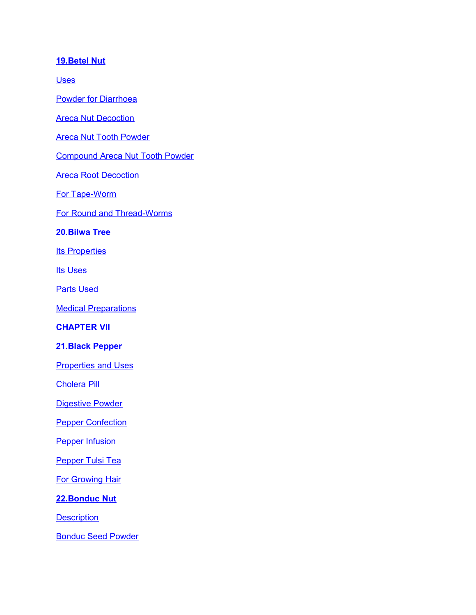## **[19.Betel Nut](#page-85-5)**

**[Uses](#page-85-4)** 

[Powder for Diarrhoea](#page-85-3)

**[Areca Nut Decoction](#page-85-2)** 

[Areca Nut Tooth Powder](#page-85-1)

[Compound Areca Nut Tooth Powder](#page-85-0)

[Areca Root Decoction](#page-86-5)

[For Tape-Worm](#page-86-4)

[For Round and Thread-Worms](#page-86-3)

#### **[20.Bilwa Tree](#page-86-2)**

**[Its Properties](#page-86-1)** 

[Its Uses](#page-86-0)

[Parts Used](#page-87-1)

[Medical Preparations](#page-87-0)

**[CHAPTER VII](#page-88-5)**

#### **[21.Black Pepper](#page-88-4)**

[Properties and Uses](#page-88-3)

[Cholera Pill](#page-88-2)

**[Digestive Powder](#page-88-1)** 

**[Pepper Confection](#page-88-0)** 

**[Pepper Infusion](#page-89-3)** 

**[Pepper Tulsi Tea](#page-89-2)** 

**[For Growing Hair](#page-89-1)** 

## **[22.Bonduc Nut](#page-89-0)**

**[Description](#page-90-1)** 

[Bonduc Seed Powder](#page-90-0)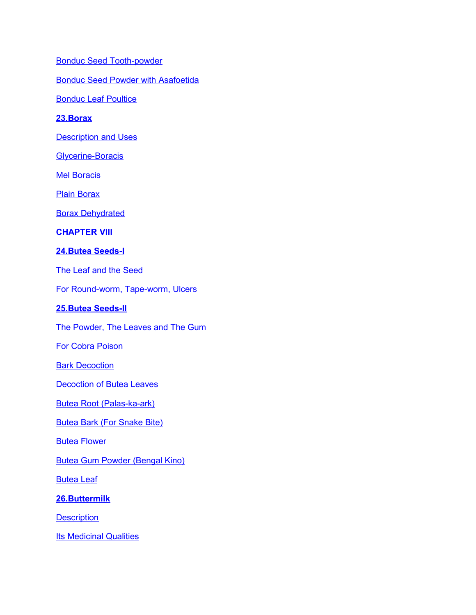[Bonduc Seed Tooth-powder](#page-90-5)

[Bonduc Seed Powder with Asafoetida](#page-90-4)

[Bonduc Leaf Poultice](#page-90-3)

#### **[23.Borax](#page-90-2)**

**[Description and Uses](#page-91-5)** 

[Glycerine-Boracis](#page-91-4)

**[Mel Boracis](#page-91-3)** 

[Plain Borax](#page-91-2)

**[Borax Dehydrated](#page-91-1)** 

#### **[CHAPTER VIII](#page-91-0)**

#### **[24.Butea Seeds-I](#page-92-4)**

[The Leaf and the Seed](#page-92-3)

[For Round-worm, Tape-worm, Ulcers](#page-92-2)

#### **[25.Butea Seeds-II](#page-92-1)**

[The Powder, The Leaves and The Gum](#page-92-0)

[For Cobra Poison](#page-93-3)

**[Bark Decoction](#page-93-2)** 

[Decoction of Butea Leaves](#page-93-1)

[Butea Root \(Palas-ka-ark\)](#page-93-0)

[Butea Bark \(For Snake Bite\)](#page-94-3)

**[Butea Flower](#page-94-2)** 

[Butea Gum Powder \(Bengal Kino\)](#page-94-1)

[Butea Leaf](#page-94-0)

**[26.Buttermilk](#page-95-2)**

**[Description](#page-95-1)** 

**[Its Medicinal Qualities](#page-95-0)**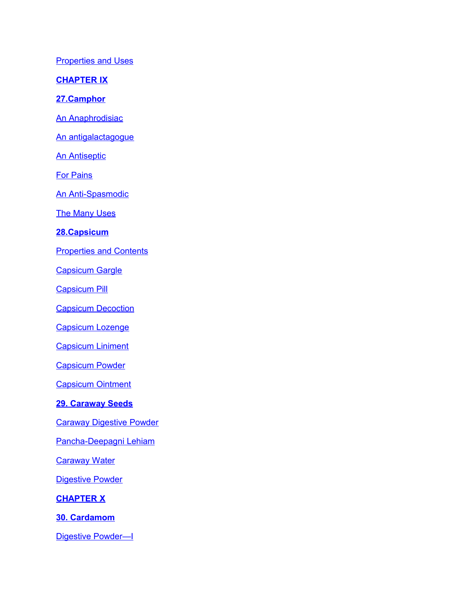**[Properties and Uses](#page-95-6)** 

**[CHAPTER IX](#page-95-5)**

**[27.Camphor](#page-95-4)**

[An Anaphrodisiac](#page-95-3)

[An antigalactagogue](#page-96-5)

**[An Antiseptic](#page-96-4)** 

[For Pains](#page-96-3)

[An Anti-Spasmodic](#page-96-2)

**[The Many Uses](#page-96-1)** 

#### **[28.Capsicum](#page-96-0)**

[Properties and Contents](#page-97-3)

[Capsicum Gargle](#page-97-2)

[Capsicum Pill](#page-97-1)

[Capsicum Decoction](#page-97-0)

[Capsicum Lozenge](#page-98-4)

[Capsicum Liniment](#page-98-3)

[Capsicum Powder](#page-98-2)

[Capsicum Ointment](#page-98-1)

# **[29. Caraway Seeds](#page-98-0)**

[Caraway Digestive Powder](#page-99-4)

[Pancha-Deepagni Lehiam](#page-99-3)

**[Caraway Water](#page-99-2)** 

[Digestive Powder](#page-99-1)

**[CHAPTER X](#page-99-0)**

**[30. Cardamom](#page-100-1)**

Digestive Powder-I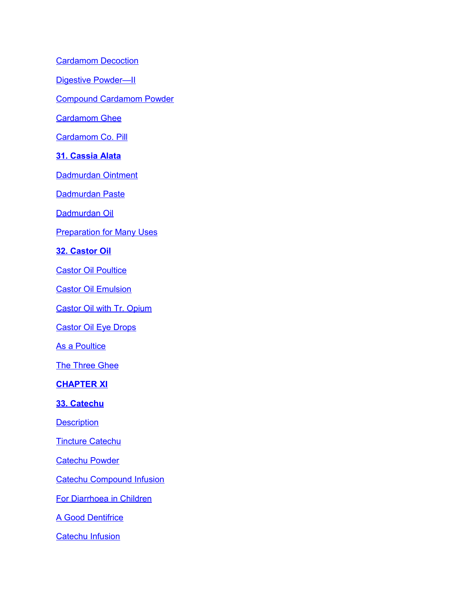## [Cardamom Decoction](#page-100-3)

[Digestive Powder—II](#page-100-2)

[Compound Cardamom Powder](#page-101-2)

[Cardamom Ghee](#page-101-1)

[Cardamom Co. Pill](#page-101-0)

## **[31. Cassia Alata](#page-102-3)**

[Dadmurdan Ointment](#page-102-2)

[Dadmurdan Paste](#page-102-1)

[Dadmurdan Oil](#page-102-0)

**[Preparation for Many Uses](#page-103-2)** 

#### **[32. Castor Oil](#page-103-1)**

**[Castor Oil Poultice](#page-103-0)** 

[Castor Oil Emulsion](#page-104-6)

[Castor Oil with Tr. Opium](#page-104-5)

[Castor Oil Eye Drops](#page-104-4)

[As a Poultice](#page-104-3)

**[The Three Ghee](#page-104-2)** 

**[CHAPTER XI](#page-104-1)**

**[33. Catechu](#page-104-0)**

**[Description](#page-105-4)** 

[Tincture Catechu](#page-105-3)

[Catechu Powder](#page-105-2)

[Catechu Compound Infusion](#page-105-1)

[For Diarrhoea in Children](#page-105-0)

[A Good Dentifrice](#page-106-1)

[Catechu Infusion](#page-106-0)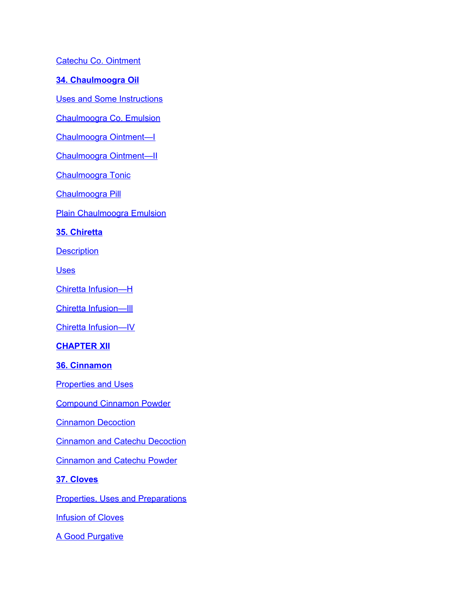[Catechu Co. Ointment](#page-106-3)

**[34. Chaulmoogra Oil](#page-106-2)**

[Uses and Some Instructions](#page-107-4)

[Chaulmoogra Co. Emulsion](#page-107-3)

[Chaulmoogra Ointment—I](#page-107-2)

[Chaulmoogra Ointment—II](#page-107-1)

[Chaulmoogra Tonic](#page-107-0)

[Chaulmoogra Pill](#page-108-4)

[Plain Chaulmoogra Emulsion](#page-108-3)

#### **[35. Chiretta](#page-108-2)**

**[Description](#page-108-1)** 

[Uses](#page-108-0)

[Chiretta Infusion—H](#page-109-4)

[Chiretta Infusion—Ill](#page-109-3)

[Chiretta Infusion—IV](#page-109-2)

**[CHAPTER XII](#page-109-1)**

#### **[36. Cinnamon](#page-109-0)**

**[Properties and Uses](#page-110-1)** 

[Compound Cinnamon Powder](#page-110-0)

**[Cinnamon Decoction](#page-111-4)** 

[Cinnamon and Catechu Decoction](#page-111-3)

[Cinnamon and Catechu Powder](#page-111-2)

## **[37. Cloves](#page-111-1)**

[Properties, Uses and Preparations](#page-111-0)

[Infusion of Cloves](#page-112-1)

[A Good Purgative](#page-112-0)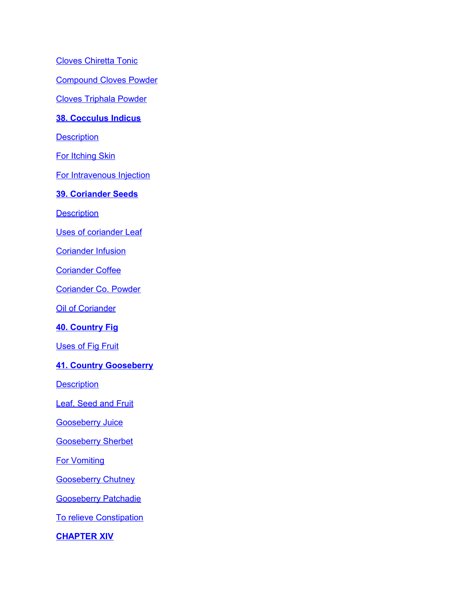[Cloves Chiretta Tonic](#page-112-2) [Compound Cloves Powder](#page-113-3) [Cloves Triphala Powder](#page-113-2) **[38. Cocculus Indicus](#page-113-1) [Description](#page-113-0) [For Itching Skin](#page-114-3)** [For Intravenous Injection](#page-114-2) **[39. Coriander Seeds](#page-114-1) [Description](#page-114-0)** [Uses of coriander Leaf](#page-115-5) [Coriander Infusion](#page-115-4) **[Coriander Coffee](#page-115-3)** [Coriander Co. Powder](#page-115-2) **[Oil of Coriander](#page-115-1) [40. Country Fig](#page-115-0) [Uses of Fig Fruit](#page-116-3) [41. Country Gooseberry](#page-116-2) [Description](#page-116-1)** [Leaf, Seed and Fruit](#page-116-0) **[Gooseberry Juice](#page-117-4)** [Gooseberry Sherbet](#page-117-3) **[For Vomiting](#page-117-2) [Gooseberry Chutney](#page-117-1)** [Gooseberry Patchadie](#page-117-0) [To relieve Constipation](#page-118-1)

**[CHAPTER XIV](#page-118-0)**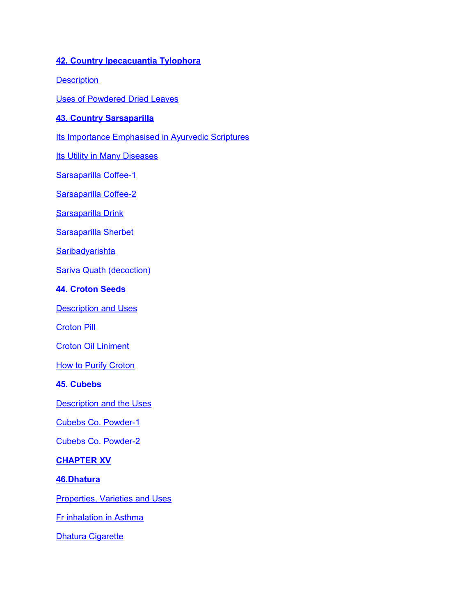# **[42. Country Ipecacuantia Tylophora](#page-118-5)**

**[Description](#page-118-4)** 

[Uses of Powdered Dried Leaves](#page-118-3)

## **[43. Country Sarsaparilla](#page-118-2)**

[Its Importance Emphasised in Ayurvedic Scriptures](#page-119-4)

**[Its Utility in Many Diseases](#page-119-3)** 

[Sarsaparilla Coffee-1](#page-119-2)

[Sarsaparilla Coffee-2](#page-119-1)

**[Sarsaparilla Drink](#page-119-0)** 

[Sarsaparilla Sherbet](#page-120-3)

**[Saribadyarishta](#page-120-2)** 

[Sariva Quath \(decoction\)](#page-120-1)

#### **[44. Croton Seeds](#page-120-0)**

**[Description and Uses](#page-121-2)** 

[Croton Pill](#page-121-1)

[Croton Oil Liniment](#page-121-0)

**[How to Purify Croton](#page-122-4)** 

**[45. Cubebs](#page-122-3)**

[Description and the Uses](#page-122-2)

[Cubebs Co. Powder-1](#page-122-1)

[Cubebs Co. Powder-2](#page-122-0)

## **[CHAPTER XV](#page-124-3)**

#### **[46.Dhatura](#page-124-2)**

[Properties, Varieties and Uses](#page-124-1)

[Fr inhalation in Asthma](#page-124-0)

**[Dhatura Cigarette](#page-125-0)**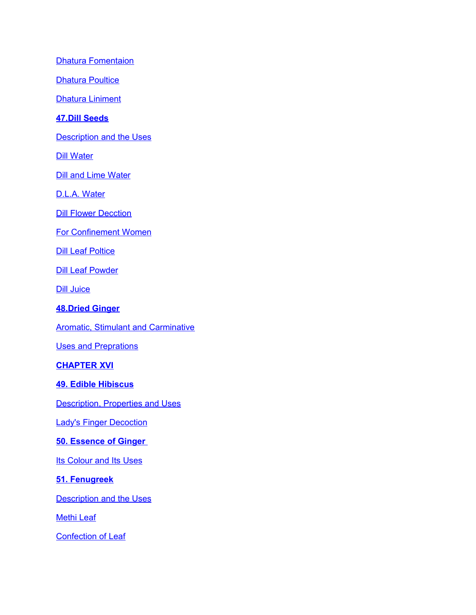**[Dhatura Fomentaion](#page-125-5)** 

**[Dhatura Poultice](#page-125-4)** 

[Dhatura Liniment](#page-125-3)

## **[47.Dill Seeds](#page-125-2)**

[Description and the Uses](#page-125-1)

**[Dill Water](#page-126-3)** 

**[Dill and Lime Water](#page-126-2)** 

[D.L.A. Water](#page-126-1)

**[Dill Flower Decction](#page-126-0)** 

[For Confinement Women](#page-127-5)

**[Dill Leaf Poltice](#page-127-4)** 

**[Dill Leaf Powder](#page-127-3)** 

**[Dill Juice](#page-127-2)** 

#### **[48.Dried Ginger](#page-127-1)**

[Aromatic, Stimulant and Carminative](#page-127-0)

[Uses and Preprations](#page-128-2)

**[CHAPTER XVI](#page-128-1)**

**[49. Edible Hibiscus](#page-128-0)**

**[Description, Properties and Uses](#page-129-3)** 

[Lady's Finger Decoction](#page-129-2)

#### **[50. Essence of Ginger](#page-129-1)**

**[Its Colour and Its Uses](#page-129-0)** 

# **[51. Fenugreek](#page-130-3)**

[Description and the Uses](#page-130-2)

[Methi Leaf](#page-130-1)

[Confection of Leaf](#page-130-0)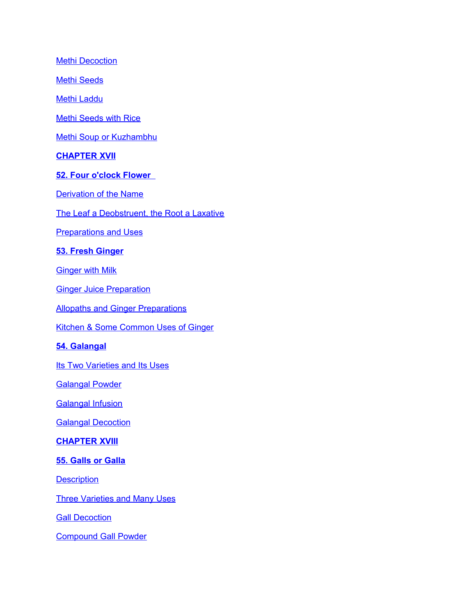**[Methi Decoction](#page-130-4)** 

[Methi Seeds](#page-131-5)

[Methi Laddu](#page-131-4)

[Methi Seeds with Rice](#page-131-3)

[Methi Soup or Kuzhambhu](#page-131-2)

#### **[CHAPTER XVII](#page-131-1)**

## **[52. Four o'clock Flower](#page-131-0)**

[Derivation of the Name](#page-132-5)

[The Leaf a Deobstruent, the Root a Laxative](#page-132-4)

[Preparations and Uses](#page-132-3)

#### **[53. Fresh Ginger](#page-132-2)**

**[Ginger with Milk](#page-132-1)** 

**[Ginger Juice Preparation](#page-132-0)** 

[Allopaths and Ginger Preparations](#page-133-5)

[Kitchen & Some Common Uses of Ginger](#page-133-4)

## **[54. Galangal](#page-133-3)**

**[Its Two Varieties and Its Uses](#page-133-2)** 

[Galangal Powder](#page-133-1)

**[Galangal Infusion](#page-133-0)** 

**[Galangal Decoction](#page-134-2)** 

## **[CHAPTER XVIII](#page-134-1)**

#### **[55. Galls or Galla](#page-134-0)**

**[Description](#page-135-3)** 

[Three Varieties and Many Uses](#page-135-2)

**[Gall Decoction](#page-135-1)** 

[Compound Gall Powder](#page-135-0)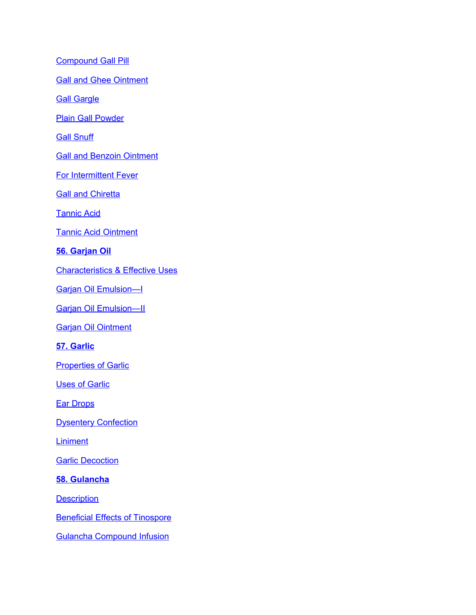**[Compound Gall Pill](#page-136-5)** 

[Gall and Ghee Ointment](#page-136-4)

**[Gall Gargle](#page-136-3)** 

**[Plain Gall Powder](#page-136-2)** 

**[Gall Snuff](#page-136-1)** 

**[Gall and Benzoin Ointment](#page-136-0)** 

[For Intermittent Fever](#page-137-5)

**[Gall and Chiretta](#page-137-4)** 

[Tannic Acid](#page-137-3)

[Tannic Acid Ointment](#page-137-2)

#### **[56. Garjan Oil](#page-137-1)**

[Characteristics & Effective Uses](#page-137-0)

[Garjan Oil Emulsion—I](#page-138-3)

[Garjan Oil Emulsion—II](#page-138-2)

[Garjan Oil Ointment](#page-138-1)

## **[57. Garlic](#page-138-0)**

**[Properties of Garlic](#page-139-3)** 

**[Uses of Garlic](#page-139-2)** 

[Ear Drops](#page-139-1)

[Dysentery Confection](#page-139-0)

**[Liniment](#page-140-5)** 

**[Garlic Decoction](#page-140-4)** 

**[58. Gulancha](#page-140-3)**

**[Description](#page-140-2)** 

[Beneficial Effects of Tinospore](#page-140-1)

[Gulancha Compound Infusion](#page-140-0)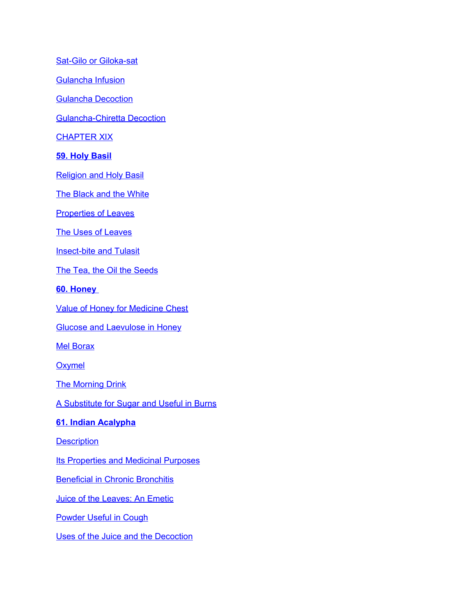[Sat-Gilo or Giloka-sat](#page-141-3)

[Gulancha Infusion](#page-141-2)

[Gulancha Decoction](#page-141-1)

[Gulancha-Chiretta Decoction](#page-141-0)

**[CHAPTER XIX](#page-142-1)** 

#### **[59. Holy Basil](#page-142-0)**

[Religion and Holy Basil](#page-143-4)

[The Black and the White](#page-143-3)

[Properties of Leaves](#page-143-2)

[The Uses of Leaves](#page-143-1)

[Insect-bite and Tulasit](#page-143-0)

[The Tea, the Oil the Seeds](#page-144-2)

**[60. Honey](#page-144-1)** 

[Value of Honey for Medicine Chest](#page-144-0)

[Glucose and Laevulose in Honey](#page-145-5)

[Mel Borax](#page-145-4)

**[Oxymel](#page-145-3)** 

**[The Morning Drink](#page-145-2)** 

[A Substitute for Sugar and Useful in Burns](#page-145-1)

## **[61. Indian Acalypha](#page-145-0)**

**[Description](#page-146-4)** 

**[Its Properties and Medicinal Purposes](#page-146-3)** 

[Beneficial in Chronic Bronchitis](#page-146-2)

[Juice of the Leaves: An Emetic](#page-146-1)

[Powder Useful in Cough](#page-146-0)

[Uses of the Juice and the Decoction](#page-147-0)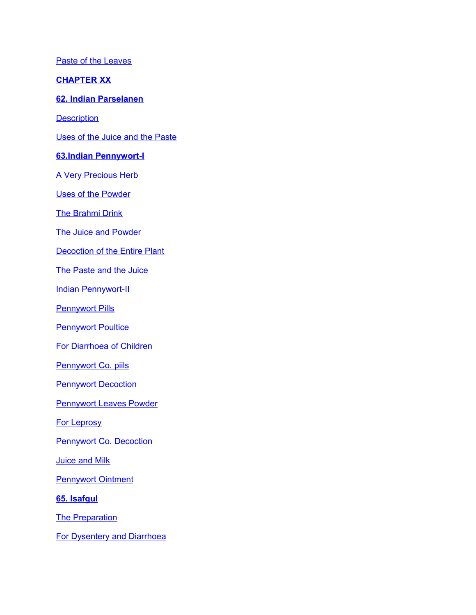[Paste of the Leaves](#page-147-4)

**[CHAPTER XX](#page-147-3)**

#### **[62. Indian Parselanen](#page-147-2)**

**[Description](#page-147-1)** 

[Uses of the Juice and the Paste](#page-148-3)

#### **[63.Indian Pennywort-I](#page-148-2)**

[A Very Precious Herb](#page-148-1)

[Uses of the Powder](#page-148-0)

[The Brahmi Drink](#page-149-4)

[The Juice and Powder](#page-149-3)

[Decoction of the Entire Plant](#page-149-2)

[The Paste and the Juice](#page-149-1)

[Indian Pennywort-II](#page-149-0)

**[Pennywort Pills](#page-150-4)** 

**[Pennywort Poultice](#page-150-3)** 

[For Diarrhoea of Children](#page-150-2)

[Pennywort Co. piils](#page-150-1)

[Pennywort Decoction](#page-150-0)

[Pennywort Leaves Powder](#page-151-3)

[For Leprosy](#page-151-2)

[Pennywort Co. Decoction](#page-151-1)

[Juice and Milk](#page-151-0)

[Pennywort Ointment](#page-152-3)

**[65. Isafgul](#page-152-2)**

**[The Preparation](#page-152-1)** 

[For Dysentery and Diarrhoea](#page-152-0)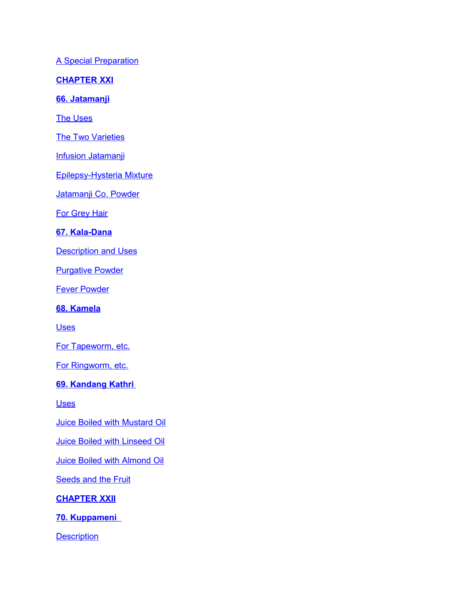[A Special Preparation](#page-152-6)

**[CHAPTER XXI](#page-152-5)**

**[66. Jatamanji](#page-152-4)**

[The Uses](#page-153-3)

**[The Two Varieties](#page-153-2)** 

[Infusion Jatamanji](#page-153-1)

[Epilepsy-Hysteria Mixture](#page-153-0)

[Jatamanji Co. Powder](#page-154-4)

**[For Grey Hair](#page-154-3)** 

## **[67. Kala-Dana](#page-154-2)**

**[Description and Uses](#page-154-1)** 

[Purgative Powder](#page-154-0)

[Fever Powder](#page-155-4)

**[68. Kamela](#page-155-3)**

**[Uses](#page-155-2)** 

[For Tapeworm, etc.](#page-155-1)

[For Ringworm, etc.](#page-155-0)

**[69. Kandang Kathri](#page-156-5)** 

[Uses](#page-156-4)

[Juice Boiled with Mustard Oil](#page-156-3)

[Juice Boiled with Linseed Oil](#page-156-2)

[Juice Boiled with Almond Oil](#page-156-1)

**[Seeds and the Fruit](#page-156-0)** 

**[CHAPTER XXII](#page-157-2)**

**[70. Kuppameni](#page-157-1)** 

**[Description](#page-157-0)**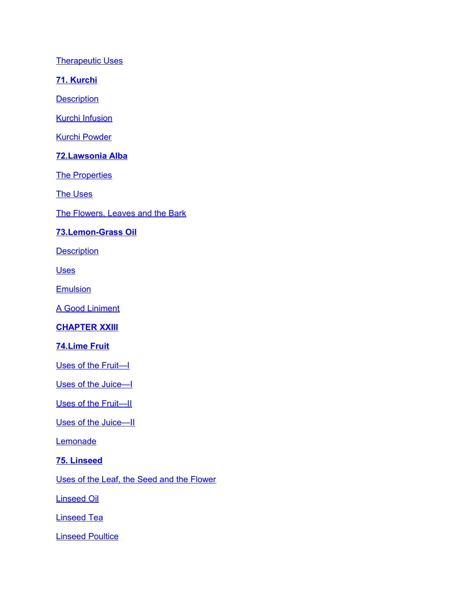**[Therapeutic Uses](#page-157-5)** 

**[71. Kurchi](#page-157-4)**

**[Description](#page-157-3)** 

[Kurchi Infusion](#page-158-3)

[Kurchi Powder](#page-158-2)

#### **[72.Lawsonia Alba](#page-158-1)**

[The Properties](#page-158-0)

[The Uses](#page-159-4)

[The Flowers, Leaves and the Bark](#page-159-3)

## **[73.Lemon-Grass Oil](#page-159-2)**

**[Description](#page-159-1)** 

**[Uses](#page-159-0)** 

**[Emulsion](#page-160-4)** 

[A Good Liniment](#page-160-3)

**[CHAPTER XXIII](#page-160-2)**

## **[74.Lime Fruit](#page-160-1)**

[Uses of the Fruit—I](#page-160-0)

[Uses of the Juice—I](#page-161-4)

Uses of the Fruit-II

[Uses of the Juice—II](#page-161-2)

**[Lemonade](#page-161-1)** 

#### **[75. Linseed](#page-161-0)**

[Uses of the Leaf, the Seed and the Flower](#page-162-3)

[Linseed Oil](#page-162-2)

[Linseed Tea](#page-162-1)

[Linseed Poultice](#page-162-0)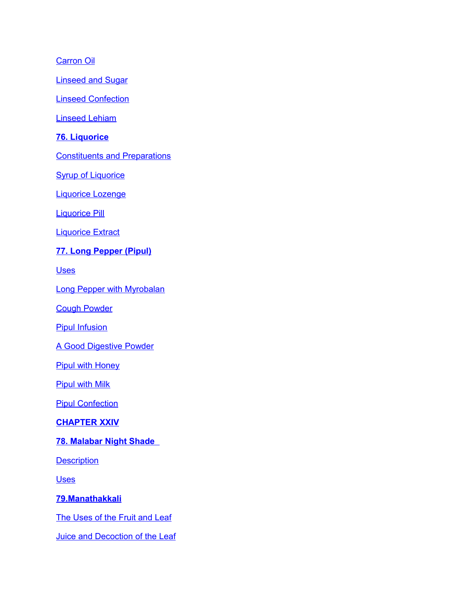**[Carron Oil](#page-162-4)** 

[Linseed and Sugar](#page-163-3)

[Linseed Confection](#page-163-2)

[Linseed Lehiam](#page-163-1)

**[76. Liquorice](#page-163-0)**

[Constituents and Preparations](#page-164-3)

**[Syrup of Liquorice](#page-164-2)** 

[Liquorice Lozenge](#page-164-1)

[Liquorice Pill](#page-164-0)

[Liquorice Extract](#page-165-4)

## **[77. Long Pepper \(Pipul\)](#page-165-3)**

[Uses](#page-165-2)

[Long Pepper with Myrobalan](#page-165-1)

[Cough Powder](#page-165-0)

[Pipul Infusion](#page-166-4)

[A Good Digestive Powder](#page-166-3)

**[Pipul with Honey](#page-166-2)** 

[Pipul with Milk](#page-166-1)

**[Pipul Confection](#page-166-0)** 

**[CHAPTER XXIV](#page-167-4)**

## **[78. Malabar Night Shade](#page-167-3)**

**[Description](#page-167-2)** 

[Uses](#page-167-1)

**[79.Manathakkali](#page-167-0)**

[The Uses of the Fruit and Leaf](#page-168-1)

[Juice and Decoction of the Leaf](#page-168-0)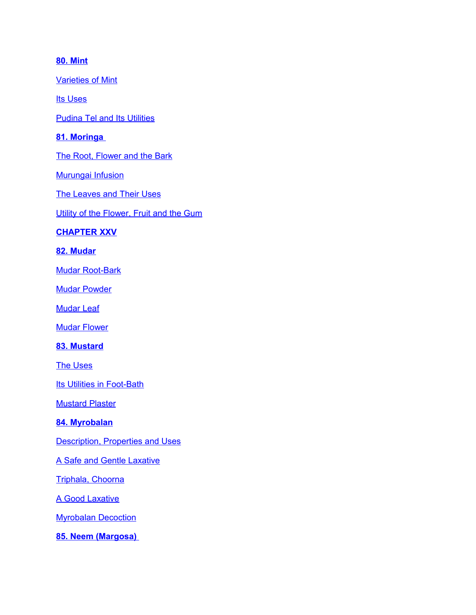## **[80. Mint](#page-168-4)**

**[Varieties of Mint](#page-168-3)** 

**[Its Uses](#page-168-2)** 

**[Pudina Tel and Its Utilities](#page-169-3)** 

**[81. Moringa](#page-169-2)** 

[The Root, Flower and the Bark](#page-169-1)

**[Murungai Infusion](#page-169-0)** 

[The Leaves and Their Uses](#page-170-5)

[Utility of the Flower, Fruit and the Gum](#page-170-4)

# **[CHAPTER XXV](#page-170-3)**

## **[82. Mudar](#page-170-2)**

[Mudar Root-Bark](#page-170-1)

**[Mudar Powder](#page-170-0)** 

[Mudar Leaf](#page-171-4)

**[Mudar Flower](#page-171-3)** 

## **[83. Mustard](#page-171-2)**

[The Uses](#page-171-1)

**[Its Utilities in Foot-Bath](#page-171-0)** 

**[Mustard Plaster](#page-172-2)** 

## **[84. Myrobalan](#page-172-1)**

**[Description, Properties and Uses](#page-172-0)** 

[A Safe and Gentle Laxative](#page-173-2)

[Triphala, Choorna](#page-173-1)

[A Good Laxative](#page-173-0)

[Myrobalan Decoction](#page-174-1)

**[85. Neem \(Margosa\)](#page-174-0)**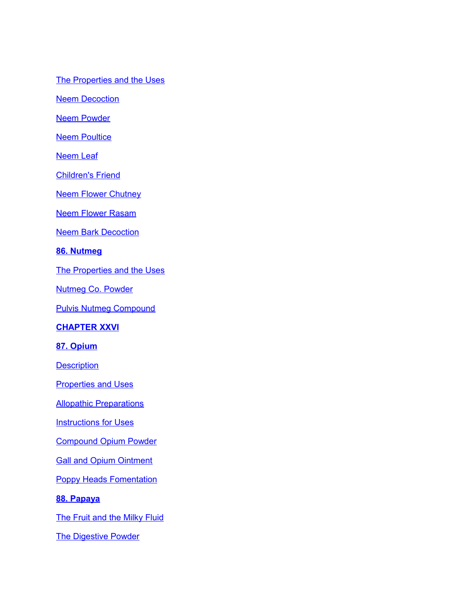[The Properties and the Uses](#page-174-3)

**[Neem Decoction](#page-174-2)** 

[Neem Powder](#page-175-1)

**[Neem Poultice](#page-175-0)** 

[Neem Leaf](#page-176-4)

[Children's Friend](#page-176-3)

[Neem Flower Chutney](#page-176-2)

[Neem Flower Rasam](#page-176-1)

[Neem Bark Decoction](#page-176-0)

#### **[86. Nutmeg](#page-177-2)**

[The Properties and the Uses](#page-177-1)

[Nutmeg Co. Powder](#page-177-0)

[Pulvis Nutmeg Compound](#page-178-2)

# **[CHAPTER XXVI](#page-178-1)**

## **[87. Opium](#page-178-0)**

**[Description](#page-179-3)** 

**[Properties and Uses](#page-179-2)** 

[Allopathic Preparations](#page-179-1)

[Instructions for Uses](#page-179-0)

[Compound Opium Powder](#page-180-3)

**[Gall and Opium Ointment](#page-180-2)** 

**[Poppy Heads Fomentation](#page-180-1)** 

## **[88. Papaya](#page-180-0)**

[The Fruit and the Milky Fluid](#page-181-1)

[The Digestive Powder](#page-181-0)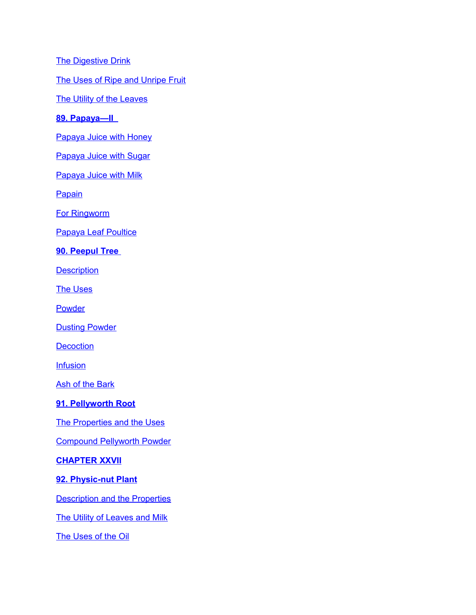**[The Digestive Drink](#page-181-3)** 

[The Uses of Ripe and Unripe Fruit](#page-181-2)

[The Utility of the Leaves](#page-182-2)

**[89. Papaya—II](#page-182-1)** 

[Papaya Juice with Honey](#page-182-0)

[Papaya Juice with Sugar](#page-183-3)

[Papaya Juice with Milk](#page-183-2)

**[Papain](#page-183-1)** 

[For Ringworm](#page-183-0)

[Papaya Leaf Poultice](#page-184-3)

#### **[90. Peepul Tree](#page-184-2)**

**[Description](#page-184-1)** 

[The Uses](#page-184-0)

**[Powder](#page-185-4)** 

**[Dusting Powder](#page-185-3)** 

**[Decoction](#page-185-2)** 

**[Infusion](#page-185-1)** 

[Ash of the Bark](#page-185-0)

## **[91. Pellyworth Root](#page-186-2)**

[The Properties and the Uses](#page-186-1)

[Compound Pellyworth Powder](#page-186-0)

## **[CHAPTER XXVII](#page-187-4)**

#### **[92. Physic-nut Plant](#page-187-3)**

**[Description and the Properties](#page-187-2)** 

[The Utility of Leaves and Milk](#page-187-1)

[The Uses of the Oil](#page-187-0)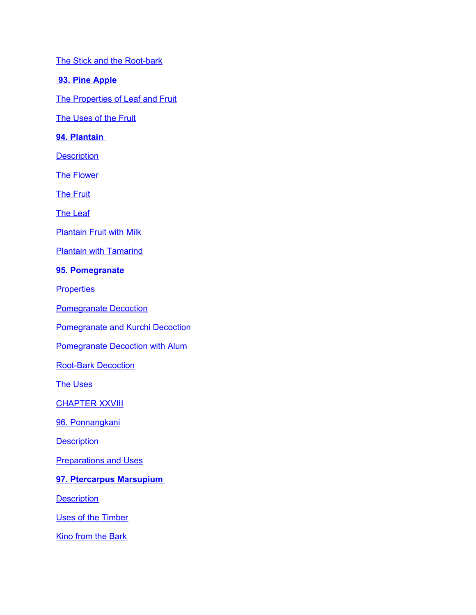[The Stick and the Root-bark](#page-188-4)

**[93. Pine Apple](#page-188-3)**

[The Properties of Leaf and Fruit](#page-188-2)

[The Uses of the Fruit](#page-188-1)

**[94. Plantain](#page-188-0)** 

**[Description](#page-189-3)** 

[The Flower](#page-189-2)

[The Fruit](#page-189-1)

[The Leaf](#page-189-0)

**[Plantain Fruit with Milk](#page-190-3)** 

[Plantain with Tamarind](#page-190-2)

#### **[95. Pomegranate](#page-190-1)**

**[Properties](#page-190-0)** 

[Pomegranate Decoction](#page-191-4)

[Pomegranate and Kurchi Decoction](#page-191-3)

[Pomegranate Decoction with Alum](#page-191-2)

[Root-Bark Decoction](#page-191-1)

[The Uses](#page-191-0)

**[CHAPTER XXVIII](#page-192-4)** 

[96. Ponnangkani](#page-192-3)

**[Description](#page-192-2)** 

[Preparations and Uses](#page-192-1)

## **[97. Ptercarpus Marsupium](#page-192-0)**

**[Description](#page-193-2)** 

[Uses of the Timber](#page-193-1)

[Kino from the Bark](#page-193-0)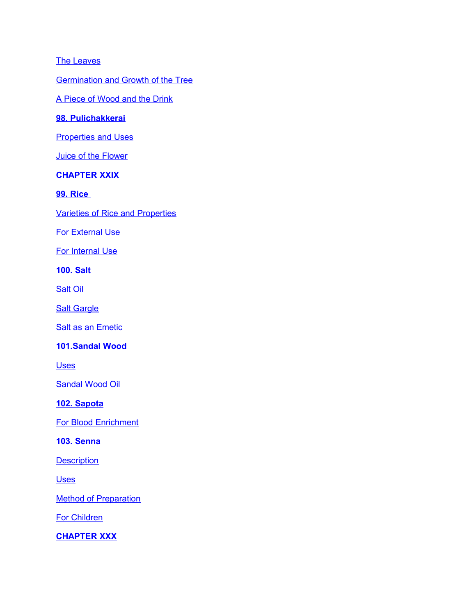## [The Leaves](#page-194-3)

[Germination and Growth of the Tree](#page-194-2)

[A Piece of Wood and the Drink](#page-194-1)

## **[98. Pulichakkerai](#page-194-0)**

[Properties and Uses](#page-195-5)

[Juice of the Flower](#page-195-4)

# **[CHAPTER XXIX](#page-195-3)**

**[99. Rice](#page-195-2)** 

**[Varieties of Rice and Properties](#page-195-1)** 

**[For External Use](#page-195-0)** 

[For Internal Use](#page-196-0)

**[100. Salt](#page-197-2)**

[Salt Oil](#page-197-1)

**[Salt Gargle](#page-197-0)** 

**[Salt as an Emetic](#page-198-3)** 

# **[101.Sandal Wood](#page-198-2)**

**[Uses](#page-198-1)** 

[Sandal Wood Oil](#page-198-0)

**[102. Sapota](#page-199-6)**

[For Blood Enrichment](#page-199-5)

#### **[103. Senna](#page-199-4)**

**[Description](#page-199-3)** 

[Uses](#page-199-2)

[Method of Preparation](#page-199-1)

[For Children](#page-199-0)

**[CHAPTER XXX](#page-200-0)**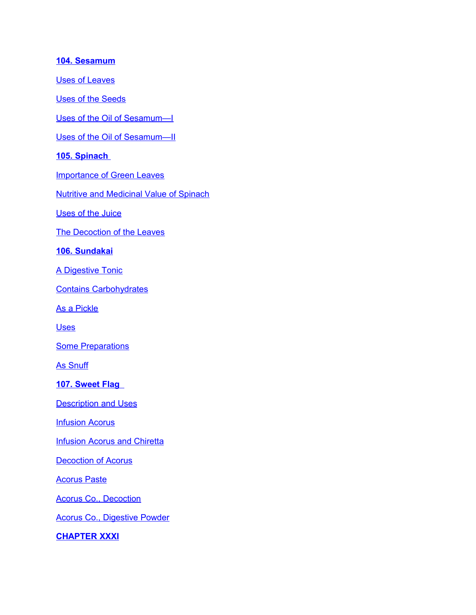## **[104. Sesamum](#page-200-3)**

[Uses of Leaves](#page-200-2)

[Uses of the Seeds](#page-200-1)

[Uses of the Oil of Sesamum—I](#page-201-4)

[Uses of the Oil of Sesamum—II](#page-201-3)

## **[105. Spinach](#page-201-2)**

[Importance of Green Leaves](#page-201-1)

[Nutritive and Medicinal Value of Spinach](#page-201-0)

[Uses of the Juice](#page-202-5)

[The Decoction of the Leaves](#page-202-4)

#### **[106. Sundakai](#page-202-3)**

[A Digestive Tonic](#page-202-2)

[Contains Carbohydrates](#page-202-1)

[As a Pickle](#page-202-0)

[Uses](#page-203-4)

**[Some Preparations](#page-203-3)** 

[As Snuff](#page-203-2)

**[107. Sweet Flag](#page-203-1)** 

**[Description and Uses](#page-203-0)** 

**[Infusion Acorus](#page-204-4)** 

**[Infusion Acorus and Chiretta](#page-204-3)** 

[Decoction of Acorus](#page-204-2)

[Acorus Paste](#page-204-1)

[Acorus Co., Decoction](#page-204-0)

[Acorus Co., Digestive Powder](#page-205-1)

**[CHAPTER XXXI](#page-205-0)**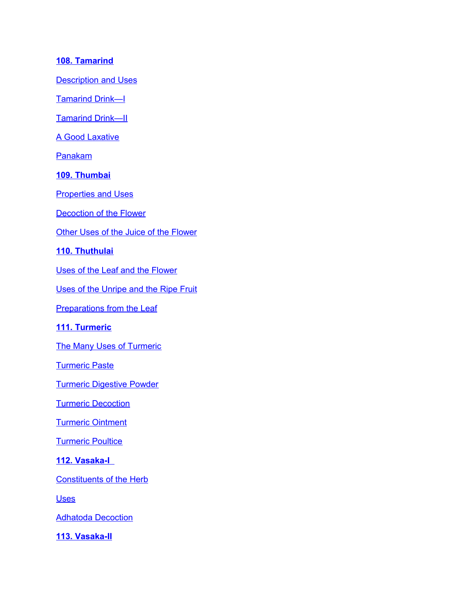## **[108. Tamarind](#page-205-2)**

**[Description and Uses](#page-206-4)** 

[Tamarind Drink—I](#page-206-3)

[Tamarind Drink—II](#page-206-2)

[A Good Laxative](#page-206-1)

[Panakam](#page-206-0)

## **[109. Thumbai](#page-207-3)**

**[Properties and Uses](#page-207-2)** 

[Decoction of the Flower](#page-207-1)

[Other Uses of the Juice of the Flower](#page-207-0)

#### **[110. Thuthulai](#page-208-4)**

[Uses of the Leaf and the Flower](#page-208-3)

[Uses of the Unripe and the Ripe Fruit](#page-208-2)

[Preparations from the Leaf](#page-208-1)

**[111. Turmeric](#page-208-0)**

[The Many Uses of Turmeric](#page-209-1)

[Turmeric Paste](#page-209-0)

[Turmeric Digestive Powder](#page-210-4)

[Turmeric Decoction](#page-210-3)

[Turmeric Ointment](#page-210-2)

**[Turmeric Poultice](#page-210-1)** 

#### **[112. Vasaka-I](#page-210-0)**

[Constituents of the Herb](#page-211-3)

**[Uses](#page-211-2)** 

[Adhatoda Decoction](#page-211-1)

**[113. Vasaka-II](#page-211-0)**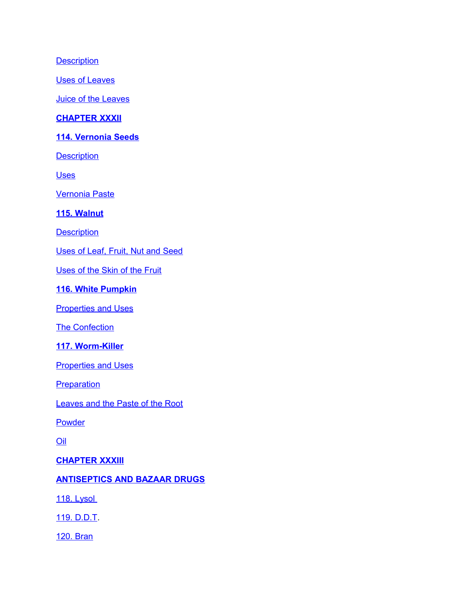**[Description](#page-212-4)** 

[Uses of Leaves](#page-212-3)

[Juice of the Leaves](#page-212-2)

# **[CHAPTER XXXII](#page-212-1)**

## **[114. Vernonia Seeds](#page-212-0)**

**[Description](#page-213-4)** 

**[Uses](#page-213-3)** 

[Vernonia Paste](#page-213-2)

#### **[115. Walnut](#page-213-1)**

**[Description](#page-213-0)** 

[Uses of Leaf, Fruit, Nut and Seed](#page-214-5)

[Uses of the Skin of the Fruit](#page-214-4)

#### **[116. White Pumpkin](#page-214-3)**

[Properties and Uses](#page-214-2)

[The Confection](#page-214-1)

## **[117. Worm-Killer](#page-214-0)**

[Properties and Uses](#page-215-4)

**[Preparation](#page-215-3)** 

[Leaves and the Paste of the Root](#page-215-2)

**[Powder](#page-215-1)** 

[Oil](#page-215-0)

## **[CHAPTER XXXIII](#page-216-4)**

# **[ANTISEPTICS AND BAZAAR DRUGS](#page-216-3)**

[118. Lysol](#page-216-2) 

[119. D.D.T.](#page-216-1)

[120. Bran](#page-216-0)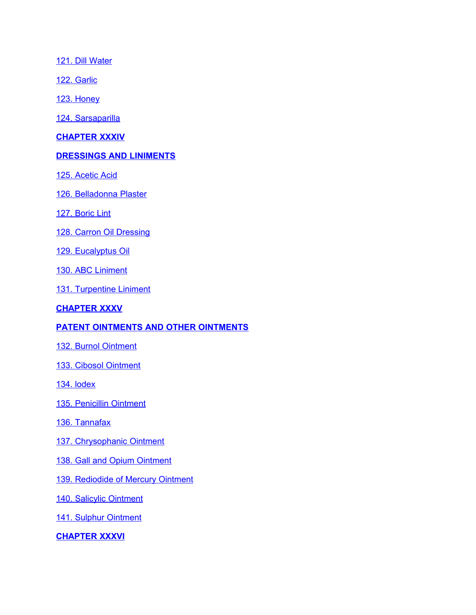[121. Dill Water](#page-216-0)

[122. Garlic](#page-217-5)

[123. Honey](#page-217-4)

[124. Sarsaparilla](#page-217-3)

**[CHAPTER XXXIV](#page-217-2)**

#### **[DRESSINGS AND LINIMENTS](#page-217-1)**

- [125. Acetic Acid](#page-218-2)
- [126. Belladonna Plaster](#page-217-0)
- [127. Boric Lint](#page-218-6)
- [128. Carron Oil Dressing](#page-218-5)
- [129. Eucalyptus Oil](#page-218-4)
- [130. ABC Liniment](#page-218-3)
- [131. Turpentine Liniment](#page-218-2)

#### **[CHAPTER XXXV](#page-218-1)**

#### **[PATENT OINTMENTS AND OTHER OINTMENTS](#page-218-0)**

- [132. Burnol Ointment](#page-219-6)
- [133. Cibosol Ointment](#page-219-5)
- [134. lodex](#page-219-4)
- [135. Penicillin Ointment](#page-219-3)
- [136. Tannafax](#page-219-2)
- [137. Chrysophanic Ointment](#page-219-1)
- [138. Gall and Opium Ointment](#page-219-0)
- [139. Rediodide of Mercury Ointment](#page-219-0)
- [140. Salicylic Ointment](#page-220-2)
- [141. Sulphur Ointment](#page-220-1)

**[CHAPTER XXXVI](#page-220-0)**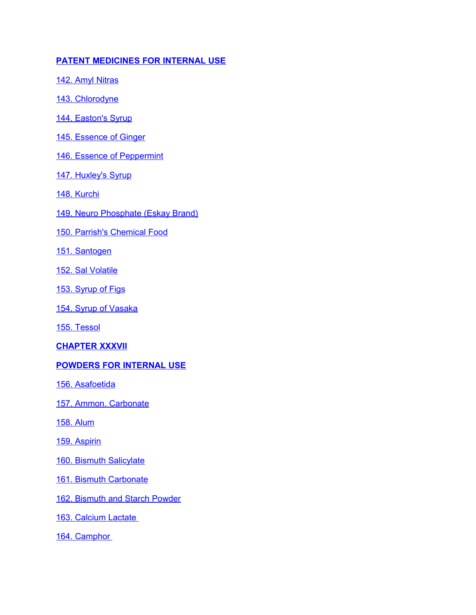# **[PATENT MEDICINES FOR INTERNAL USE](#page-220-7)**

- [142. Amyl Nitras](#page-220-6)
- [143. Chlorodyne](#page-220-5)
- [144. Easton's Syrup](#page-220-4)
- [145. Essence of Ginger](#page-220-3)
- [146. Essence of Peppermint](#page-221-5)
- [147. Huxley's Syrup](#page-221-4)
- [148. Kurchi](#page-221-3)
- [149. Neuro Phosphate \(Eskay Brand\)](#page-221-2)
- [150. Parrish's Chemical Food](#page-221-1)
- [151. Santogen](#page-221-0)
- [152. Sal Volatile](#page-222-7)
- [153. Syrup of Figs](#page-222-6)
- [154. Syrup of Vasaka](#page-222-5)
- [155. Tessol](#page-222-4)
- **[CHAPTER XXXVII](#page-222-3)**

## **[POWDERS FOR INTERNAL USE](#page-222-2)**

- [156. Asafoetida](#page-222-1)
- [157. Ammon. Carbonate](#page-222-0)
- [158. Alum](#page-223-2)
- [159. Aspirin](#page-223-1)
- [160. Bismuth Salicylate](#page-223-0)
- [161. Bismuth Carbonate](#page-224-3)
- [162. Bismuth and Starch Powder](#page-224-2)
- [163. Calcium Lactate](#page-224-1)
- [164. Camphor](#page-224-0)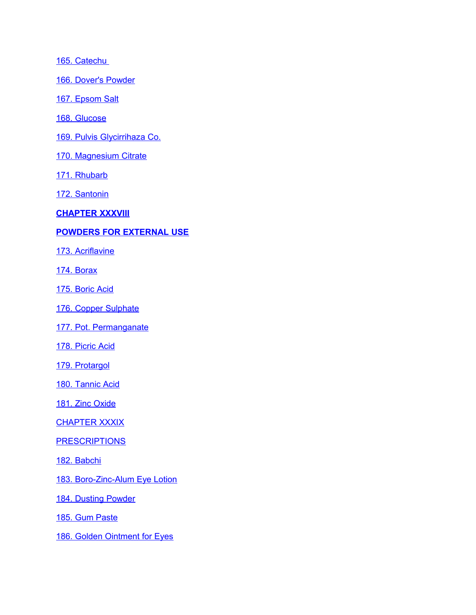[165. Catechu](#page-224-6) 

[166. Dover's Powder](#page-224-5)

[167. Epsom Salt](#page-224-4)

[168. Glucose](#page-225-7)

[169. Pulvis Glycirrihaza Co.](#page-225-6)

[170. Magnesium Citrate](#page-225-5)

[171. Rhubarb](#page-225-4)

[172. Santonin](#page-225-3)

**[CHAPTER XXXVIII](#page-225-2)**

#### **[POWDERS FOR EXTERNAL USE](#page-225-1)**

[173. Acriflavine](#page-225-0)

[174. Borax](#page-226-3)

[175. Boric Acid](#page-226-2)

[176. Copper Sulphate](#page-226-1)

[177. Pot. Permanganate](#page-226-0)

[178. Picric Acid](#page-227-6)

[179. Protargol](#page-227-5)

[180. Tannic Acid](#page-227-4)

[181. Zinc Oxide](#page-227-3)

**[CHAPTER XXXIX](#page-227-2)** 

**[PRESCRIPTIONS](#page-227-1)** 

[182. Babchi](#page-227-0)

[183. Boro-Zinc-Alum Eye Lotion](#page-228-3)

[184. Dusting Powder](#page-228-2)

[185. Gum Paste](#page-228-1)

[186. Golden Ointment for Eyes](#page-228-0)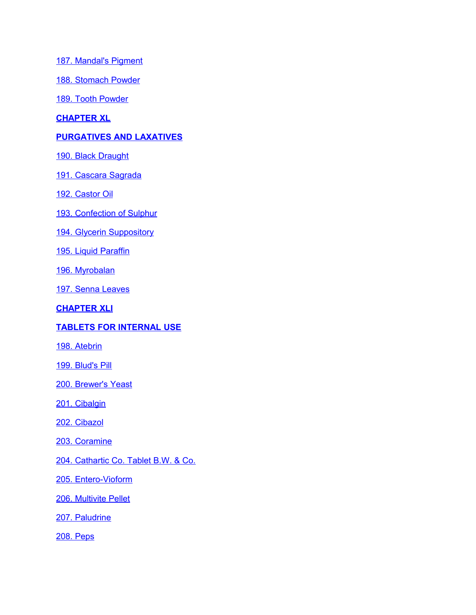[187. Mandal's Pigment](#page-228-6)

[188. Stomach Powder](#page-228-5)

[189. Tooth Powder](#page-228-4)

**[CHAPTER XL](#page-229-9)**

# **[PURGATIVES AND LAXATIVES](#page-229-8)**

[190. Black Draught](#page-229-7)

[191. Cascara Sagrada](#page-229-6)

[192. Castor Oil](#page-229-5)

[193. Confection of Sulphur](#page-229-4)

[194. Glycerin Suppository](#page-229-3)

[195. Liquid Paraffin](#page-229-2)

[196. Myrobalan](#page-229-1)

[197. Senna Leaves](#page-229-0)

**[CHAPTER XLI](#page-230-6)**

## **[TABLETS FOR INTERNAL USE](#page-230-5)**

[198. Atebrin](#page-230-4)

[199. Blud's Pill](#page-230-3)

[200. Brewer's Yeast](#page-230-2)

[201. Cibalgin](#page-230-1)

[202. Cibazol](#page-230-0)

[203. Coramine](#page-231-4)

[204. Cathartic Co. Tablet B.W. & Co.](#page-231-3)

[205. Entero-Vioform](#page-231-2)

[206. Multivite Pellet](#page-231-1)

[207. Paludrine](#page-231-0)

[208. Peps](#page-232-0)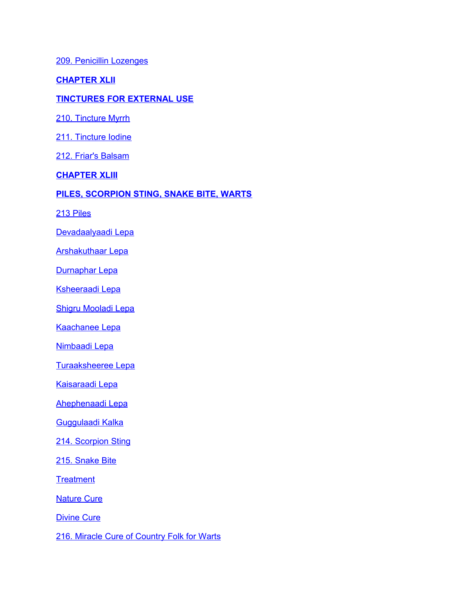[209. Penicillin Lozenges](#page-232-6)

**[CHAPTER XLII](#page-232-5)**

## **[TINCTURES FOR EXTERNAL USE](#page-232-4)**

[210. Tincture Myrrh](#page-232-3)

[211. Tincture Iodine](#page-232-2)

[212. Friar's Balsam](#page-232-1)

**[CHAPTER XLIII](#page-233-3)**

#### **[PILES, SCORPION STING, SNAKE BITE, WARTS](#page-233-2)**

[213 Piles](#page-233-1)

[Devadaalyaadi Lepa](#page-233-0)

[Arshakuthaar Lepa](#page-234-4)

[Durnaphar Lepa](#page-234-3)

[Ksheeraadi Lepa](#page-234-2)

[Shigru Mooladi Lepa](#page-234-1)

[Kaachanee Lepa](#page-234-0)

[Nimbaadi Lepa](#page-235-3)

[Turaaksheeree Lepa](#page-235-2)

[Kaisaraadi Lepa](#page-235-1)

[Ahephenaadi Lepa](#page-235-0)

[Guggulaadi Kalka](#page-236-2)

[214. Scorpion Sting](#page-236-1)

[215. Snake Bite](#page-236-0)

**[Treatment](#page-237-1)** 

**[Nature Cure](#page-237-0)** 

[Divine Cure](#page-238-1)

[216. Miracle Cure of Country Folk for Warts](#page-238-0)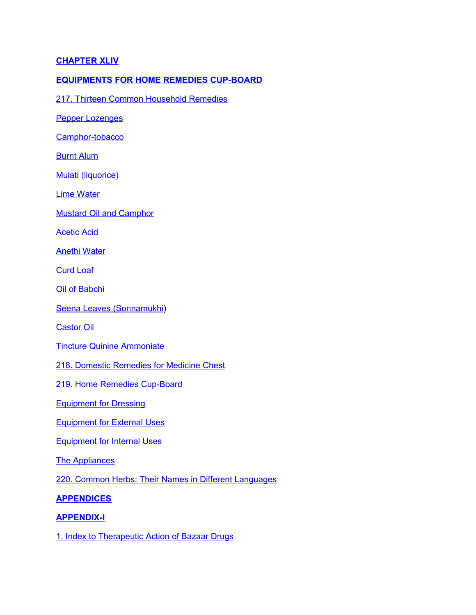## **[CHAPTER XLIV](#page-238-6)**

#### **[EQUIPMENTS FOR HOME REMEDIES CUP-BOARD](#page-238-5)**

[217. Thirteen Common Household Remedies](#page-238-4)

[Pepper Lozenges](#page-238-3)

[Camphor-tobacco](#page-238-2)

[Burnt Alum](#page-239-7)

[Mulati \(liquorice\)](#page-239-6)

[Lime Water](#page-239-5)

[Mustard Oil and Camphor](#page-239-4)

[Acetic Acid](#page-239-3)

[Anethi Water](#page-239-2)

[Curd Loaf](#page-239-1)

**[Oil of Babchi](#page-239-0)** 

[Seena Leaves \(Sonnamukhi\)](#page-240-3)

[Castor Oil](#page-240-2)

[Tincture Quinine Ammoniate](#page-240-1)

[218. Domestic Remedies for Medicine Chest](#page-240-0)

[219. Home Remedies Cup-Board](#page-241-1) 

[Equipment for Dressing](#page-241-0)

[Equipment for External Uses](#page-242-2)

[Equipment for Internal Uses](#page-242-1)

[The Appliances](#page-242-0)

[220. Common Herbs: Their Names in Different Languages](#page-243-0)

#### **[APPENDICES](#page-244-2)**

#### **[APPENDIX-I](#page-244-1)**

[1. Index to Therapeutic Action of Bazaar Drugs](#page-244-0)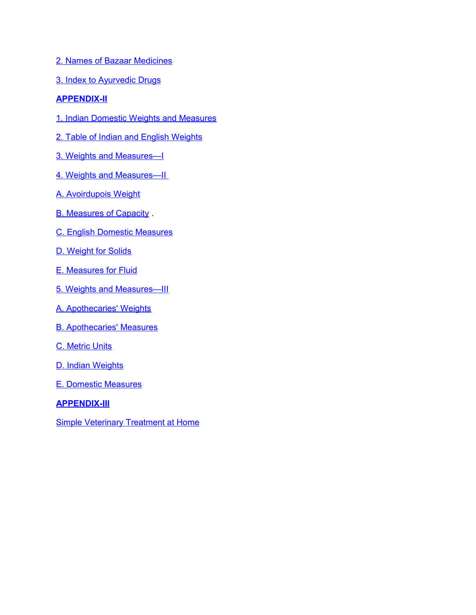- [2. Names of Bazaar Medicines](#page-249-0)
- [3. Index to Ayurvedic Drugs](#page-252-0)

# **[APPENDIX-II](#page-258-2)**

- [1. Indian Domestic Weights and Measures](#page-258-1)
- [2. Table of Indian and English Weights](#page-258-0)
- [3. Weights and Measures—I](#page-259-2)
- [4. Weights and Measures—II](#page-259-1)
- [A. Avoirdupois Weight](#page-259-0)
- [B. Measures of Capacity](#page-260-3) .
- [C. English Domestic Measures](#page-260-2)
- [D. Weight for Solids](#page-260-1)
- [E. Measures for Fluid](#page-260-0)
- [5. Weights and Measures—III](#page-261-3)
- [A. Apothecaries' Weights](#page-261-2)
- [B. Apothecaries' Measures](#page-261-1)
- [C. Metric Units](#page-261-0)
- [D. Indian Weights](#page-262-2)
- [E. Domestic Measures](#page-262-1)

# **[APPENDIX-III](#page-262-0)**

[Simple Veterinary Treatment at Home](#page-263-0)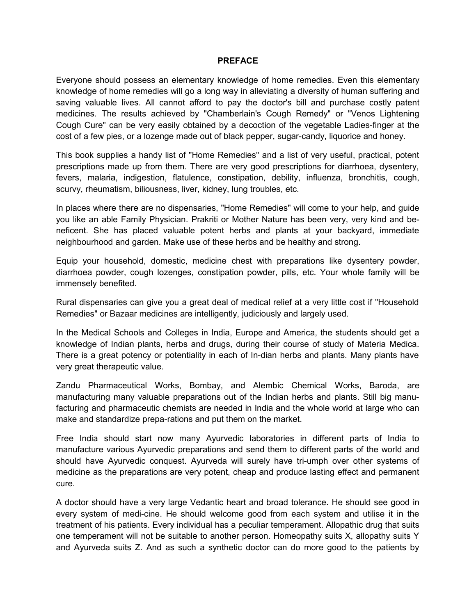#### <span id="page-34-0"></span>**PREFACE**

Everyone should possess an elementary knowledge of home remedies. Even this elementary knowledge of home remedies will go a long way in alleviating a diversity of human suffering and saving valuable lives. All cannot afford to pay the doctor's bill and purchase costly patent medicines. The results achieved by "Chamberlain's Cough Remedy" or "Venos Lightening Cough Cure" can be very easily obtained by a decoction of the vegetable Ladies-finger at the cost of a few pies, or a lozenge made out of black pepper, sugar-candy, liquorice and honey.

This book supplies a handy list of "Home Remedies" and a list of very useful, practical, potent prescriptions made up from them. There are very good prescriptions for diarrhoea, dysentery, fevers, malaria, indigestion, flatulence, constipation, debility, influenza, bronchitis, cough, scurvy, rheumatism, biliousness, liver, kidney, lung troubles, etc.

In places where there are no dispensaries, "Home Remedies" will come to your help, and guide you like an able Family Physician. Prakriti or Mother Nature has been very, very kind and beneficent. She has placed valuable potent herbs and plants at your backyard, immediate neighbourhood and garden. Make use of these herbs and be healthy and strong.

Equip your household, domestic, medicine chest with preparations like dysentery powder, diarrhoea powder, cough lozenges, constipation powder, pills, etc. Your whole family will be immensely benefited.

Rural dispensaries can give you a great deal of medical relief at a very little cost if "Household Remedies" or Bazaar medicines are intelligently, judiciously and largely used.

In the Medical Schools and Colleges in India, Europe and America, the students should get a knowledge of Indian plants, herbs and drugs, during their course of study of Materia Medica. There is a great potency or potentiality in each of In-dian herbs and plants. Many plants have very great therapeutic value.

Zandu Pharmaceutical Works, Bombay, and Alembic Chemical Works, Baroda, are manufacturing many valuable preparations out of the Indian herbs and plants. Still big manufacturing and pharmaceutic chemists are needed in India and the whole world at large who can make and standardize prepa-rations and put them on the market.

Free India should start now many Ayurvedic laboratories in different parts of India to manufacture various Ayurvedic preparations and send them to different parts of the world and should have Ayurvedic conquest. Ayurveda will surely have tri-umph over other systems of medicine as the preparations are very potent, cheap and produce lasting effect and permanent cure.

A doctor should have a very large Vedantic heart and broad tolerance. He should see good in every system of medi-cine. He should welcome good from each system and utilise it in the treatment of his patients. Every individual has a peculiar temperament. Allopathic drug that suits one temperament will not be suitable to another person. Homeopathy suits X, allopathy suits Y and Ayurveda suits Z. And as such a synthetic doctor can do more good to the patients by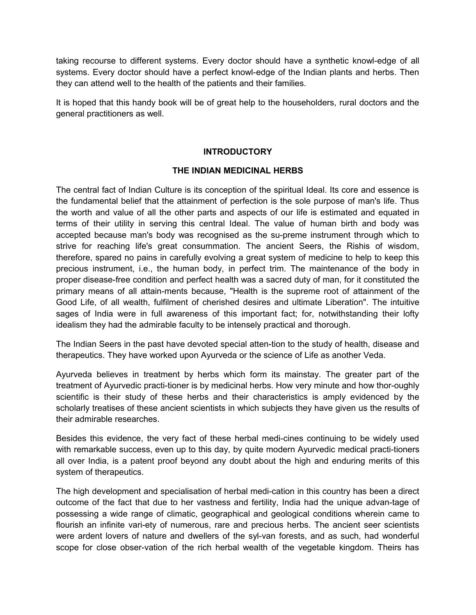taking recourse to different systems. Every doctor should have a synthetic knowl-edge of all systems. Every doctor should have a perfect knowl-edge of the Indian plants and herbs. Then they can attend well to the health of the patients and their families.

It is hoped that this handy book will be of great help to the householders, rural doctors and the general practitioners as well.

## <span id="page-35-0"></span>**INTRODUCTORY**

#### **THE INDIAN MEDICINAL HERBS**

The central fact of Indian Culture is its conception of the spiritual Ideal. Its core and essence is the fundamental belief that the attainment of perfection is the sole purpose of man's life. Thus the worth and value of all the other parts and aspects of our life is estimated and equated in terms of their utility in serving this central Ideal. The value of human birth and body was accepted because man's body was recognised as the su-preme instrument through which to strive for reaching life's great consummation. The ancient Seers, the Rishis of wisdom, therefore, spared no pains in carefully evolving a great system of medicine to help to keep this precious instrument, i.e., the human body, in perfect trim. The maintenance of the body in proper disease-free condition and perfect health was a sacred duty of man, for it constituted the primary means of all attain-ments because, "Health is the supreme root of attainment of the Good Life, of all wealth, fulfilment of cherished desires and ultimate Liberation". The intuitive sages of India were in full awareness of this important fact; for, notwithstanding their lofty idealism they had the admirable faculty to be intensely practical and thorough.

The Indian Seers in the past have devoted special atten-tion to the study of health, disease and therapeutics. They have worked upon Ayurveda or the science of Life as another Veda.

Ayurveda believes in treatment by herbs which form its mainstay. The greater part of the treatment of Ayurvedic practi-tioner is by medicinal herbs. How very minute and how thor-oughly scientific is their study of these herbs and their characteristics is amply evidenced by the scholarly treatises of these ancient scientists in which subjects they have given us the results of their admirable researches.

Besides this evidence, the very fact of these herbal medi-cines continuing to be widely used with remarkable success, even up to this day, by quite modern Ayurvedic medical practi-tioners all over India, is a patent proof beyond any doubt about the high and enduring merits of this system of therapeutics.

The high development and specialisation of herbal medi-cation in this country has been a direct outcome of the fact that due to her vastness and fertility, India had the unique advan-tage of possessing a wide range of climatic, geographical and geological conditions wherein came to flourish an infinite vari-ety of numerous, rare and precious herbs. The ancient seer scientists were ardent lovers of nature and dwellers of the syl-van forests, and as such, had wonderful scope for close obser-vation of the rich herbal wealth of the vegetable kingdom. Theirs has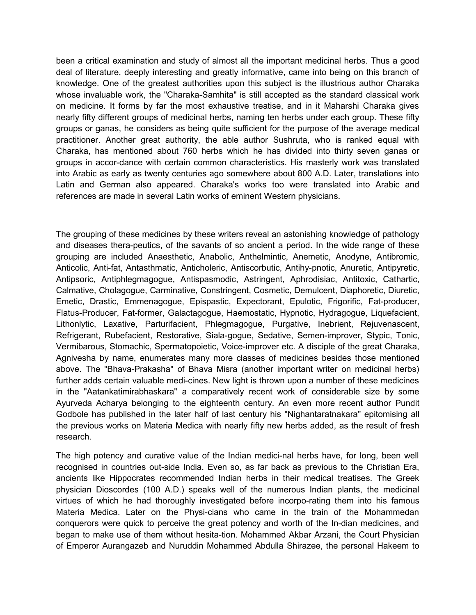been a critical examination and study of almost all the important medicinal herbs. Thus a good deal of literature, deeply interesting and greatly informative, came into being on this branch of knowledge. One of the greatest authorities upon this subject is the illustrious author Charaka whose invaluable work, the "Charaka-Samhita" is still accepted as the standard classical work on medicine. It forms by far the most exhaustive treatise, and in it Maharshi Charaka gives nearly fifty different groups of medicinal herbs, naming ten herbs under each group. These fifty groups or ganas, he considers as being quite sufficient for the purpose of the average medical practitioner. Another great authority, the able author Sushruta, who is ranked equal with Charaka, has mentioned about 760 herbs which he has divided into thirty seven ganas or groups in accor-dance with certain common characteristics. His masterly work was translated into Arabic as early as twenty centuries ago somewhere about 800 A.D. Later, translations into Latin and German also appeared. Charaka's works too were translated into Arabic and references are made in several Latin works of eminent Western physicians.

The grouping of these medicines by these writers reveal an astonishing knowledge of pathology and diseases thera-peutics, of the savants of so ancient a period. In the wide range of these grouping are included Anaesthetic, Anabolic, Anthelmintic, Anemetic, Anodyne, Antibromic, Anticolic, Anti-fat, Antasthmatic, Anticholeric, Antiscorbutic, Antihy-pnotic, Anuretic, Antipyretic, Antipsoric, Antiphlegmagogue, Antispasmodic, Astringent, Aphrodisiac, Antitoxic, Cathartic, Calmative, Cholagogue, Carminative, Constringent, Cosmetic, Demulcent, Diaphoretic, Diuretic, Emetic, Drastic, Emmenagogue, Epispastic, Expectorant, Epulotic, Frigorific, Fat-producer, Flatus-Producer, Fat-former, Galactagogue, Haemostatic, Hypnotic, Hydragogue, Liquefacient, Lithonlytic, Laxative, Parturifacient, Phlegmagogue, Purgative, Inebrient, Rejuvenascent, Refrigerant, Rubefacient, Restorative, Siala-gogue, Sedative, Semen-improver, Stypic, Tonic, Vermibarous, Stomachic, Spermatopoietic, Voice-improver etc. A disciple of the great Charaka, Agnivesha by name, enumerates many more classes of medicines besides those mentioned above. The "Bhava-Prakasha" of Bhava Misra (another important writer on medicinal herbs) further adds certain valuable medi-cines. New light is thrown upon a number of these medicines in the "Aatankatimirabhaskara" a comparatively recent work of considerable size by some Ayurveda Acharya belonging to the eighteenth century. An even more recent author Pundit Godbole has published in the later half of last century his "Nighantaratnakara" epitomising all the previous works on Materia Medica with nearly fifty new herbs added, as the result of fresh research.

The high potency and curative value of the Indian medici-nal herbs have, for long, been well recognised in countries out-side India. Even so, as far back as previous to the Christian Era, ancients like Hippocrates recommended Indian herbs in their medical treatises. The Greek physician Dioscordes (100 A.D.) speaks well of the numerous Indian plants, the medicinal virtues of which he had thoroughly investigated before incorpo-rating them into his famous Materia Medica. Later on the Physi-cians who came in the train of the Mohammedan conquerors were quick to perceive the great potency and worth of the In-dian medicines, and began to make use of them without hesita-tion. Mohammed Akbar Arzani, the Court Physician of Emperor Aurangazeb and Nuruddin Mohammed Abdulla Shirazee, the personal Hakeem to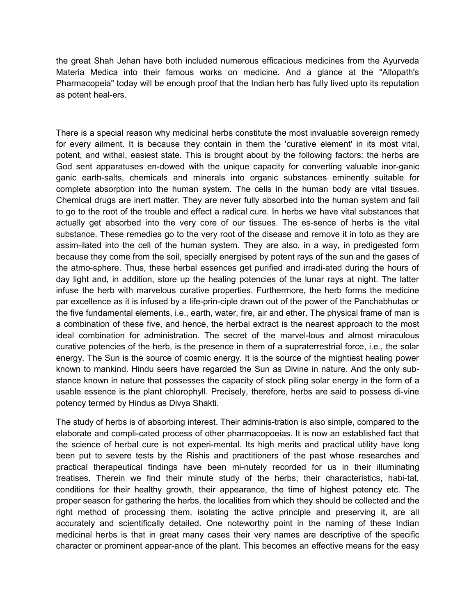the great Shah Jehan have both included numerous efficacious medicines from the Ayurveda Materia Medica into their famous works on medicine. And a glance at the "Allopath's Pharmacopeia" today will be enough proof that the Indian herb has fully lived upto its reputation as potent heal-ers.

There is a special reason why medicinal herbs constitute the most invaluable sovereign remedy for every ailment. It is because they contain in them the 'curative element' in its most vital, potent, and withal, easiest state. This is brought about by the following factors: the herbs are God sent apparatuses en-dowed with the unique capacity for converting valuable inor-ganic ganic earth-salts, chemicals and minerals into organic substances eminently suitable for complete absorption into the human system. The cells in the human body are vital tissues. Chemical drugs are inert matter. They are never fully absorbed into the human system and fail to go to the root of the trouble and effect a radical cure. In herbs we have vital substances that actually get absorbed into the very core of our tissues. The es-sence of herbs is the vital substance. These remedies go to the very root of the disease and remove it in toto as they are assim-ilated into the cell of the human system. They are also, in a way, in predigested form because they come from the soil, specially energised by potent rays of the sun and the gases of the atmo-sphere. Thus, these herbal essences get purified and irradi-ated during the hours of day light and, in addition, store up the healing potencies of the lunar rays at night. The latter infuse the herb with marvelous curative properties. Furthermore, the herb forms the medicine par excellence as it is infused by a life-prin-ciple drawn out of the power of the Panchabhutas or the five fundamental elements, i.e., earth, water, fire, air and ether. The physical frame of man is a combination of these five, and hence, the herbal extract is the nearest approach to the most ideal combination for administration. The secret of the marvel-lous and almost miraculous curative potencies of the herb, is the presence in them of a supraterrestrial force, i.e., the solar energy. The Sun is the source of cosmic energy. It is the source of the mightiest healing power known to mankind. Hindu seers have regarded the Sun as Divine in nature. And the only substance known in nature that possesses the capacity of stock piling solar energy in the form of a usable essence is the plant chlorophyll. Precisely, therefore, herbs are said to possess di-vine potency termed by Hindus as Divya Shakti.

The study of herbs is of absorbing interest. Their adminis-tration is also simple, compared to the elaborate and compli-cated process of other pharmacopoeias. It is now an established fact that the science of herbal cure is not experi-mental. Its high merits and practical utility have long been put to severe tests by the Rishis and practitioners of the past whose researches and practical therapeutical findings have been mi-nutely recorded for us in their illuminating treatises. Therein we find their minute study of the herbs; their characteristics, habi-tat, conditions for their healthy growth, their appearance, the time of highest potency etc. The proper season for gathering the herbs, the localities from which they should be collected and the right method of processing them, isolating the active principle and preserving it, are all accurately and scientifically detailed. One noteworthy point in the naming of these Indian medicinal herbs is that in great many cases their very names are descriptive of the specific character or prominent appear-ance of the plant. This becomes an effective means for the easy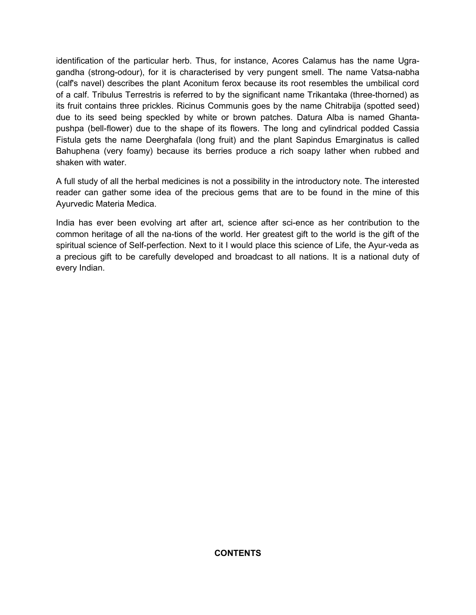identification of the particular herb. Thus, for instance, Acores Calamus has the name Ugragandha (strong-odour), for it is characterised by very pungent smell. The name Vatsa-nabha (calf's navel) describes the plant Aconitum ferox because its root resembles the umbilical cord of a calf. Tribulus Terrestris is referred to by the significant name Trikantaka (three-thorned) as its fruit contains three prickles. Ricinus Communis goes by the name Chitrabija (spotted seed) due to its seed being speckled by white or brown patches. Datura Alba is named Ghantapushpa (bell-flower) due to the shape of its flowers. The long and cylindrical podded Cassia Fistula gets the name Deerghafala (long fruit) and the plant Sapindus Emarginatus is called Bahuphena (very foamy) because its berries produce a rich soapy lather when rubbed and shaken with water.

A full study of all the herbal medicines is not a possibility in the introductory note. The interested reader can gather some idea of the precious gems that are to be found in the mine of this Ayurvedic Materia Medica.

India has ever been evolving art after art, science after sci-ence as her contribution to the common heritage of all the na-tions of the world. Her greatest gift to the world is the gift of the spiritual science of Self-perfection. Next to it I would place this science of Life, the Ayur-veda as a precious gift to be carefully developed and broadcast to all nations. It is a national duty of every Indian.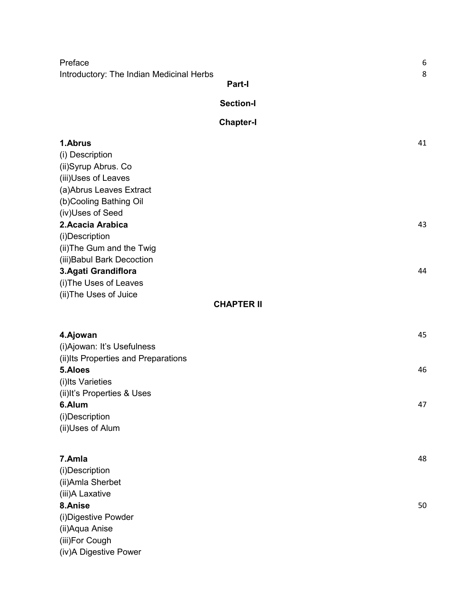| Preface                                                                                                |                   | 6  |
|--------------------------------------------------------------------------------------------------------|-------------------|----|
| Introductory: The Indian Medicinal Herbs                                                               |                   | 8  |
|                                                                                                        | Part-I            |    |
|                                                                                                        | <b>Section-I</b>  |    |
|                                                                                                        | <b>Chapter-I</b>  |    |
| 1.Abrus<br>(i) Description<br>(ii)Syrup Abrus. Co<br>(iii)Uses of Leaves                               |                   | 41 |
| (a) Abrus Leaves Extract<br>(b)Cooling Bathing Oil<br>(iv)Uses of Seed                                 |                   |    |
| 2. Acacia Arabica<br>(i)Description<br>(ii) The Gum and the Twig                                       |                   | 43 |
| (iii) Babul Bark Decoction<br>3. Agati Grandiflora<br>(i) The Uses of Leaves<br>(ii) The Uses of Juice |                   | 44 |
|                                                                                                        | <b>CHAPTER II</b> |    |
| 4.Ajowan<br>(i) Ajowan: It's Usefulness                                                                |                   | 45 |
| (ii) Its Properties and Preparations<br>5.Aloes<br>(i)Its Varieties                                    |                   | 46 |
| (ii) It's Properties & Uses<br>6.Alum<br>(i)Description                                                |                   | 47 |
| (ii)Uses of Alum                                                                                       |                   |    |
| 7.Amla<br>(i)Description<br>(ii) Amla Sherbet                                                          |                   | 48 |
| (iii)A Laxative<br>8.Anise<br>(i) Digestive Powder                                                     |                   | 50 |
| (ii) Aqua Anise<br>(iii)For Cough<br>(iv)A Digestive Power                                             |                   |    |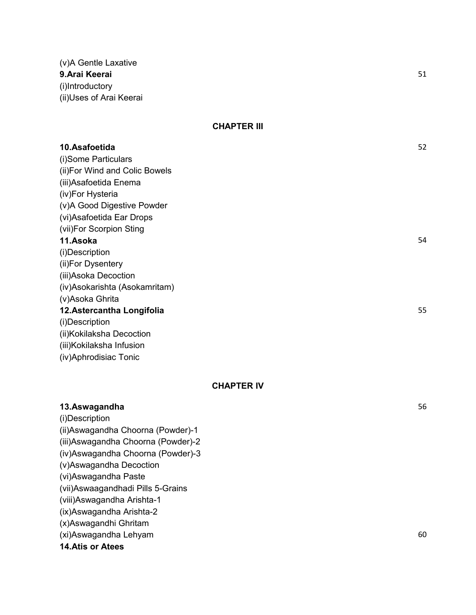(v)A Gentle Laxative **9.Arai Keerai** 51 (i)Introductory (ii)Uses of Arai Keerai

## **CHAPTER III**

**10.Asafoetida** 52 (i)Some Particulars (ii)For Wind and Colic Bowels (iii)Asafoetida Enema (iv)For Hysteria (v)A Good Digestive Powder (vi)Asafoetida Ear Drops (vii)For Scorpion Sting **11.Asoka** 54 (i)Description (ii)For Dysentery (iii)Asoka Decoction (iv)Asokarishta (Asokamritam) (v)Asoka Ghrita **12.Astercantha Longifolia** 55 (i)Description (ii)Kokilaksha Decoction (iii)Kokilaksha Infusion (iv)Aphrodisiac Tonic

## **CHAPTER IV**

| 13.Aswagandha                       | 56 |
|-------------------------------------|----|
| (i)Description                      |    |
| (ii) Aswagandha Choorna (Powder)-1  |    |
| (iii) Aswagandha Choorna (Powder)-2 |    |
| (iv) Aswagandha Choorna (Powder)-3  |    |
| (v)Aswagandha Decoction             |    |
| (vi)Aswagandha Paste                |    |
| (vii) Aswaagandhadi Pills 5-Grains  |    |
| (viii)Aswagandha Arishta-1          |    |
| (ix)Aswagandha Arishta-2            |    |
| (x)Aswagandhi Ghritam               |    |
| (xi)Aswagandha Lehyam               | 60 |
| <b>14.Atis or Atees</b>             |    |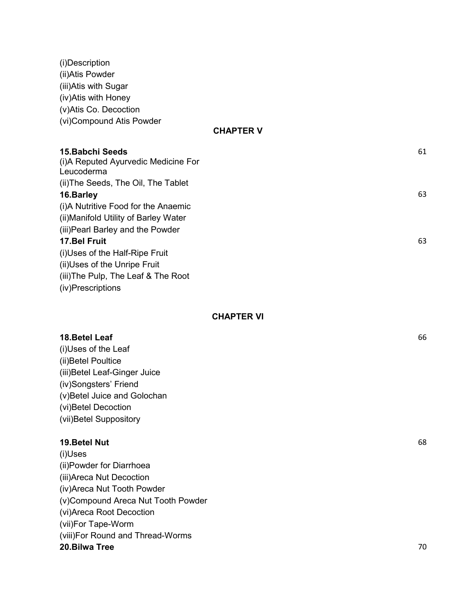| (ii)Atis Powder<br>(iii)Atis with Sugar<br>(iv) Atis with Honey               |                  |
|-------------------------------------------------------------------------------|------------------|
| (v) Atis Co. Decoction                                                        |                  |
| (vi)Compound Atis Powder                                                      |                  |
|                                                                               | <b>CHAPTER V</b> |
| <b>15. Babchi Seeds</b><br>(i) A Reputed Ayurvedic Medicine For<br>Leucoderma | 61               |
| (ii) The Seeds, The Oil, The Tablet                                           |                  |
| 16.Barley                                                                     | 63               |
| (i)A Nutritive Food for the Anaemic                                           |                  |
| (ii) Manifold Utility of Barley Water                                         |                  |
| (iii) Pearl Barley and the Powder                                             |                  |
| <b>17.Bel Fruit</b>                                                           | 63               |
| (i) Uses of the Half-Ripe Fruit                                               |                  |
| (ii) Uses of the Unripe Fruit                                                 |                  |
| (iii) The Pulp, The Leaf & The Root                                           |                  |
| (iv)Prescriptions                                                             |                  |

(i)Description

# **CHAPTER VI**

| 18. Betel Leaf                     | 66 |
|------------------------------------|----|
| (i) Uses of the Leaf               |    |
| (ii) Betel Poultice                |    |
| (iii) Betel Leaf-Ginger Juice      |    |
| (iv)Songsters' Friend              |    |
| (v) Betel Juice and Golochan       |    |
| (vi)Betel Decoction                |    |
| (vii) Betel Suppository            |    |
|                                    |    |
| 19. Betel Nut                      | 68 |
| (i)Uses                            |    |
|                                    |    |
| (ii) Powder for Diarrhoea          |    |
| (iii) Areca Nut Decoction          |    |
| (iv) Areca Nut Tooth Powder        |    |
| (v)Compound Areca Nut Tooth Powder |    |
| (vi) Areca Root Decoction          |    |

(viii)For Round and Thread-Worms

**20.Bilwa Tree** 70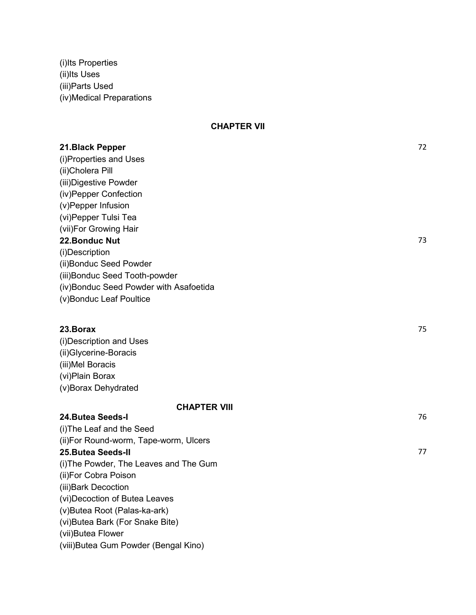(i)Its Properties (ii)Its Uses (iii)Parts Used (iv)Medical Preparations

#### **CHAPTER VII**

#### **21.Black Pepper** 72

(i)Properties and Uses (ii)Cholera Pill (iii)Digestive Powder (iv)Pepper Confection (v)Pepper Infusion (vi)Pepper Tulsi Tea (vii)For Growing Hair **22. Bonduc Nut** 73 (i)Description (ii)Bonduc Seed Powder (iii)Bonduc Seed Tooth-powder (iv)Bonduc Seed Powder with Asafoetida (v)Bonduc Leaf Poultice

#### **23.Borax** 75

(i)Description and Uses (ii)Glycerine-Boracis (iii)Mel Boracis (vi)Plain Borax (v)Borax Dehydrated

#### **CHAPTER VIII**

# **24.Butea Seeds-I** 76 (i)The Leaf and the Seed (ii)For Round-worm, Tape-worm, Ulcers **25.Butea Seeds-II** 77 (i)The Powder, The Leaves and The Gum (ii)For Cobra Poison (iii)Bark Decoction (vi)Decoction of Butea Leaves (v)Butea Root (Palas-ka-ark) (vi)Butea Bark (For Snake Bite) (vii)Butea Flower (viii)Butea Gum Powder (Bengal Kino)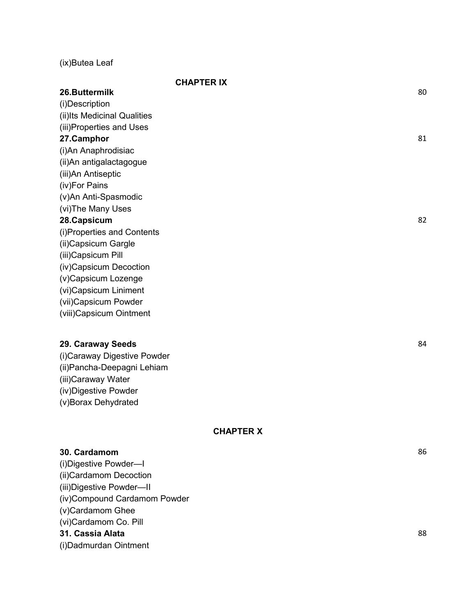(ix)Butea Leaf

| <b>CHAPTER IX</b>            |    |
|------------------------------|----|
| 26.Buttermilk                | 80 |
| (i)Description               |    |
| (ii)Its Medicinal Qualities  |    |
| (iii) Properties and Uses    |    |
| 27.Camphor                   | 81 |
| (i)An Anaphrodisiac          |    |
| (ii) An antigalactagogue     |    |
| (iii)An Antiseptic           |    |
| (iv)For Pains                |    |
| (v)An Anti-Spasmodic         |    |
| (vi) The Many Uses           |    |
| 28.Capsicum                  | 82 |
| (i)Properties and Contents   |    |
| (ii) Capsicum Gargle         |    |
| (iii)Capsicum Pill           |    |
| (iv)Capsicum Decoction       |    |
| (v)Capsicum Lozenge          |    |
| (vi)Capsicum Liniment        |    |
| (vii)Capsicum Powder         |    |
| (viii)Capsicum Ointment      |    |
| 29. Caraway Seeds            | 84 |
| (i) Caraway Digestive Powder |    |
| (ii) Pancha-Deepagni Lehiam  |    |
| (iii) Caraway Water          |    |
| (iv) Digestive Powder        |    |

#### **CHAPTER X**

## **30. Cardamom** 86

(v)Borax Dehydrated

(i)Digestive Powder—I (ii)Cardamom Decoction (iii)Digestive Powder—II (iv)Compound Cardamom Powder (v)Cardamom Ghee (vi)Cardamom Co. Pill **31. Cassia Alata** 88 (i)Dadmurdan Ointment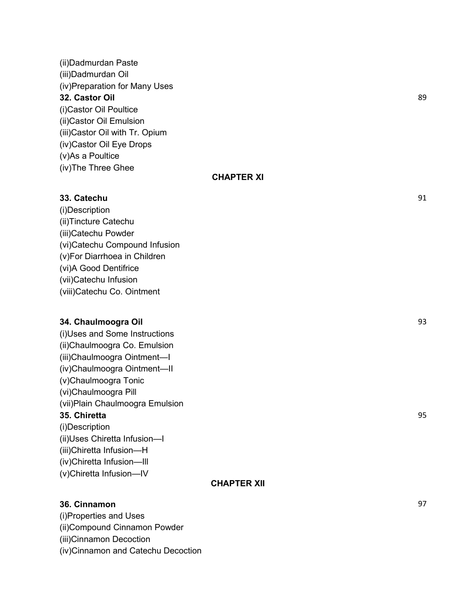(ii)Dadmurdan Paste (iii)Dadmurdan Oil (iv)Preparation for Many Uses **32. Castor Oil** 89 (i)Castor Oil Poultice (ii)Castor Oil Emulsion (iii)Castor Oil with Tr. Opium (iv)Castor Oil Eye Drops (v)As a Poultice (iv)The Three Ghee

## **CHAPTER XI**

#### **33. Catechu** 91

(i)Description (ii)Tincture Catechu (iii)Catechu Powder (vi)Catechu Compound Infusion (v)For Diarrhoea in Children (vi)A Good Dentifrice (vii)Catechu Infusion (viii)Catechu Co. Ointment

#### **34. Chaulmoogra Oil** 93

- (i)Uses and Some Instructions (ii)Chaulmoogra Co. Emulsion (iii)Chaulmoogra Ointment—I (iv)Chaulmoogra Ointment—II (v)Chaulmoogra Tonic (vi)Chaulmoogra Pill (vii)Plain Chaulmoogra Emulsion **35. Chiretta** 95 (i)Description (ii)Uses Chiretta Infusion—I
- (iii)Chiretta Infusion—H (iv)Chiretta Infusion—Ill (v)Chiretta Infusion—IV

## **CHAPTER XII**

## **36. Cinnamon** 97

(i)Properties and Uses (ii)Compound Cinnamon Powder (iii)Cinnamon Decoction (iv)Cinnamon and Catechu Decoction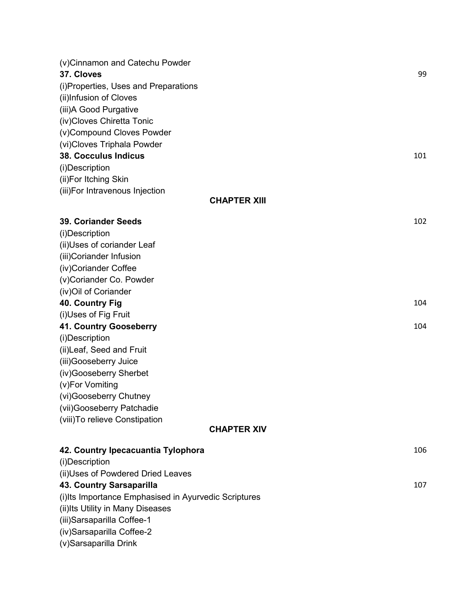| (v) Cinnamon and Catechu Powder                       |                     |     |
|-------------------------------------------------------|---------------------|-----|
| 37. Cloves                                            |                     | 99  |
| (i) Properties, Uses and Preparations                 |                     |     |
| (ii)Infusion of Cloves                                |                     |     |
| (iii)A Good Purgative                                 |                     |     |
| (iv)Cloves Chiretta Tonic                             |                     |     |
| (v)Compound Cloves Powder                             |                     |     |
| (vi)Cloves Triphala Powder                            |                     |     |
| <b>38. Cocculus Indicus</b>                           |                     | 101 |
| (i)Description                                        |                     |     |
| (ii)For Itching Skin                                  |                     |     |
| (iii)For Intravenous Injection                        |                     |     |
|                                                       | <b>CHAPTER XIII</b> |     |
| <b>39. Coriander Seeds</b>                            |                     | 102 |
| (i)Description                                        |                     |     |
| (ii) Uses of coriander Leaf                           |                     |     |
| (iii)Coriander Infusion                               |                     |     |
| (iv)Coriander Coffee                                  |                     |     |
| (v)Coriander Co. Powder                               |                     |     |
| (iv) Oil of Coriander                                 |                     |     |
| 40. Country Fig                                       |                     | 104 |
| (i)Uses of Fig Fruit                                  |                     |     |
| <b>41. Country Gooseberry</b>                         |                     | 104 |
| (i)Description                                        |                     |     |
| (ii) Leaf, Seed and Fruit                             |                     |     |
| (iii)Gooseberry Juice                                 |                     |     |
| (iv)Gooseberry Sherbet                                |                     |     |
| (v)For Vomiting                                       |                     |     |
| (vi)Gooseberry Chutney                                |                     |     |
| (vii)Gooseberry Patchadie                             |                     |     |
| (viii) To relieve Constipation                        |                     |     |
|                                                       | <b>CHAPTER XIV</b>  |     |
| 42. Country Ipecacuantia Tylophora                    |                     | 106 |
| (i)Description                                        |                     |     |
| (ii) Uses of Powdered Dried Leaves                    |                     |     |
| 43. Country Sarsaparilla                              |                     | 107 |
| (i) Its Importance Emphasised in Ayurvedic Scriptures |                     |     |
| (ii) Its Utility in Many Diseases                     |                     |     |
| (iii)Sarsaparilla Coffee-1                            |                     |     |
| (iv)Sarsaparilla Coffee-2                             |                     |     |
| (v)Sarsaparilla Drink                                 |                     |     |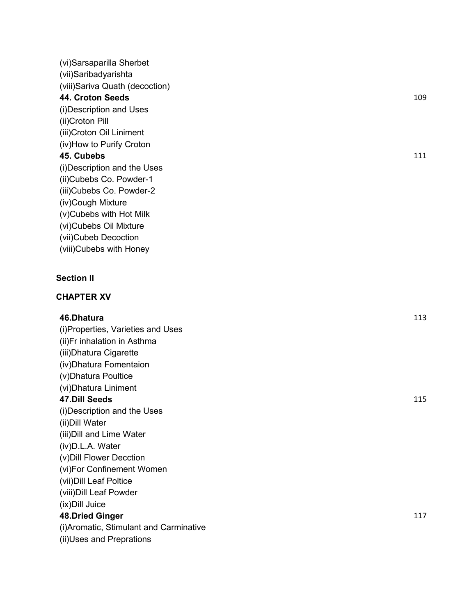| (vi)Sarsaparilla Sherbet        |     |
|---------------------------------|-----|
| (vii)Saribadyarishta            |     |
| (viii) Sariva Quath (decoction) |     |
| 44. Croton Seeds                | 109 |
| (i) Description and Uses        |     |
| (ii) Croton Pill                |     |
| (iii) Croton Oil Liniment       |     |
| (iv)How to Purify Croton        |     |
| 45. Cubebs                      | 111 |
| (i) Description and the Uses    |     |
| (ii) Cubebs Co. Powder-1        |     |
| (iii)Cubebs Co. Powder-2        |     |
| (iv)Cough Mixture               |     |
| (v) Cubebs with Hot Milk        |     |
| (vi)Cubebs Oil Mixture          |     |
| (vii)Cubeb Decoction            |     |
| (viii) Cubebs with Honey        |     |

# **Section II**

# **CHAPTER XV**

| 46.Dhatura                              | 113 |
|-----------------------------------------|-----|
| (i) Properties, Varieties and Uses      |     |
| (ii)Fr inhalation in Asthma             |     |
| (iii) Dhatura Cigarette                 |     |
| (iv) Dhatura Fomentaion                 |     |
| (v) Dhatura Poultice                    |     |
| (vi) Dhatura Liniment                   |     |
| <b>47.Dill Seeds</b>                    | 115 |
| (i) Description and the Uses            |     |
| (ii) Dill Water                         |     |
| (iii) Dill and Lime Water               |     |
| (iv) D.L.A. Water                       |     |
| (v) Dill Flower Decction                |     |
| (vi) For Confinement Women              |     |
| (vii) Dill Leaf Poltice                 |     |
| (viii) Dill Leaf Powder                 |     |
| (ix) Dill Juice                         |     |
| 48.Dried Ginger                         | 117 |
| (i) Aromatic, Stimulant and Carminative |     |
| (ii) Uses and Preprations               |     |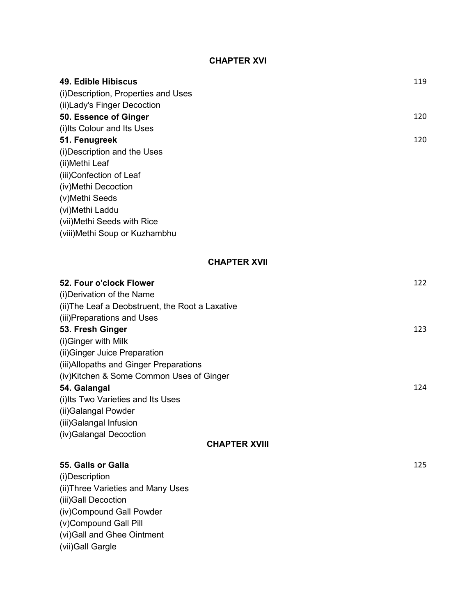# **CHAPTER XVI**

| <b>49. Edible Hibiscus</b>                                 | 119 |
|------------------------------------------------------------|-----|
| (i) Description, Properties and Uses                       |     |
| (ii) Lady's Finger Decoction                               |     |
| 50. Essence of Ginger                                      | 120 |
| (i) Its Colour and Its Uses                                |     |
| 51. Fenugreek<br>(i) Description and the Uses              | 120 |
| (ii) Methi Leaf                                            |     |
| (iii)Confection of Leaf                                    |     |
| (iv) Methi Decoction                                       |     |
| (v)Methi Seeds                                             |     |
| (vi) Methi Laddu                                           |     |
| (vii)Methi Seeds with Rice                                 |     |
| (viii) Methi Soup or Kuzhambhu                             |     |
|                                                            |     |
| <b>CHAPTER XVII</b>                                        |     |
| 52. Four o'clock Flower                                    | 122 |
| (i) Derivation of the Name                                 |     |
| (ii) The Leaf a Deobstruent, the Root a Laxative           |     |
| (iii) Preparations and Uses                                |     |
| 53. Fresh Ginger<br>(i) Ginger with Milk                   | 123 |
| (ii) Ginger Juice Preparation                              |     |
| (iii) Allopaths and Ginger Preparations                    |     |
| (iv) Kitchen & Some Common Uses of Ginger                  |     |
| 54. Galangal                                               | 124 |
| (i) Its Two Varieties and Its Uses                         |     |
| (ii) Galangal Powder                                       |     |
| (iii) Galangal Infusion                                    |     |
| (iv)Galangal Decoction<br><b>CHAPTER XVIII</b>             |     |
|                                                            |     |
| 55. Galls or Galla                                         | 125 |
| (i)Description                                             |     |
| (ii) Three Varieties and Many Uses<br>(iii) Gall Decoction |     |
| (iv)Compound Gall Powder                                   |     |
| (v)Compound Gall Pill                                      |     |
| (vi) Gall and Ghee Ointment                                |     |
| (vii)Gall Gargle                                           |     |
|                                                            |     |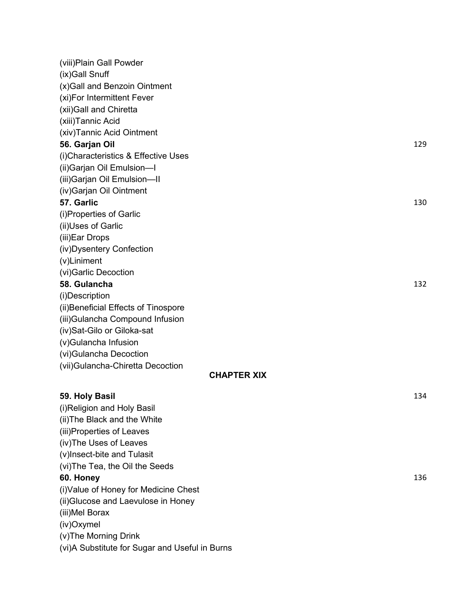| (viii)Plain Gall Powder                        |                    |     |
|------------------------------------------------|--------------------|-----|
| (ix)Gall Snuff                                 |                    |     |
| (x) Gall and Benzoin Ointment                  |                    |     |
| (xi)For Intermittent Fever                     |                    |     |
| (xii) Gall and Chiretta                        |                    |     |
| (xiii)Tannic Acid                              |                    |     |
| (xiv)Tannic Acid Ointment                      |                    |     |
| 56. Garjan Oil                                 |                    | 129 |
| (i)Characteristics & Effective Uses            |                    |     |
| (ii) Garjan Oil Emulsion-I                     |                    |     |
| (iii) Garjan Oil Emulsion-II                   |                    |     |
| (iv)Garjan Oil Ointment                        |                    |     |
| 57. Garlic                                     |                    | 130 |
| (i)Properties of Garlic                        |                    |     |
| (ii)Uses of Garlic                             |                    |     |
| (iii)Ear Drops                                 |                    |     |
| (iv)Dysentery Confection                       |                    |     |
| (v)Liniment                                    |                    |     |
| (vi) Garlic Decoction                          |                    |     |
| 58. Gulancha                                   |                    | 132 |
| (i)Description                                 |                    |     |
| (ii) Beneficial Effects of Tinospore           |                    |     |
| (iii)Gulancha Compound Infusion                |                    |     |
| (iv)Sat-Gilo or Giloka-sat                     |                    |     |
| (v)Gulancha Infusion                           |                    |     |
| (vi)Gulancha Decoction                         |                    |     |
| (vii)Gulancha-Chiretta Decoction               | <b>CHAPTER XIX</b> |     |
|                                                |                    |     |
| 59. Holy Basil                                 |                    | 134 |
| (i)Religion and Holy Basil                     |                    |     |
| (ii) The Black and the White                   |                    |     |
| (iii)Properties of Leaves                      |                    |     |
| (iv) The Uses of Leaves                        |                    |     |
| (v)Insect-bite and Tulasit                     |                    |     |
| (vi) The Tea, the Oil the Seeds                |                    |     |
| 60. Honey                                      |                    | 136 |
| (i) Value of Honey for Medicine Chest          |                    |     |
| (ii) Glucose and Laevulose in Honey            |                    |     |
| (iii)Mel Borax                                 |                    |     |
| (iv)Oxymel                                     |                    |     |
| (v) The Morning Drink                          |                    |     |
| (vi)A Substitute for Sugar and Useful in Burns |                    |     |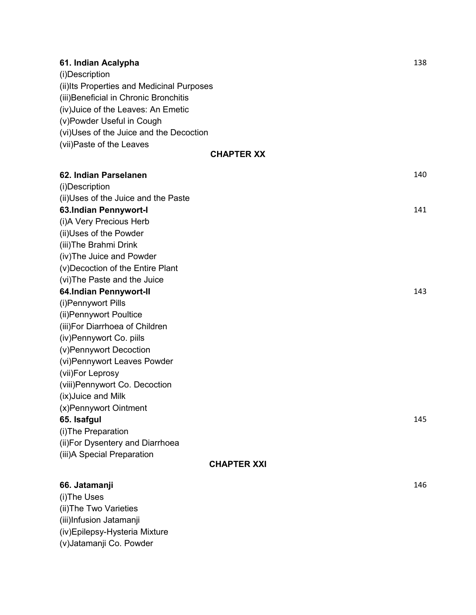| 61. Indian Acalypha                        | 138 |
|--------------------------------------------|-----|
| (i)Description                             |     |
| (ii) Its Properties and Medicinal Purposes |     |
| (iii) Beneficial in Chronic Bronchitis     |     |
| (iv) Juice of the Leaves: An Emetic        |     |
| (v) Powder Useful in Cough                 |     |
| (vi)Uses of the Juice and the Decoction    |     |
| (vii) Paste of the Leaves                  |     |
| <b>CHAPTER XX</b>                          |     |
| 62. Indian Parselanen                      | 140 |
| (i)Description                             |     |
| (ii) Uses of the Juice and the Paste       |     |
| 63.Indian Pennywort-I                      | 141 |
| (i)A Very Precious Herb                    |     |
| (ii) Uses of the Powder                    |     |
| (iii) The Brahmi Drink                     |     |
| (iv) The Juice and Powder                  |     |
| (v) Decoction of the Entire Plant          |     |
| (vi) The Paste and the Juice               |     |
| 64.Indian Pennywort-II                     | 143 |
| (i) Pennywort Pills                        |     |
| (ii) Pennywort Poultice                    |     |
| (iii)For Diarrhoea of Children             |     |
| (iv)Pennywort Co. piils                    |     |
| (v) Pennywort Decoction                    |     |
| (vi) Pennywort Leaves Powder               |     |
| (vii)For Leprosy                           |     |
| (viii) Pennywort Co. Decoction             |     |
| (ix)Juice and Milk                         |     |
| (x) Pennywort Ointment                     |     |
| 65. Isafgul                                | 145 |
| (i) The Preparation                        |     |
| (ii)For Dysentery and Diarrhoea            |     |
| (iii) A Special Preparation                |     |
| <b>CHAPTER XXI</b>                         |     |
| 66. Jatamanji                              | 146 |
| (i) The Uses                               |     |
| (ii) The Two Varieties                     |     |
| (iii)Infusion Jatamanji                    |     |
| (iv) Epilepsy-Hysteria Mixture             |     |
| (v) Jatamanji Co. Powder                   |     |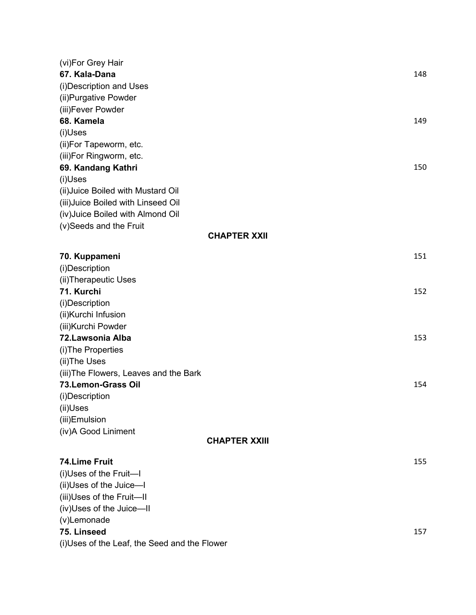| (vi)For Grey Hair                            |                      |     |
|----------------------------------------------|----------------------|-----|
| 67. Kala-Dana                                |                      | 148 |
| (i) Description and Uses                     |                      |     |
| (ii) Purgative Powder                        |                      |     |
| (iii)Fever Powder                            |                      |     |
| 68. Kamela                                   |                      | 149 |
| (i)Uses                                      |                      |     |
| (ii)For Tapeworm, etc.                       |                      |     |
| (iii)For Ringworm, etc.                      |                      |     |
| 69. Kandang Kathri                           |                      | 150 |
| (i)Uses                                      |                      |     |
| (ii) Juice Boiled with Mustard Oil           |                      |     |
| (iii) Juice Boiled with Linseed Oil          |                      |     |
| (iv) Juice Boiled with Almond Oil            |                      |     |
| (v)Seeds and the Fruit                       |                      |     |
|                                              | <b>CHAPTER XXII</b>  |     |
| 70. Kuppameni                                |                      | 151 |
| (i)Description                               |                      |     |
| (ii) Therapeutic Uses                        |                      |     |
| 71. Kurchi                                   |                      | 152 |
| (i)Description                               |                      |     |
| (ii)Kurchi Infusion                          |                      |     |
| (iii) Kurchi Powder                          |                      |     |
| 72.Lawsonia Alba                             |                      | 153 |
| (i) The Properties                           |                      |     |
| (ii)The Uses                                 |                      |     |
| (iii) The Flowers, Leaves and the Bark       |                      |     |
| 73.Lemon-Grass Oil                           |                      | 154 |
| (i)Description                               |                      |     |
| (ii)Uses                                     |                      |     |
| (iii)Emulsion                                |                      |     |
| (iv)A Good Liniment                          |                      |     |
|                                              | <b>CHAPTER XXIII</b> |     |
| 74.Lime Fruit                                |                      | 155 |
| (i)Uses of the Fruit-I                       |                      |     |
| (ii) Uses of the Juice-I                     |                      |     |
| (iii) Uses of the Fruit-II                   |                      |     |
| (iv)Uses of the Juice-II                     |                      |     |
| (v)Lemonade                                  |                      |     |
| 75. Linseed                                  |                      | 157 |
| (i)Uses of the Leaf, the Seed and the Flower |                      |     |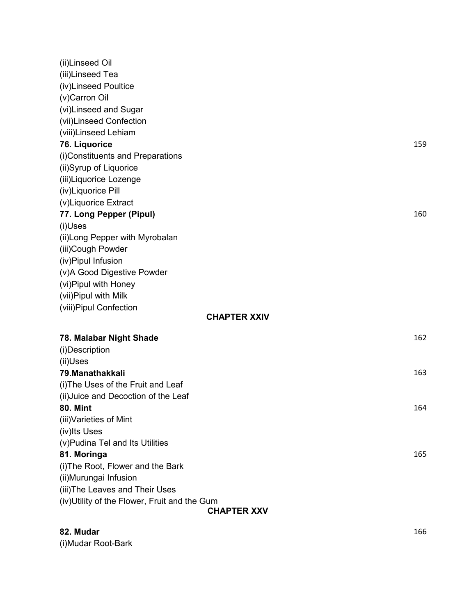| (ii)Linseed Oil                               |     |
|-----------------------------------------------|-----|
| (iii)Linseed Tea                              |     |
| (iv)Linseed Poultice                          |     |
| (v)Carron Oil                                 |     |
| (vi)Linseed and Sugar                         |     |
| (vii)Linseed Confection                       |     |
| (viii)Linseed Lehiam                          |     |
| 76. Liquorice                                 | 159 |
| (i)Constituents and Preparations              |     |
| (ii)Syrup of Liquorice                        |     |
| (iii)Liquorice Lozenge                        |     |
| (iv)Liquorice Pill                            |     |
| (v)Liquorice Extract                          |     |
| 77. Long Pepper (Pipul)                       | 160 |
| (i)Uses                                       |     |
| (ii) Long Pepper with Myrobalan               |     |
| (iii)Cough Powder                             |     |
| (iv)Pipul Infusion                            |     |
| (v)A Good Digestive Powder                    |     |
| (vi) Pipul with Honey                         |     |
| (vii) Pipul with Milk                         |     |
| (viii) Pipul Confection                       |     |
| <b>CHAPTER XXIV</b>                           |     |
| 78. Malabar Night Shade                       | 162 |
| (i)Description                                |     |
| (ii)Uses                                      |     |
| 79. Manathakkali                              | 163 |
| (i) The Uses of the Fruit and Leaf            |     |
| (ii) Juice and Decoction of the Leaf          |     |
| <b>80. Mint</b>                               | 164 |
| (iii) Varieties of Mint                       |     |
| (iv) Its Uses                                 |     |
| (v) Pudina Tel and Its Utilities              |     |
| 81. Moringa                                   | 165 |
| (i) The Root, Flower and the Bark             |     |
| (ii) Murungai Infusion                        |     |
| (iii) The Leaves and Their Uses               |     |
| (iv) Utility of the Flower, Fruit and the Gum |     |
| <b>CHAPTER XXV</b>                            |     |
|                                               |     |

| 82. Mudar           | 166 |
|---------------------|-----|
| (i) Mudar Root-Bark |     |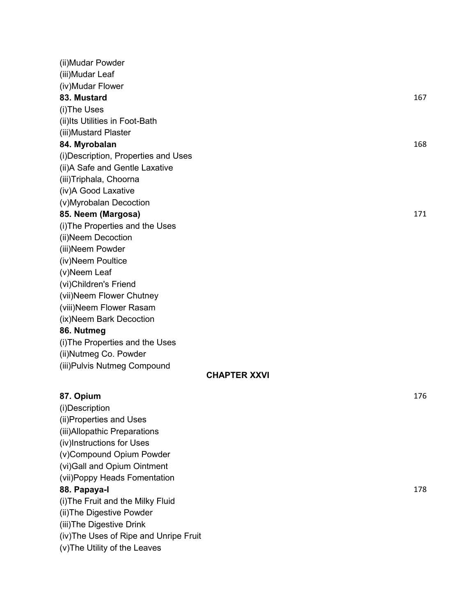| (ii) Mudar Powder                      |                     |     |
|----------------------------------------|---------------------|-----|
| (iii) Mudar Leaf                       |                     |     |
| (iv) Mudar Flower                      |                     |     |
| 83. Mustard                            |                     | 167 |
| (i) The Uses                           |                     |     |
| (ii) Its Utilities in Foot-Bath        |                     |     |
| (iii) Mustard Plaster                  |                     |     |
| 84. Myrobalan                          |                     | 168 |
| (i) Description, Properties and Uses   |                     |     |
| (ii) A Safe and Gentle Laxative        |                     |     |
| (iii)Triphala, Choorna                 |                     |     |
| (iv)A Good Laxative                    |                     |     |
| (v)Myrobalan Decoction                 |                     |     |
| 85. Neem (Margosa)                     |                     | 171 |
| (i) The Properties and the Uses        |                     |     |
| (ii) Neem Decoction                    |                     |     |
| (iii)Neem Powder                       |                     |     |
| (iv)Neem Poultice                      |                     |     |
| (v)Neem Leaf                           |                     |     |
| (vi)Children's Friend                  |                     |     |
| (vii) Neem Flower Chutney              |                     |     |
| (viii) Neem Flower Rasam               |                     |     |
| (ix) Neem Bark Decoction               |                     |     |
| 86. Nutmeg                             |                     |     |
| (i) The Properties and the Uses        |                     |     |
| (ii) Nutmeg Co. Powder                 |                     |     |
| (iii) Pulvis Nutmeg Compound           |                     |     |
|                                        | <b>CHAPTER XXVI</b> |     |
| 87. Opium                              |                     | 176 |
| (i)Description                         |                     |     |
| (ii) Properties and Uses               |                     |     |
| (iii) Allopathic Preparations          |                     |     |
| (iv)Instructions for Uses              |                     |     |
| (v)Compound Opium Powder               |                     |     |
| (vi) Gall and Opium Ointment           |                     |     |
| (vii) Poppy Heads Fomentation          |                     |     |
| 88. Papaya-l                           |                     | 178 |
| (i) The Fruit and the Milky Fluid      |                     |     |
| (ii) The Digestive Powder              |                     |     |
| (iii) The Digestive Drink              |                     |     |
| (iv) The Uses of Ripe and Unripe Fruit |                     |     |
| (v) The Utility of the Leaves          |                     |     |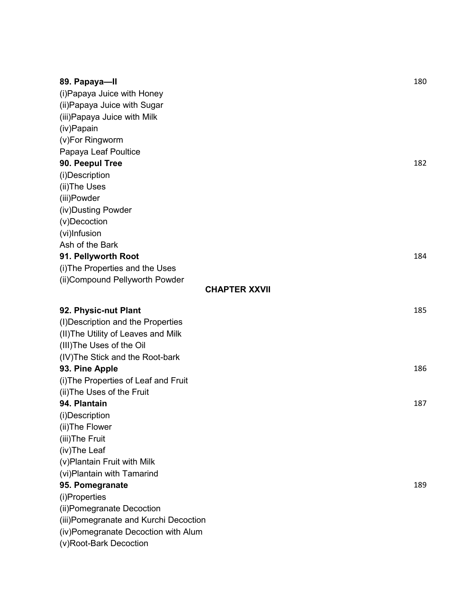| 89. Papaya-II                         | 180 |
|---------------------------------------|-----|
| (i) Papaya Juice with Honey           |     |
| (ii) Papaya Juice with Sugar          |     |
| (iii) Papaya Juice with Milk          |     |
| (iv)Papain                            |     |
| (v)For Ringworm                       |     |
| Papaya Leaf Poultice                  |     |
| 90. Peepul Tree                       | 182 |
| (i)Description                        |     |
| (ii) The Uses                         |     |
| (iii)Powder                           |     |
| (iv) Dusting Powder                   |     |
| (v)Decoction                          |     |
| (vi)Infusion                          |     |
| Ash of the Bark                       |     |
| 91. Pellyworth Root                   | 184 |
| (i) The Properties and the Uses       |     |
| (ii) Compound Pellyworth Powder       |     |
| <b>CHAPTER XXVII</b>                  |     |
| 92. Physic-nut Plant                  | 185 |
| (I) Description and the Properties    |     |
| (II) The Utility of Leaves and Milk   |     |
| (III) The Uses of the Oil             |     |
| (IV) The Stick and the Root-bark      |     |
| 93. Pine Apple                        | 186 |
| (i) The Properties of Leaf and Fruit  |     |
| (ii) The Uses of the Fruit            |     |
| 94. Plantain                          | 187 |
| (i)Description                        |     |
| (ii)The Flower                        |     |
| (iii)The Fruit                        |     |
| (iv)The Leaf                          |     |
| (v) Plantain Fruit with Milk          |     |
| (vi) Plantain with Tamarind           |     |
| 95. Pomegranate                       | 189 |
| (i)Properties                         |     |
| (ii) Pomegranate Decoction            |     |
| (iii)Pomegranate and Kurchi Decoction |     |
| (iv)Pomegranate Decoction with Alum   |     |
| (v)Root-Bark Decoction                |     |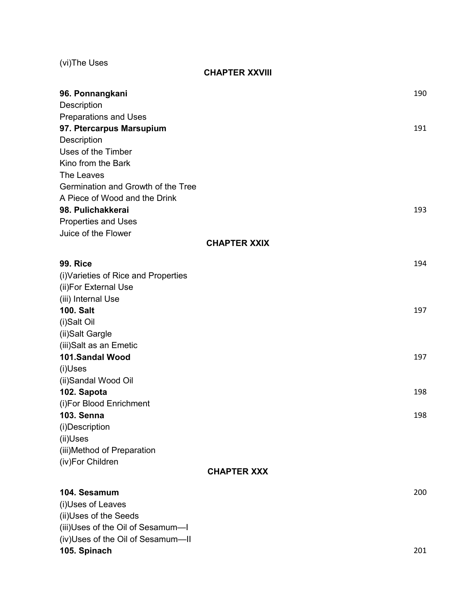(vi)The Uses

**CHAPTER XXVIII**

| 96. Ponnangkani<br>Description<br><b>Preparations and Uses</b>                                   |                     | 190 |
|--------------------------------------------------------------------------------------------------|---------------------|-----|
| 97. Ptercarpus Marsupium<br>Description                                                          |                     | 191 |
| Uses of the Timber<br>Kino from the Bark<br>The Leaves                                           |                     |     |
| Germination and Growth of the Tree<br>A Piece of Wood and the Drink                              |                     |     |
| 98. Pulichakkerai<br><b>Properties and Uses</b>                                                  |                     | 193 |
| Juice of the Flower                                                                              | <b>CHAPTER XXIX</b> |     |
| <b>99. Rice</b><br>(i) Varieties of Rice and Properties                                          |                     | 194 |
| (ii)For External Use<br>(iii) Internal Use                                                       |                     |     |
| <b>100. Salt</b><br>(i)Salt Oil                                                                  |                     | 197 |
| (ii)Salt Gargle<br>(iii)Salt as an Emetic                                                        |                     |     |
| 101.Sandal Wood<br>(i)Uses                                                                       |                     | 197 |
| (ii)Sandal Wood Oil<br>102. Sapota                                                               |                     | 198 |
| (i)For Blood Enrichment<br><b>103. Senna</b>                                                     |                     | 198 |
| (i)Description<br>(ii)Uses                                                                       |                     |     |
| (iii)Method of Preparation<br>(iv)For Children                                                   |                     |     |
|                                                                                                  | <b>CHAPTER XXX</b>  |     |
| 104. Sesamum<br>(i)Uses of Leaves<br>(ii)Uses of the Seeds<br>(iii) Uses of the Oil of Sesamum-I |                     | 200 |
| (iv)Uses of the Oil of Sesamum-II<br>105. Spinach                                                |                     | 201 |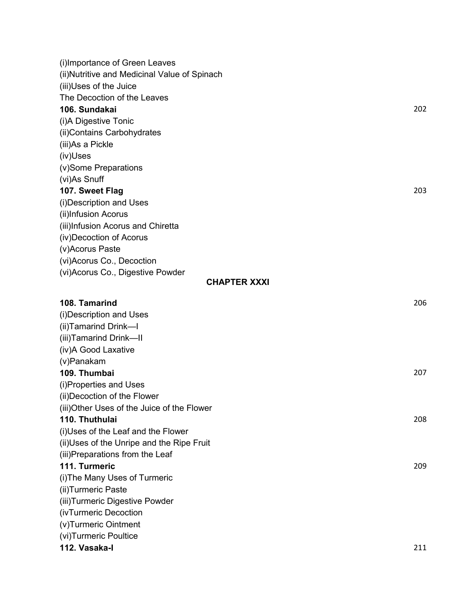| (i) Importance of Green Leaves                |     |
|-----------------------------------------------|-----|
| (ii) Nutritive and Medicinal Value of Spinach |     |
| (iii)Uses of the Juice                        |     |
| The Decoction of the Leaves                   |     |
| 106. Sundakai                                 | 202 |
| (i)A Digestive Tonic                          |     |
| (ii) Contains Carbohydrates                   |     |
| (iii)As a Pickle                              |     |
| (iv)Uses                                      |     |
| (v)Some Preparations                          |     |
| (vi)As Snuff                                  |     |
| 107. Sweet Flag                               | 203 |
| (i) Description and Uses                      |     |
| (ii)Infusion Acorus                           |     |
| (iii)Infusion Acorus and Chiretta             |     |
| (iv) Decoction of Acorus                      |     |
| (v)Acorus Paste                               |     |
| (vi) Acorus Co., Decoction                    |     |
| (vi) Acorus Co., Digestive Powder             |     |
| <b>CHAPTER XXXI</b>                           |     |
| 108. Tamarind                                 | 206 |
| (i) Description and Uses                      |     |
| (ii) Tamarind Drink-I                         |     |
| (iii) Tamarind Drink-II                       |     |
| (iv)A Good Laxative                           |     |
| (v)Panakam                                    |     |
| 109. Thumbai                                  | 207 |
| (i)Properties and Uses                        |     |
| (ii) Decoction of the Flower                  |     |
| (iii) Other Uses of the Juice of the Flower   |     |
| 110. Thuthulai                                | 208 |
| (i) Uses of the Leaf and the Flower           |     |
| (ii) Uses of the Unripe and the Ripe Fruit    |     |
| (iii)Preparations from the Leaf               |     |
| 111. Turmeric                                 | 209 |
| (i) The Many Uses of Turmeric                 |     |
| (ii) Turmeric Paste                           |     |
| (iii) Turmeric Digestive Powder               |     |
| (ivTurmeric Decoction                         |     |
| (v)Turmeric Ointment                          |     |
| (vi)Turmeric Poultice                         |     |
| 112. Vasaka-l                                 | 211 |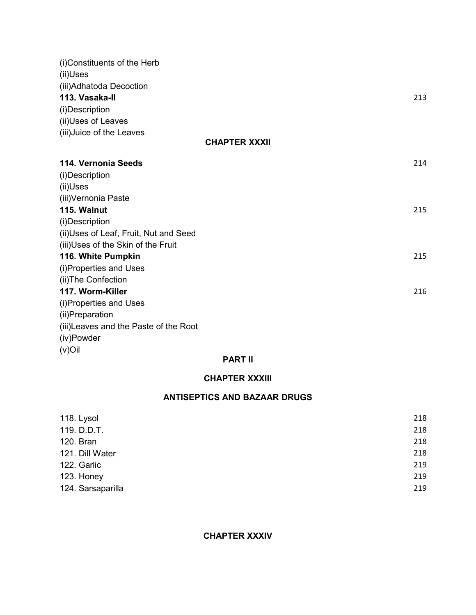| (i)Constituents of the Herb            |                      |     |
|----------------------------------------|----------------------|-----|
| (ii)Uses<br>(iii) Adhatoda Decoction   |                      |     |
| 113. Vasaka-II                         |                      | 213 |
| (i)Description                         |                      |     |
| (ii)Uses of Leaves                     |                      |     |
| (iii) Juice of the Leaves              |                      |     |
|                                        | <b>CHAPTER XXXII</b> |     |
| 114. Vernonia Seeds                    |                      | 214 |
| (i)Description                         |                      |     |
| (ii)Uses                               |                      |     |
| (iii)Vernonia Paste                    |                      |     |
| 115. Walnut                            |                      | 215 |
| (i)Description                         |                      |     |
| (ii) Uses of Leaf, Fruit, Nut and Seed |                      |     |
| (iii)Uses of the Skin of the Fruit     |                      |     |
| 116. White Pumpkin                     |                      | 215 |
| (i)Properties and Uses                 |                      |     |
| (ii)The Confection                     |                      |     |
| 117. Worm-Killer                       |                      | 216 |
| (i)Properties and Uses                 |                      |     |
| (ii)Preparation                        |                      |     |
| (iii) Leaves and the Paste of the Root |                      |     |
| (iv)Powder                             |                      |     |

(v)Oil

# **PART II**

## **CHAPTER XXXIII**

## **ANTISEPTICS AND BAZAAR DRUGS**

| 118. Lysol        | 218 |
|-------------------|-----|
| 119. D.D.T.       | 218 |
| 120. Bran         | 218 |
| 121. Dill Water   | 218 |
| 122. Garlic       | 219 |
| 123. Honey        | 219 |
| 124. Sarsaparilla | 219 |

**CHAPTER XXXIV**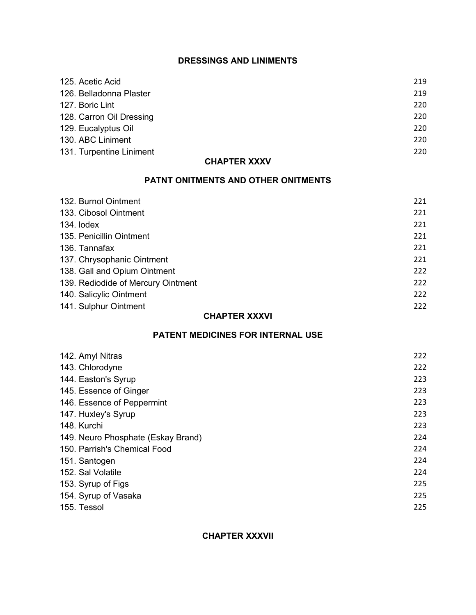# **DRESSINGS AND LINIMENTS**

| 125. Acetic Acid         | 219 |
|--------------------------|-----|
| 126. Belladonna Plaster  | 219 |
| 127. Boric Lint          | 220 |
| 128. Carron Oil Dressing | 220 |
| 129. Eucalyptus Oil      | 220 |
| 130. ABC Liniment        | 220 |
| 131. Turpentine Liniment | 220 |

## **CHAPTER XXXV**

# **PATNT ONITMENTS AND OTHER ONITMENTS**

| 132. Burnol Ointment               | 221 |
|------------------------------------|-----|
| 133. Cibosol Ointment              | 221 |
| 134. lodex                         | 221 |
| 135. Penicillin Ointment           | 221 |
| 136. Tannafax                      | 221 |
| 137. Chrysophanic Ointment         | 221 |
| 138. Gall and Opium Ointment       | 222 |
| 139. Rediodide of Mercury Ointment | 222 |
| 140. Salicylic Ointment            | 222 |
| 141. Sulphur Ointment              | 222 |

## **CHAPTER XXXVI**

# **PATENT MEDICINES FOR INTERNAL USE**

| 222<br>143. Chlorodyne<br>223<br>144. Easton's Syrup<br>223<br>145. Essence of Ginger<br>223<br>146. Essence of Peppermint<br>223<br>147. Huxley's Syrup<br>223<br>148. Kurchi<br>224<br>149. Neuro Phosphate (Eskay Brand)<br>224<br>150. Parrish's Chemical Food<br>224<br>151. Santogen<br>224<br>152. Sal Volatile<br>225<br>153. Syrup of Figs<br>225<br>154. Syrup of Vasaka | 142. Amyl Nitras | 222 |
|------------------------------------------------------------------------------------------------------------------------------------------------------------------------------------------------------------------------------------------------------------------------------------------------------------------------------------------------------------------------------------|------------------|-----|
|                                                                                                                                                                                                                                                                                                                                                                                    |                  |     |
|                                                                                                                                                                                                                                                                                                                                                                                    |                  |     |
|                                                                                                                                                                                                                                                                                                                                                                                    |                  |     |
|                                                                                                                                                                                                                                                                                                                                                                                    |                  |     |
|                                                                                                                                                                                                                                                                                                                                                                                    |                  |     |
|                                                                                                                                                                                                                                                                                                                                                                                    |                  |     |
|                                                                                                                                                                                                                                                                                                                                                                                    |                  |     |
|                                                                                                                                                                                                                                                                                                                                                                                    |                  |     |
|                                                                                                                                                                                                                                                                                                                                                                                    |                  |     |
|                                                                                                                                                                                                                                                                                                                                                                                    |                  |     |
|                                                                                                                                                                                                                                                                                                                                                                                    |                  |     |
|                                                                                                                                                                                                                                                                                                                                                                                    |                  |     |
|                                                                                                                                                                                                                                                                                                                                                                                    | 155. Tessol      | 225 |

**CHAPTER XXXVII**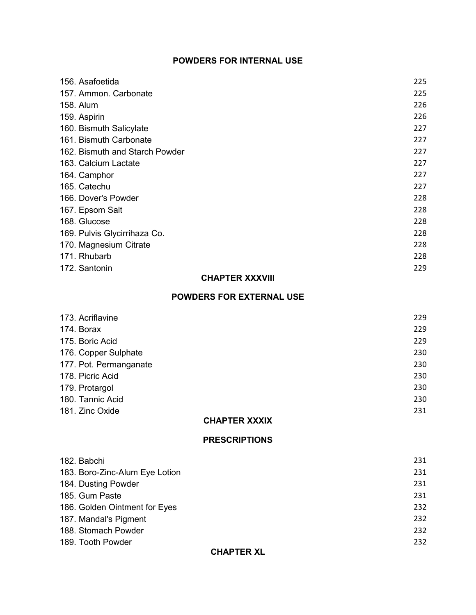# **POWDERS FOR INTERNAL USE**

| 156. Asafoetida                | 225 |
|--------------------------------|-----|
| 157. Ammon. Carbonate          | 225 |
| 158. Alum                      | 226 |
| 159. Aspirin                   | 226 |
| 160. Bismuth Salicylate        | 227 |
| 161. Bismuth Carbonate         | 227 |
| 162. Bismuth and Starch Powder | 227 |
| 163. Calcium Lactate           | 227 |
| 164. Camphor                   | 227 |
| 165. Catechu                   | 227 |
| 166. Dover's Powder            | 228 |
| 167. Epsom Salt                | 228 |
| 168. Glucose                   | 228 |
| 169. Pulvis Glycirrihaza Co.   | 228 |
| 170. Magnesium Citrate         | 228 |
| 171. Rhubarb                   | 228 |
| 172. Santonin                  | 229 |

#### **CHAPTER XXXVIII**

### **POWDERS FOR EXTERNAL USE**

| 173. Acriflavine       | 229 |
|------------------------|-----|
| 174. Borax             | 229 |
| 175. Boric Acid        | 229 |
| 176. Copper Sulphate   | 230 |
| 177. Pot. Permanganate | 230 |
| 178. Picric Acid       | 230 |
| 179. Protargol         | 230 |
| 180. Tannic Acid       | 230 |
| 181. Zinc Oxide        | 231 |

#### **CHAPTER XXXIX**

#### **PRESCRIPTIONS**

| 182. Babchi                    | 231 |
|--------------------------------|-----|
| 183. Boro-Zinc-Alum Eye Lotion | 231 |
| 184. Dusting Powder            | 231 |
| 185. Gum Paste                 | 231 |
| 186. Golden Ointment for Eyes  | 232 |
| 187. Mandal's Pigment          | 232 |
| 188. Stomach Powder            | 232 |
| 189. Tooth Powder              | 232 |

**CHAPTER XL**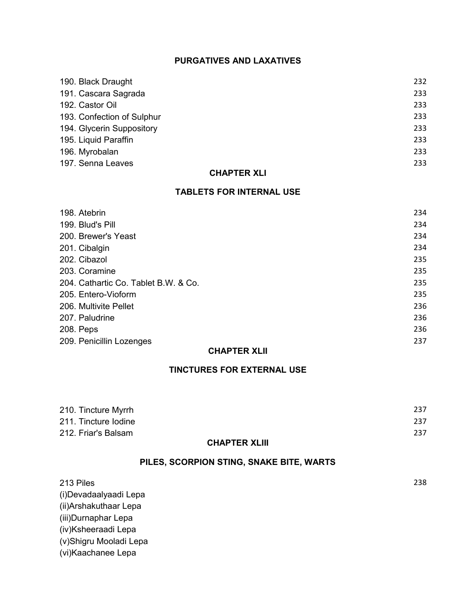# **PURGATIVES AND LAXATIVES**

|                            | 232 |
|----------------------------|-----|
| 190. Black Draught         |     |
| 191. Cascara Sagrada       | 233 |
| 192. Castor Oil            | 233 |
| 193. Confection of Sulphur | 233 |
| 194. Glycerin Suppository  | 233 |
| 195. Liquid Paraffin       | 233 |
| 196. Myrobalan             | 233 |
| 197. Senna Leaves          | 233 |

## **CHAPTER XLI**

### **TABLETS FOR INTERNAL USE**

| 198. Atebrin                         | 234 |
|--------------------------------------|-----|
| 199. Blud's Pill                     | 234 |
| 200. Brewer's Yeast                  | 234 |
| 201. Cibalgin                        | 234 |
| 202. Cibazol                         | 235 |
| 203. Coramine                        | 235 |
| 204. Cathartic Co. Tablet B.W. & Co. | 235 |
| 205. Entero-Vioform                  | 235 |
| 206. Multivite Pellet                | 236 |
| 207. Paludrine                       | 236 |
| 208. Peps                            | 236 |
| 209. Penicillin Lozenges             | 237 |

#### **CHAPTER XLII**

# **TINCTURES FOR EXTERNAL USE**

| $A \cup A$ $B \neq B$ $A \cup B$ |     |
|----------------------------------|-----|
| 212. Friar's Balsam              | 237 |
| 211. Tincture Iodine             | 237 |
| 210. Tincture Myrrh              | 237 |
|                                  |     |

#### **CHAPTER XLIII**

# **PILES, SCORPION STING, SNAKE BITE, WARTS**

| 213 Piles              | 238 |
|------------------------|-----|
| (i)Devadaalyaadi Lepa  |     |
| (ii)Arshakuthaar Lepa  |     |
| (iii)Durnaphar Lepa    |     |
| (iv) Ksheeraadi Lepa   |     |
| (v)Shigru Mooladi Lepa |     |
| (vi) Kaachanee Lepa    |     |
|                        |     |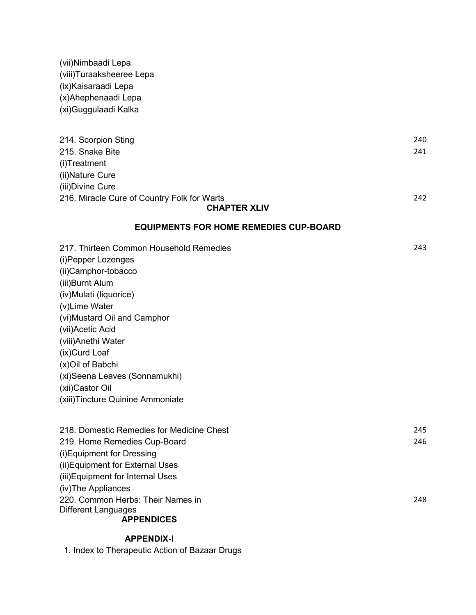| (vii)Nimbaadi Lepa        |
|---------------------------|
| (viii) Turaaksheeree Lepa |
| (ix) Kaisaraadi Lepa      |
| (x)Ahephenaadi Lepa       |
| (xi) Guggulaadi Kalka     |

| 214. Scorpion Sting                         | 240 |
|---------------------------------------------|-----|
| 215. Snake Bite                             | 241 |
| (i)Treatment                                |     |
| (ii) Nature Cure                            |     |
| (iii) Divine Cure                           |     |
| 216. Miracle Cure of Country Folk for Warts | 242 |
| <b>CHAPTER XLIV</b>                         |     |

# **EQUIPMENTS FOR HOME REMEDIES CUP-BOARD**

| 217. Thirteen Common Household Remedies   | 243 |
|-------------------------------------------|-----|
| (i)Pepper Lozenges                        |     |
| (ii)Camphor-tobacco                       |     |
| (iii)Burnt Alum                           |     |
| (iv)Mulati (liquorice)                    |     |
| (v)Lime Water                             |     |
| (vi)Mustard Oil and Camphor               |     |
| (vii)Acetic Acid                          |     |
| (viii)Anethi Water                        |     |
| (ix)Curd Loaf                             |     |
| (x)Oil of Babchi                          |     |
| (xi)Seena Leaves (Sonnamukhi)             |     |
| (xii)Castor Oil                           |     |
| (xiii)Tincture Quinine Ammoniate          |     |
|                                           |     |
| 218. Domestic Remedies for Medicine Chest | 245 |
| 219. Home Remedies Cup-Board              | 246 |
| (i) Equipment for Dressing                |     |
| (ii) Equipment for External Uses          |     |
| (iii) Equipment for Internal Uses         |     |
| (iv)The Appliances                        |     |
| 220. Common Herbs: Their Names in         | 248 |
| Different Languages<br><b>APPENDICES</b>  |     |
|                                           |     |
|                                           |     |

# **APPENDIX-I**

1. Index to Therapeutic Action of Bazaar Drugs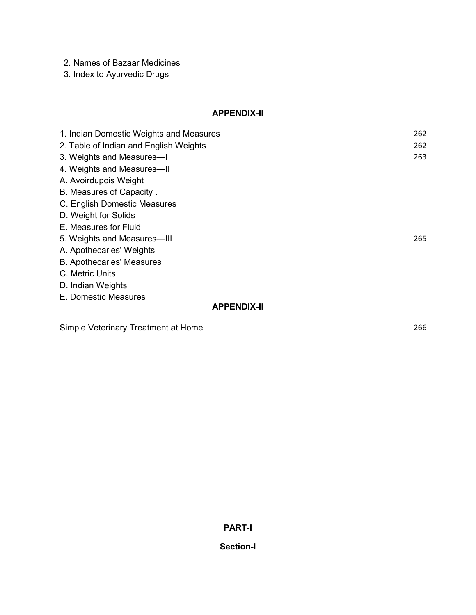- 2. Names of Bazaar Medicines
- 3. Index to Ayurvedic Drugs

## **APPENDIX-II**

| 1. Indian Domestic Weights and Measures | 262 |
|-----------------------------------------|-----|
| 2. Table of Indian and English Weights  | 262 |
| 3. Weights and Measures-I               | 263 |
| 4. Weights and Measures-II              |     |
| A. Avoirdupois Weight                   |     |
| B. Measures of Capacity.                |     |
| C. English Domestic Measures            |     |
| D. Weight for Solids                    |     |
| E. Measures for Fluid                   |     |
| 5. Weights and Measures-III             | 265 |
| A. Apothecaries' Weights                |     |
| <b>B. Apothecaries' Measures</b>        |     |
| C. Metric Units                         |     |
| D. Indian Weights                       |     |
| E. Domestic Measures                    |     |
| <b>APPENDIX-II</b>                      |     |
| Simple Veterinary Treatment at Home     | 266 |

# **PART-I**

# **Section-I**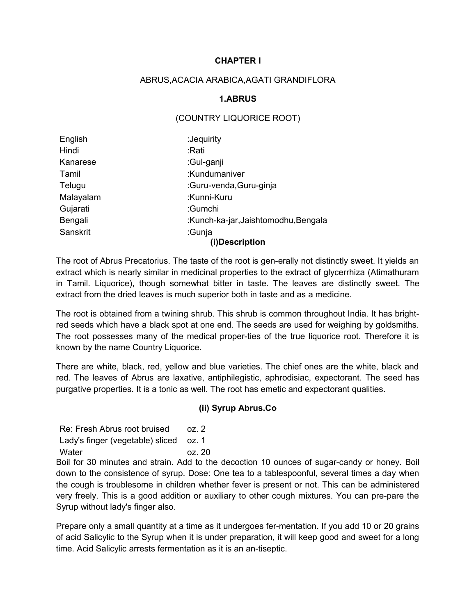## **CHAPTER I**

## ABRUS,ACACIA ARABICA,AGATI GRANDIFLORA

## **1.ABRUS**

## (COUNTRY LIQUORICE ROOT)

| English   | :Jequirity                         |
|-----------|------------------------------------|
| Hindi     | :Rati                              |
| Kanarese  | :Gul-ganji                         |
| Tamil     | :Kundumaniver                      |
| Telugu    | :Guru-venda, Guru-ginja            |
| Malayalam | :Kunni-Kuru                        |
| Gujarati  | :Gumchi                            |
| Bengali   | :Kunch-ka-jar,Jaishtomodhu,Bengala |
| Sanskrit  | :Gunja                             |
|           | (i)Description                     |

The root of Abrus Precatorius. The taste of the root is gen-erally not distinctly sweet. It yields an extract which is nearly similar in medicinal properties to the extract of glycerrhiza (Atimathuram in Tamil. Liquorice), though somewhat bitter in taste. The leaves are distinctly sweet. The extract from the dried leaves is much superior both in taste and as a medicine.

The root is obtained from a twining shrub. This shrub is common throughout India. It has brightred seeds which have a black spot at one end. The seeds are used for weighing by goldsmiths. The root possesses many of the medical proper-ties of the true liquorice root. Therefore it is known by the name Country Liquorice.

There are white, black, red, yellow and blue varieties. The chief ones are the white, black and red. The leaves of Abrus are laxative, antiphilegistic, aphrodisiac, expectorant. The seed has purgative properties. It is a tonic as well. The root has emetic and expectorant qualities.

## **(ii) Syrup Abrus.Co**

Re: Fresh Abrus root bruised oz. 2

Lady's finger (vegetable) sliced oz. 1

Water oz. 20

Boil for 30 minutes and strain. Add to the decoction 10 ounces of sugar-candy or honey. Boil down to the consistence of syrup. Dose: One tea to a tablespoonful, several times a day when the cough is troublesome in children whether fever is present or not. This can be administered very freely. This is a good addition or auxiliary to other cough mixtures. You can pre-pare the Syrup without lady's finger also.

Prepare only a small quantity at a time as it undergoes fer-mentation. If you add 10 or 20 grains of acid Salicylic to the Syrup when it is under preparation, it will keep good and sweet for a long time. Acid Salicylic arrests fermentation as it is an an-tiseptic.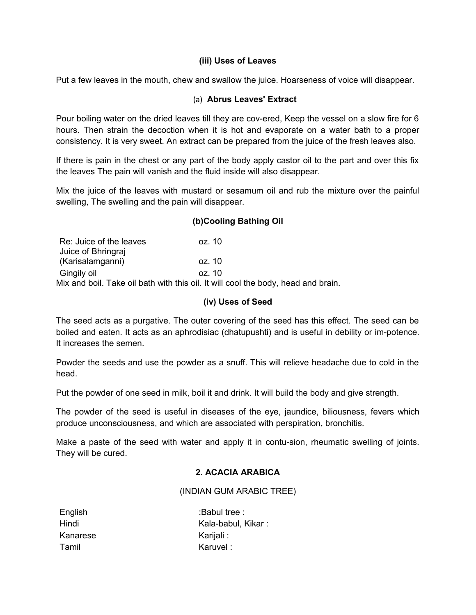## **(iii) Uses of Leaves**

Put a few leaves in the mouth, chew and swallow the juice. Hoarseness of voice will disappear.

## (a) **Abrus Leaves' Extract**

Pour boiling water on the dried leaves till they are cov-ered, Keep the vessel on a slow fire for 6 hours. Then strain the decoction when it is hot and evaporate on a water bath to a proper consistency. It is very sweet. An extract can be prepared from the juice of the fresh leaves also.

If there is pain in the chest or any part of the body apply castor oil to the part and over this fix the leaves The pain will vanish and the fluid inside will also disappear.

Mix the juice of the leaves with mustard or sesamum oil and rub the mixture over the painful swelling, The swelling and the pain will disappear.

## **(b)Cooling Bathing Oil**

| Re: Juice of the leaves<br>Juice of Bhringraj | oz. 10                                                                            |
|-----------------------------------------------|-----------------------------------------------------------------------------------|
| (Karisalamganni)                              | oz. 10                                                                            |
| Gingily oil                                   | oz. 10                                                                            |
|                                               | Mix and boil. Take oil bath with this oil. It will cool the body, head and brain. |

## **(iv) Uses of Seed**

The seed acts as a purgative. The outer covering of the seed has this effect. The seed can be boiled and eaten. It acts as an aphrodisiac (dhatupushti) and is useful in debility or im-potence. It increases the semen.

Powder the seeds and use the powder as a snuff. This will relieve headache due to cold in the head.

Put the powder of one seed in milk, boil it and drink. It will build the body and give strength.

The powder of the seed is useful in diseases of the eye, jaundice, biliousness, fevers which produce unconsciousness, and which are associated with perspiration, bronchitis.

Make a paste of the seed with water and apply it in contu-sion, rheumatic swelling of joints. They will be cured.

## **2. ACACIA ARABICA**

(INDIAN GUM ARABIC TREE)

| English  | : Babul tree:      |
|----------|--------------------|
| Hindi    | Kala-babul, Kikar: |
| Kanarese | Karijali:          |
| Tamil    | Karuvel:           |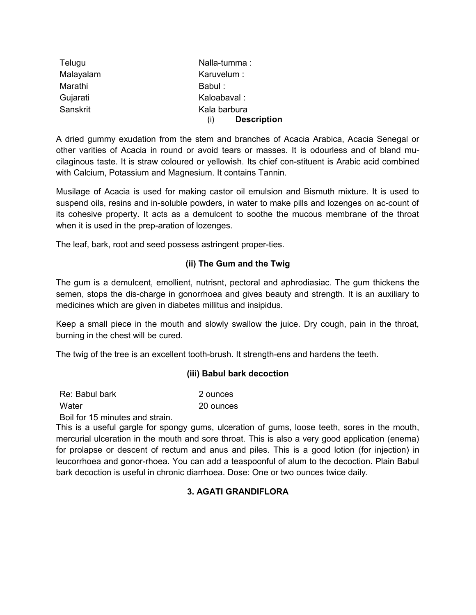| Telugu    | Nalla-tumma:              |
|-----------|---------------------------|
| Malayalam | Karuvelum:                |
| Marathi   | Babul:                    |
| Gujarati  | Kaloabaval:               |
| Sanskrit  | Kala barbura              |
|           | <b>Description</b><br>(i) |

A dried gummy exudation from the stem and branches of Acacia Arabica, Acacia Senegal or other varities of Acacia in round or avoid tears or masses. It is odourless and of bland mucilaginous taste. It is straw coloured or yellowish. Its chief con-stituent is Arabic acid combined with Calcium, Potassium and Magnesium. It contains Tannin.

Musilage of Acacia is used for making castor oil emulsion and Bismuth mixture. It is used to suspend oils, resins and in-soluble powders, in water to make pills and lozenges on ac-count of its cohesive property. It acts as a demulcent to soothe the mucous membrane of the throat when it is used in the prep-aration of lozenges.

The leaf, bark, root and seed possess astringent proper-ties.

## **(ii) The Gum and the Twig**

The gum is a demulcent, emollient, nutrisnt, pectoral and aphrodiasiac. The gum thickens the semen, stops the dis-charge in gonorrhoea and gives beauty and strength. It is an auxiliary to medicines which are given in diabetes millitus and insipidus.

Keep a small piece in the mouth and slowly swallow the juice. Dry cough, pain in the throat, burning in the chest will be cured.

The twig of the tree is an excellent tooth-brush. It strength-ens and hardens the teeth.

## **(iii) Babul bark decoction**

| Re: Babul bark | 2 ounces  |
|----------------|-----------|
| Water          | 20 ounces |

Boil for 15 minutes and strain.

This is a useful gargle for spongy gums, ulceration of gums, loose teeth, sores in the mouth, mercurial ulceration in the mouth and sore throat. This is also a very good application (enema) for prolapse or descent of rectum and anus and piles. This is a good lotion (for injection) in leucorrhoea and gonor-rhoea. You can add a teaspoonful of alum to the decoction. Plain Babul bark decoction is useful in chronic diarrhoea. Dose: One or two ounces twice daily.

# **3. AGATI GRANDIFLORA**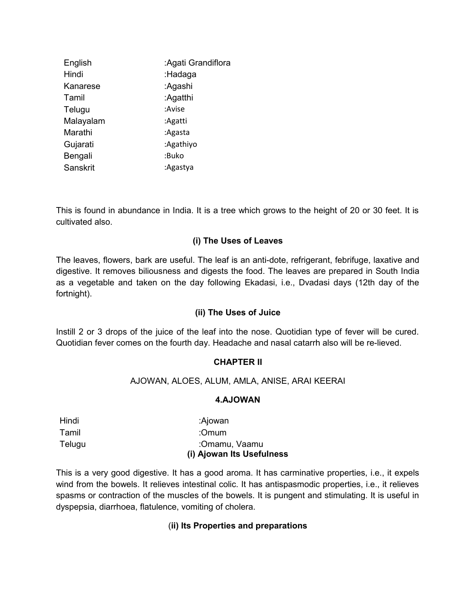| English   | :Agati Grandiflora |
|-----------|--------------------|
| Hindi     | :Hadaga            |
| Kanarese  | :Agashi            |
| Tamil     | :Agatthi           |
| Telugu    | :Avise             |
| Malayalam | :Agatti            |
| Marathi   | :Agasta            |
| Gujarati  | :Agathiyo          |
| Bengali   | :Buko              |
| Sanskrit  | :Agastya           |

This is found in abundance in India. It is a tree which grows to the height of 20 or 30 feet. It is cultivated also.

## **(i) The Uses of Leaves**

The leaves, flowers, bark are useful. The leaf is an anti-dote, refrigerant, febrifuge, laxative and digestive. It removes biliousness and digests the food. The leaves are prepared in South India as a vegetable and taken on the day following Ekadasi, i.e., Dvadasi days (12th day of the fortnight).

## **(ii) The Uses of Juice**

Instill 2 or 3 drops of the juice of the leaf into the nose. Quotidian type of fever will be cured. Quotidian fever comes on the fourth day. Headache and nasal catarrh also will be re-lieved.

## **CHAPTER II**

## AJOWAN, ALOES, ALUM, AMLA, ANISE, ARAI KEERAI

## **4.AJOWAN**

| Telugu | :Omamu, Vaamu<br>(i) Ajowan Its Usefulness |
|--------|--------------------------------------------|
| Tamil  | :Omum                                      |
| Hindi  | :Ajowan                                    |

This is a very good digestive. It has a good aroma. It has carminative properties, i.e., it expels wind from the bowels. It relieves intestinal colic. It has antispasmodic properties, i.e., it relieves spasms or contraction of the muscles of the bowels. It is pungent and stimulating. It is useful in dyspepsia, diarrhoea, flatulence, vomiting of cholera.

## (**ii) Its Properties and preparations**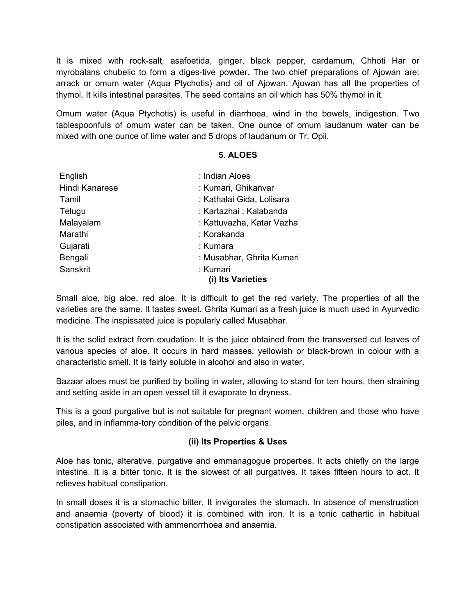It is mixed with rock-salt, asafoetida, ginger, black pepper, cardamum, Chhoti Har or myrobalans chubelic to form a diges-tive powder. The two chief preparations of Ajowan are: arrack or omum water (Aqua Ptychotis) and oil of Ajowan. Ajowan has all the properties of thymol. It kills intestinal parasites. The seed contains an oil which has 50% thymol in it.

Omum water (Aqua Ptychotis) is useful in diarrhoea, wind in the bowels, indigestion. Two tablespoonfuls of omum water can be taken. One ounce of omum laudanum water can be mixed with one ounce of lime water and 5 drops of laudanum or Tr. Opii.

#### **5. ALOES**

| English        | : Indian Aloes                |
|----------------|-------------------------------|
| Hindi Kanarese | : Kumari, Ghikanvar           |
| Tamil          | : Kathalai Gida, Lolisara     |
| Telugu         | : Kartazhai : Kalabanda       |
| Malayalam      | : Kattuvazha, Katar Vazha     |
| Marathi        | : Korakanda                   |
| Gujarati       | : Kumara                      |
| Bengali        | : Musabhar, Ghrita Kumari     |
| Sanskrit       | : Kumari<br>(i) Its Varieties |

Small aloe, big aloe, red aloe. It is difficult to get the red variety. The properties of all the varieties are the same. It tastes sweet. Ghrita Kumari as a fresh juice is much used in Ayurvedic medicine. The inspissated juice is popularly called Musabhar.

It is the solid extract from exudation. It is the juice obtained from the transversed cut leaves of various species of aloe. It occurs in hard masses, yellowish or black-brown in colour with a characteristic smell. It is fairly soluble in alcohol and also in water.

Bazaar aloes must be purified by boiling in water, allowing to stand for ten hours, then straining and setting aside in an open vessel till it evaporate to dryness.

This is a good purgative but is not suitable for pregnant women, children and those who have piles, and in inflamma-tory condition of the pelvic organs.

## **(ii) Its Properties & Uses**

Aloe has tonic, alterative, purgative and emmanagogue properties. It acts chiefly on the large intestine. It is a bitter tonic. It is the slowest of all purgatives. It takes fifteen hours to act. It relieves habitual constipation.

In small doses it is a stomachic bitter. It invigorates the stomach. In absence of menstruation and anaemia (poverty of blood) it is combined with iron. It is a tonic cathartic in habitual constipation associated with ammenorrhoea and anaemia.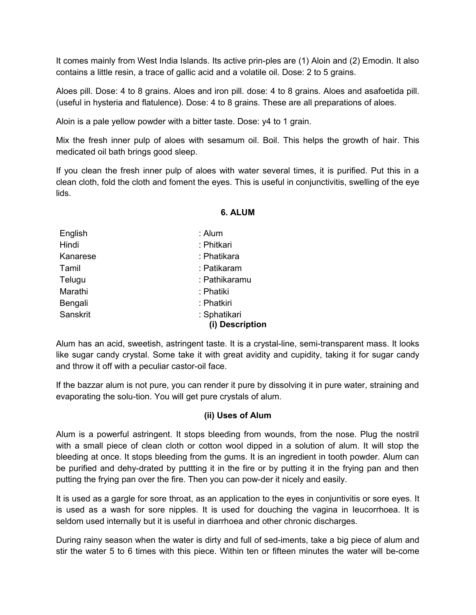It comes mainly from West India Islands. Its active prin-ples are (1) Aloin and (2) Emodin. It also contains a little resin, a trace of gallic acid and a volatile oil. Dose: 2 to 5 grains.

Aloes pill. Dose: 4 to 8 grains. Aloes and iron pill. dose: 4 to 8 grains. Aloes and asafoetida pill. (useful in hysteria and flatulence). Dose: 4 to 8 grains. These are all preparations of aloes.

Aloin is a pale yellow powder with a bitter taste. Dose: y4 to 1 grain.

Mix the fresh inner pulp of aloes with sesamum oil. Boil. This helps the growth of hair. This medicated oil bath brings good sleep.

If you clean the fresh inner pulp of aloes with water several times, it is purified. Put this in a clean cloth, fold the cloth and foment the eyes. This is useful in conjunctivitis, swelling of the eye lids.

#### **6. ALUM**

| English  | : Alum                          |
|----------|---------------------------------|
| Hindi    | : Phitkari                      |
| Kanarese | : Phatikara                     |
| Tamil    | : Patikaram                     |
| Telugu   | : Pathikaramu                   |
| Marathi  | : Phatiki                       |
| Bengali  | : Phatkiri                      |
| Sanskrit | : Sphatikari<br>(i) Description |

Alum has an acid, sweetish, astringent taste. It is a crystal-line, semi-transparent mass. It looks like sugar candy crystal. Some take it with great avidity and cupidity, taking it for sugar candy and throw it off with a peculiar castor-oil face.

If the bazzar alum is not pure, you can render it pure by dissolving it in pure water, straining and evaporating the solu-tion. You will get pure crystals of alum.

#### **(ii) Uses of Alum**

Alum is a powerful astringent. It stops bleeding from wounds, from the nose. Plug the nostril with a small piece of clean cloth or cotton wool dipped in a solution of alum. It will stop the bleeding at once. It stops bleeding from the gums. It is an ingredient in tooth powder. Alum can be purified and dehy-drated by puttting it in the fire or by putting it in the frying pan and then putting the frying pan over the fire. Then you can pow-der it nicely and easily.

It is used as a gargle for sore throat, as an application to the eyes in conjuntivitis or sore eyes. It is used as a wash for sore nipples. It is used for douching the vagina in Ieucorrhoea. It is seldom used internally but it is useful in diarrhoea and other chronic discharges.

During rainy season when the water is dirty and full of sed-iments, take a big piece of alum and stir the water 5 to 6 times with this piece. Within ten or fifteen minutes the water will be-come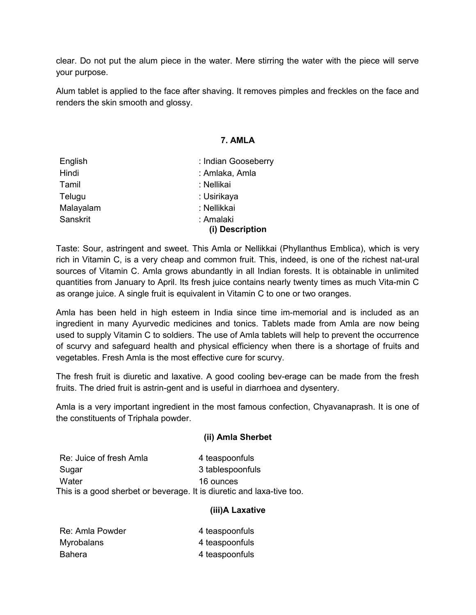clear. Do not put the alum piece in the water. Mere stirring the water with the piece will serve your purpose.

Alum tablet is applied to the face after shaving. It removes pimples and freckles on the face and renders the skin smooth and glossy.

## **7. AMLA**

| English   | : Indian Gooseberry          |
|-----------|------------------------------|
| Hindi     | : Amlaka, Amla               |
| Tamil     | : Nellikai                   |
| Telugu    | : Usirikaya                  |
| Malayalam | : Nellikkai                  |
| Sanskrit  | : Amalaki<br>(i) Description |

Taste: Sour, astringent and sweet. This Amla or Nellikkai (Phyllanthus Emblica), which is very rich in Vitamin C, is a very cheap and common fruit. This, indeed, is one of the richest nat-ural sources of Vitamin C. Amla grows abundantly in all Indian forests. It is obtainable in unlimited quantities from January to April. Its fresh juice contains nearly twenty times as much Vita-min C as orange juice. A single fruit is equivalent in Vitamin C to one or two oranges.

Amla has been held in high esteem in India since time im-memorial and is included as an ingredient in many Ayurvedic medicines and tonics. Tablets made from Amla are now being used to supply Vitamin C to soldiers. The use of Amla tablets will help to prevent the occurrence of scurvy and safeguard health and physical efficiency when there is a shortage of fruits and vegetables. Fresh Amla is the most effective cure for scurvy.

The fresh fruit is diuretic and laxative. A good cooling bev-erage can be made from the fresh fruits. The dried fruit is astrin-gent and is useful in diarrhoea and dysentery.

Amla is a very important ingredient in the most famous confection, Chyavanaprash. It is one of the constituents of Triphala powder.

#### **(ii) Amla Sherbet**

| Re: Juice of fresh Amla                                               | 4 teaspoonfuls   |
|-----------------------------------------------------------------------|------------------|
| Sugar                                                                 | 3 tablespoonfuls |
| Water                                                                 | 16 ounces        |
| This is a good sherbet or beverage. It is diuretic and laxa-tive too. |                  |

#### **(iii)A Laxative**

| Re: Amla Powder   | 4 teaspoonfuls |
|-------------------|----------------|
| <b>Myrobalans</b> | 4 teaspoonfuls |
| Bahera            | 4 teaspoonfuls |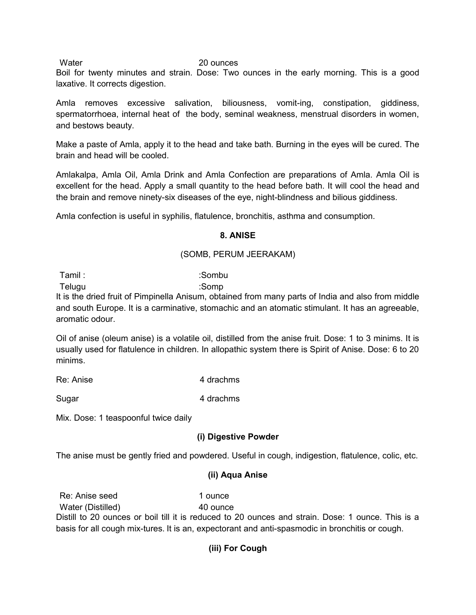Water 20 ounces

Boil for twenty minutes and strain. Dose: Two ounces in the early morning. This is a good laxative. It corrects digestion.

Amla removes excessive salivation, biliousness, vomit-ing, constipation, giddiness, spermatorrhoea, internal heat of the body, seminal weakness, menstrual disorders in women, and bestows beauty.

Make a paste of Amla, apply it to the head and take bath. Burning in the eyes will be cured. The brain and head will be cooled.

Amlakalpa, Amla Oil, Amla Drink and Amla Confection are preparations of Amla. Amla Oil is excellent for the head. Apply a small quantity to the head before bath. It will cool the head and the brain and remove ninety-six diseases of the eye, night-blindness and bilious giddiness.

Amla confection is useful in syphilis, flatulence, bronchitis, asthma and consumption.

## **8. ANISE**

## (SOMB, PERUM JEERAKAM)

Tamil : in the set of the set of the set of the set of the set of the set of the set of the set of the set of the set of the set of the set of the set of the set of the set of the set of the set of the set of the set of th

Telugu : Somp

It is the dried fruit of Pimpinella Anisum, obtained from many parts of India and also from middle and south Europe. It is a carminative, stomachic and an atomatic stimulant. It has an agreeable, aromatic odour.

Oil of anise (oleum anise) is a volatile oil, distilled from the anise fruit. Dose: 1 to 3 minims. It is usually used for flatulence in children. In allopathic system there is Spirit of Anise. Dose: 6 to 20 minims.

Re: Anise 4 drachms

Sugar 4 drachms

Mix. Dose: 1 teaspoonful twice daily

## **(i) Digestive Powder**

The anise must be gently fried and powdered. Useful in cough, indigestion, flatulence, colic, etc.

## **(ii) Aqua Anise**

Re: Anise seed 1 ounce Water (Distilled) 40 ounce Distill to 20 ounces or boil till it is reduced to 20 ounces and strain. Dose: 1 ounce. This is a basis for all cough mix-tures. It is an, expectorant and anti-spasmodic in bronchitis or cough.

**(iii) For Cough**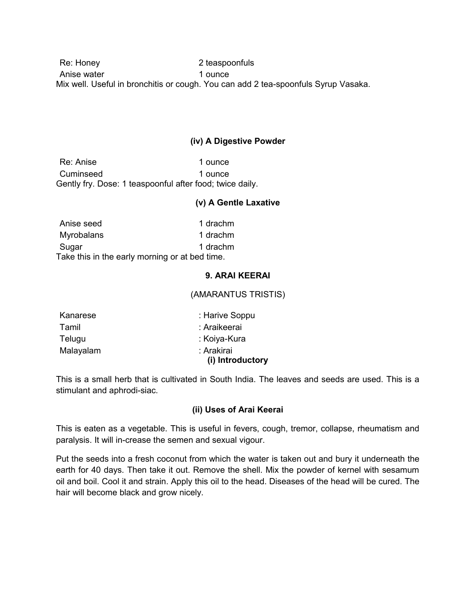Re: Honey 2 teaspoonfuls Anise water 1 ounce Mix well. Useful in bronchitis or cough. You can add 2 tea-spoonfuls Syrup Vasaka.

#### **(iv) A Digestive Powder**

Re: Anise 1 ounce Cuminseed 1 ounce Gently fry. Dose: 1 teaspoonful after food; twice daily.

#### **(v) A Gentle Laxative**

| Anise seed                                     | 1 drachm |
|------------------------------------------------|----------|
| <b>Myrobalans</b>                              | 1 drachm |
| Sugar                                          | 1 drachm |
| Take this in the early morning or at bed time. |          |

#### **9. ARAI KEERAI**

## (AMARANTUS TRISTIS)

| Kanarese  | : Harive Soppu                 |
|-----------|--------------------------------|
| Tamil     | : Araikeerai                   |
| Telugu    | : Koiya-Kura                   |
| Malayalam | : Arakirai<br>(i) Introductory |

This is a small herb that is cultivated in South India. The leaves and seeds are used. This is a stimulant and aphrodi-siac.

#### **(ii) Uses of Arai Keerai**

This is eaten as a vegetable. This is useful in fevers, cough, tremor, collapse, rheumatism and paralysis. It will in-crease the semen and sexual vigour.

Put the seeds into a fresh coconut from which the water is taken out and bury it underneath the earth for 40 days. Then take it out. Remove the shell. Mix the powder of kernel with sesamum oil and boil. Cool it and strain. Apply this oil to the head. Diseases of the head will be cured. The hair will become black and grow nicely.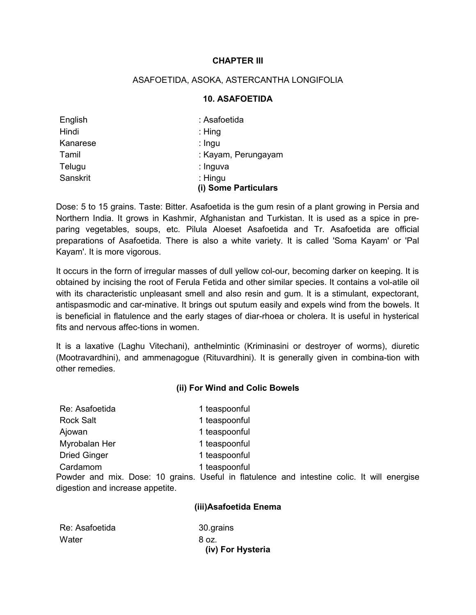### **CHAPTER III**

#### ASAFOETIDA, ASOKA, ASTERCANTHA LONGIFOLIA

#### **10. ASAFOETIDA**

| English  | : Asafoetida                      |
|----------|-----------------------------------|
| Hindi    | : $Hing$                          |
| Kanarese | $:$ Ingu                          |
| Tamil    | : Kayam, Perungayam               |
| Telugu   | : Inguva                          |
| Sanskrit | $:$ Hingu<br>(i) Some Particulars |

Dose: 5 to 15 grains. Taste: Bitter. Asafoetida is the gum resin of a plant growing in Persia and Northern India. It grows in Kashmir, Afghanistan and Turkistan. It is used as a spice in preparing vegetables, soups, etc. Pilula Aloeset Asafoetida and Tr. Asafoetida are official preparations of Asafoetida. There is also a white variety. It is called 'Soma Kayam' or 'Pal Kayam'. It is more vigorous.

It occurs in the forrn of irregular masses of dull yellow col-our, becoming darker on keeping. It is obtained by incising the root of Ferula Fetida and other similar species. It contains a vol-atile oil with its characteristic unpleasant smell and also resin and gum. It is a stimulant, expectorant, antispasmodic and car-minative. It brings out sputum easily and expels wind from the bowels. It is beneficial in flatulence and the early stages of diar-rhoea or cholera. It is useful in hysterical fits and nervous affec-tions in women.

It is a laxative (Laghu Vitechani), anthelmintic (Kriminasini or destroyer of worms), diuretic (Mootravardhini), and ammenagogue (Rituvardhini). It is generally given in combina-tion with other remedies.

#### **(ii) For Wind and Colic Bowels**

| Re: Asafoetida                  |  | 1 teaspoonful                    |
|---------------------------------|--|----------------------------------|
| <b>Rock Salt</b>                |  | 1 teaspoonful                    |
| Ajowan                          |  | 1 teaspoonful                    |
| Myrobalan Her                   |  | 1 teaspoonful                    |
| <b>Dried Ginger</b>             |  | 1 teaspoonful                    |
| Cardamom                        |  | 1 teaspoonful                    |
| Douglar and mix Doso: 10 groins |  | $I \cdot \cdot \cdot I$ in flate |

Powder and mix. Dose: 10 grains. Useful in flatulence and intestine colic. It will energise digestion and increase appetite.

#### **(iii)Asafoetida Enema**

| Re: Asafoetida | 30.grains         |
|----------------|-------------------|
| Water          | 8 oz.             |
|                | (iv) For Hysteria |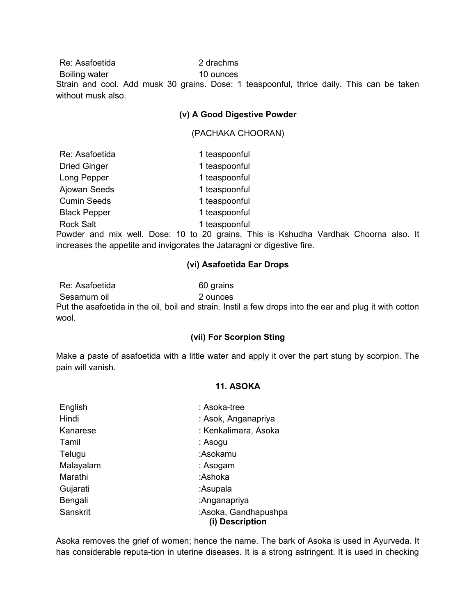Re: Asafoetida 2 drachms

Boiling water 10 ounces

Strain and cool. Add musk 30 grains. Dose: 1 teaspoonful, thrice daily. This can be taken without musk also.

## **(v) A Good Digestive Powder**

(PACHAKA CHOORAN)

| Re: Asafoetida                | 1 teaspoonful |
|-------------------------------|---------------|
| <b>Dried Ginger</b>           | 1 teaspoonful |
| Long Pepper                   | 1 teaspoonful |
| Ajowan Seeds                  | 1 teaspoonful |
| <b>Cumin Seeds</b>            | 1 teaspoonful |
| <b>Black Pepper</b>           | 1 teaspoonful |
| <b>Rock Salt</b>              | 1 teaspoonful |
| December and material and Dis | . 40          |

Powder and mix well. Dose: 10 to 20 grains. This is Kshudha Vardhak Choorna also. It increases the appetite and invigorates the Jataragni or digestive fire.

# **(vi) Asafoetida Ear Drops**

Re: Asafoetida 60 grains Sesamum oil 2 ounces Put the asafoetida in the oil, boil and strain. Instil a few drops into the ear and plug it with cotton wool.

## **(vii) For Scorpion Sting**

Make a paste of asafoetida with a little water and apply it over the part stung by scorpion. The pain will vanish.

#### **11. ASOKA**

| English   | : Asoka-tree                            |
|-----------|-----------------------------------------|
| Hindi     | : Asok, Anganapriya                     |
| Kanarese  | : Kenkalimara, Asoka                    |
| Tamil     | : Asogu                                 |
| Telugu    | :Asokamu                                |
| Malayalam | : Asogam                                |
| Marathi   | ∶Ashoka                                 |
| Gujarati  | :Asupala                                |
| Bengali   | :Anganapriya                            |
| Sanskrit  | :Asoka, Gandhapushpa<br>(i) Description |

Asoka removes the grief of women; hence the name. The bark of Asoka is used in Ayurveda. It has considerable reputa-tion in uterine diseases. It is a strong astringent. It is used in checking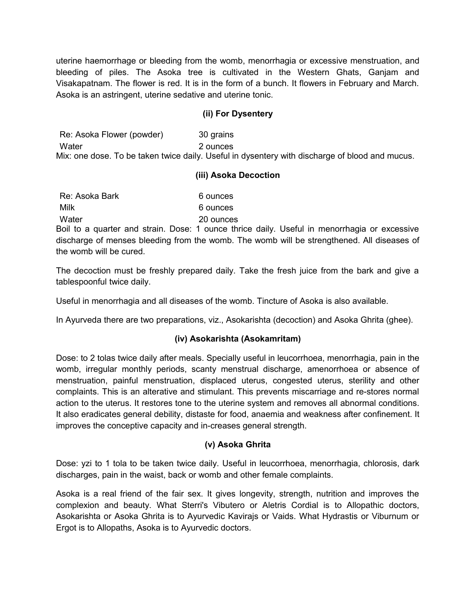uterine haemorrhage or bleeding from the womb, menorrhagia or excessive menstruation, and bleeding of piles. The Asoka tree is cultivated in the Western Ghats, Ganjam and Visakapatnam. The flower is red. It is in the form of a bunch. It flowers in February and March. Asoka is an astringent, uterine sedative and uterine tonic.

# **(ii) For Dysentery**

Re: Asoka Flower (powder) 30 grains Water 2 ounces Mix: one dose. To be taken twice daily. Useful in dysentery with discharge of blood and mucus.

## **(iii) Asoka Decoction**

| Re: Asoka Bark | 6 ounces  |
|----------------|-----------|
| Milk           | 6 ounces  |
| Water          | 20 ounces |

Boil to a quarter and strain. Dose: 1 ounce thrice daily. Useful in menorrhagia or excessive discharge of menses bleeding from the womb. The womb will be strengthened. All diseases of the womb will be cured.

The decoction must be freshly prepared daily. Take the fresh juice from the bark and give a tablespoonful twice daily.

Useful in menorrhagia and all diseases of the womb. Tincture of Asoka is also available.

In Ayurveda there are two preparations, viz., Asokarishta (decoction) and Asoka Ghrita (ghee).

## **(iv) Asokarishta (Asokamritam)**

Dose: to 2 tolas twice daily after meals. Specially useful in leucorrhoea, menorrhagia, pain in the womb, irregular monthly periods, scanty menstrual discharge, amenorrhoea or absence of menstruation, painful menstruation, displaced uterus, congested uterus, sterility and other complaints. This is an alterative and stimulant. This prevents miscarriage and re-stores normal action to the uterus. It restores tone to the uterine system and removes all abnormal conditions. It also eradicates general debility, distaste for food, anaemia and weakness after confinement. It improves the conceptive capacity and in-creases general strength.

## **(v) Asoka Ghrita**

Dose: yzi to 1 tola to be taken twice daily. Useful in leucorrhoea, menorrhagia, chlorosis, dark discharges, pain in the waist, back or womb and other female complaints.

Asoka is a real friend of the fair sex. It gives longevity, strength, nutrition and improves the complexion and beauty. What Sterri's Vibutero or Aletris Cordial is to Allopathic doctors, Asokarishta or Asoka Ghrita is to Ayurvedic Kavirajs or Vaids. What Hydrastis or Viburnum or Ergot is to Allopaths, Asoka is to Ayurvedic doctors.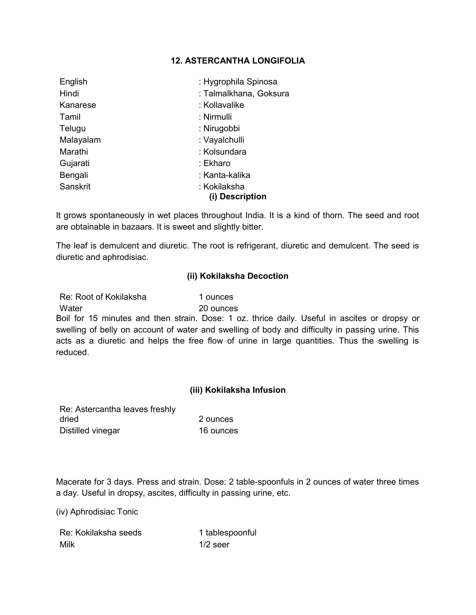## **12. ASTERCANTHA LONGIFOLIA**

| English   | : Hygrophila Spinosa            |
|-----------|---------------------------------|
| Hindi     | : Talmalkhana, Goksura          |
| Kanarese  | : Kollavalike                   |
| Tamil     | : Nirmulli                      |
| Telugu    | : Nirugobbi                     |
| Malayalam | : Vayalchulli                   |
| Marathi   | : Kolsundara                    |
| Gujarati  | : Ekharo                        |
| Bengali   | : Kanta-kalika                  |
| Sanskrit  | : Kokilaksha<br>(i) Description |

It grows spontaneously in wet places throughout India. It is a kind of thorn. The seed and root are obtainable in bazaars. It is sweet and slightly bitter.

The leaf is demulcent and diuretic. The root is refrigerant, diuretic and demulcent. The seed is diuretic and aphrodisiac.

# **(ii) Kokilaksha Decoction**

Re: Root of Kokilaksha 1 ounces

Water 20 ounces

Boil for 15 minutes and then strain. Dose: 1 oz. thrice daily. Useful in ascites or dropsy or swelling of belly on account of water and swelling of body and difficulty in passing urine. This acts as a diuretic and helps the free flow of urine in large quantities. Thus the swelling is reduced.

## **(iii) Kokilaksha Infusion**

| Re: Astercantha leaves freshly |           |
|--------------------------------|-----------|
| dried                          | 2 ounces  |
| Distilled vinegar              | 16 ounces |

Macerate for 3 days. Press and strain. Dose: 2 table-spoonfuls in 2 ounces of water three times a day. Useful in dropsy, ascites, difficulty in passing urine, etc.

(iv) Aphrodisiac Tonic

| Re: Kokilaksha seeds | 1 tablespoonful |
|----------------------|-----------------|
| Milk                 | $1/2$ seer      |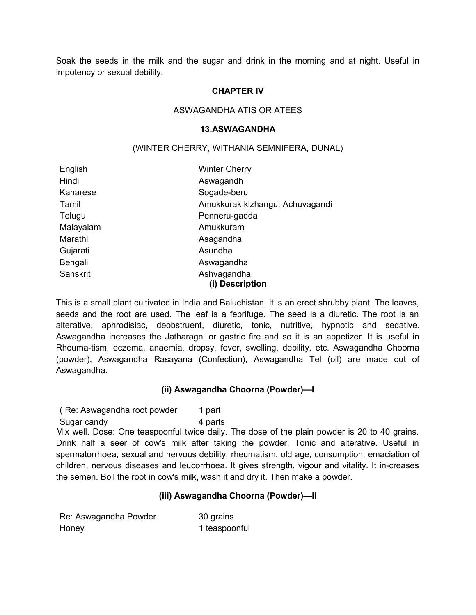Soak the seeds in the milk and the sugar and drink in the morning and at night. Useful in impotency or sexual debility.

## **CHAPTER IV**

#### ASWAGANDHA ATIS OR ATEES

#### **13.ASWAGANDHA**

#### (WINTER CHERRY, WITHANIA SEMNIFERA, DUNAL)

| English   | <b>Winter Cherry</b>            |
|-----------|---------------------------------|
| Hindi     | Aswagandh                       |
| Kanarese  | Sogade-beru                     |
| Tamil     | Amukkurak kizhangu, Achuvagandi |
| Telugu    | Penneru-gadda                   |
| Malayalam | Amukkuram                       |
| Marathi   | Asagandha                       |
| Gujarati  | Asundha                         |
| Bengali   | Aswagandha                      |
| Sanskrit  | Ashvagandha                     |
|           | (i) Description                 |

This is a small plant cultivated in India and Baluchistan. It is an erect shrubby plant. The leaves, seeds and the root are used. The leaf is a febrifuge. The seed is a diuretic. The root is an alterative, aphrodisiac, deobstruent, diuretic, tonic, nutritive, hypnotic and sedative. Aswagandha increases the Jatharagni or gastric fire and so it is an appetizer. It is useful in Rheuma-tism, eczema, anaemia, dropsy, fever, swelling, debility, etc. Aswagandha Choorna (powder), Aswagandha Rasayana (Confection), Aswagandha Tel (oil) are made out of Aswagandha.

#### **(ii) Aswagandha Choorna (Powder)—I**

( Re: Aswagandha root powder 1 part

Sugar candy 4 parts

Mix well. Dose: One teaspoonful twice daily. The dose of the plain powder is 20 to 40 grains. Drink half a seer of cow's milk after taking the powder. Tonic and alterative. Useful in spermatorrhoea, sexual and nervous debility, rheumatism, old age, consumption, emaciation of children, nervous diseases and leucorrhoea. It gives strength, vigour and vitality. It in-creases the semen. Boil the root in cow's milk, wash it and dry it. Then make a powder.

## **(iii) Aswagandha Choorna (Powder)—II**

| Re: Aswagandha Powder | 30 grains     |
|-----------------------|---------------|
| Honey                 | 1 teaspoonful |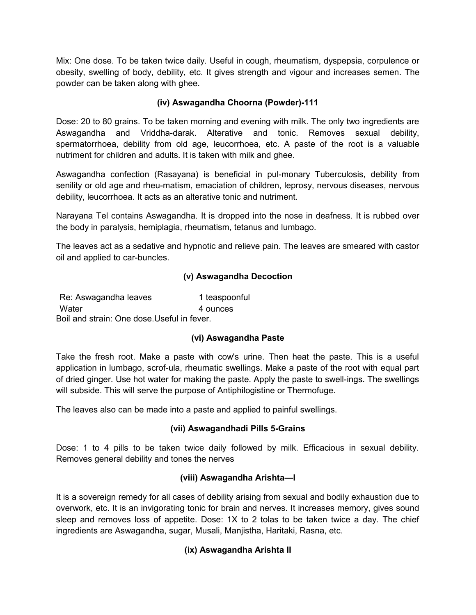Mix: One dose. To be taken twice daily. Useful in cough, rheumatism, dyspepsia, corpulence or obesity, swelling of body, debility, etc. It gives strength and vigour and increases semen. The powder can be taken along with ghee.

# **(iv) Aswagandha Choorna (Powder)-111**

Dose: 20 to 80 grains. To be taken morning and evening with milk. The only two ingredients are Aswagandha and Vriddha-darak. Alterative and tonic. Removes sexual debility, spermatorrhoea, debility from old age, leucorrhoea, etc. A paste of the root is a valuable nutriment for children and adults. It is taken with milk and ghee.

Aswagandha confection (Rasayana) is beneficial in pul-monary Tuberculosis, debility from senility or old age and rheu-matism, emaciation of children, leprosy, nervous diseases, nervous debility, leucorrhoea. It acts as an alterative tonic and nutriment.

Narayana Tel contains Aswagandha. It is dropped into the nose in deafness. It is rubbed over the body in paralysis, hemiplagia, rheumatism, tetanus and lumbago.

The leaves act as a sedative and hypnotic and relieve pain. The leaves are smeared with castor oil and applied to car-buncles.

# **(v) Aswagandha Decoction**

Re: Aswagandha leaves 1 teaspoonful Water 4 ounces Boil and strain: One dose.Useful in fever.

# **(vi) Aswagandha Paste**

Take the fresh root. Make a paste with cow's urine. Then heat the paste. This is a useful application in lumbago, scrof-ula, rheumatic swellings. Make a paste of the root with equal part of dried ginger. Use hot water for making the paste. Apply the paste to swell-ings. The swellings will subside. This will serve the purpose of Antiphilogistine or Thermofuge.

The leaves also can be made into a paste and applied to painful swellings.

## **(vii) Aswagandhadi Pills 5-Grains**

Dose: 1 to 4 pills to be taken twice daily followed by milk. Efficacious in sexual debility. Removes general debility and tones the nerves

## **(viii) Aswagandha Arishta—I**

It is a sovereign remedy for all cases of debility arising from sexual and bodily exhaustion due to overwork, etc. It is an invigorating tonic for brain and nerves. It increases memory, gives sound sleep and removes loss of appetite. Dose: 1X to 2 tolas to be taken twice a day. The chief ingredients are Aswagandha, sugar, Musali, Manjistha, Haritaki, Rasna, etc.

# **(ix) Aswagandha Arishta II**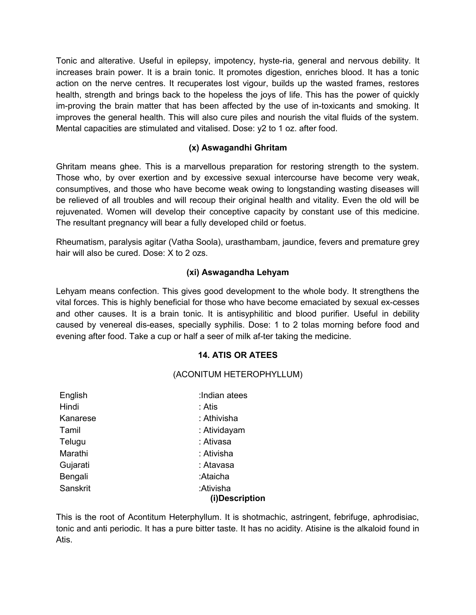Tonic and alterative. Useful in epilepsy, impotency, hyste-ria, general and nervous debility. It increases brain power. It is a brain tonic. It promotes digestion, enriches blood. It has a tonic action on the nerve centres. It recuperates lost vigour, builds up the wasted frames, restores health, strength and brings back to the hopeless the joys of life. This has the power of quickly im-proving the brain matter that has been affected by the use of in-toxicants and smoking. It improves the general health. This will also cure piles and nourish the vital fluids of the system. Mental capacities are stimulated and vitalised. Dose: y2 to 1 oz. after food.

# **(x) Aswagandhi Ghritam**

Ghritam means ghee. This is a marvellous preparation for restoring strength to the system. Those who, by over exertion and by excessive sexual intercourse have become very weak, consumptives, and those who have become weak owing to longstanding wasting diseases will be relieved of all troubles and will recoup their original health and vitality. Even the old will be rejuvenated. Women will develop their conceptive capacity by constant use of this medicine. The resultant pregnancy will bear a fully developed child or foetus.

Rheumatism, paralysis agitar (Vatha Soola), urasthambam, jaundice, fevers and premature grey hair will also be cured. Dose: X to 2 ozs.

# **(xi) Aswagandha Lehyam**

Lehyam means confection. This gives good development to the whole body. It strengthens the vital forces. This is highly beneficial for those who have become emaciated by sexual ex-cesses and other causes. It is a brain tonic. It is antisyphilitic and blood purifier. Useful in debility caused by venereal dis-eases, specially syphilis. Dose: 1 to 2 tolas morning before food and evening after food. Take a cup or half a seer of milk af-ter taking the medicine.

## **14. ATIS OR ATEES**

## (ACONITUM HETEROPHYLLUM)

| English  | :Indian atees               |
|----------|-----------------------------|
| Hindi    | : Atis                      |
| Kanarese | : Athivisha                 |
| Tamil    | : Atividayam                |
| Telugu   | : Ativasa                   |
| Marathi  | : Ativisha                  |
| Gujarati | : Atavasa                   |
| Bengali  | :Ataicha                    |
| Sanskrit | :Ativisha<br>(i)Description |

This is the root of Acontitum Heterphyllum. It is shotmachic, astringent, febrifuge, aphrodisiac, tonic and anti periodic. It has a pure bitter taste. It has no acidity. Atisine is the alkaloid found in Atis.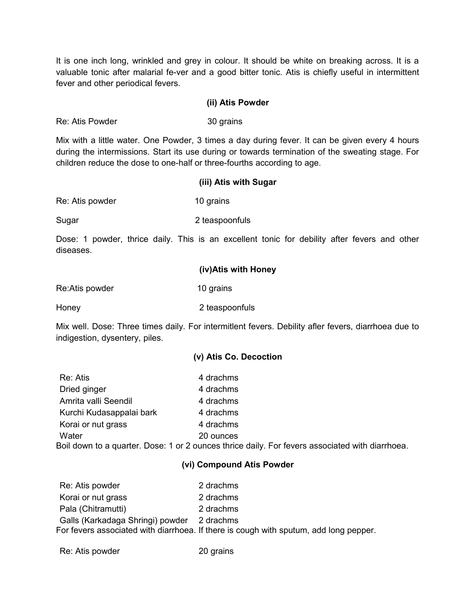It is one inch long, wrinkled and grey in colour. It should be white on breaking across. It is a valuable tonic after malarial fe-ver and a good bitter tonic. Atis is chiefly useful in intermittent fever and other periodical fevers.

#### **(ii) Atis Powder**

Re: Atis Powder 30 grains

Mix with a little water. One Powder, 3 times a day during fever. It can be given every 4 hours during the intermissions. Start its use during or towards termination of the sweating stage. For children reduce the dose to one-half or three-fourths according to age.

#### **(iii) Atis with Sugar**

Re: Atis powder 10 grains

Sugar 2 teaspoonfuls

Dose: 1 powder, thrice daily. This is an excellent tonic for debility after fevers and other diseases.

#### **(iv)Atis with Honey**

Re:Atis powder 10 grains

Honey 2 teaspoonfuls

Mix well. Dose: Three times daily. For intermitlent fevers. Debility afler fevers, diarrhoea due to indigestion, dysentery, piles.

## **(v) Atis Co. Decoction**

| Re: Atis                 | 4 drachms                                                                                       |
|--------------------------|-------------------------------------------------------------------------------------------------|
| Dried ginger             | 4 drachms                                                                                       |
| Amrita valli Seendil     | 4 drachms                                                                                       |
| Kurchi Kudasappalai bark | 4 drachms                                                                                       |
| Korai or nut grass       | 4 drachms                                                                                       |
| Water                    | 20 ounces                                                                                       |
|                          | Boil down to a quarter. Dose: 1 or 2 ounces thrice daily. For fevers associated with diarrhoea. |

## **(vi) Compound Atis Powder**

| Re: Atis powder                            | 2 drachms                                                                             |
|--------------------------------------------|---------------------------------------------------------------------------------------|
| Korai or nut grass                         | 2 drachms                                                                             |
| Pala (Chitramutti)                         | 2 drachms                                                                             |
| Galls (Karkadaga Shringi) powder 2 drachms |                                                                                       |
|                                            | For fevers associated with diarrhoea. If there is cough with sputum, add long pepper. |

Re: Atis powder 20 grains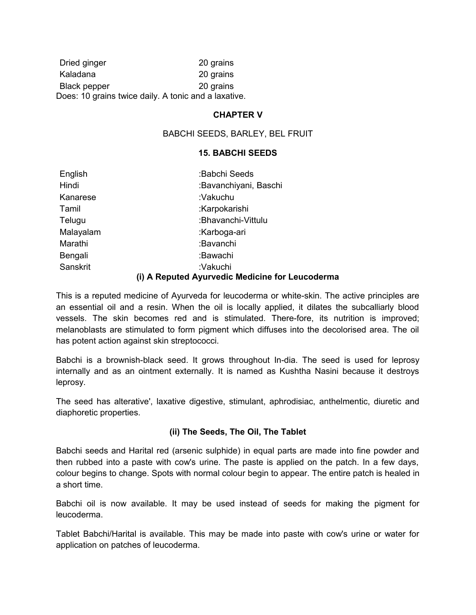| Dried ginger                                         | 20 grains |
|------------------------------------------------------|-----------|
| Kaladana                                             | 20 grains |
| Black pepper                                         | 20 grains |
| Does: 10 grains twice daily. A tonic and a laxative. |           |

#### **CHAPTER V**

BABCHI SEEDS, BARLEY, BEL FRUIT

#### **15. BABCHI SEEDS**

| English   | :Babchi Seeds                                   |
|-----------|-------------------------------------------------|
| Hindi     | :Bavanchiyani, Baschi                           |
| Kanarese  | :Vakuchu                                        |
| Tamil     | :Karpokarishi                                   |
| Telugu    | :Bhavanchi-Vittulu                              |
| Malayalam | :Karboga-ari                                    |
| Marathi   | :Bavanchi                                       |
| Bengali   | :Bawachi                                        |
| Sanskrit  | :Vakuchi                                        |
|           | (i) A Reputed Ayurvedic Medicine for Leucoderma |

This is a reputed medicine of Ayurveda for leucoderma or white-skin. The active principles are an essential oil and a resin. When the oil is locally applied, it dilates the subcalliarly blood vessels. The skin becomes red and is stimulated. There-fore, its nutrition is improved; melanoblasts are stimulated to form pigment which diffuses into the decolorised area. The oil has potent action against skin streptococci.

Babchi is a brownish-black seed. It grows throughout In-dia. The seed is used for leprosy internally and as an ointment externally. It is named as Kushtha Nasini because it destroys leprosy.

The seed has alterative', laxative digestive, stimulant, aphrodisiac, anthelmentic, diuretic and diaphoretic properties.

## **(ii) The Seeds, The Oil, The Tablet**

Babchi seeds and Harital red (arsenic sulphide) in equal parts are made into fine powder and then rubbed into a paste with cow's urine. The paste is applied on the patch. In a few days, colour begins to change. Spots with normal colour begin to appear. The entire patch is healed in a short time.

Babchi oil is now available. It may be used instead of seeds for making the pigment for leucoderma.

Tablet Babchi/Harital is available. This may be made into paste with cow's urine or water for application on patches of leucoderma.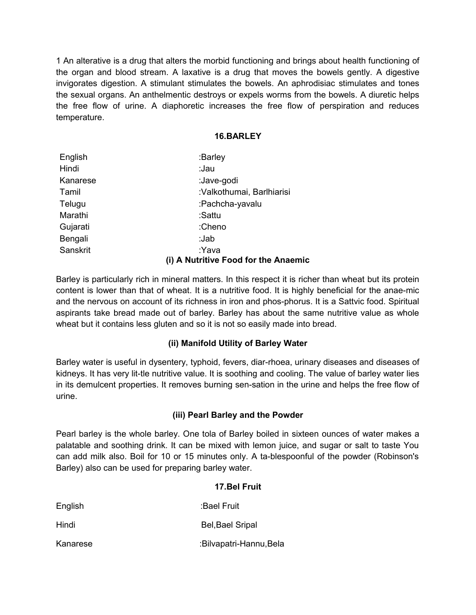1 An alterative is a drug that alters the morbid functioning and brings about health functioning of the organ and blood stream. A laxative is a drug that moves the bowels gently. A digestive invigorates digestion. A stimulant stimulates the bowels. An aphrodisiac stimulates and tones the sexual organs. An anthelmentic destroys or expels worms from the bowels. A diuretic helps the free flow of urine. A diaphoretic increases the free flow of perspiration and reduces temperature.

## **16.BARLEY**

| English  | :Barley                              |
|----------|--------------------------------------|
| Hindi    | :Jau                                 |
| Kanarese | :Jave-godi                           |
| Tamil    | :Valkothumai, Barlhiarisi            |
| Telugu   | :Pachcha-yavalu                      |
| Marathi  | :Sattu                               |
| Gujarati | :Cheno                               |
| Bengali  | :Jab                                 |
| Sanskrit | :Yava                                |
|          | (i) A Nutritive Food for the Anaemic |

Barley is particularly rich in mineral matters. In this respect it is richer than wheat but its protein content is lower than that of wheat. It is a nutritive food. It is highly beneficial for the anae-mic and the nervous on account of its richness in iron and phos-phorus. It is a Sattvic food. Spiritual aspirants take bread made out of barley. Barley has about the same nutritive value as whole wheat but it contains less gluten and so it is not so easily made into bread.

# **(ii) Manifold Utility of Barley Water**

Barley water is useful in dysentery, typhoid, fevers, diar-rhoea, urinary diseases and diseases of kidneys. It has very lit-tle nutritive value. It is soothing and cooling. The value of barley water lies in its demulcent properties. It removes burning sen-sation in the urine and helps the free flow of urine.

# **(iii) Pearl Barley and the Powder**

Pearl barley is the whole barley. One tola of Barley boiled in sixteen ounces of water makes a palatable and soothing drink. It can be mixed with lemon juice, and sugar or salt to taste You can add milk also. Boil for 10 or 15 minutes only. A ta-blespoonful of the powder (Robinson's Barley) also can be used for preparing barley water.

**17.Bel Fruit**

|          | 17.DGI 1 1 UIL          |
|----------|-------------------------|
| English  | :Bael Fruit             |
| Hindi    | <b>Bel, Bael Sripal</b> |
| Kanarese | :Bilvapatri-Hannu, Bela |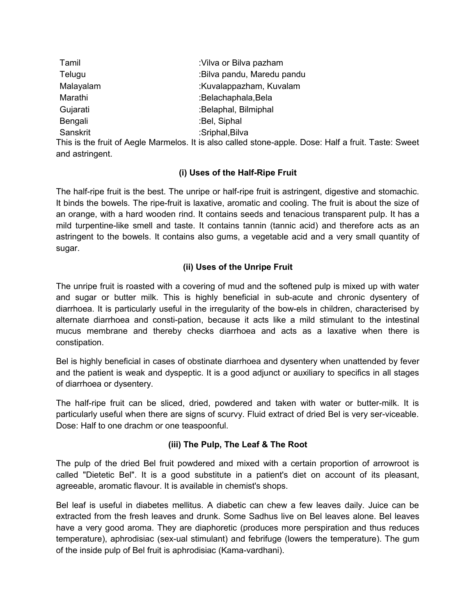| Tamil           | :Vilva or Bilva pazham                                                                               |
|-----------------|------------------------------------------------------------------------------------------------------|
| Telugu          | :Bilva pandu, Maredu pandu                                                                           |
| Malayalam       | :Kuvalappazham, Kuvalam                                                                              |
| Marathi         | :Belachaphala, Bela                                                                                  |
| Gujarati        | :Belaphal, Bilmiphal                                                                                 |
| Bengali         | :Bel, Siphal                                                                                         |
| Sanskrit        | :Sriphal, Bilva                                                                                      |
|                 | This is the fruit of Aegle Marmelos. It is also called stone-apple. Dose: Half a fruit. Taste: Sweet |
| and astringent. |                                                                                                      |

# **(i) Uses of the Half-Ripe Fruit**

The half-ripe fruit is the best. The unripe or half-ripe fruit is astringent, digestive and stomachic. It binds the bowels. The ripe-fruit is laxative, aromatic and cooling. The fruit is about the size of an orange, with a hard wooden rind. It contains seeds and tenacious transparent pulp. It has a mild turpentine-like smell and taste. It contains tannin (tannic acid) and therefore acts as an astringent to the bowels. It contains also gums, a vegetable acid and a very small quantity of sugar.

# **(ii) Uses of the Unripe Fruit**

The unripe fruit is roasted with a covering of mud and the softened pulp is mixed up with water and sugar or butter milk. This is highly beneficial in sub-acute and chronic dysentery of diarrhoea. It is particularly useful in the irregularity of the bow-els in children, characterised by alternate diarrhoea and consti-pation, because it acts like a mild stimulant to the intestinal mucus membrane and thereby checks diarrhoea and acts as a laxative when there is constipation.

Bel is highly beneficial in cases of obstinate diarrhoea and dysentery when unattended by fever and the patient is weak and dyspeptic. It is a good adjunct or auxiliary to specifics in all stages of diarrhoea or dysentery.

The half-ripe fruit can be sliced, dried, powdered and taken with water or butter-milk. It is particularly useful when there are signs of scurvy. Fluid extract of dried Bel is very ser-viceable. Dose: Half to one drachm or one teaspoonful.

## **(iii) The Pulp, The Leaf & The Root**

The pulp of the dried Bel fruit powdered and mixed with a certain proportion of arrowroot is called "Dietetic Bel". It is a good substitute in a patient's diet on account of its pleasant, agreeable, aromatic flavour. It is available in chemist's shops.

Bel leaf is useful in diabetes mellitus. A diabetic can chew a few leaves daily. Juice can be extracted from the fresh leaves and drunk. Some Sadhus live on Bel leaves alone. Bel leaves have a very good aroma. They are diaphoretic (produces more perspiration and thus reduces temperature), aphrodisiac (sex-ual stimulant) and febrifuge (lowers the temperature). The gum of the inside pulp of Bel fruit is aphrodisiac (Kama-vardhani).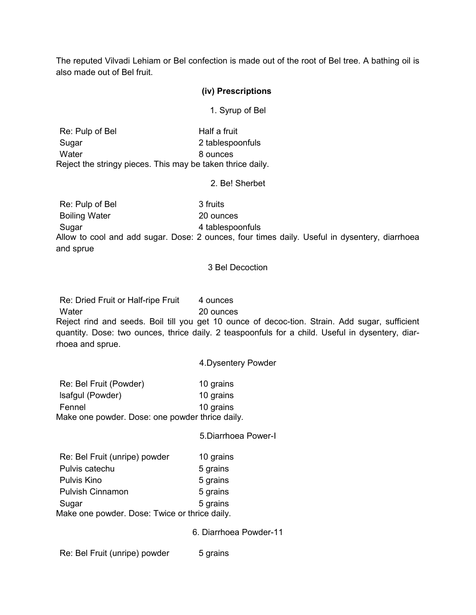The reputed Vilvadi Lehiam or Bel confection is made out of the root of Bel tree. A bathing oil is also made out of Bel fruit.

## **(iv) Prescriptions**

1. Syrup of Bel

Re: Pulp of Bel Half a fruit Sugar 2 tablespoonfuls Water 8 ounces Reject the stringy pieces. This may be taken thrice daily.

2. Be! Sherbet

| Re: Pulp of Bel      | 3 fruits                                                                                      |
|----------------------|-----------------------------------------------------------------------------------------------|
| <b>Boiling Water</b> | 20 ounces                                                                                     |
| Sugar                | 4 tablespoonfuls                                                                              |
|                      | Allow to cool and add sugar. Dose: 2 ounces, four times daily. Useful in dysentery, diarrhoea |
| and sprue            |                                                                                               |

#### 3 Bel Decoction

Re: Dried Fruit or Half-ripe Fruit 4 ounces Water 20 ounces Reject rind and seeds. Boil till you get 10 ounce of decoc-tion. Strain. Add sugar, sufficient quantity. Dose: two ounces, thrice daily. 2 teaspoonfuls for a child. Useful in dysentery, diarrhoea and sprue.

4.Dysentery Powder

Re: Bel Fruit (Powder) 10 grains lsafgul (Powder) 10 grains Fennel 10 grains Make one powder. Dose: one powder thrice daily.

5.Diarrhoea Power-I

Re: Bel Fruit (unripe) powder 10 grains Pulvis catechu 5 grains Pulvis Kino 5 grains Pulvish Cinnamon 5 grains Sugar 5 grains Make one powder. Dose: Twice or thrice daily.

6. Diarrhoea Powder-11

Re: Bel Fruit (unripe) powder 5 grains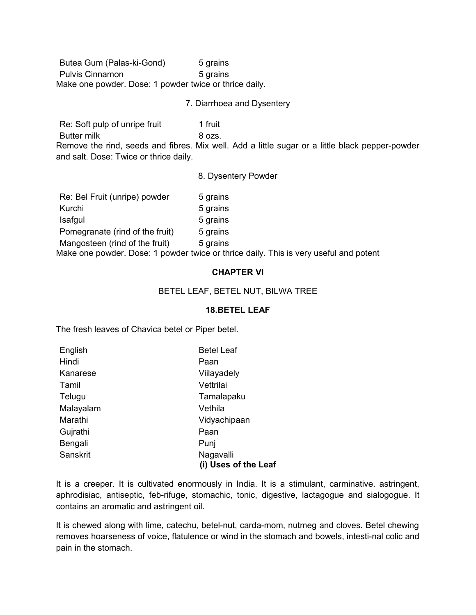Butea Gum (Palas-ki-Gond) 5 grains Pulvis Cinnamon 5 grains Make one powder. Dose: 1 powder twice or thrice daily.

#### 7. Diarrhoea and Dysentery

Re: Soft pulp of unripe fruit 1 fruit

Butter milk 8 ozs.

Remove the rind, seeds and fibres. Mix well. Add a little sugar or a little black pepper-powder and salt. Dose: Twice or thrice daily.

8. Dysentery Powder

| Re: Bel Fruit (unripe) powder   | 5 grains                                                                                |
|---------------------------------|-----------------------------------------------------------------------------------------|
| Kurchi                          | 5 grains                                                                                |
| Isafgul                         | 5 grains                                                                                |
| Pomegranate (rind of the fruit) | 5 grains                                                                                |
| Mangosteen (rind of the fruit)  | 5 grains                                                                                |
|                                 | Make ane neurder. Dese: 1 neurder twice or thripe daily. This is very useful and netept |

Make one powder. Dose: 1 powder twice or thrice daily. This is very useful and potent

## **CHAPTER VI**

#### BETEL LEAF, BETEL NUT, BILWA TREE

#### **18.BETEL LEAF**

The fresh leaves of Chavica betel or Piper betel.

| English   | <b>Betel Leaf</b>                 |
|-----------|-----------------------------------|
| Hindi     | Paan                              |
| Kanarese  | Viilayadely                       |
| Tamil     | Vettrilai                         |
| Telugu    | Tamalapaku                        |
| Malayalam | Vethila                           |
| Marathi   | Vidyachipaan                      |
| Gujrathi  | Paan                              |
| Bengali   | Punj                              |
| Sanskrit  | Nagavalli<br>(i) Uses of the Leaf |

It is a creeper. It is cultivated enormously in India. It is a stimulant, carminative. astringent, aphrodisiac, antiseptic, feb-rifuge, stomachic, tonic, digestive, lactagogue and sialogogue. It contains an aromatic and astringent oil.

It is chewed along with lime, catechu, betel-nut, carda-mom, nutmeg and cloves. Betel chewing removes hoarseness of voice, flatulence or wind in the stomach and bowels, intesti-nal colic and pain in the stomach.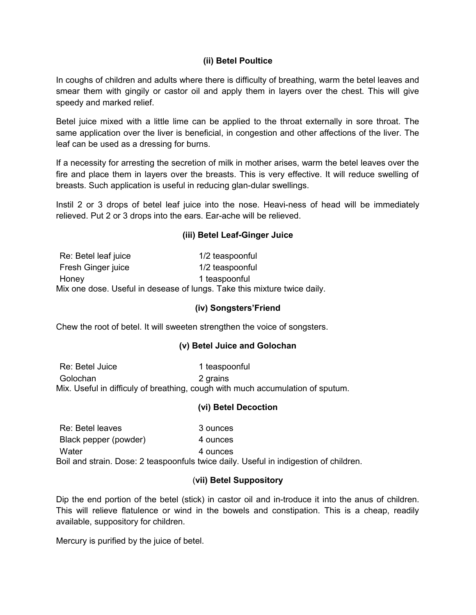# **(ii) Betel Poultice**

In coughs of children and adults where there is difficulty of breathing, warm the betel leaves and smear them with gingily or castor oil and apply them in layers over the chest. This will give speedy and marked relief.

Betel juice mixed with a little lime can be applied to the throat externally in sore throat. The same application over the liver is beneficial, in congestion and other affections of the liver. The leaf can be used as a dressing for burns.

If a necessity for arresting the secretion of milk in mother arises, warm the betel leaves over the fire and place them in layers over the breasts. This is very effective. It will reduce swelling of breasts. Such application is useful in reducing glan-dular swellings.

Instil 2 or 3 drops of betel leaf juice into the nose. Heavi-ness of head will be immediately relieved. Put 2 or 3 drops into the ears. Ear-ache will be relieved.

## **(iii) Betel Leaf-Ginger Juice**

| Re: Betel leaf juice                                                     | 1/2 teaspoonful |
|--------------------------------------------------------------------------|-----------------|
| Fresh Ginger juice                                                       | 1/2 teaspoonful |
| Honey                                                                    | 1 teaspoonful   |
| Mix one dose. Useful in desease of lungs. Take this mixture twice daily. |                 |

#### **(iv) Songsters'Friend**

Chew the root of betel. It will sweeten strengthen the voice of songsters.

## **(v) Betel Juice and Golochan**

Re: Betel Juice 1 teaspoonful Golochan 2 grains Mix. Useful in difficuly of breathing, cough with much accumulation of sputum.

#### **(vi) Betel Decoction**

| Re: Betel leaves      | 3 ounces                                                                              |
|-----------------------|---------------------------------------------------------------------------------------|
| Black pepper (powder) | 4 ounces                                                                              |
| Water                 | 4 ounces                                                                              |
|                       | Boil and strain. Dose: 2 teaspoonfuls twice daily. Useful in indigestion of children. |

#### (**vii) Betel Suppository**

Dip the end portion of the betel (stick) in castor oil and in-troduce it into the anus of children. This will relieve flatulence or wind in the bowels and constipation. This is a cheap, readily available, suppository for children.

Mercury is purified by the juice of betel.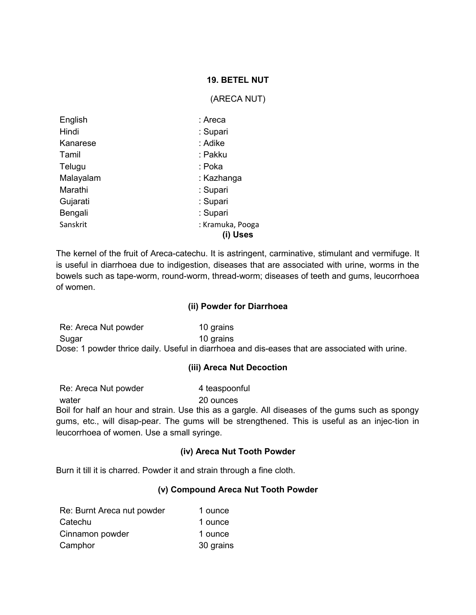## **19. BETEL NUT**

## (ARECA NUT)

| English   | : Areca          |
|-----------|------------------|
| Hindi     | : Supari         |
| Kanarese  | : Adike          |
| Tamil     | : Pakku          |
| Telugu    | : Poka           |
| Malayalam | : Kazhanga       |
| Marathi   | : Supari         |
| Gujarati  | : Supari         |
| Bengali   | : Supari         |
| Sanskrit  | : Kramuka, Pooga |
|           | (i) Uses         |

The kernel of the fruit of Areca-catechu. It is astringent, carminative, stimulant and vermifuge. It is useful in diarrhoea due to indigestion, diseases that are associated with urine, worms in the bowels such as tape-worm, round-worm, thread-worm; diseases of teeth and gums, leucorrhoea of women.

#### **(ii) Powder for Diarrhoea**

Re: Areca Nut powder 10 grains Sugar 10 grains Dose: 1 powder thrice daily. Useful in diarrhoea and dis-eases that are associated with urine.

## **(iii) Areca Nut Decoction**

Re: Areca Nut powder 4 teaspoonful water 20 ounces Boil for half an hour and strain. Use this as a gargle. All diseases of the gums such as spongy gums, etc., will disap-pear. The gums will be strengthened. This is useful as an injec-tion in leucorrhoea of women. Use a small syringe.

## **(iv) Areca Nut Tooth Powder**

Burn it till it is charred. Powder it and strain through a fine cloth.

## **(v) Compound Areca Nut Tooth Powder**

| Re: Burnt Areca nut powder | 1 ounce   |
|----------------------------|-----------|
| Catechu                    | 1 ounce   |
| Cinnamon powder            | 1 ounce   |
| Camphor                    | 30 grains |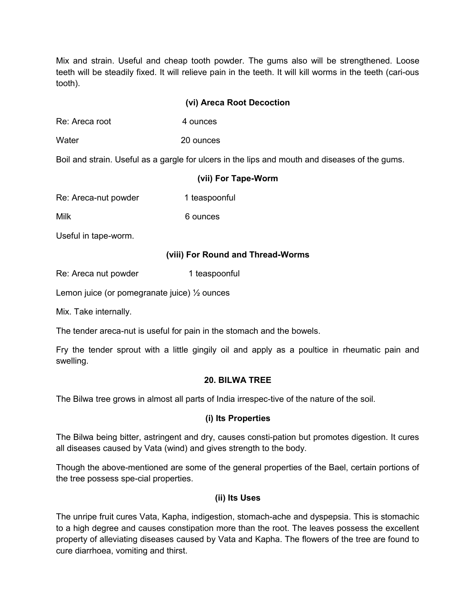Mix and strain. Useful and cheap tooth powder. The gums also will be strengthened. Loose teeth will be steadily fixed. It will relieve pain in the teeth. It will kill worms in the teeth (cari-ous tooth).

# **(vi) Areca Root Decoction**

Re: Areca root 4 ounces

Water 20 ounces

Boil and strain. Useful as a gargle for ulcers in the lips and mouth and diseases of the gums.

## **(vii) For Tape-Worm**

| Re: Areca-nut powder |  | 1 teaspoonful |
|----------------------|--|---------------|
|                      |  |               |

Milk 6 ounces

Useful in tape-worm.

# **(viii) For Round and Thread-Worms**

Re: Areca nut powder 1 teaspoonful

Lemon juice (or pomegranate juice) ½ ounces

Mix. Take internally.

The tender areca-nut is useful for pain in the stomach and the bowels.

Fry the tender sprout with a little gingily oil and apply as a poultice in rheumatic pain and swelling.

## **20. BILWA TREE**

The Bilwa tree grows in almost all parts of India irrespec-tive of the nature of the soil.

## **(i) Its Properties**

The Bilwa being bitter, astringent and dry, causes consti-pation but promotes digestion. It cures all diseases caused by Vata (wind) and gives strength to the body.

Though the above-mentioned are some of the general properties of the Bael, certain portions of the tree possess spe-cial properties.

# **(ii) Its Uses**

The unripe fruit cures Vata, Kapha, indigestion, stomach-ache and dyspepsia. This is stomachic to a high degree and causes constipation more than the root. The leaves possess the excellent property of alleviating diseases caused by Vata and Kapha. The flowers of the tree are found to cure diarrhoea, vomiting and thirst.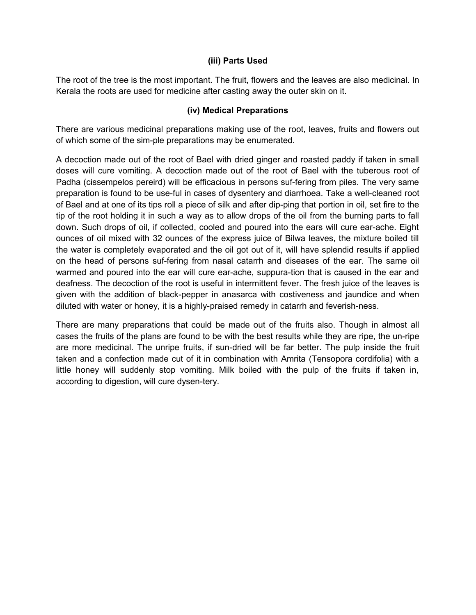## **(iii) Parts Used**

The root of the tree is the most important. The fruit, flowers and the leaves are also medicinal. In Kerala the roots are used for medicine after casting away the outer skin on it.

#### **(iv) Medical Preparations**

There are various medicinal preparations making use of the root, leaves, fruits and flowers out of which some of the sim-ple preparations may be enumerated.

A decoction made out of the root of Bael with dried ginger and roasted paddy if taken in small doses will cure vomiting. A decoction made out of the root of Bael with the tuberous root of Padha (cissempelos pereird) will be efficacious in persons suf-fering from piles. The very same preparation is found to be use-ful in cases of dysentery and diarrhoea. Take a well-cleaned root of Bael and at one of its tips roll a piece of silk and after dip-ping that portion in oil, set fire to the tip of the root holding it in such a way as to allow drops of the oil from the burning parts to fall down. Such drops of oil, if collected, cooled and poured into the ears will cure ear-ache. Eight ounces of oil mixed with 32 ounces of the express juice of Bilwa leaves, the mixture boiled till the water is completely evaporated and the oil got out of it, will have splendid results if applied on the head of persons suf-fering from nasal catarrh and diseases of the ear. The same oil warmed and poured into the ear will cure ear-ache, suppura-tion that is caused in the ear and deafness. The decoction of the root is useful in intermittent fever. The fresh juice of the leaves is given with the addition of black-pepper in anasarca with costiveness and jaundice and when diluted with water or honey, it is a highly-praised remedy in catarrh and feverish-ness.

There are many preparations that could be made out of the fruits also. Though in almost all cases the fruits of the plans are found to be with the best results while they are ripe, the un-ripe are more medicinal. The unripe fruits, if sun-dried will be far better. The pulp inside the fruit taken and a confection made cut of it in combination with Amrita (Tensopora cordifolia) with a little honey will suddenly stop vomiting. Milk boiled with the pulp of the fruits if taken in, according to digestion, will cure dysen-tery.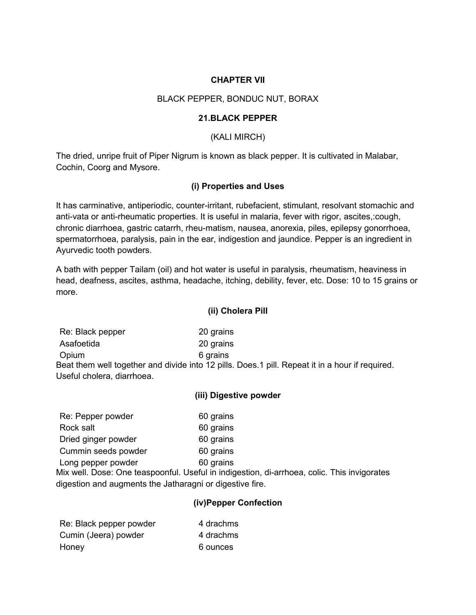#### **CHAPTER VII**

#### BLACK PEPPER, BONDUC NUT, BORAX

#### **21.BLACK PEPPER**

#### (KALI MIRCH)

The dried, unripe fruit of Piper Nigrum is known as black pepper. It is cultivated in Malabar, Cochin, Coorg and Mysore.

#### **(i) Properties and Uses**

It has carminative, antiperiodic, counter-irritant, rubefacient, stimulant, resolvant stomachic and anti-vata or anti-rheumatic properties. It is useful in malaria, fever with rigor, ascites,:cough, chronic diarrhoea, gastric catarrh, rheu-matism, nausea, anorexia, piles, epilepsy gonorrhoea, spermatorrhoea, paralysis, pain in the ear, indigestion and jaundice. Pepper is an ingredient in Ayurvedic tooth powders.

A bath with pepper Tailam (oil) and hot water is useful in paralysis, rheumatism, heaviness in head, deafness, ascites, asthma, headache, itching, debility, fever, etc. Dose: 10 to 15 grains or more.

#### **(ii) Cholera Pill**

Re: Black pepper 20 grains Asafoetida 20 grains Opium 6 grains Beat them well together and divide into 12 pills. Does.1 pill. Repeat it in a hour if required. Useful cholera, diarrhoea.

#### **(iii) Digestive powder**

| Re: Pepper powder   | 60 grains |
|---------------------|-----------|
| Rock salt           | 60 grains |
| Dried ginger powder | 60 grains |
| Cummin seeds powder | 60 grains |
| Long pepper powder  | 60 grains |

Mix well. Dose: One teaspoonful. Useful in indigestion, di-arrhoea, colic. This invigorates digestion and augments the Jatharagni or digestive fire.

#### **(iv)Pepper Confection**

| Re: Black pepper powder | 4 drachms |
|-------------------------|-----------|
| Cumin (Jeera) powder    | 4 drachms |
| Honey                   | 6 ounces  |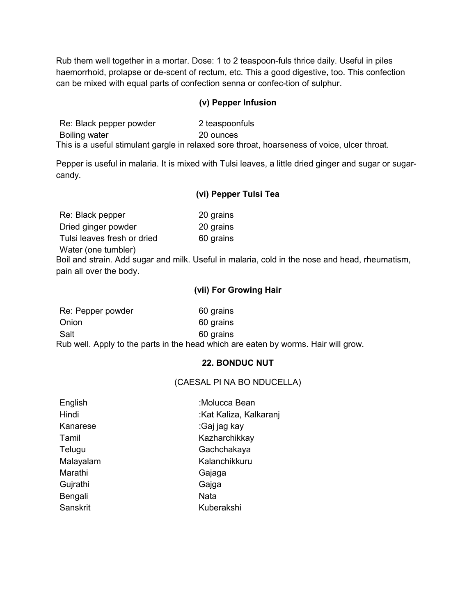Rub them well together in a mortar. Dose: 1 to 2 teaspoon-fuls thrice daily. Useful in piles haemorrhoid, prolapse or de-scent of rectum, etc. This a good digestive, too. This confection can be mixed with equal parts of confection senna or confec-tion of sulphur.

## **(v) Pepper Infusion**

Re: Black pepper powder 2 teaspoonfuls Boiling water 20 ounces This is a useful stimulant gargle in relaxed sore throat, hoarseness of voice, ulcer throat.

Pepper is useful in malaria. It is mixed with Tulsi leaves, a little dried ginger and sugar or sugarcandy.

# **(vi) Pepper Tulsi Tea**

| Re: Black pepper            | 20 grains |
|-----------------------------|-----------|
| Dried ginger powder         | 20 grains |
| Tulsi leaves fresh or dried | 60 grains |

Water (one tumbler)

Boil and strain. Add sugar and milk. Useful in malaria, cold in the nose and head, rheumatism, pain all over the body.

## **(vii) For Growing Hair**

| Re: Pepper powder | 60 grains                                                                          |
|-------------------|------------------------------------------------------------------------------------|
| Onion             | 60 grains                                                                          |
| Salt              | 60 grains                                                                          |
|                   | Rub well. Apply to the parts in the head which are eaten by worms. Hair will grow. |

## **22. BONDUC NUT**

(CAESAL PI NA BO NDUCELLA)

| English   | :Molucca Bean          |
|-----------|------------------------|
| Hindi     | :Kat Kaliza, Kalkaranj |
| Kanarese  | :Gaj jag kay           |
| Tamil     | Kazharchikkay          |
| Telugu    | Gachchakaya            |
| Malayalam | Kalanchikkuru          |
| Marathi   | Gajaga                 |
| Gujrathi  | Gajga                  |
| Bengali   | Nata                   |
| Sanskrit  | Kuberakshi             |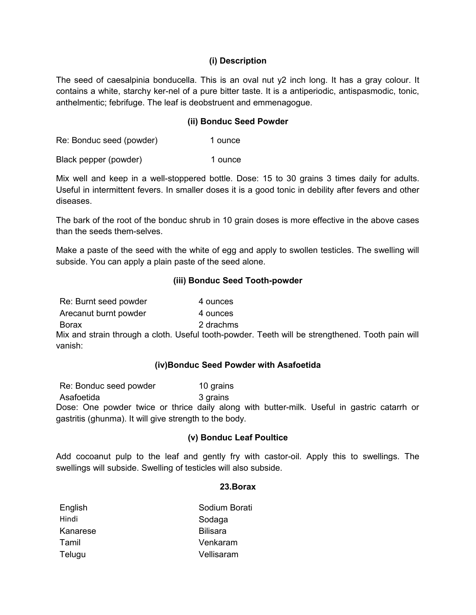# **(i) Description**

The seed of caesalpinia bonducella. This is an oval nut y2 inch long. It has a gray colour. It contains a white, starchy ker-nel of a pure bitter taste. It is a antiperiodic, antispasmodic, tonic, anthelmentic; febrifuge. The leaf is deobstruent and emmenagogue.

## **(ii) Bonduc Seed Powder**

Re: Bonduc seed (powder) 1 ounce

Black pepper (powder) 1 ounce

Mix well and keep in a well-stoppered bottle. Dose: 15 to 30 grains 3 times daily for adults. Useful in intermittent fevers. In smaller doses it is a good tonic in debility after fevers and other diseases.

The bark of the root of the bonduc shrub in 10 grain doses is more effective in the above cases than the seeds them-selves.

Make a paste of the seed with the white of egg and apply to swollen testicles. The swelling will subside. You can apply a plain paste of the seed alone.

#### **(iii) Bonduc Seed Tooth-powder**

| Re: Burnt seed powder | 4 ounces |
|-----------------------|----------|
| Arecanut burnt powder | 4 ounces |

Borax 2 drachms

Mix and strain through a cloth. Useful tooth-powder. Teeth will be strengthened. Tooth pain will vanish:

## **(iv)Bonduc Seed Powder with Asafoetida**

Re: Bonduc seed powder 10 grains Asafoetida 3 grains Dose: One powder twice or thrice daily along with butter-milk. Useful in gastric catarrh or gastritis (ghunma). It will give strength to the body.

## **(v) Bonduc Leaf Poultice**

Add cocoanut pulp to the leaf and gently fry with castor-oil. Apply this to swellings. The swellings will subside. Swelling of testicles will also subside.

#### **23.Borax**

| English  | Sodium Borati   |
|----------|-----------------|
| Hindi    | Sodaga          |
| Kanarese | <b>Bilisara</b> |
| Tamil    | Venkaram        |
| Telugu   | Vellisaram      |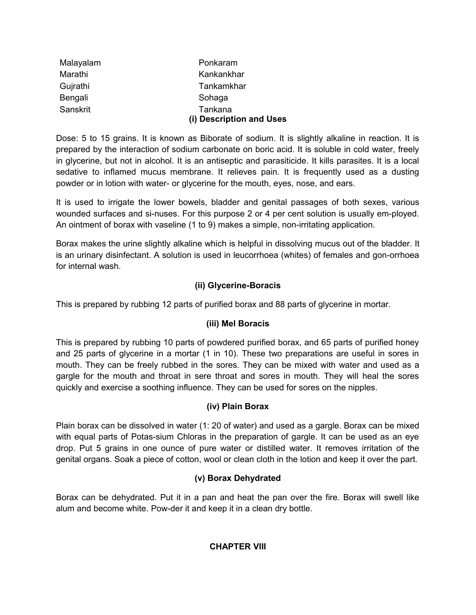| Malayalam | Ponkaram                 |
|-----------|--------------------------|
| Marathi   | Kankankhar               |
| Gujrathi  | Tankamkhar               |
| Bengali   | Sohaga                   |
| Sanskrit  | Tankana                  |
|           | (i) Description and Uses |

Dose: 5 to 15 grains. It is known as Biborate of sodium. It is slightly alkaline in reaction. It is prepared by the interaction of sodium carbonate on boric acid. It is soluble in cold water, freely in glycerine, but not in alcohol. It is an antiseptic and parasiticide. It kills parasites. It is a local sedative to inflamed mucus membrane. It relieves pain. It is frequently used as a dusting powder or in lotion with water- or glycerine for the mouth, eyes, nose, and ears.

It is used to irrigate the lower bowels, bladder and genital passages of both sexes, various wounded surfaces and si-nuses. For this purpose 2 or 4 per cent solution is usually em-ployed. An ointment of borax with vaseline (1 to 9) makes a simple, non-irritating application.

Borax makes the urine slightly alkaline which is helpful in dissolving mucus out of the bladder. It is an urinary disinfectant. A solution is used in leucorrhoea (whites) of females and gon-orrhoea for internal wash.

# **(ii) Glycerine-Boracis**

This is prepared by rubbing 12 parts of purified borax and 88 parts of glycerine in mortar.

# **(iii) Mel Boracis**

This is prepared by rubbing 10 parts of powdered purified borax, and 65 parts of purified honey and 25 parts of glycerine in a mortar (1 in 10). These two preparations are useful in sores in mouth. They can be freely rubbed in the sores. They can be mixed with water and used as a gargle for the mouth and throat in sere throat and sores in mouth. They will heal the sores quickly and exercise a soothing influence. They can be used for sores on the nipples.

# **(iv) Plain Borax**

Plain borax can be dissolved in water (1: 20 of water) and used as a gargle. Borax can be mixed with equal parts of Potas-sium Chloras in the preparation of gargle. It can be used as an eye drop. Put 5 grains in one ounce of pure water or distilled water. It removes irritation of the genital organs. Soak a piece of cotton, wool or clean cloth in the lotion and keep it over the part.

# **(v) Borax Dehydrated**

Borax can be dehydrated. Put it in a pan and heat the pan over the fire. Borax will swell like alum and become white. Pow-der it and keep it in a clean dry bottle.

## **CHAPTER VIII**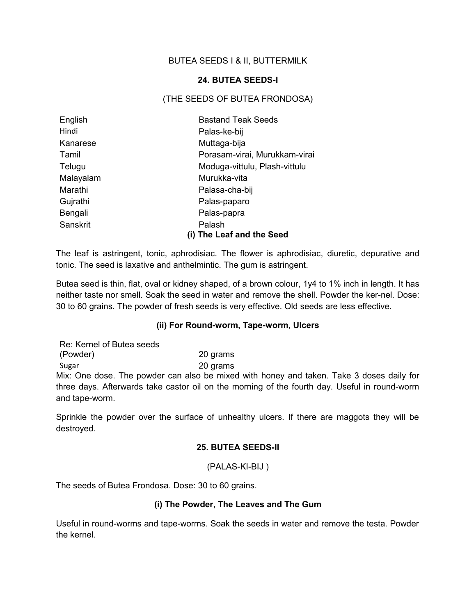## BUTEA SEEDS I & II, BUTTERMILK

## **24. BUTEA SEEDS-I**

# (THE SEEDS OF BUTEA FRONDOSA)

| English   | <b>Bastand Teak Seeds</b>     |
|-----------|-------------------------------|
| Hindi     | Palas-ke-bij                  |
| Kanarese  | Muttaga-bija                  |
| Tamil     | Porasam-virai, Murukkam-virai |
| Telugu    | Moduga-vittulu, Plash-vittulu |
| Malayalam | Murukka-vita                  |
| Marathi   | Palasa-cha-bij                |
| Gujrathi  | Palas-paparo                  |
| Bengali   | Palas-papra                   |
| Sanskrit  | Palash                        |
|           | (i) The Leaf and the Seed     |

The leaf is astringent, tonic, aphrodisiac. The flower is aphrodisiac, diuretic, depurative and tonic. The seed is laxative and anthelmintic. The gum is astringent.

Butea seed is thin, flat, oval or kidney shaped, of a brown colour, 1y4 to 1% inch in length. It has neither taste nor smell. Soak the seed in water and remove the shell. Powder the ker-nel. Dose: 30 to 60 grains. The powder of fresh seeds is very effective. Old seeds are less effective.

## **(ii) For Round-worm, Tape-worm, Ulcers**

Re: Kernel of Butea seeds (Powder) 20 grams Sugar 20 grams

Mix: One dose. The powder can also be mixed with honey and taken. Take 3 doses daily for three days. Afterwards take castor oil on the morning of the fourth day. Useful in round-worm and tape-worm.

Sprinkle the powder over the surface of unhealthy ulcers. If there are maggots they will be destroyed.

#### **25. BUTEA SEEDS-II**

#### (PALAS-KI-BIJ )

The seeds of Butea Frondosa. Dose: 30 to 60 grains.

## **(i) The Powder, The Leaves and The Gum**

Useful in round-worms and tape-worms. Soak the seeds in water and remove the testa. Powder the kernel.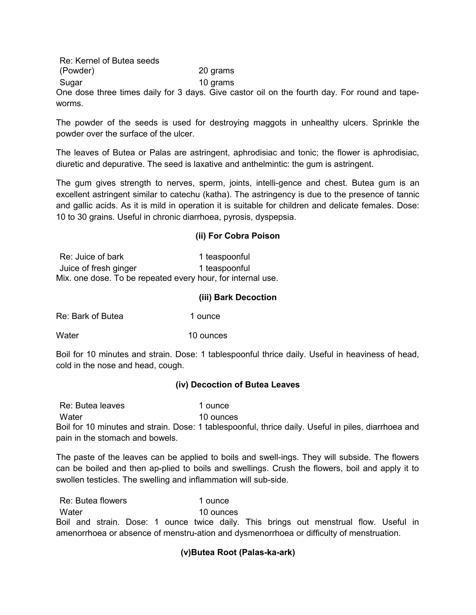Re: Kernel of Butea seeds (Powder) 20 grams Sugar 10 grams One dose three times daily for 3 days. Give castor oil on the fourth day. For round and tape-

The powder of the seeds is used for destroying maggots in unhealthy ulcers. Sprinkle the powder over the surface of the ulcer.

The leaves of Butea or Palas are astringent, aphrodisiac and tonic; the flower is aphrodisiac, diuretic and depurative. The seed is laxative and anthelmintic: the gum is astringent.

The gum gives strength to nerves, sperm, joints, intelli-gence and chest. Butea gum is an excellent astringent similar to catechu (katha). The astringency is due to the presence of tannic and gallic acids. As it is mild in operation it is suitable for children and delicate females. Dose: 10 to 30 grains. Useful in chronic diarrhoea, pyrosis, dyspepsia.

## **(ii) For Cobra Poison**

Re: Juice of bark 1 teaspoonful Juice of fresh ginger 1 teaspoonful Mix. one dose. To be repeated every hour, for internal use.

#### **(iii) Bark Decoction**

| Re: Bark of Butea | 1 ounce |
|-------------------|---------|
|-------------------|---------|

worms.

Water 10 ounces

Boil for 10 minutes and strain. Dose: 1 tablespoonful thrice daily. Useful in heaviness of head, cold in the nose and head, cough.

#### **(iv) Decoction of Butea Leaves**

Re: Butea leaves 1 ounce Water 10 ounces Boil for 10 minutes and strain. Dose: 1 tablespoonful, thrice daily. Useful in piles, diarrhoea and pain in the stomach and bowels.

The paste of the leaves can be applied to boils and swell-ings. They will subside. The flowers can be boiled and then ap-plied to boils and swellings. Crush the flowers, boil and apply it to swollen testicles. The swelling and inflammation will sub-side.

Re: Butea flowers 1 ounce Water 10 ounces Boil and strain. Dose: 1 ounce twice daily. This brings out menstrual flow. Useful in amenorrhoea or absence of menstru-ation and dysmenorrhoea or difficulty of menstruation.

#### **(v)Butea Root (Palas-ka-ark)**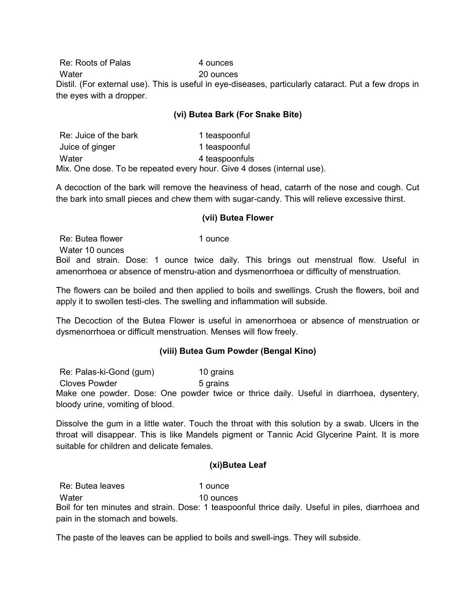Re: Roots of Palas 4 ounces Water 20 ounces Distil. (For external use). This is useful in eye-diseases, particularly cataract. Put a few drops in the eyes with a dropper.

#### **(vi) Butea Bark (For Snake Bite)**

| Re: Juice of the bark                                                  | 1 teaspoonful  |
|------------------------------------------------------------------------|----------------|
| Juice of ginger                                                        | 1 teaspoonful  |
| Water                                                                  | 4 teaspoonfuls |
| Mix. One dose. To be repeated every hour. Give 4 doses (internal use). |                |

A decoction of the bark will remove the heaviness of head, catarrh of the nose and cough. Cut the bark into small pieces and chew them with sugar-candy. This will relieve excessive thirst.

#### **(vii) Butea Flower**

Re: Butea flower 1 ounce

Water 10 ounces

Boil and strain. Dose: 1 ounce twice daily. This brings out menstrual flow. Useful in amenorrhoea or absence of menstru-ation and dysmenorrhoea or difficulty of menstruation.

The flowers can be boiled and then applied to boils and swellings. Crush the flowers, boil and apply it to swollen testi-cles. The swelling and inflammation will subside.

The Decoction of the Butea Flower is useful in amenorrhoea or absence of menstruation or dysmenorrhoea or difficult menstruation. Menses will flow freely.

#### **(viii) Butea Gum Powder (Bengal Kino)**

Re: Palas-ki-Gond (gum) 10 grains Cloves Powder 5 grains

Make one powder. Dose: One powder twice or thrice daily. Useful in diarrhoea, dysentery, bloody urine, vomiting of blood.

Dissolve the gum in a little water. Touch the throat with this solution by a swab. Ulcers in the throat will disappear. This is like Mandels pigment or Tannic Acid Glycerine Paint. It is more suitable for children and delicate females.

#### **(xi)Butea Leaf**

Re: Butea leaves 1 ounce

Water 10 ounces

Boil for ten minutes and strain. Dose: 1 teaspoonful thrice daily. Useful in piles, diarrhoea and pain in the stomach and bowels.

The paste of the leaves can be applied to boils and swell-ings. They will subside.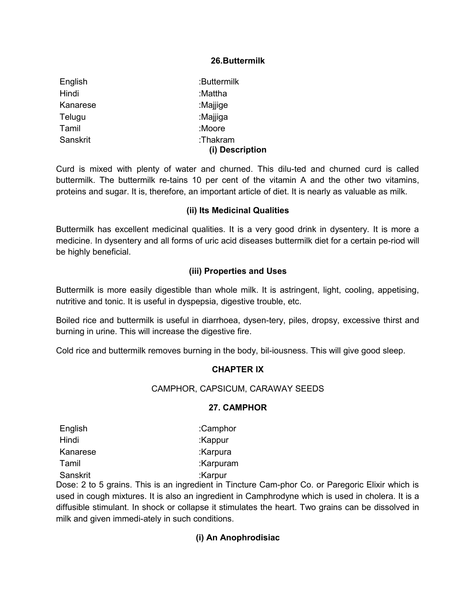#### **26.Buttermilk**

| English  | :Buttermilk                 |
|----------|-----------------------------|
| Hindi    | :Mattha                     |
| Kanarese | :Majjige                    |
| Telugu   | :Majjiga                    |
| Tamil    | :Moore                      |
| Sanskrit | :Thakram<br>(i) Description |

Curd is mixed with plenty of water and churned. This dilu-ted and churned curd is called buttermilk. The buttermilk re-tains 10 per cent of the vitamin A and the other two vitamins, proteins and sugar. It is, therefore, an important article of diet. It is nearly as valuable as milk.

#### **(ii) Its Medicinal Qualities**

Buttermilk has excellent medicinal qualities. It is a very good drink in dysentery. It is more a medicine. In dysentery and all forms of uric acid diseases buttermilk diet for a certain pe-riod will be highly beneficial.

## **(iii) Properties and Uses**

Buttermilk is more easily digestible than whole milk. It is astringent, light, cooling, appetising, nutritive and tonic. It is useful in dyspepsia, digestive trouble, etc.

Boiled rice and buttermilk is useful in diarrhoea, dysen-tery, piles, dropsy, excessive thirst and burning in urine. This will increase the digestive fire.

Cold rice and buttermilk removes burning in the body, bil-iousness. This will give good sleep.

## **CHAPTER IX**

#### CAMPHOR, CAPSICUM, CARAWAY SEEDS

#### **27. CAMPHOR**

| English  | :Camphor  |
|----------|-----------|
| Hindi    | :Kappur   |
| Kanarese | :Karpura  |
| Tamil    | :Karpuram |
| Sanskrit | :Karpur   |

Dose: 2 to 5 grains. This is an ingredient in Tincture Cam-phor Co. or Paregoric Elixir which is used in cough mixtures. It is also an ingredient in Camphrodyne which is used in cholera. It is a diffusible stimulant. In shock or collapse it stimulates the heart. Two grains can be dissolved in milk and given immedi-ately in such conditions.

## **(i) An Anophrodisiac**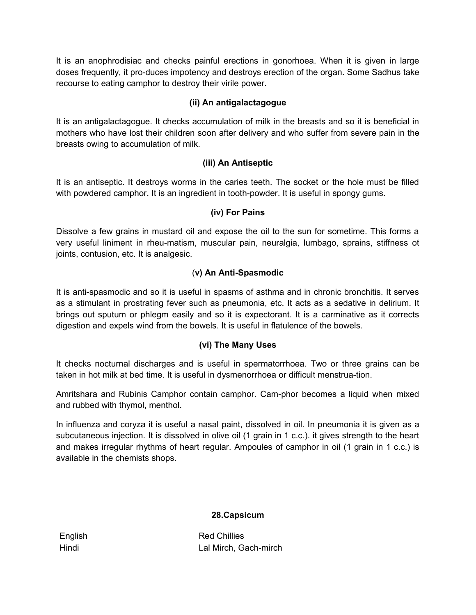It is an anophrodisiac and checks painful erections in gonorhoea. When it is given in large doses frequently, it pro-duces impotency and destroys erection of the organ. Some Sadhus take recourse to eating camphor to destroy their virile power.

# **(ii) An antigalactagogue**

It is an antigalactagogue. It checks accumulation of milk in the breasts and so it is beneficial in mothers who have lost their children soon after delivery and who suffer from severe pain in the breasts owing to accumulation of milk.

# **(iii) An Antiseptic**

It is an antiseptic. It destroys worms in the caries teeth. The socket or the hole must be filled with powdered camphor. It is an ingredient in tooth-powder. It is useful in spongy gums.

## **(iv) For Pains**

Dissolve a few grains in mustard oil and expose the oil to the sun for sometime. This forms a very useful liniment in rheu-matism, muscular pain, neuralgia, lumbago, sprains, stiffness ot joints, contusion, etc. It is analgesic.

## (**v) An Anti-Spasmodic**

It is anti-spasmodic and so it is useful in spasms of asthma and in chronic bronchitis. It serves as a stimulant in prostrating fever such as pneumonia, etc. It acts as a sedative in delirium. It brings out sputum or phlegm easily and so it is expectorant. It is a carminative as it corrects digestion and expels wind from the bowels. It is useful in flatulence of the bowels.

## **(vi) The Many Uses**

It checks nocturnal discharges and is useful in spermatorrhoea. Two or three grains can be taken in hot milk at bed time. It is useful in dysmenorrhoea or difficult menstrua-tion.

Amritshara and Rubinis Camphor contain camphor. Cam-phor becomes a liquid when mixed and rubbed with thymol, menthol.

In influenza and coryza it is useful a nasal paint, dissolved in oil. In pneumonia it is given as a subcutaneous injection. It is dissolved in olive oil (1 grain in 1 c.c.). it gives strength to the heart and makes irregular rhythms of heart regular. Ampoules of camphor in oil (1 grain in 1 c.c.) is available in the chemists shops.

## **28.Capsicum**

English Red Chillies Hindi Lal Mirch, Gach-mirch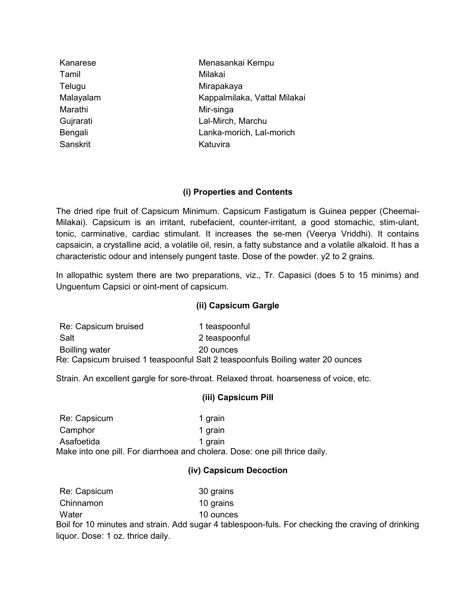| Menasankai Kempu             |
|------------------------------|
| Milakai                      |
| Mirapakaya                   |
| Kappalmilaka, Vattal Milakai |
| Mir-singa                    |
| Lal-Mirch, Marchu            |
| Lanka-morich, Lal-morich     |
| Katuvira                     |
|                              |

## **(i) Properties and Contents**

The dried ripe fruit of Capsicum Minimum. Capsicum Fastigatum is Guinea pepper (Cheemai-Milakai). Capsicum is an irritant, rubefacient, counter-irritant, a good stomachic, stim-ulant, tonic, carminative, cardiac stimulant. It increases the se-men (Veerya Vriddhi). It contains capsaicin, a crystalline acid, a volatile oil, resin, a fatty substance and a volatile alkaloid. It has a characteristic odour and intensely pungent taste. Dose of the powder. y2 to 2 grains.

In allopathic system there are two preparations, viz., Tr. Capasici (does 5 to 15 minims) and Unguentum Capsici or oint-ment of capsicum.

## **(ii) Capsicum Gargle**

Re: Capsicum bruised 1 teaspoonful Salt 2 teaspoonful Boilling water 20 ounces Re: Capsicum bruised 1 teaspoonful Salt 2 teaspoonfuls Boiling water 20 ounces

Strain. An excellent gargle for sore-throat. Relaxed throat. hoarseness of voice, etc.

#### **(iii) Capsicum Pill**

Re: Capsicum 1 grain Camphor 1 grain Asafoetida 1 grain Make into one pill. For diarrhoea and cholera. Dose: one pill thrice daily.

#### **(iv) Capsicum Decoction**

Re: Capsicum 30 grains Chinnamon 10 grains Water 10 ounces Boil for 10 minutes and strain. Add sugar 4 tablespoon-fuls. For checking the craving of drinking liquor. Dose: 1 oz. thrice daily.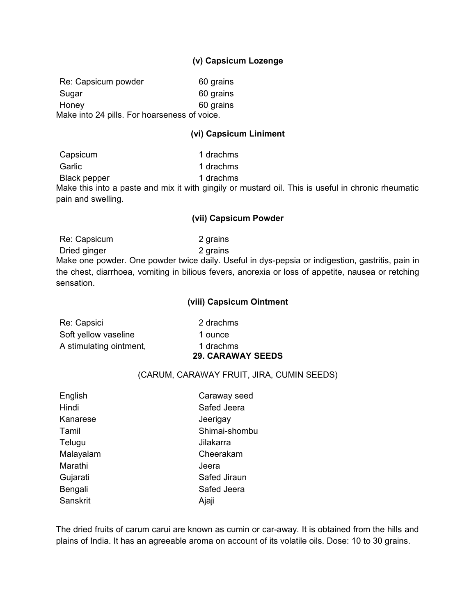#### **(v) Capsicum Lozenge**

Re: Capsicum powder 60 grains Sugar 60 grains Honey 60 grains Make into 24 pills. For hoarseness of voice.

#### **(vi) Capsicum Liniment**

Capsicum 1 drachms Garlic **1** drachms Black pepper 1 drachms Make this into a paste and mix it with gingily or mustard oil. This is useful in chronic rheumatic pain and swelling.

#### **(vii) Capsicum Powder**

Re: Capsicum 2 grains Dried ginger 2 grains

Make one powder. One powder twice daily. Useful in dys-pepsia or indigestion, gastritis, pain in the chest, diarrhoea, vomiting in bilious fevers, anorexia or loss of appetite, nausea or retching sensation.

#### **(viii) Capsicum Ointment**

|                         | <b>29. CARAWAY SEEDS</b> |
|-------------------------|--------------------------|
| A stimulating ointment, | 1 drachms                |
| Soft yellow vaseline    | 1 ounce                  |
| Re: Capsici             | 2 drachms                |

#### (CARUM, CARAWAY FRUIT, JIRA, CUMIN SEEDS)

| English   | Caraway seed  |  |
|-----------|---------------|--|
| Hindi     | Safed Jeera   |  |
| Kanarese  | Jeerigay      |  |
| Tamil     | Shimai-shombu |  |
| Telugu    | Jilakarra     |  |
| Malayalam | Cheerakam     |  |
| Marathi   | Jeera         |  |
| Gujarati  | Safed Jiraun  |  |
| Bengali   | Safed Jeera   |  |
| Sanskrit  | Ajaji         |  |

The dried fruits of carum carui are known as cumin or car-away. It is obtained from the hills and plains of India. It has an agreeable aroma on account of its volatile oils. Dose: 10 to 30 grains.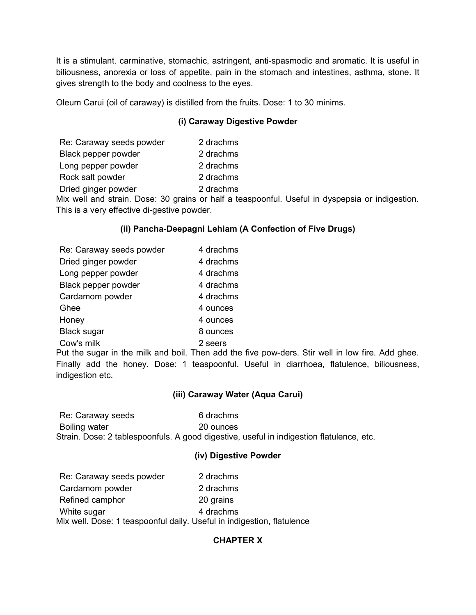It is a stimulant. carminative, stomachic, astringent, anti-spasmodic and aromatic. It is useful in biliousness, anorexia or loss of appetite, pain in the stomach and intestines, asthma, stone. It gives strength to the body and coolness to the eyes.

Oleum Carui (oil of caraway) is distilled from the fruits. Dose: 1 to 30 minims.

## **(i) Caraway Digestive Powder**

| Re: Caraway seeds powder | 2 drachms |
|--------------------------|-----------|
| Black pepper powder      | 2 drachms |
| Long pepper powder       | 2 drachms |
| Rock salt powder         | 2 drachms |
| Dried ginger powder      | 2 drachms |
|                          |           |

Mix well and strain. Dose: 30 grains or half a teaspoonful. Useful in dyspepsia or indigestion. This is a very effective di-gestive powder.

#### **(ii) Pancha-Deepagni Lehiam (A Confection of Five Drugs)**

| Re: Caraway seeds powder | 4 drachms |
|--------------------------|-----------|
| Dried ginger powder      | 4 drachms |
| Long pepper powder       | 4 drachms |
| Black pepper powder      | 4 drachms |
| Cardamom powder          | 4 drachms |
| Ghee                     | 4 ounces  |
| Honey                    | 4 ounces  |
| <b>Black sugar</b>       | 8 ounces  |
| Cow's milk               | 2 seers   |

Put the sugar in the milk and boil. Then add the five pow-ders. Stir well in low fire. Add ghee. Finally add the honey. Dose: 1 teaspoonful. Useful in diarrhoea, flatulence, biliousness, indigestion etc.

#### **(iii) Caraway Water (Aqua Carui)**

Re: Caraway seeds 6 drachms Boiling water 20 ounces Strain. Dose: 2 tablespoonfuls. A good digestive, useful in indigestion flatulence, etc.

#### **(iv) Digestive Powder**

| Re: Caraway seeds powder                                               | 2 drachms |
|------------------------------------------------------------------------|-----------|
| Cardamom powder                                                        | 2 drachms |
| Refined camphor                                                        | 20 grains |
| White sugar                                                            | 4 drachms |
| Mix well. Dose: 1 teaspoonful daily. Useful in indigestion, flatulence |           |

## **CHAPTER X**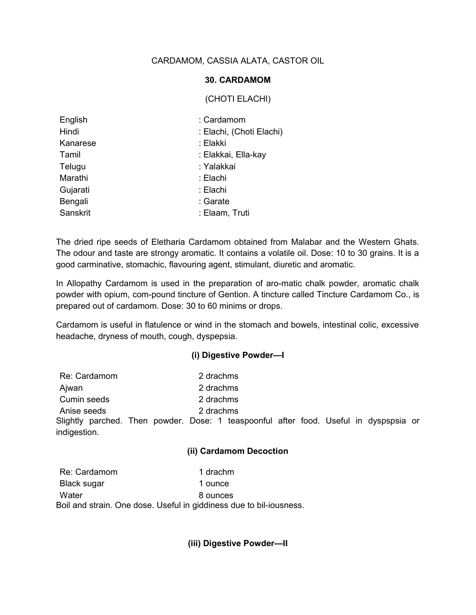# CARDAMOM, CASSIA ALATA, CASTOR OIL

## **30. CARDAMOM**

## (CHOTI ELACHI)

| English  | : Cardamom               |
|----------|--------------------------|
| Hindi    | : Elachi, (Choti Elachi) |
| Kanarese | : Elakki                 |
| Tamil    | : Elakkai, Ella-kay      |
| Telugu   | : Yalakkai               |
| Marathi  | : Elachi                 |
| Gujarati | : Elachi                 |
| Bengali  | : Garate                 |
| Sanskrit | : Elaam, Truti           |

The dried ripe seeds of Eletharia Cardamom obtained from Malabar and the Western Ghats. The odour and taste are strongy aromatic. It contains a volatile oil. Dose: 10 to 30 grains. It is a good carminative, stomachic, flavouring agent, stimulant, diuretic and aromatic.

In Allopathy Cardamom is used in the preparation of aro-matic chalk powder, aromatic chalk powder with opium, com-pound tincture of Gention. A tincture called Tincture Cardamom Co., is prepared out of cardamom. Dose: 30 to 60 minims or drops.

Cardamom is useful in flatulence or wind in the stomach and bowels, intestinal colic, excessive headache, dryness of mouth, cough, dyspepsia.

## **(i) Digestive Powder—I**

| Re: Cardamom | 2 drachms                                                                             |
|--------------|---------------------------------------------------------------------------------------|
| Ajwan        | 2 drachms                                                                             |
| Cumin seeds  | 2 drachms                                                                             |
| Anise seeds  | 2 drachms                                                                             |
|              | Slightly parched. Then powder. Dose: 1 teaspoonful after food. Useful in dyspspsia or |
| indigestion. |                                                                                       |

#### **(ii) Cardamom Decoction**

| Re: Cardamom | 1 drachm                                                            |
|--------------|---------------------------------------------------------------------|
| Black sugar  | 1 ounce                                                             |
| Water        | 8 ounces                                                            |
|              | Boil and strain. One dose. Useful in giddiness due to bil-iousness. |

**(iii) Digestive Powder—II**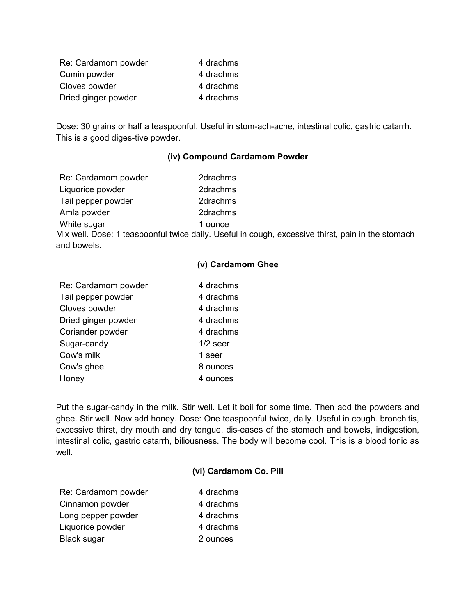| Re: Cardamom powder | 4 drachms |
|---------------------|-----------|
| Cumin powder        | 4 drachms |
| Cloves powder       | 4 drachms |
| Dried ginger powder | 4 drachms |

Dose: 30 grains or half a teaspoonful. Useful in stom-ach-ache, intestinal colic, gastric catarrh. This is a good diges-tive powder.

#### **(iv) Compound Cardamom Powder**

| Re: Cardamom powder | 2drachms                                                                                          |
|---------------------|---------------------------------------------------------------------------------------------------|
| Liquorice powder    | 2drachms                                                                                          |
| Tail pepper powder  | 2drachms                                                                                          |
| Amla powder         | 2drachms                                                                                          |
| White sugar         | 1 ounce                                                                                           |
|                     | Mix well. Dose: 1 teaspoonful twice daily. Useful in cough, excessive thirst, pain in the stomach |
| and bowels.         |                                                                                                   |

## **(v) Cardamom Ghee**

| Re: Cardamom powder | 4 drachms  |
|---------------------|------------|
| Tail pepper powder  | 4 drachms  |
| Cloves powder       | 4 drachms  |
| Dried ginger powder | 4 drachms  |
| Coriander powder    | 4 drachms  |
| Sugar-candy         | $1/2$ seer |
| Cow's milk          | 1 seer     |
| Cow's ghee          | 8 ounces   |
| Honey               | 4 ounces   |

Put the sugar-candy in the milk. Stir well. Let it boil for some time. Then add the powders and ghee. Stir well. Now add honey. Dose: One teaspoonful twice, daily. Useful in cough. bronchitis, excessive thirst, dry mouth and dry tongue, dis-eases of the stomach and bowels, indigestion, intestinal colic, gastric catarrh, biliousness. The body will become cool. This is a blood tonic as well.

#### **(vi) Cardamom Co. Pill**

| Re: Cardamom powder | 4 drachms |
|---------------------|-----------|
| Cinnamon powder     | 4 drachms |
| Long pepper powder  | 4 drachms |
| Liquorice powder    | 4 drachms |
| <b>Black sugar</b>  | 2 ounces  |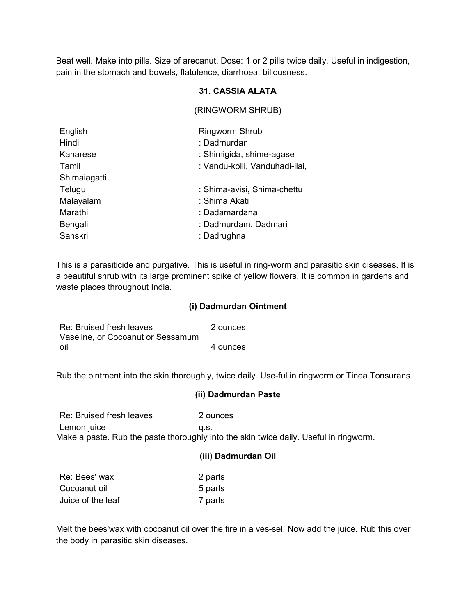Beat well. Make into pills. Size of arecanut. Dose: 1 or 2 pills twice daily. Useful in indigestion, pain in the stomach and bowels, flatulence, diarrhoea, biliousness.

# **31. CASSIA ALATA**

(RINGWORM SHRUB)

| English      | Ringworm Shrub                 |
|--------------|--------------------------------|
| Hindi        | : Dadmurdan                    |
| Kanarese     | : Shimigida, shime-agase       |
| Tamil        | : Vandu-kolli, Vanduhadi-ilai, |
| Shimaiagatti |                                |
| Telugu       | : Shima-avisi, Shima-chettu    |
| Malayalam    | : Shima Akati                  |
| Marathi      | : Dadamardana                  |
| Bengali      | : Dadmurdam, Dadmari           |
| Sanskri      | : Dadrughna                    |

This is a parasiticide and purgative. This is useful in ring-worm and parasitic skin diseases. It is a beautiful shrub with its large prominent spike of yellow flowers. It is common in gardens and waste places throughout India.

#### **(i) Dadmurdan Ointment**

| Re: Bruised fresh leaves          | 2 ounces |
|-----------------------------------|----------|
| Vaseline, or Cocoanut or Sessamum |          |
| oil                               | 4 ounces |

Rub the ointment into the skin thoroughly, twice daily. Use-ful in ringworm or Tinea Tonsurans.

#### **(ii) Dadmurdan Paste**

Re: Bruised fresh leaves 2 ounces Lemon juice q.s. Make a paste. Rub the paste thoroughly into the skin twice daily. Useful in ringworm.

#### **(iii) Dadmurdan Oil**

| Re: Bees' wax     | 2 parts |
|-------------------|---------|
| Cocoanut oil      | 5 parts |
| Juice of the leaf | 7 parts |

Melt the bees'wax with cocoanut oil over the fire in a ves-sel. Now add the juice. Rub this over the body in parasitic skin diseases.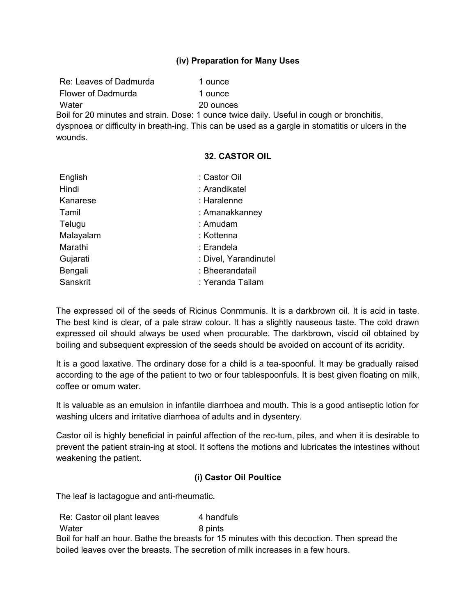# **(iv) Preparation for Many Uses**

Re: Leaves of Dadmurda 1 ounce Flower of Dadmurda 1 ounce Water 20 ounces

Boil for 20 minutes and strain. Dose: 1 ounce twice daily. Useful in cough or bronchitis, dyspnoea or difficulty in breath-ing. This can be used as a gargle in stomatitis or ulcers in the wounds.

#### **32. CASTOR OIL**

| English   | : Castor Oil          |
|-----------|-----------------------|
| Hindi     | : Arandikatel         |
| Kanarese  | : Haralenne           |
| Tamil     | : Amanakkanney        |
| Telugu    | : Amudam              |
| Malayalam | : Kottenna            |
| Marathi   | : Erandela            |
| Gujarati  | : Divel, Yarandinutel |
| Bengali   | : Bheerandatail       |
| Sanskrit  | : Yeranda Tailam      |
|           |                       |

The expressed oil of the seeds of Ricinus Conmmunis. It is a darkbrown oil. It is acid in taste. The best kind is clear, of a pale straw colour. It has a slightly nauseous taste. The cold drawn expressed oil should always be used when procurable. The darkbrown, viscid oil obtained by boiling and subsequent expression of the seeds should be avoided on account of its acridity.

It is a good laxative. The ordinary dose for a child is a tea-spoonful. It may be gradually raised according to the age of the patient to two or four tablespoonfuls. It is best given floating on milk, coffee or omum water.

It is valuable as an emulsion in infantile diarrhoea and mouth. This is a good antiseptic lotion for washing ulcers and irritative diarrhoea of adults and in dysentery.

Castor oil is highly beneficial in painful affection of the rec-tum, piles, and when it is desirable to prevent the patient strain-ing at stool. It softens the motions and lubricates the intestines without weakening the patient.

## **(i) Castor Oil Poultice**

The leaf is lactagogue and anti-rheumatic.

Re: Castor oil plant leaves 4 handfuls Water 8 pints Boil for half an hour. Bathe the breasts for 15 minutes with this decoction. Then spread the boiled leaves over the breasts. The secretion of milk increases in a few hours.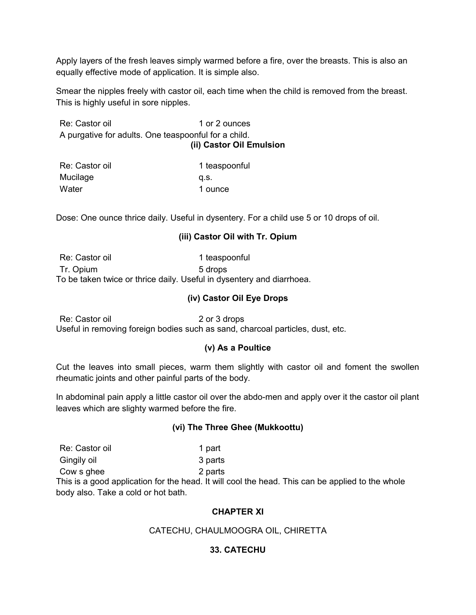Apply layers of the fresh leaves simply warmed before a fire, over the breasts. This is also an equally effective mode of application. It is simple also.

Smear the nipples freely with castor oil, each time when the child is removed from the breast. This is highly useful in sore nipples.

Re: Castor oil 1 or 2 ounces A purgative for adults. One teaspoonful for a child. **(ii) Castor Oil Emulsion**

| Re: Castor oil | 1 teaspoonful |
|----------------|---------------|
| Mucilage       | a.s.          |
| Water          | 1 ounce       |

Dose: One ounce thrice daily. Useful in dysentery. For a child use 5 or 10 drops of oil.

# **(iii) Castor Oil with Tr. Opium**

Re: Castor oil 1 teaspoonful Tr. Opium 5 drops To be taken twice or thrice daily. Useful in dysentery and diarrhoea.

## **(iv) Castor Oil Eye Drops**

Re: Castor oil 2 or 3 drops Useful in removing foreign bodies such as sand, charcoal particles, dust, etc.

## **(v) As a Poultice**

Cut the leaves into small pieces, warm them slightly with castor oil and foment the swollen rheumatic joints and other painful parts of the body.

In abdominal pain apply a little castor oil over the abdo-men and apply over it the castor oil plant leaves which are slighty warmed before the fire.

## **(vi) The Three Ghee (Mukkoottu)**

| Re: Castor oil | 1 part  |
|----------------|---------|
| Gingily oil    | 3 parts |
| Cow s ghee     | 2 parts |

This is a good application for the head. It will cool the head. This can be applied to the whole body also. Take a cold or hot bath.

## **CHAPTER XI**

## CATECHU, CHAULMOOGRA OIL, CHIRETTA

## **33. CATECHU**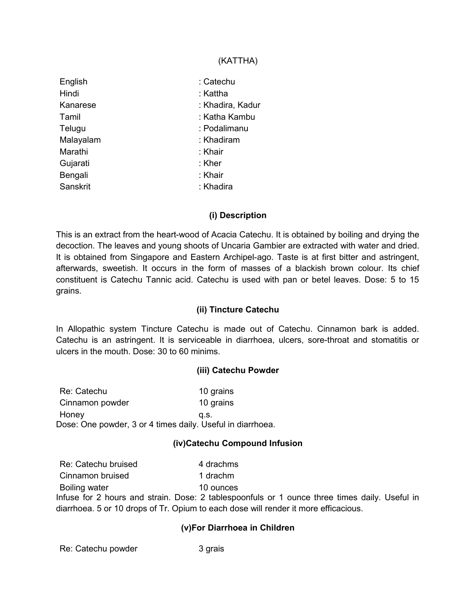## (KATTHA)

| English   | : Catechu        |
|-----------|------------------|
| Hindi     | : Kattha         |
| Kanarese  | : Khadira, Kadur |
| Tamil     | : Katha Kambu    |
| Telugu    | : Podalimanu     |
| Malayalam | : Khadiram       |
| Marathi   | : Khair          |
| Gujarati  | : Kher           |
| Bengali   | : Khair          |
| Sanskrit  | : Khadira        |
|           |                  |

#### **(i) Description**

This is an extract from the heart-wood of Acacia Catechu. It is obtained by boiling and drying the decoction. The leaves and young shoots of Uncaria Gambier are extracted with water and dried. It is obtained from Singapore and Eastern Archipel-ago. Taste is at first bitter and astringent, afterwards, sweetish. It occurs in the form of masses of a blackish brown colour. Its chief constituent is Catechu Tannic acid. Catechu is used with pan or betel leaves. Dose: 5 to 15 grains.

#### **(ii) Tincture Catechu**

In Allopathic system Tincture Catechu is made out of Catechu. Cinnamon bark is added. Catechu is an astringent. It is serviceable in diarrhoea, ulcers, sore-throat and stomatitis or ulcers in the mouth. Dose: 30 to 60 minims.

#### **(iii) Catechu Powder**

| Re: Catechu                                                | 10 grains |
|------------------------------------------------------------|-----------|
| Cinnamon powder                                            | 10 grains |
| Honey                                                      | a.s.      |
| Dose: One powder, 3 or 4 times daily. Useful in diarrhoea. |           |

#### **(iv)Catechu Compound Infusion**

| Re: Catechu bruised | 4 drachms                                                                                     |
|---------------------|-----------------------------------------------------------------------------------------------|
| Cinnamon bruised    | 1 drachm                                                                                      |
| Boiling water       | 10 ounces                                                                                     |
|                     | Infuse for 2 hours and strain. Dose: 2 tablespoonfuls or 1 ounce three times daily. Useful in |
|                     | diarrhoea. 5 or 10 drops of Tr. Opium to each dose will render it more efficacious.           |

## **(v)For Diarrhoea in Children**

Re: Catechu powder 3 grais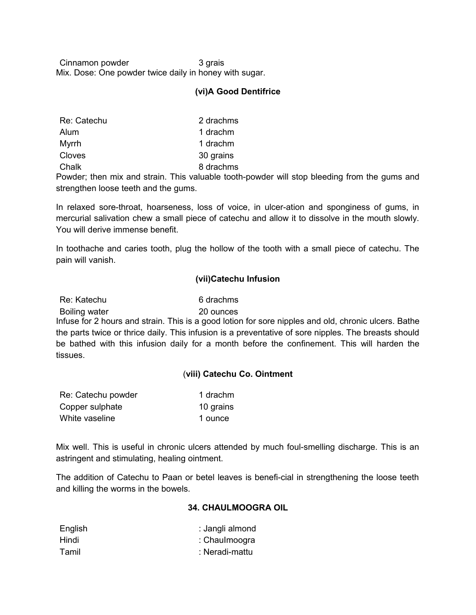Cinnamon powder 3 grais Mix. Dose: One powder twice daily in honey with sugar.

#### **(vi)A Good Dentifrice**

| Re: Catechu | 2 drachms |
|-------------|-----------|
| Alum        | 1 drachm  |
| Myrrh       | 1 drachm  |
| Cloves      | 30 grains |
| Chalk       | 8 drachms |

Powder; then mix and strain. This valuable tooth-powder will stop bleeding from the gums and strengthen loose teeth and the gums.

In relaxed sore-throat, hoarseness, loss of voice, in ulcer-ation and sponginess of gums, in mercurial salivation chew a small piece of catechu and allow it to dissolve in the mouth slowly. You will derive immense benefit.

In toothache and caries tooth, plug the hollow of the tooth with a small piece of catechu. The pain will vanish.

#### **(vii)Catechu Infusion**

| Re: Katechu   | 6 drachms |
|---------------|-----------|
| Boiling water | 20 ounces |

Infuse for 2 hours and strain. This is a good lotion for sore nipples and old, chronic ulcers. Bathe the parts twice or thrice daily. This infusion is a preventative of sore nipples. The breasts should be bathed with this infusion daily for a month before the confinement. This will harden the tissues.

#### (**viii) Catechu Co. Ointment**

| Re: Catechu powder | 1 drachm  |
|--------------------|-----------|
| Copper sulphate    | 10 grains |
| White vaseline     | 1 ounce   |

Mix well. This is useful in chronic ulcers attended by much foul-smelling discharge. This is an astringent and stimulating, healing ointment.

The addition of Catechu to Paan or betel leaves is benefi-cial in strengthening the loose teeth and killing the worms in the bowels.

#### **34. CHAULMOOGRA OIL**

| English | : Jangli almond |
|---------|-----------------|
| Hindi   | : Chaulmoogra   |
| Tamil   | : Neradi-mattu  |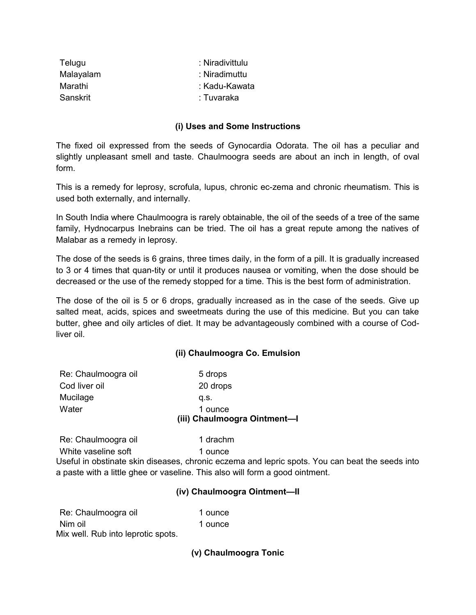| ∴ Niradivittulu |
|-----------------|
| : Niradimuttu   |
| ∶ Kadu-Kawata   |
| : Tuvaraka      |
|                 |

## **(i) Uses and Some Instructions**

The fixed oil expressed from the seeds of Gynocardia Odorata. The oil has a peculiar and slightly unpleasant smell and taste. Chaulmoogra seeds are about an inch in length, of oval form.

This is a remedy for leprosy, scrofula, lupus, chronic ec-zema and chronic rheumatism. This is used both externally, and internally.

In South India where Chaulmoogra is rarely obtainable, the oil of the seeds of a tree of the same family, Hydnocarpus Inebrains can be tried. The oil has a great repute among the natives of Malabar as a remedy in leprosy.

The dose of the seeds is 6 grains, three times daily, in the form of a pill. It is gradually increased to 3 or 4 times that quan-tity or until it produces nausea or vomiting, when the dose should be decreased or the use of the remedy stopped for a time. This is the best form of administration.

The dose of the oil is 5 or 6 drops, gradually increased as in the case of the seeds. Give up salted meat, acids, spices and sweetmeats during the use of this medicine. But you can take butter, ghee and oily articles of diet. It may be advantageously combined with a course of Codliver oil.

## **(ii) Chaulmoogra Co. Emulsion**

| Re: Chaulmoogra oil | 5 drops                      |
|---------------------|------------------------------|
| Cod liver oil       | 20 drops                     |
| Mucilage            | a.s.                         |
| Water               | 1 ounce                      |
|                     | (iii) Chaulmoogra Ointment-I |

Re: Chaulmoogra oil 1 drachm White vaseline soft 1 ounce Useful in obstinate skin diseases, chronic eczema and lepric spots. You can beat the seeds into a paste with a little ghee or vaseline. This also will form a good ointment.

## **(iv) Chaulmoogra Ointment—II**

| Re: Chaulmoogra oil                | 1 ounce |
|------------------------------------|---------|
| Nim oil                            | 1 ounce |
| Mix well. Rub into leprotic spots. |         |

**(v) Chaulmoogra Tonic**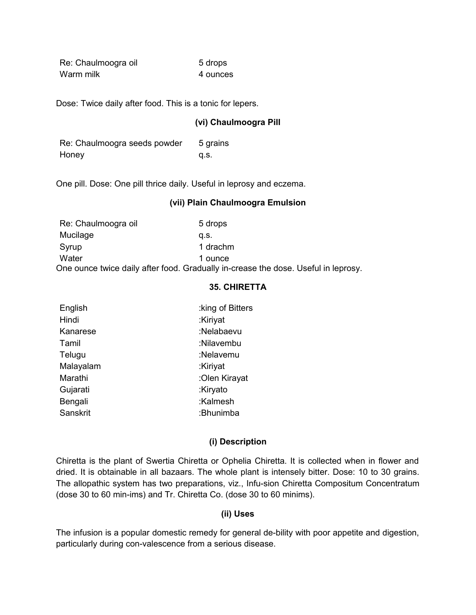| Re: Chaulmoogra oil | 5 drops  |
|---------------------|----------|
| Warm milk           | 4 ounces |

Dose: Twice daily after food. This is a tonic for lepers.

#### **(vi) Chaulmoogra Pill**

| Re: Chaulmoogra seeds powder | 5 grains |
|------------------------------|----------|
| Honey                        | q.s.     |

One pill. Dose: One pill thrice daily. Useful in leprosy and eczema.

#### **(vii) Plain Chaulmoogra Emulsion**

| Re: Chaulmoogra oil | 5 drops                                                                            |
|---------------------|------------------------------------------------------------------------------------|
| Mucilage            | a.s.                                                                               |
| Syrup               | 1 drachm                                                                           |
| Water               | 1 ounce                                                                            |
|                     | One ounce twice daily after food. Gradually in-crease the dose. Useful in leprosy. |

# **35. CHIRETTA**

| English   | :king of Bitters |
|-----------|------------------|
| Hindi     | :Kiriyat         |
| Kanarese  | :Nelabaevu       |
| Tamil     | :Nilavembu       |
| Telugu    | :Nelavemu        |
| Malayalam | :Kiriyat         |
| Marathi   | :Olen Kirayat    |
| Gujarati  | :Kiryato         |
| Bengali   | :Kalmesh         |
| Sanskrit  | :Bhunimba        |

#### **(i) Description**

Chiretta is the plant of Swertia Chiretta or Ophelia Chiretta. It is collected when in flower and dried. It is obtainable in all bazaars. The whole plant is intensely bitter. Dose: 10 to 30 grains. The allopathic system has two preparations, viz., Infu-sion Chiretta Compositum Concentratum (dose 30 to 60 min-ims) and Tr. Chiretta Co. (dose 30 to 60 minims).

# **(ii) Uses**

The infusion is a popular domestic remedy for general de-bility with poor appetite and digestion, particularly during con-valescence from a serious disease.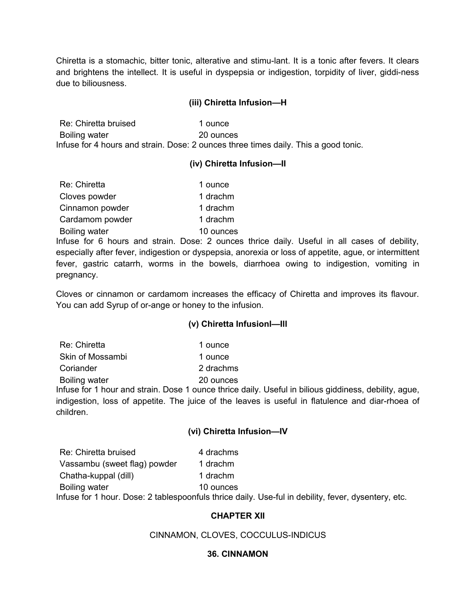Chiretta is a stomachic, bitter tonic, alterative and stimu-lant. It is a tonic after fevers. It clears and brightens the intellect. It is useful in dyspepsia or indigestion, torpidity of liver, giddi-ness due to biliousness.

### **(iii) Chiretta Infusion—H**

Re: Chiretta bruised 1 ounce Boiling water 20 ounces Infuse for 4 hours and strain. Dose: 2 ounces three times daily. This a good tonic.

### **(iv) Chiretta Infusion—II**

| Re: Chiretta    | 1 ounce   |
|-----------------|-----------|
| Cloves powder   | 1 drachm  |
| Cinnamon powder | 1 drachm  |
| Cardamom powder | 1 drachm  |
| Boiling water   | 10 ounces |

Infuse for 6 hours and strain. Dose: 2 ounces thrice daily. Useful in all cases of debility, especially after fever, indigestion or dyspepsia, anorexia or loss of appetite, ague, or intermittent fever, gastric catarrh, worms in the bowels, diarrhoea owing to indigestion, vomiting in pregnancy.

Cloves or cinnamon or cardamom increases the efficacy of Chiretta and improves its flavour. You can add Syrup of or-ange or honey to the infusion.

#### **(v) Chiretta Infusionl—Ill**

| Re: Chiretta     | 1 ounce   |
|------------------|-----------|
| Skin of Mossambi | 1 ounce   |
| Coriander        | 2 drachms |
| Boiling water    | 20 ounces |

Infuse for 1 hour and strain. Dose 1 ounce thrice daily. Useful in bilious giddiness, debility, ague, indigestion, loss of appetite. The juice of the leaves is useful in flatulence and diar-rhoea of children.

# **(vi) Chiretta Infusion—IV**

| Re: Chiretta bruised         | 4 drachms                                                                                           |
|------------------------------|-----------------------------------------------------------------------------------------------------|
| Vassambu (sweet flag) powder | 1 drachm                                                                                            |
| Chatha-kuppal (dill)         | 1 drachm                                                                                            |
| Boiling water                | 10 ounces                                                                                           |
|                              | Infuse for 1 hour. Dose: 2 tablespoonfuls thrice daily. Use-ful in debility, fever, dysentery, etc. |

# **CHAPTER XII**

#### CINNAMON, CLOVES, COCCULUS-INDICUS

#### **36. CINNAMON**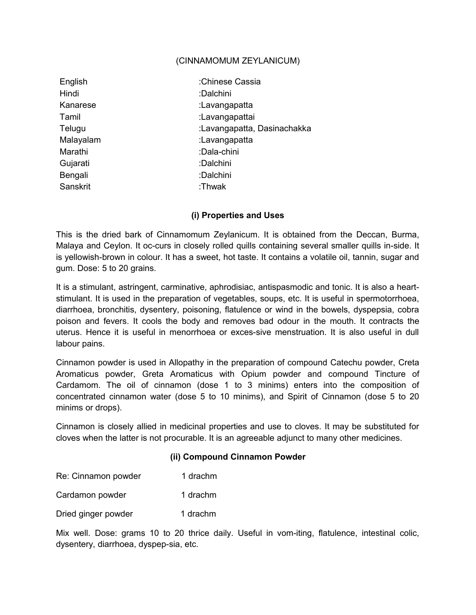### (CINNAMOMUM ZEYLANICUM)

| English   | :Chinese Cassia             |
|-----------|-----------------------------|
| Hindi     | :Dalchini                   |
| Kanarese  | :Lavangapatta               |
| Tamil     | :Lavangapattai              |
| Telugu    | :Lavangapatta, Dasinachakka |
| Malayalam | :Lavangapatta               |
| Marathi   | :Dala-chini                 |
| Gujarati  | :Dalchini                   |
| Bengali   | :Dalchini                   |
| Sanskrit  | :Thwak                      |

# **(i) Properties and Uses**

This is the dried bark of Cinnamomum Zeylanicum. It is obtained from the Deccan, Burma, Malaya and Ceylon. It oc-curs in closely rolled quills containing several smaller quills in-side. It is yellowish-brown in colour. It has a sweet, hot taste. It contains a volatile oil, tannin, sugar and gum. Dose: 5 to 20 grains.

It is a stimulant, astringent, carminative, aphrodisiac, antispasmodic and tonic. It is also a heartstimulant. It is used in the preparation of vegetables, soups, etc. It is useful in spermotorrhoea, diarrhoea, bronchitis, dysentery, poisoning, flatulence or wind in the bowels, dyspepsia, cobra poison and fevers. It cools the body and removes bad odour in the mouth. It contracts the uterus. Hence it is useful in menorrhoea or exces-sive menstruation. It is also useful in dull labour pains.

Cinnamon powder is used in Allopathy in the preparation of compound Catechu powder, Creta Aromaticus powder, Greta Aromaticus with Opium powder and compound Tincture of Cardamom. The oil of cinnamon (dose 1 to 3 minims) enters into the composition of concentrated cinnamon water (dose 5 to 10 minims), and Spirit of Cinnamon (dose 5 to 20 minims or drops).

Cinnamon is closely allied in medicinal properties and use to cloves. It may be substituted for cloves when the latter is not procurable. It is an agreeable adjunct to many other medicines.

# **(ii) Compound Cinnamon Powder**

| Re: Cinnamon powder | 1 drachm |
|---------------------|----------|
| Cardamon powder     | 1 drachm |
| Dried ginger powder | 1 drachm |

Mix well. Dose: grams 10 to 20 thrice daily. Useful in vom-iting, flatulence, intestinal colic, dysentery, diarrhoea, dyspep-sia, etc.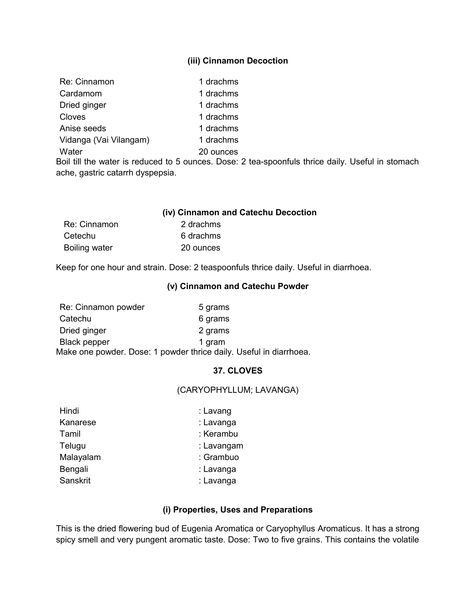# **(iii) Cinnamon Decoction**

| Re: Cinnamon           | 1 drachms |
|------------------------|-----------|
| Cardamom               | 1 drachms |
| Dried ginger           | 1 drachms |
| Cloves                 | 1 drachms |
| Anise seeds            | 1 drachms |
| Vidanga (Vai Vilangam) | 1 drachms |
| Water                  | 20 ounces |

Boil till the water is reduced to 5 ounces. Dose: 2 tea-spoonfuls thrice daily. Useful in stomach ache, gastric catarrh dyspepsia.

|               | (iv) Cinnamon and Catechu Decoction |
|---------------|-------------------------------------|
| Re: Cinnamon  | 2 drachms                           |
| Cetechu       | 6 drachms                           |
| Boiling water | 20 ounces                           |

Keep for one hour and strain. Dose: 2 teaspoonfuls thrice daily. Useful in diarrhoea.

# **(v) Cinnamon and Catechu Powder**

| Re: Cinnamon powder | 5 grams                                                            |
|---------------------|--------------------------------------------------------------------|
| Catechu             | 6 grams                                                            |
| Dried ginger        | 2 grams                                                            |
| Black pepper        | 1 gram                                                             |
|                     | Make one powder. Dose: 1 powder thrice daily. Useful in diarrhoea. |

#### **37. CLOVES**

#### (CARYOPHYLLUM; LAVANGA)

| Hindi     | : Lavang   |
|-----------|------------|
| Kanarese  | : Lavanga  |
| Tamil     | : Kerambu  |
| Telugu    | : Lavangam |
| Malayalam | : Grambuo  |
| Bengali   | : Lavanga  |
| Sanskrit  | : Lavanga  |
|           |            |

# **(i) Properties, Uses and Preparations**

This is the dried flowering bud of Eugenia Aromatica or Caryophyllus Aromaticus. It has a strong spicy smell and very pungent aromatic taste. Dose: Two to five grains. This contains the volatile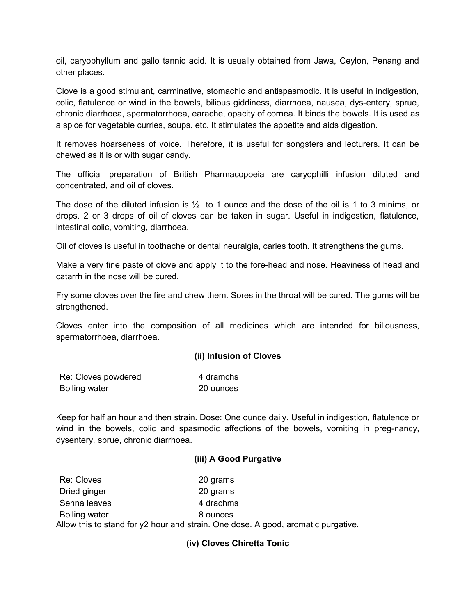oil, caryophyllum and gallo tannic acid. It is usually obtained from Jawa, Ceylon, Penang and other places.

Clove is a good stimulant, carminative, stomachic and antispasmodic. It is useful in indigestion, colic, flatulence or wind in the bowels, bilious giddiness, diarrhoea, nausea, dys-entery, sprue, chronic diarrhoea, spermatorrhoea, earache, opacity of cornea. It binds the bowels. It is used as a spice for vegetable curries, soups. etc. It stimulates the appetite and aids digestion.

It removes hoarseness of voice. Therefore, it is useful for songsters and lecturers. It can be chewed as it is or with sugar candy.

The official preparation of British Pharmacopoeia are caryophilli infusion diluted and concentrated, and oil of cloves.

The dose of the diluted infusion is  $\frac{1}{2}$  to 1 ounce and the dose of the oil is 1 to 3 minims, or drops. 2 or 3 drops of oil of cloves can be taken in sugar. Useful in indigestion, flatulence, intestinal colic, vomiting, diarrhoea.

Oil of cloves is useful in toothache or dental neuralgia, caries tooth. It strengthens the gums.

Make a very fine paste of clove and apply it to the fore-head and nose. Heaviness of head and catarrh in the nose will be cured.

Fry some cloves over the fire and chew them. Sores in the throat will be cured. The gums will be strengthened.

Cloves enter into the composition of all medicines which are intended for biliousness, spermatorrhoea, diarrhoea.

# **(ii) Infusion of Cloves**

| Re: Cloves powdered | 4 dramchs |
|---------------------|-----------|
| Boiling water       | 20 ounces |

Keep for half an hour and then strain. Dose: One ounce daily. Useful in indigestion, flatulence or wind in the bowels, colic and spasmodic affections of the bowels, vomiting in preg-nancy, dysentery, sprue, chronic diarrhoea.

#### **(iii) A Good Purgative**

Re: Cloves 20 grams Dried ginger 20 grams Senna leaves 4 drachms Boiling water **8 ounces** Allow this to stand for y2 hour and strain. One dose. A good, aromatic purgative.

# **(iv) Cloves Chiretta Tonic**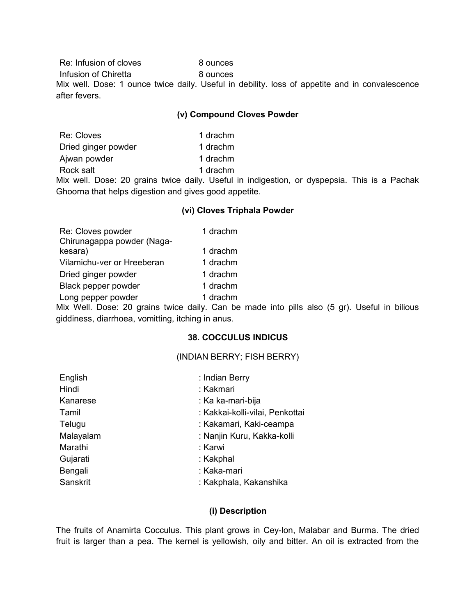Re: Infusion of cloves 8 ounces

Infusion of Chiretta 8 ounces

Mix well. Dose: 1 ounce twice daily. Useful in debility. loss of appetite and in convalescence after fevers.

# **(v) Compound Cloves Powder**

| Re: Cloves          | 1 drachm |
|---------------------|----------|
| Dried ginger powder | 1 drachm |
| Ajwan powder        | 1 drachm |
| Rock salt           | 1 drachm |
|                     |          |

Mix well. Dose: 20 grains twice daily. Useful in indigestion, or dyspepsia. This is a Pachak Ghoorna that helps digestion and gives good appetite.

### **(vi) Cloves Triphala Powder**

| Re: Cloves powder<br>Chirunagappa powder (Naga- | 1 drachm |
|-------------------------------------------------|----------|
| kesara)                                         | 1 drachm |
| Vilamichu-ver or Hreeberan                      | 1 drachm |
| Dried ginger powder                             | 1 drachm |
| Black pepper powder                             | 1 drachm |
| Long pepper powder<br>$\cdots$                  | 1 drachm |

Mix Well. Dose: 20 grains twice daily. Can be made into pills also (5 gr). Useful in bilious giddiness, diarrhoea, vomitting, itching in anus.

# **38. COCCULUS INDICUS**

#### (INDIAN BERRY; FISH BERRY)

| English   | : Indian Berry                  |
|-----------|---------------------------------|
| Hindi     | : Kakmari                       |
| Kanarese  | : Ka ka-mari-bija               |
| Tamil     | : Kakkai-kolli-vilai, Penkottai |
| Telugu    | : Kakamari, Kaki-ceampa         |
| Malayalam | : Nanjin Kuru, Kakka-kolli      |
| Marathi   | : Karwi                         |
| Gujarati  | : Kakphal                       |
| Bengali   | : Kaka-mari                     |
| Sanskrit  | : Kakphala, Kakanshika          |
|           |                                 |

# **(i) Description**

The fruits of Anamirta Cocculus. This plant grows in Cey-lon, Malabar and Burma. The dried fruit is larger than a pea. The kernel is yellowish, oily and bitter. An oil is extracted from the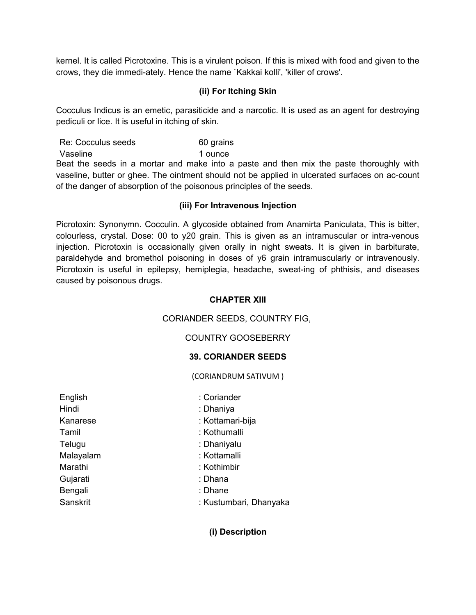kernel. It is called Picrotoxine. This is a virulent poison. If this is mixed with food and given to the crows, they die immedi-ately. Hence the name `Kakkai kolli', 'killer of crows'.

# **(ii) For Itching Skin**

Cocculus Indicus is an emetic, parasiticide and a narcotic. It is used as an agent for destroying pediculi or lice. It is useful in itching of skin.

Re: Cocculus seeds 60 grains

Vaseline 1 ounce Beat the seeds in a mortar and make into a paste and then mix the paste thoroughly with vaseline, butter or ghee. The ointment should not be applied in ulcerated surfaces on ac-count of the danger of absorption of the poisonous principles of the seeds.

# **(iii) For Intravenous Injection**

Picrotoxin: Synonymn. Cocculin. A glycoside obtained from Anamirta Paniculata, This is bitter, colourless, crystal. Dose: 00 to y20 grain. This is given as an intramuscular or intra-venous injection. Picrotoxin is occasionally given orally in night sweats. It is given in barbiturate, paraldehyde and bromethol poisoning in doses of y6 grain intramuscularly or intravenously. Picrotoxin is useful in epilepsy, hemiplegia, headache, sweat-ing of phthisis, and diseases caused by poisonous drugs.

### **CHAPTER XIII**

# CORIANDER SEEDS, COUNTRY FIG,

# COUNTRY GOOSEBERRY

# **39. CORIANDER SEEDS**

(CORIANDRUM SATIVUM )

Hindi : Dhaniya Telugu : Dhaniyalu : Dhaniyalu Gujarati : Dhana Bengali : Dhane

- English : Coriander
	-
- Kanarese : Kottamari-bija
- Tamil : Kothumalli
	-
- Malayalam : Kottamalli
- Marathi : Kothimbir
	-
	-
- Sanskrit : Kustumbari, Dhanyaka

**(i) Description**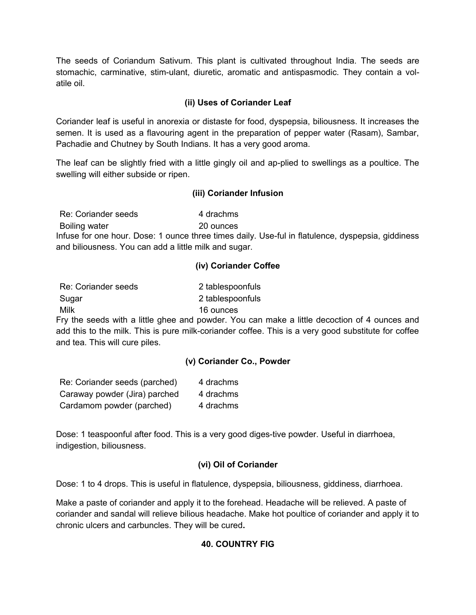The seeds of Coriandum Sativum. This plant is cultivated throughout India. The seeds are stomachic, carminative, stim-ulant, diuretic, aromatic and antispasmodic. They contain a volatile oil.

# **(ii) Uses of Coriander Leaf**

Coriander leaf is useful in anorexia or distaste for food, dyspepsia, biliousness. It increases the semen. It is used as a flavouring agent in the preparation of pepper water (Rasam), Sambar, Pachadie and Chutney by South Indians. It has a very good aroma.

The leaf can be slightly fried with a little gingly oil and ap-plied to swellings as a poultice. The swelling will either subside or ripen.

# **(iii) Coriander Infusion**

Re: Coriander seeds 4 drachms Boiling water 20 ounces

Infuse for one hour. Dose: 1 ounce three times daily. Use-ful in flatulence, dyspepsia, giddiness and biliousness. You can add a little milk and sugar.

# **(iv) Coriander Coffee**

| Re: Coriander seeds | 2 tablespoonfuls |
|---------------------|------------------|
| Sugar               | 2 tablespoonfuls |
| Milk                | 16 ounces        |

Fry the seeds with a little ghee and powder. You can make a little decoction of 4 ounces and add this to the milk. This is pure milk-coriander coffee. This is a very good substitute for coffee and tea. This will cure piles.

# **(v) Coriander Co., Powder**

| Re: Coriander seeds (parched) | 4 drachms |
|-------------------------------|-----------|
| Caraway powder (Jira) parched | 4 drachms |
| Cardamom powder (parched)     | 4 drachms |

Dose: 1 teaspoonful after food. This is a very good diges-tive powder. Useful in diarrhoea, indigestion, biliousness.

# **(vi) Oil of Coriander**

Dose: 1 to 4 drops. This is useful in flatulence, dyspepsia, biliousness, giddiness, diarrhoea.

Make a paste of coriander and apply it to the forehead. Headache will be relieved. A paste of coriander and sandal will relieve bilious headache. Make hot poultice of coriander and apply it to chronic ulcers and carbuncles. They will be cured**.**

# **40. COUNTRY FIG**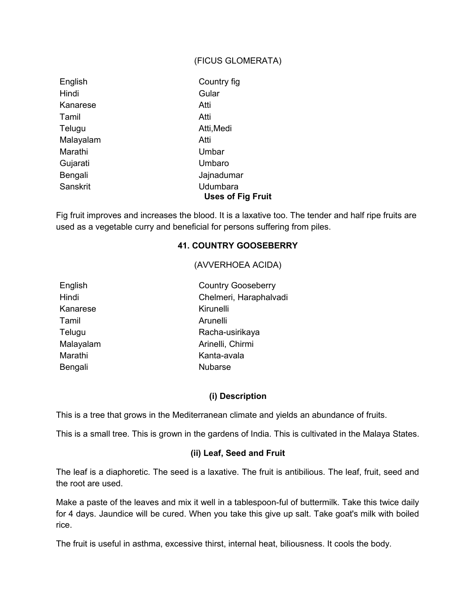### (FICUS GLOMERATA)

| English   | Country fig                          |
|-----------|--------------------------------------|
| Hindi     | Gular                                |
| Kanarese  | Atti                                 |
| Tamil     | Atti                                 |
| Telugu    | Atti, Medi                           |
| Malayalam | Atti                                 |
| Marathi   | Umbar                                |
| Gujarati  | Umbaro                               |
| Bengali   | Jajnadumar                           |
| Sanskrit  | Udumbara<br><b>Uses of Fig Fruit</b> |

Fig fruit improves and increases the blood. It is a laxative too. The tender and half ripe fruits are used as a vegetable curry and beneficial for persons suffering from piles.

# **41. COUNTRY GOOSEBERRY**

(AVVERHOEA ACIDA)

| <b>Country Gooseberry</b> |
|---------------------------|
| Chelmeri, Haraphalvadi    |
| Kirunelli                 |
| Arunelli                  |
| Racha-usirikaya           |
| Arinelli, Chirmi          |
| Kanta-avala               |
| <b>Nubarse</b>            |
|                           |

### **(i) Description**

This is a tree that grows in the Mediterranean climate and yields an abundance of fruits.

This is a small tree. This is grown in the gardens of India. This is cultivated in the Malaya States.

# **(ii) Leaf, Seed and Fruit**

The leaf is a diaphoretic. The seed is a laxative. The fruit is antibilious. The leaf, fruit, seed and the root are used.

Make a paste of the leaves and mix it well in a tablespoon-ful of buttermilk. Take this twice daily for 4 days. Jaundice will be cured. When you take this give up salt. Take goat's milk with boiled rice.

The fruit is useful in asthma, excessive thirst, internal heat, biliousness. It cools the body.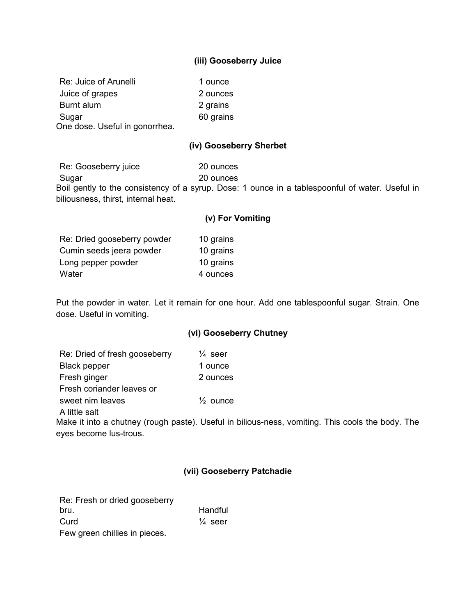# **(iii) Gooseberry Juice**

| Re: Juice of Arunelli          | 1 ounce   |
|--------------------------------|-----------|
| Juice of grapes                | 2 ounces  |
| Burnt alum                     | 2 grains  |
| Sugar                          | 60 grains |
| One dose. Useful in gonorrhea. |           |

#### **(iv) Gooseberry Sherbet**

Re: Gooseberry juice 20 ounces Sugar 20 ounces Boil gently to the consistency of a syrup. Dose: 1 ounce in a tablespoonful of water. Useful in biliousness, thirst, internal heat.

# **(v) For Vomiting**

| Re: Dried gooseberry powder | 10 grains |
|-----------------------------|-----------|
| Cumin seeds jeera powder    | 10 grains |
| Long pepper powder          | 10 grains |
| Water                       | 4 ounces  |

Put the powder in water. Let it remain for one hour. Add one tablespoonful sugar. Strain. One dose. Useful in vomiting.

# **(vi) Gooseberry Chutney**

| Re: Dried of fresh gooseberry | $\frac{1}{4}$ seer  |
|-------------------------------|---------------------|
| <b>Black pepper</b>           | 1 ounce             |
| Fresh ginger                  | 2 ounces            |
| Fresh coriander leaves or     |                     |
| sweet nim leaves              | $\frac{1}{2}$ ounce |
| A little salt                 |                     |

Make it into a chutney (rough paste). Useful in bilious-ness, vomiting. This cools the body. The eyes become lus-trous.

### **(vii) Gooseberry Patchadie**

| Re: Fresh or dried gooseberry |                    |
|-------------------------------|--------------------|
| bru.                          | Handful            |
| Curd                          | $\frac{1}{4}$ seer |
| Few green chillies in pieces. |                    |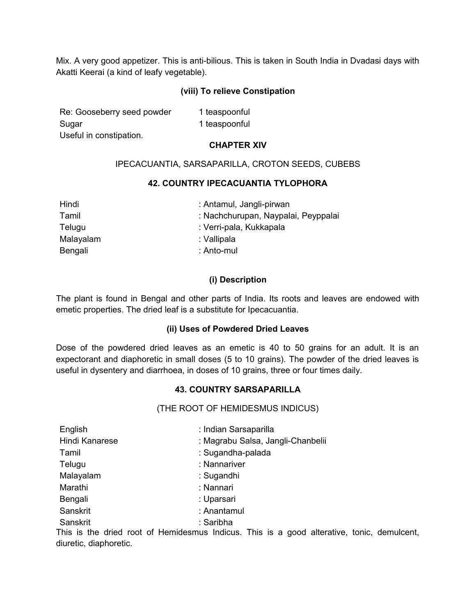Mix. A very good appetizer. This is anti-bilious. This is taken in South India in Dvadasi days with Akatti Keerai (a kind of leafy vegetable).

# **(viii) To relieve Constipation**

| Re: Gooseberry seed powder | 1 teaspoonful |
|----------------------------|---------------|
| Sugar                      | 1 teaspoonful |
| Useful in constipation.    |               |

# **CHAPTER XIV**

# IPECACUANTIA, SARSAPARILLA, CROTON SEEDS, CUBEBS

# **42. COUNTRY IPECACUANTIA TYLOPHORA**

| Hindi     | : Antamul, Jangli-pirwan            |
|-----------|-------------------------------------|
| Tamil     | : Nachchurupan, Naypalai, Peyppalai |
| Telugu    | : Verri-pala, Kukkapala             |
| Malayalam | : Vallipala                         |
| Bengali   | : Anto-mul                          |
|           |                                     |

# **(i) Description**

The plant is found in Bengal and other parts of India. Its roots and leaves are endowed with emetic properties. The dried leaf is a substitute for Ipecacuantia.

# **(ii) Uses of Powdered Dried Leaves**

Dose of the powdered dried leaves as an emetic is 40 to 50 grains for an adult. It is an expectorant and diaphoretic in small doses (5 to 10 grains). The powder of the dried leaves is useful in dysentery and diarrhoea, in doses of 10 grains, three or four times daily.

# **43. COUNTRY SARSAPARILLA**

(THE ROOT OF HEMIDESMUS INDICUS)

| English        | : Indian Sarsaparilla             |
|----------------|-----------------------------------|
| Hindi Kanarese | : Magrabu Salsa, Jangli-Chanbelii |
| Tamil          | : Sugandha-palada                 |
| Telugu         | : Nannariver                      |
| Malayalam      | : Sugandhi                        |
| Marathi        | : Nannari                         |
| Bengali        | : Uparsari                        |
| Sanskrit       | : Anantamul                       |
| Sanskrit       | : Saribha                         |

This is the dried root of Hemidesmus Indicus. This is a good alterative, tonic, demulcent, diuretic, diaphoretic.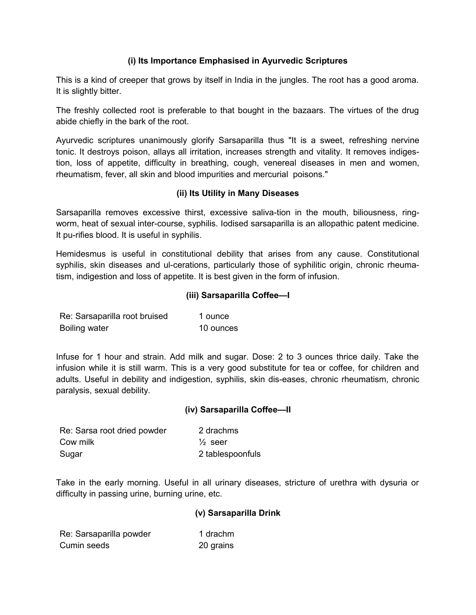# **(i) Its Importance Emphasised in Ayurvedic Scriptures**

This is a kind of creeper that grows by itself in India in the jungles. The root has a good aroma. It is slightly bitter.

The freshly collected root is preferable to that bought in the bazaars. The virtues of the drug abide chiefly in the bark of the root.

Ayurvedic scriptures unanimously glorify Sarsaparilla thus "It is a sweet, refreshing nervine tonic. It destroys poison, allays all irritation, increases strength and vitality. It removes indigestion, loss of appetite, difficulty in breathing, cough, venereal diseases in men and women, rheumatism, fever, all skin and blood impurities and mercurial poisons."

# **(ii) Its Utility in Many Diseases**

Sarsaparilla removes excessive thirst, excessive saliva-tion in the mouth, biliousness, ringworm, heat of sexual inter-course, syphilis. Iodised sarsaparilla is an allopathic patent medicine. It pu-rifies blood. It is useful in syphilis.

Hemidesmus is useful in constitutional debility that arises from any cause. Constitutional syphilis, skin diseases and ul-cerations, particularly those of syphilitic origin, chronic rheumatism, indigestion and loss of appetite. It is best given in the form of infusion.

# **(iii) Sarsaparilla Coffee—I**

| Re: Sarsaparilla root bruised | 1 ounce   |
|-------------------------------|-----------|
| Boiling water                 | 10 ounces |

Infuse for 1 hour and strain. Add milk and sugar. Dose: 2 to 3 ounces thrice daily. Take the infusion while it is still warm. This is a very good substitute for tea or coffee, for children and adults. Useful in debility and indigestion, syphilis, skin dis-eases, chronic rheumatism, chronic paralysis, sexual debility.

# **(iv) Sarsaparilla Coffee—II**

| Re: Sarsa root dried powder | 2 drachms          |
|-----------------------------|--------------------|
| Cow milk                    | $\frac{1}{2}$ seer |
| Sugar                       | 2 tablespoonfuls   |

Take in the early morning. Useful in all urinary diseases, stricture of urethra with dysuria or difficulty in passing urine, burning urine, etc.

# **(v) Sarsaparilla Drink**

| Re: Sarsaparilla powder | 1 drachm  |
|-------------------------|-----------|
| Cumin seeds             | 20 grains |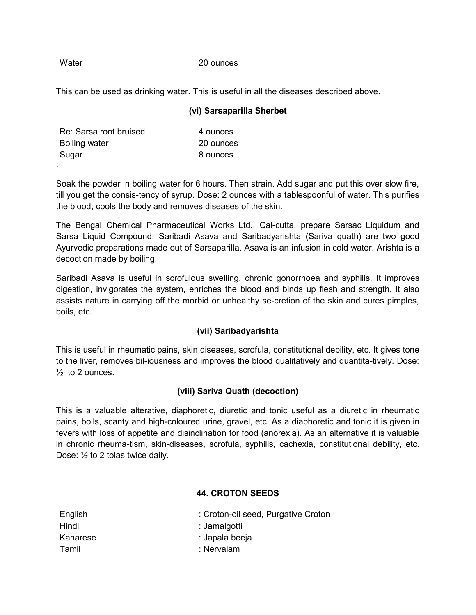.

Water 20 ounces

This can be used as drinking water. This is useful in all the diseases described above.

# **(vi) Sarsaparilla Sherbet**

| Re: Sarsa root bruised | 4 ounces  |
|------------------------|-----------|
| Boiling water          | 20 ounces |
| Sugar                  | 8 ounces  |

Soak the powder in boiling water for 6 hours. Then strain. Add sugar and put this over slow fire, till you get the consis-tency of syrup. Dose: 2 ounces with a tablespoonful of water. This purifies the blood, cools the body and removes diseases of the skin.

The Bengal Chemical Pharmaceutical Works Ltd., Cal-cutta, prepare Sarsac Liquidum and Sarsa Liquid Compound. Saribadi Asava and Saribadyarishta (Sariva quath) are two good Ayurvedic preparations made out of Sarsaparilla. Asava is an infusion in cold water. Arishta is a decoction made by boiling.

Saribadi Asava is useful in scrofulous swelling, chronic gonorrhoea and syphilis. It improves digestion, invigorates the system, enriches the blood and binds up flesh and strength. It also assists nature in carrying off the morbid or unhealthy se-cretion of the skin and cures pimples, boils, etc.

# **(vii) Saribadyarishta**

This is useful in rheumatic pains, skin diseases, scrofula, constitutional debility, etc. It gives tone to the liver, removes bil-iousness and improves the blood qualitatively and quantita-tively. Dose:  $\frac{1}{2}$  to 2 ounces.

# **(viii) Sariva Quath (decoction)**

This is a valuable alterative, diaphoretic, diuretic and tonic useful as a diuretic in rheumatic pains, boils, scanty and high-coloured urine, gravel, etc. As a diaphoretic and tonic it is given in fevers with loss of appetite and disinclination for food (anorexia). As an alternative it is valuable in chronic rheuma-tism, skin-diseases, scrofula, syphilis, cachexia, constitutional debility, etc. Dose: ½ to 2 tolas twice daily.

# **44. CROTON SEEDS**

| English  | : Croton-oil seed, Purgative Croton |
|----------|-------------------------------------|
| Hindi    | : Jamalgotti                        |
| Kanarese | : Japala beeja                      |
| Tamil    | : Nervalam                          |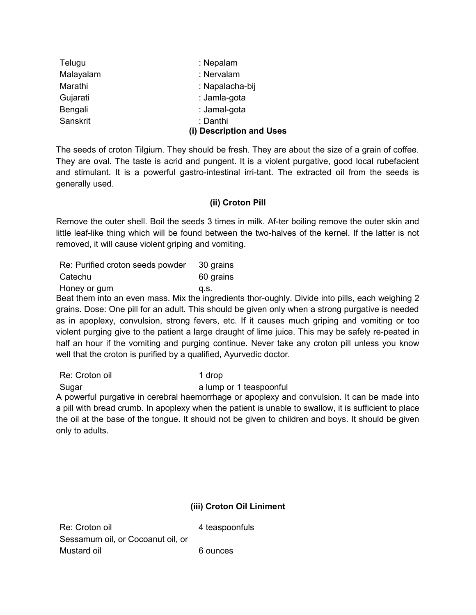| Telugu    | : Nepalam                |
|-----------|--------------------------|
| Malayalam | : Nervalam               |
| Marathi   | : Napalacha-bij          |
| Gujarati  | : Jamla-gota             |
| Bengali   | : Jamal-gota             |
| Sanskrit  | : Danthi                 |
|           | (i) Description and Uses |

The seeds of croton Tilgium. They should be fresh. They are about the size of a grain of coffee. They are oval. The taste is acrid and pungent. It is a violent purgative, good local rubefacient and stimulant. It is a powerful gastro-intestinal irri-tant. The extracted oil from the seeds is generally used.

# **(ii) Croton Pill**

Remove the outer shell. Boil the seeds 3 times in milk. Af-ter boiling remove the outer skin and little leaf-like thing which will be found between the two-halves of the kernel. If the latter is not removed, it will cause violent griping and vomiting.

| Re: Purified croton seeds powder | 30 grains |
|----------------------------------|-----------|
| Catechu                          | 60 grains |
| Honey or gum                     | q.s.      |

Beat them into an even mass. Mix the ingredients thor-oughly. Divide into pills, each weighing 2 grains. Dose: One pill for an adult. This should be given only when a strong purgative is needed as in apoplexy, convulsion, strong fevers, etc. If it causes much griping and vomiting or too violent purging give to the patient a large draught of lime juice. This may be safely re-peated in half an hour if the vomiting and purging continue. Never take any croton pill unless you know well that the croton is purified by a qualified, Ayurvedic doctor.

Re: Croton oil 1 drop Sugar a lump or 1 teaspoonful A powerful purgative in cerebral haemorrhage or apoplexy and convulsion. It can be made into

a pill with bread crumb. In apoplexy when the patient is unable to swallow, it is sufficient to place the oil at the base of the tongue. It should not be given to children and boys. It should be given only to adults.

# **(iii) Croton Oil Liniment**

Re: Croton oil 4 teaspoonfuls Sessamum oil, or Cocoanut oil, or Mustard oil **6** ounces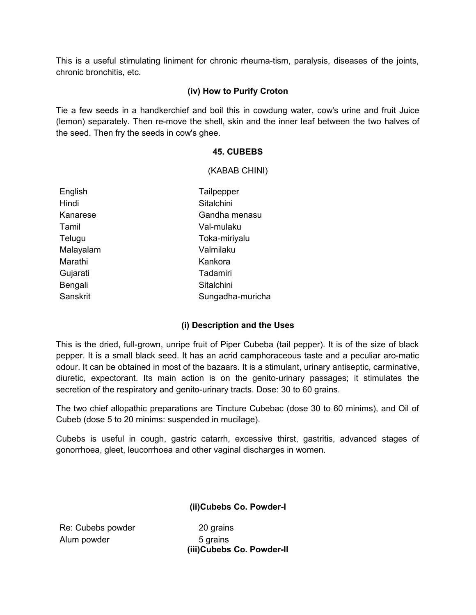This is a useful stimulating liniment for chronic rheuma-tism, paralysis, diseases of the joints, chronic bronchitis, etc.

# **(iv) How to Purify Croton**

Tie a few seeds in a handkerchief and boil this in cowdung water, cow's urine and fruit Juice (lemon) separately. Then re-move the shell, skin and the inner leaf between the two halves of the seed. Then fry the seeds in cow's ghee.

# **45. CUBEBS**

(KABAB CHINI)

| English   | Tailpepper       |
|-----------|------------------|
| Hindi     | Sitalchini       |
| Kanarese  | Gandha menasu    |
| Tamil     | Val-mulaku       |
| Telugu    | Toka-miriyalu    |
| Malayalam | Valmilaku        |
| Marathi   | Kankora          |
| Gujarati  | Tadamiri         |
| Bengali   | Sitalchini       |
| Sanskrit  | Sungadha-muricha |

# **(i) Description and the Uses**

This is the dried, full-grown, unripe fruit of Piper Cubeba (tail pepper). It is of the size of black pepper. It is a small black seed. It has an acrid camphoraceous taste and a peculiar aro-matic odour. It can be obtained in most of the bazaars. It is a stimulant, urinary antiseptic, carminative, diuretic, expectorant. Its main action is on the genito-urinary passages; it stimulates the secretion of the respiratory and genito-urinary tracts. Dose: 30 to 60 grains.

The two chief allopathic preparations are Tincture Cubebac (dose 30 to 60 minims), and Oil of Cubeb (dose 5 to 20 minims: suspended in mucilage).

Cubebs is useful in cough, gastric catarrh, excessive thirst, gastritis, advanced stages of gonorrhoea, gleet, leucorrhoea and other vaginal discharges in women.

**(ii)Cubebs Co. Powder-I**

Re: Cubebs powder 20 grains Alum powder 5 grains

**(iii)Cubebs Co. Powder-II**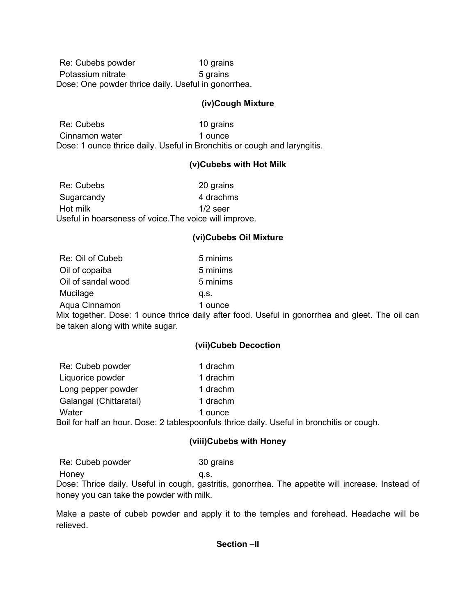Re: Cubebs powder 10 grains Potassium nitrate 5 grains Dose: One powder thrice daily. Useful in gonorrhea.

### **(iv)Cough Mixture**

Re: Cubebs 10 grains Cinnamon water 1 ounce Dose: 1 ounce thrice daily. Useful in Bronchitis or cough and laryngitis.

# **(v)Cubebs with Hot Milk**

| Re: Cubebs                                             | 20 grains  |
|--------------------------------------------------------|------------|
| Sugarcandy                                             | 4 drachms  |
| Hot milk                                               | $1/2$ seer |
| Useful in hoarseness of voice. The voice will improve. |            |

# **(vi)Cubebs Oil Mixture**

| Re: Oil of Cubeb                 | 5 minims                                                                                        |  |
|----------------------------------|-------------------------------------------------------------------------------------------------|--|
| Oil of copaiba                   | 5 minims                                                                                        |  |
| Oil of sandal wood               | 5 minims                                                                                        |  |
| Mucilage                         | a.s.                                                                                            |  |
| Aqua Cinnamon                    | 1 ounce                                                                                         |  |
|                                  | Mix together. Dose: 1 ounce thrice daily after food. Useful in gonorrhea and gleet. The oil can |  |
| be taken along with white sugar. |                                                                                                 |  |

# **(vii)Cubeb Decoction**

| Re: Cubeb powder       | 1 drachm |                                                                                            |
|------------------------|----------|--------------------------------------------------------------------------------------------|
| Liquorice powder       | 1 drachm |                                                                                            |
| Long pepper powder     | 1 drachm |                                                                                            |
| Galangal (Chittaratai) | 1 drachm |                                                                                            |
| Water                  | 1 ounce  |                                                                                            |
|                        |          | Boil for half an hour. Dose: 2 tablespoonfuls thrice daily. Useful in bronchitis or cough. |

# **(viii)Cubebs with Honey**

Re: Cubeb powder 30 grains Honey q.s.

Dose: Thrice daily. Useful in cough, gastritis, gonorrhea. The appetite will increase. Instead of honey you can take the powder with milk.

Make a paste of cubeb powder and apply it to the temples and forehead. Headache will be relieved.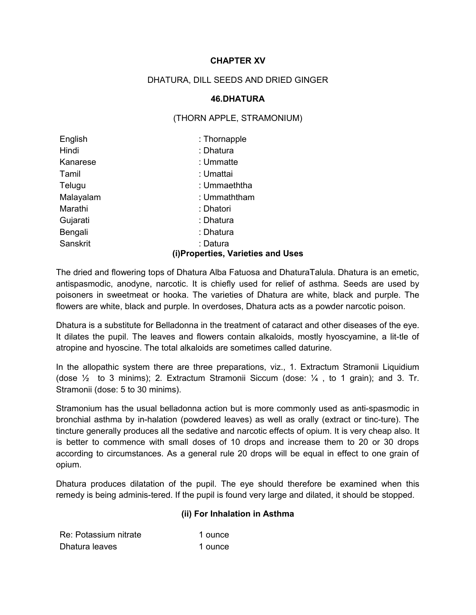#### **CHAPTER XV**

### DHATURA, DILL SEEDS AND DRIED GINGER

#### **46.DHATURA**

### (THORN APPLE, STRAMONIUM)

| English   | : Thornapple                      |
|-----------|-----------------------------------|
| Hindi     | : Dhatura                         |
| Kanarese  | : Ummatte                         |
| Tamil     | : Umattai                         |
| Telugu    | : Ummaeththa                      |
| Malayalam | : Ummaththam                      |
| Marathi   | : Dhatori                         |
| Gujarati  | : Dhatura                         |
| Bengali   | : Dhatura                         |
| Sanskrit  | : Datura                          |
|           | (i)Properties, Varieties and Uses |

The dried and flowering tops of Dhatura Alba Fatuosa and DhaturaTalula. Dhatura is an emetic, antispasmodic, anodyne, narcotic. It is chiefly used for relief of asthma. Seeds are used by poisoners in sweetmeat or hooka. The varieties of Dhatura are white, black and purple. The flowers are white, black and purple. In overdoses, Dhatura acts as a powder narcotic poison.

Dhatura is a substitute for Belladonna in the treatment of cataract and other diseases of the eye. It dilates the pupil. The leaves and flowers contain alkaloids, mostly hyoscyamine, a lit-tle of atropine and hyoscine. The total alkaloids are sometimes called daturine.

In the allopathic system there are three preparations, viz., 1. Extractum Stramonii Liquidium (dose  $\frac{1}{2}$  to 3 minims); 2. Extractum Stramonii Siccum (dose:  $\frac{1}{4}$ , to 1 grain); and 3. Tr. Stramonii (dose: 5 to 30 minims).

Stramonium has the usual belladonna action but is more commonly used as anti-spasmodic in bronchial asthma by in-halation (powdered leaves) as well as orally (extract or tinc-ture). The tincture generally produces all the sedative and narcotic effects of opium. It is very cheap also. It is better to commence with small doses of 10 drops and increase them to 20 or 30 drops according to circumstances. As a general rule 20 drops will be equal in effect to one grain of opium.

Dhatura produces dilatation of the pupil. The eye should therefore be examined when this remedy is being adminis-tered. If the pupil is found very large and dilated, it should be stopped.

#### **(ii) For Inhalation in Asthma**

| Re: Potassium nitrate | 1 ounce |
|-----------------------|---------|
| Dhatura leaves        | 1 ounce |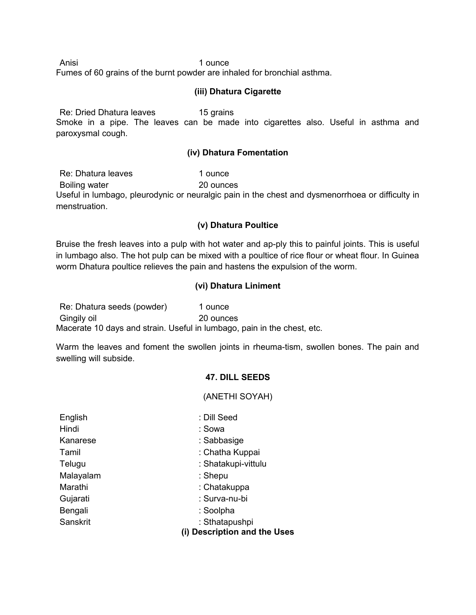Anisi 1 ounce

Fumes of 60 grains of the burnt powder are inhaled for bronchial asthma.

### **(iii) Dhatura Cigarette**

Re: Dried Dhatura leaves 15 grains

Smoke in a pipe. The leaves can be made into cigarettes also. Useful in asthma and paroxysmal cough.

### **(iv) Dhatura Fomentation**

Re: Dhatura leaves 1 ounce Boiling water 20 ounces Useful in lumbago, pleurodynic or neuralgic pain in the chest and dysmenorrhoea or difficulty in menstruation.

### **(v) Dhatura Poultice**

Bruise the fresh leaves into a pulp with hot water and ap-ply this to painful joints. This is useful in lumbago also. The hot pulp can be mixed with a poultice of rice flour or wheat flour. In Guinea worm Dhatura poultice relieves the pain and hastens the expulsion of the worm.

# **(vi) Dhatura Liniment**

Re: Dhatura seeds (powder) 1 ounce Gingily oil 20 ounces Macerate 10 days and strain. Useful in lumbago, pain in the chest, etc.

Warm the leaves and foment the swollen joints in rheuma-tism, swollen bones. The pain and swelling will subside.

#### **47. DILL SEEDS**

(ANETHI SOYAH)

| English   | : Dill Seed                  |
|-----------|------------------------------|
| Hindi     | : Sowa                       |
| Kanarese  | : Sabbasige                  |
| Tamil     | : Chatha Kuppai              |
| Telugu    | : Shatakupi-vittulu          |
| Malayalam | : Shepu                      |
| Marathi   | : Chatakuppa                 |
| Gujarati  | : Surva-nu-bi                |
| Bengali   | : Soolpha                    |
| Sanskrit  | : Sthatapushpi               |
|           | (i) Description and the Uses |
|           |                              |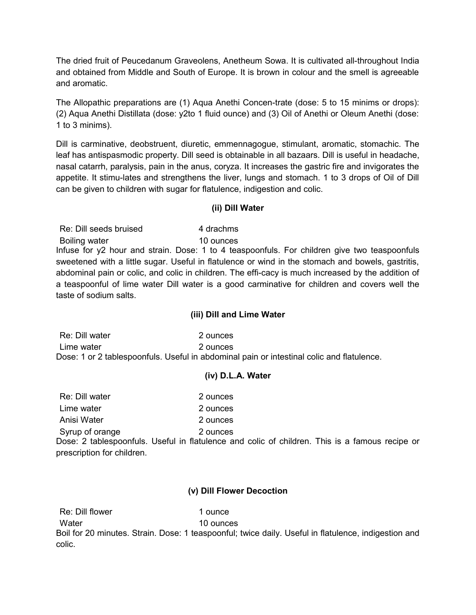The dried fruit of Peucedanum Graveolens, Anetheum Sowa. It is cultivated all-throughout India and obtained from Middle and South of Europe. It is brown in colour and the smell is agreeable and aromatic.

The Allopathic preparations are (1) Aqua Anethi Concen-trate (dose: 5 to 15 minims or drops): (2) Aqua Anethi Distillata (dose: y2to 1 fluid ounce) and (3) Oil of Anethi or Oleum Anethi (dose: 1 to 3 minims).

Dill is carminative, deobstruent, diuretic, emmennagogue, stimulant, aromatic, stomachic. The leaf has antispasmodic property. Dill seed is obtainable in all bazaars. Dill is useful in headache, nasal catarrh, paralysis, pain in the anus, coryza. It increases the gastric fire and invigorates the appetite. It stimu-lates and strengthens the liver, lungs and stomach. 1 to 3 drops of Oil of Dill can be given to children with sugar for flatulence, indigestion and colic.

# **(ii) Dill Water**

Re: Dill seeds bruised 4 drachms Boiling water 10 ounces

Infuse for y2 hour and strain. Dose: 1 to 4 teaspoonfuls. For children give two teaspoonfuls sweetened with a little sugar. Useful in flatulence or wind in the stomach and bowels, gastritis, abdominal pain or colic, and colic in children. The effi-cacy is much increased by the addition of a teaspoonful of lime water Dill water is a good carminative for children and covers well the taste of sodium salts.

# **(iii) Dill and Lime Water**

Re: Dill water 2 ounces Lime water 2 ounces Dose: 1 or 2 tablespoonfuls. Useful in abdominal pain or intestinal colic and flatulence.

#### **(iv) D.L.A. Water**

| Re: Dill water  | 2 ounces |
|-----------------|----------|
| Lime water      | 2 ounces |
| Anisi Water     | 2 ounces |
| Syrup of orange | 2 ounces |

Dose: 2 tablespoonfuls. Useful in flatulence and colic of children. This is a famous recipe or prescription for children.

#### **(v) Dill Flower Decoction**

Re: Dill flower 1 ounce Water 10 ounces Boil for 20 minutes. Strain. Dose: 1 teaspoonful; twice daily. Useful in flatulence, indigestion and colic.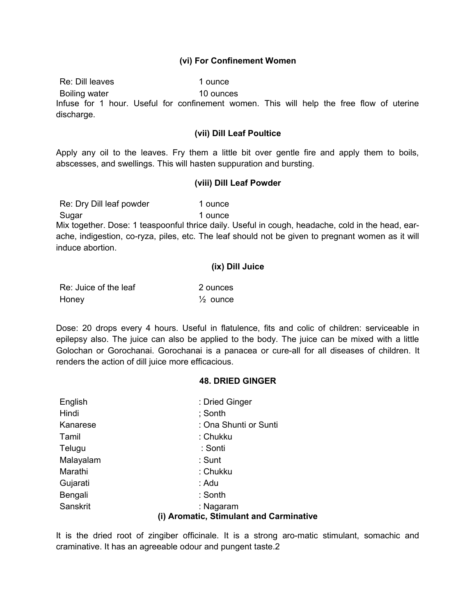#### **(vi) For Confinement Women**

Re: Dill leaves 1 ounce Boiling water 10 ounces Infuse for 1 hour. Useful for confinement women. This will help the free flow of uterine discharge.

#### **(vii) Dill Leaf Poultice**

Apply any oil to the leaves. Fry them a little bit over gentle fire and apply them to boils, abscesses, and swellings. This will hasten suppuration and bursting.

#### **(viii) Dill Leaf Powder**

Re: Dry Dill leaf powder 1 ounce Sugar 1 ounce

Mix together. Dose: 1 teaspoonful thrice daily. Useful in cough, headache, cold in the head, earache, indigestion, co-ryza, piles, etc. The leaf should not be given to pregnant women as it will induce abortion.

#### **(ix) Dill Juice**

| Re: Juice of the leaf | 2 ounces            |
|-----------------------|---------------------|
| Honey                 | $\frac{1}{2}$ ounce |

Dose: 20 drops every 4 hours. Useful in flatulence, fits and colic of children: serviceable in epilepsy also. The juice can also be applied to the body. The juice can be mixed with a little Golochan or Gorochanai. Gorochanai is a panacea or cure-all for all diseases of children. It renders the action of dill juice more efficacious.

#### **48. DRIED GINGER**

| English   | : Dried Ginger                          |
|-----------|-----------------------------------------|
| Hindi     | ; Sonth                                 |
| Kanarese  | : Ona Shunti or Sunti                   |
| Tamil     | : Chukku                                |
| Telugu    | : Sonti                                 |
| Malayalam | : Sunt                                  |
| Marathi   | : Chukku                                |
| Gujarati  | : Adu                                   |
| Bengali   | : Sonth                                 |
| Sanskrit  | : Nagaram                               |
|           | (i) Aromatic, Stimulant and Carminative |

It is the dried root of zingiber officinale. It is a strong aro-matic stimulant, somachic and craminative. It has an agreeable odour and pungent taste.2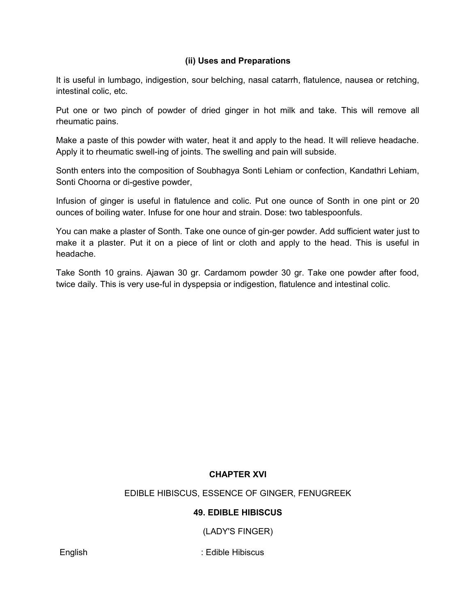# **(ii) Uses and Preparations**

It is useful in lumbago, indigestion, sour belching, nasal catarrh, flatulence, nausea or retching, intestinal colic, etc.

Put one or two pinch of powder of dried ginger in hot milk and take. This will remove all rheumatic pains.

Make a paste of this powder with water, heat it and apply to the head. It will relieve headache. Apply it to rheumatic swell-ing of joints. The swelling and pain will subside.

Sonth enters into the composition of Soubhagya Sonti Lehiam or confection, Kandathri Lehiam, Sonti Choorna or di-gestive powder,

Infusion of ginger is useful in flatulence and colic. Put one ounce of Sonth in one pint or 20 ounces of boiling water. Infuse for one hour and strain. Dose: two tablespoonfuls.

You can make a plaster of Sonth. Take one ounce of gin-ger powder. Add sufficient water just to make it a plaster. Put it on a piece of lint or cloth and apply to the head. This is useful in headache.

Take Sonth 10 grains. Ajawan 30 gr. Cardamom powder 30 gr. Take one powder after food, twice daily. This is very use-ful in dyspepsia or indigestion, flatulence and intestinal colic.

# **CHAPTER XVI**

EDIBLE HIBISCUS, ESSENCE OF GINGER, FENUGREEK

# **49. EDIBLE HIBISCUS**

(LADY'S FINGER)

English : Edible Hibiscus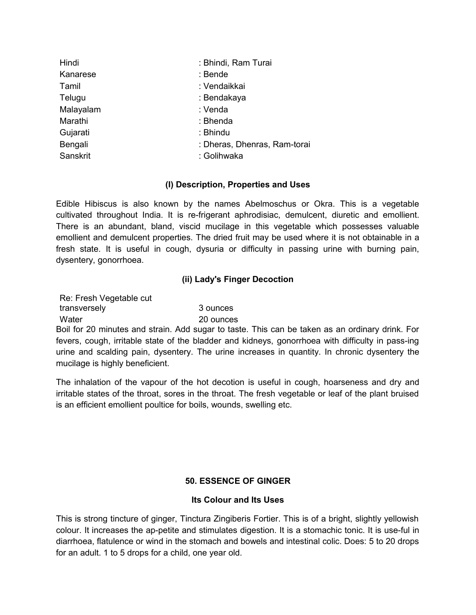| Hindi     | : Bhindi, Ram Turai          |
|-----------|------------------------------|
| Kanarese  | : Bende                      |
| Tamil     | : Vendaikkai                 |
| Telugu    | : Bendakaya                  |
| Malayalam | : Venda                      |
| Marathi   | : Bhenda                     |
| Gujarati  | : Bhindu                     |
| Bengali   | : Dheras, Dhenras, Ram-torai |
| Sanskrit  | : Golihwaka                  |

# **(I) Description, Properties and Uses**

Edible Hibiscus is also known by the names Abelmoschus or Okra. This is a vegetable cultivated throughout India. It is re-frigerant aphrodisiac, demulcent, diuretic and emollient. There is an abundant, bland, viscid mucilage in this vegetable which possesses valuable emollient and demulcent properties. The dried fruit may be used where it is not obtainable in a fresh state. It is useful in cough, dysuria or difficulty in passing urine with burning pain, dysentery, gonorrhoea.

# **(ii) Lady's Finger Decoction**

| Re: Fresh Vegetable cut |           |
|-------------------------|-----------|
| transversely            | 3 ounces  |
| Water                   | 20 ounces |

Boil for 20 minutes and strain. Add sugar to taste. This can be taken as an ordinary drink. For fevers, cough, irritable state of the bladder and kidneys, gonorrhoea with difficulty in pass-ing urine and scalding pain, dysentery. The urine increases in quantity. In chronic dysentery the mucilage is highly beneficient.

The inhalation of the vapour of the hot decotion is useful in cough, hoarseness and dry and irritable states of the throat, sores in the throat. The fresh vegetable or leaf of the plant bruised is an efficient emollient poultice for boils, wounds, swelling etc.

# **50. ESSENCE OF GINGER**

#### **Its Colour and Its Uses**

This is strong tincture of ginger, Tinctura Zingiberis Fortier. This is of a bright, slightly yellowish colour. It increases the ap-petite and stimulates digestion. It is a stomachic tonic. It is use-ful in diarrhoea, flatulence or wind in the stomach and bowels and intestinal colic. Does: 5 to 20 drops for an adult. 1 to 5 drops for a child, one year old.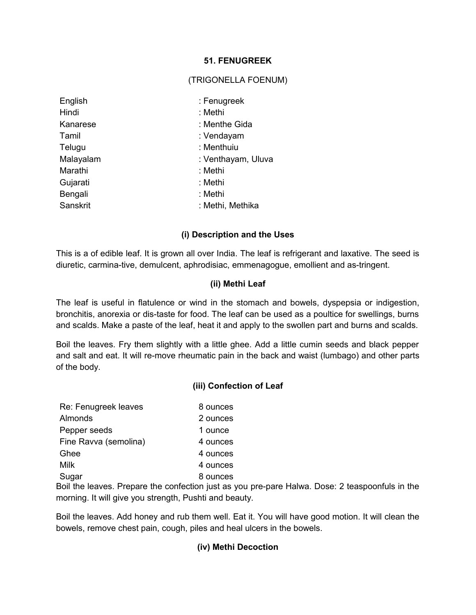# **51. FENUGREEK**

# (TRIGONELLA FOENUM)

| English<br>Hindi  | : Fenugreek<br>: Methi      |
|-------------------|-----------------------------|
| Kanarese<br>Tamil | : Menthe Gida<br>: Vendayam |
| Telugu            | : Menthuiu                  |
| Malayalam         | : Venthayam, Uluva          |
| Marathi           | : Methi                     |
| Gujarati          | : Methi                     |
| Bengali           | : Methi                     |
| Sanskrit          | : Methi, Methika            |

# **(i) Description and the Uses**

This is a of edible leaf. It is grown all over India. The leaf is refrigerant and laxative. The seed is diuretic, carmina-tive, demulcent, aphrodisiac, emmenagogue, emollient and as-tringent.

# **(ii) Methi Leaf**

The leaf is useful in flatulence or wind in the stomach and bowels, dyspepsia or indigestion, bronchitis, anorexia or dis-taste for food. The leaf can be used as a poultice for swellings, burns and scalds. Make a paste of the leaf, heat it and apply to the swollen part and burns and scalds.

Boil the leaves. Fry them slightly with a little ghee. Add a little cumin seeds and black pepper and salt and eat. It will re-move rheumatic pain in the back and waist (lumbago) and other parts of the body.

# **(iii) Confection of Leaf**

| Re: Fenugreek leaves  | 8 ounces |
|-----------------------|----------|
| Almonds               | 2 ounces |
| Pepper seeds          | 1 ounce  |
| Fine Ravva (semolina) | 4 ounces |
| Ghee                  | 4 ounces |
| Milk                  | 4 ounces |
| Sugar                 | 8 ounces |

Boil the leaves. Prepare the confection just as you pre-pare Halwa. Dose: 2 teaspoonfuls in the morning. It will give you strength, Pushti and beauty.

Boil the leaves. Add honey and rub them well. Eat it. You will have good motion. It will clean the bowels, remove chest pain, cough, piles and heal ulcers in the bowels.

# **(iv) Methi Decoction**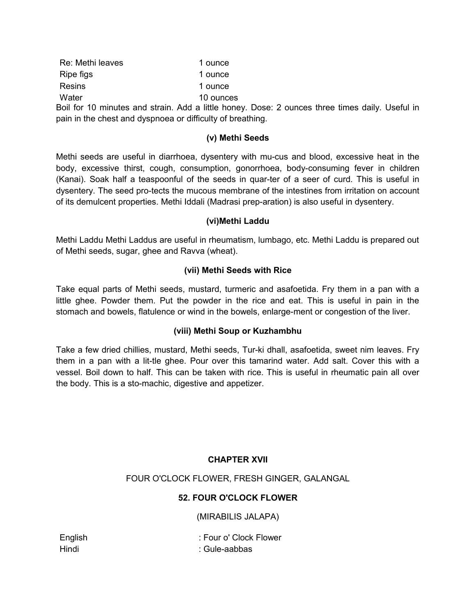| 1 ounce   |
|-----------|
| 1 ounce   |
| 1 ounce   |
| 10 ounces |
|           |

Boil for 10 minutes and strain. Add a little honey. Dose: 2 ounces three times daily. Useful in pain in the chest and dyspnoea or difficulty of breathing.

### **(v) Methi Seeds**

Methi seeds are useful in diarrhoea, dysentery with mu-cus and blood, excessive heat in the body, excessive thirst, cough, consumption, gonorrhoea, body-consuming fever in children (Kanai). Soak half a teaspoonful of the seeds in quar-ter of a seer of curd. This is useful in dysentery. The seed pro-tects the mucous membrane of the intestines from irritation on account of its demulcent properties. Methi Iddali (Madrasi prep-aration) is also useful in dysentery.

### **(vi)Methi Laddu**

Methi Laddu Methi Laddus are useful in rheumatism, lumbago, etc. Methi Laddu is prepared out of Methi seeds, sugar, ghee and Ravva (wheat).

# **(vii) Methi Seeds with Rice**

Take equal parts of Methi seeds, mustard, turmeric and asafoetida. Fry them in a pan with a little ghee. Powder them. Put the powder in the rice and eat. This is useful in pain in the stomach and bowels, flatulence or wind in the bowels, enlarge-ment or congestion of the liver.

# **(viii) Methi Soup or Kuzhambhu**

Take a few dried chillies, mustard, Methi seeds, Tur-ki dhall, asafoetida, sweet nim leaves. Fry them in a pan with a lit-tle ghee. Pour over this tamarind water. Add salt. Cover this with a vessel. Boil down to half. This can be taken with rice. This is useful in rheumatic pain all over the body. This is a sto-machic, digestive and appetizer.

#### **CHAPTER XVII**

FOUR O'CLOCK FLOWER, FRESH GINGER, GALANGAL

# **52. FOUR O'CLOCK FLOWER**

#### (MIRABILIS JALAPA)

English : Four o' Clock Flower Hindi : Gule-aabbas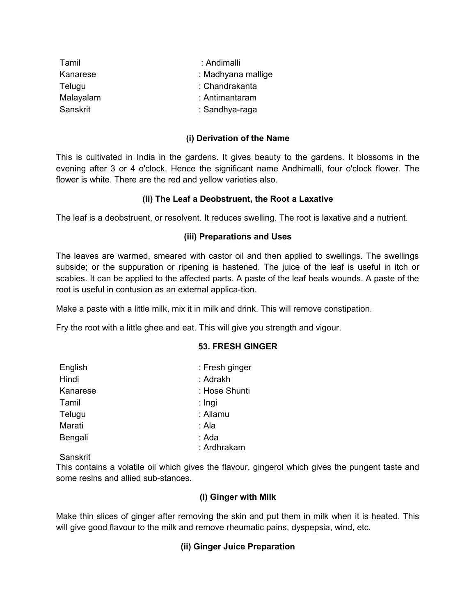| Tamil     | : Andimalli        |
|-----------|--------------------|
| Kanarese  | : Madhyana mallige |
| Telugu    | : Chandrakanta     |
| Malayalam | : Antimantaram     |
| Sanskrit  | : Sandhya-raga     |
|           |                    |

# **(i) Derivation of the Name**

This is cultivated in India in the gardens. It gives beauty to the gardens. It blossoms in the evening after 3 or 4 o'clock. Hence the significant name Andhimalli, four o'clock flower. The flower is white. There are the red and yellow varieties also.

# **(ii) The Leaf a Deobstruent, the Root a Laxative**

The leaf is a deobstruent, or resolvent. It reduces swelling. The root is laxative and a nutrient.

# **(iii) Preparations and Uses**

The leaves are warmed, smeared with castor oil and then applied to swellings. The swellings subside; or the suppuration or ripening is hastened. The juice of the leaf is useful in itch or scabies. It can be applied to the affected parts. A paste of the leaf heals wounds. A paste of the root is useful in contusion as an external applica-tion.

Make a paste with a little milk, mix it in milk and drink. This will remove constipation.

Fry the root with a little ghee and eat. This will give you strength and vigour.

# **53. FRESH GINGER**

| English  | : Fresh ginger       |
|----------|----------------------|
| Hindi    | : Adrakh             |
| Kanarese | : Hose Shunti        |
| Tamil    | : Ingi               |
| Telugu   | : Allamu             |
| Marati   | : Ala                |
| Bengali  | : Ada<br>: Ardhrakam |

Sanskrit

This contains a volatile oil which gives the flavour, gingerol which gives the pungent taste and some resins and allied sub-stances.

# **(i) Ginger with Milk**

Make thin slices of ginger after removing the skin and put them in milk when it is heated. This will give good flavour to the milk and remove rheumatic pains, dyspepsia, wind, etc.

# **(ii) Ginger Juice Preparation**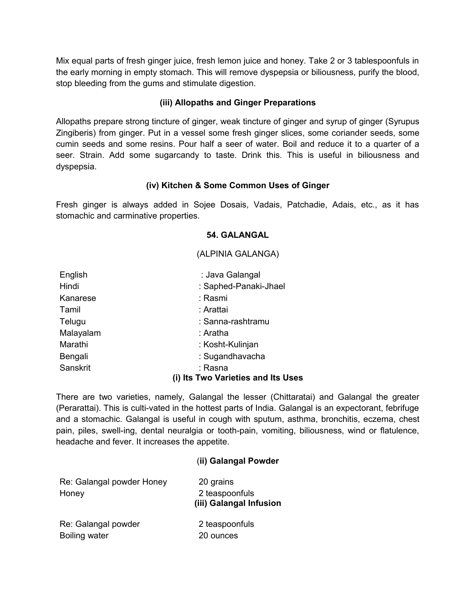Mix equal parts of fresh ginger juice, fresh lemon juice and honey. Take 2 or 3 tablespoonfuls in the early morning in empty stomach. This will remove dyspepsia or biliousness, purify the blood, stop bleeding from the gums and stimulate digestion.

# **(iii) Allopaths and Ginger Preparations**

Allopaths prepare strong tincture of ginger, weak tincture of ginger and syrup of ginger (Syrupus Zingiberis) from ginger. Put in a vessel some fresh ginger slices, some coriander seeds, some cumin seeds and some resins. Pour half a seer of water. Boil and reduce it to a quarter of a seer. Strain. Add some sugarcandy to taste. Drink this. This is useful in biliousness and dyspepsia.

# **(iv) Kitchen & Some Common Uses of Ginger**

Fresh ginger is always added in Sojee Dosais, Vadais, Patchadie, Adais, etc., as it has stomachic and carminative properties.

# **54. GALANGAL**

(ALPINIA GALANGA)

| English   | : Java Galangal                    |
|-----------|------------------------------------|
| Hindi     | : Saphed-Panaki-Jhael              |
| Kanarese  | : Rasmi                            |
| Tamil     | : Arattai                          |
| Telugu    | : Sanna-rashtramu                  |
| Malayalam | : Aratha                           |
| Marathi   | : Kosht-Kulinjan                   |
| Bengali   | : Sugandhavacha                    |
| Sanskrit  | : Rasna                            |
|           | (i) Its Two Varieties and Its Uses |

There are two varieties, namely, Galangal the lesser (Chittaratai) and Galangal the greater (Perarattai). This is culti-vated in the hottest parts of India. Galangal is an expectorant, febrifuge and a stomachic. Galangal is useful in cough with sputum, asthma, bronchitis, eczema, chest pain, piles, swell-ing, dental neuralgia or tooth-pain, vomiting, biliousness, wind or flatulence, headache and fever. It increases the appetite.

# (**ii) Galangal Powder**

| Re: Galangal powder Honey | 20 grains               |
|---------------------------|-------------------------|
| Honey                     | 2 teaspoonfuls          |
|                           | (iii) Galangal Infusion |
| Re: Galangal powder       | 2 teaspoonfuls          |
| Boiling water             | 20 ounces               |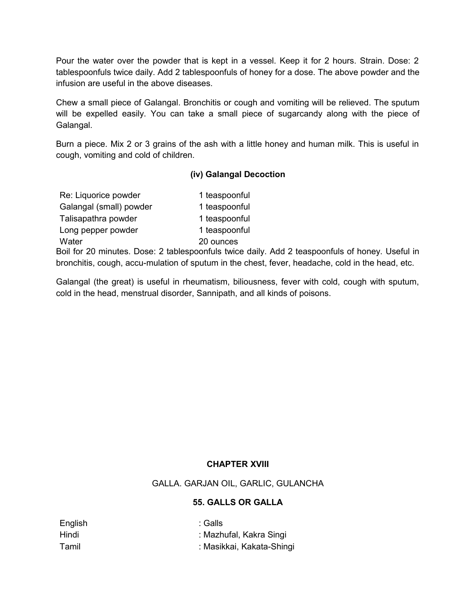Pour the water over the powder that is kept in a vessel. Keep it for 2 hours. Strain. Dose: 2 tablespoonfuls twice daily. Add 2 tablespoonfuls of honey for a dose. The above powder and the infusion are useful in the above diseases.

Chew a small piece of Galangal. Bronchitis or cough and vomiting will be relieved. The sputum will be expelled easily. You can take a small piece of sugarcandy along with the piece of Galangal.

Burn a piece. Mix 2 or 3 grains of the ash with a little honey and human milk. This is useful in cough, vomiting and cold of children.

# **(iv) Galangal Decoction**

| Re: Liquorice powder                                 | 1 teaspoonful |
|------------------------------------------------------|---------------|
| Galangal (small) powder                              | 1 teaspoonful |
| Talisapathra powder                                  | 1 teaspoonful |
| Long pepper powder                                   | 1 teaspoonful |
| Water                                                | 20 ounces     |
| Deil fer 00 minutes. Dessu 0 tablespeartule tuise de |               |

Boil for 20 minutes. Dose: 2 tablespoonfuls twice daily. Add 2 teaspoonfuls of honey. Useful in bronchitis, cough, accu-mulation of sputum in the chest, fever, headache, cold in the head, etc.

Galangal (the great) is useful in rheumatism, biliousness, fever with cold, cough with sputum, cold in the head, menstrual disorder, Sannipath, and all kinds of poisons.

# **CHAPTER XVIII**

GALLA. GARJAN OIL, GARLIC, GULANCHA

# **55. GALLS OR GALLA**

English : Galls

Hindi : Mazhufal, Kakra Singi Tamil **Tamil 1988**: Masikkai, Kakata-Shingi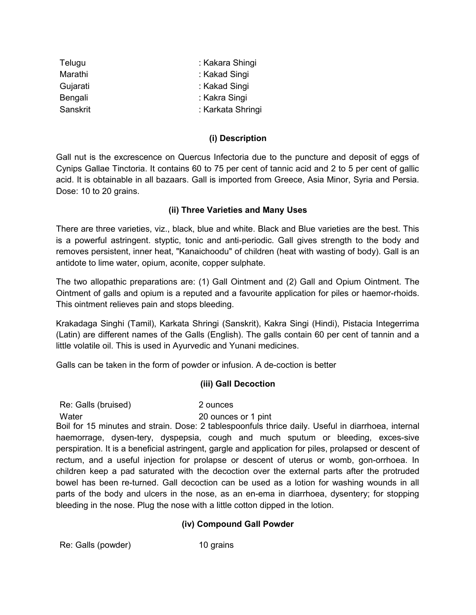| Telugu   | : Kakara Shingi   |
|----------|-------------------|
| Marathi  | : Kakad Singi     |
| Gujarati | : Kakad Singi     |
| Bengali  | : Kakra Singi     |
| Sanskrit | : Karkata Shringi |
|          |                   |

# **(i) Description**

Gall nut is the excrescence on Quercus Infectoria due to the puncture and deposit of eggs of Cynips Gallae Tinctoria. It contains 60 to 75 per cent of tannic acid and 2 to 5 per cent of gallic acid. It is obtainable in all bazaars. Gall is imported from Greece, Asia Minor, Syria and Persia. Dose: 10 to 20 grains.

# **(ii) Three Varieties and Many Uses**

There are three varieties, viz., black, blue and white. Black and Blue varieties are the best. This is a powerful astringent. styptic, tonic and anti-periodic. Gall gives strength to the body and removes persistent, inner heat, "Kanaichoodu" of children (heat with wasting of body). Gall is an antidote to lime water, opium, aconite, copper sulphate.

The two allopathic preparations are: (1) Gall Ointment and (2) Gall and Opium Ointment. The Ointment of galls and opium is a reputed and a favourite application for piles or haemor-rhoids. This ointment relieves pain and stops bleeding.

Krakadaga Singhi (Tamil), Karkata Shringi (Sanskrit), Kakra Singi (Hindi), Pistacia Integerrima (Latin) are different names of the Galls (English). The galls contain 60 per cent of tannin and a little volatile oil. This is used in Ayurvedic and Yunani medicines.

Galls can be taken in the form of powder or infusion. A de-coction is better

# **(iii) Gall Decoction**

Re: Galls (bruised) 2 ounces

Water 20 ounces or 1 pint

Boil for 15 minutes and strain. Dose: 2 tablespoonfuls thrice daily. Useful in diarrhoea, internal haemorrage, dysen-tery, dyspepsia, cough and much sputum or bleeding, exces-sive perspiration. It is a beneficial astringent, gargle and application for piles, prolapsed or descent of rectum, and a useful injection for prolapse or descent of uterus or womb, gon-orrhoea. In children keep a pad saturated with the decoction over the external parts after the protruded bowel has been re-turned. Gall decoction can be used as a lotion for washing wounds in all parts of the body and ulcers in the nose, as an en-ema in diarrhoea, dysentery; for stopping bleeding in the nose. Plug the nose with a little cotton dipped in the lotion.

# **(iv) Compound Gall Powder**

Re: Galls (powder) 10 grains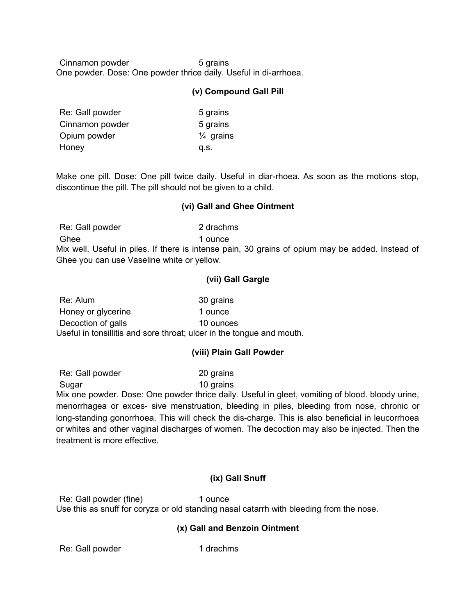Cinnamon powder 5 grains One powder. Dose: One powder thrice daily. Useful in di-arrhoea.

# **(v) Compound Gall Pill**

| Re: Gall powder | 5 grains             |
|-----------------|----------------------|
| Cinnamon powder | 5 grains             |
| Opium powder    | $\frac{1}{4}$ grains |
| Honey           | a.s.                 |

Make one pill. Dose: One pill twice daily. Useful in diar-rhoea. As soon as the motions stop, discontinue the pill. The pill should not be given to a child.

#### **(vi) Gall and Ghee Ointment**

Re: Gall powder 2 drachms Ghee 1 ounce Mix well. Useful in piles. If there is intense pain, 30 grains of opium may be added. Instead of Ghee you can use Vaseline white or yellow.

#### **(vii) Gall Gargle**

| Re: Alum                                                              | 30 grains |
|-----------------------------------------------------------------------|-----------|
| Honey or glycerine                                                    | 1 ounce   |
| Decoction of galls                                                    | 10 ounces |
| Useful in tonsillitis and sore throat; ulcer in the tongue and mouth. |           |

# **(viii) Plain Gall Powder**

Re: Gall powder 20 grains Sugar 10 grains

Mix one powder. Dose: One powder thrice daily. Useful in gleet, vomiting of blood. bloody urine, menorrhagea or exces- sive menstruation, bleeding in piles, bleeding from nose, chronic or long-standing gonorrhoea. This will check the dis-charge. This is also beneficial in leucorrhoea or whites and other vaginal discharges of women. The decoction may also be injected. Then the treatment is more effective.

#### **(ix) Gall Snuff**

Re: Gall powder (fine) 1 ounce Use this as snuff for coryza or old standing nasal catarrh with bleeding from the nose.

#### **(x) Gall and Benzoin Ointment**

Re: Gall powder 1 drachms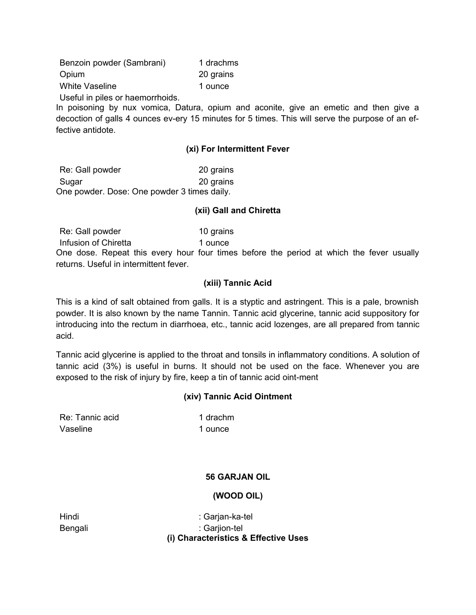| Benzoin powder (Sambrani) | 1 drachms |
|---------------------------|-----------|
| Opium                     | 20 grains |
| <b>White Vaseline</b>     | 1 ounce   |

Useful in piles or haemorrhoids.

In poisoning by nux vomica, Datura, opium and aconite, give an emetic and then give a decoction of galls 4 ounces ev-ery 15 minutes for 5 times. This will serve the purpose of an effective antidote.

#### **(xi) For Intermittent Fever**

Re: Gall powder 20 grains Sugar 20 grains One powder. Dose: One powder 3 times daily.

#### **(xii) Gall and Chiretta**

Re: Gall powder 10 grains Infusion of Chiretta 1 ounce One dose. Repeat this every hour four times before the period at which the fever usually returns. Useful in intermittent fever.

#### **(xiii) Tannic Acid**

This is a kind of salt obtained from galls. It is a styptic and astringent. This is a pale, brownish powder. It is also known by the name Tannin. Tannic acid glycerine, tannic acid suppository for introducing into the rectum in diarrhoea, etc., tannic acid lozenges, are all prepared from tannic acid.

Tannic acid glycerine is applied to the throat and tonsils in inflammatory conditions. A solution of tannic acid (3%) is useful in burns. It should not be used on the face. Whenever you are exposed to the risk of injury by fire, keep a tin of tannic acid oint-ment

#### **(xiv) Tannic Acid Ointment**

Re: Tannic acid 1 drachm Vaseline 1 ounce

#### **56 GARJAN OIL**

#### **(WOOD OIL)**

Hindi : Garjan-ka-tel Bengali : Garjion-tel **(i) Characteristics & Effective Uses**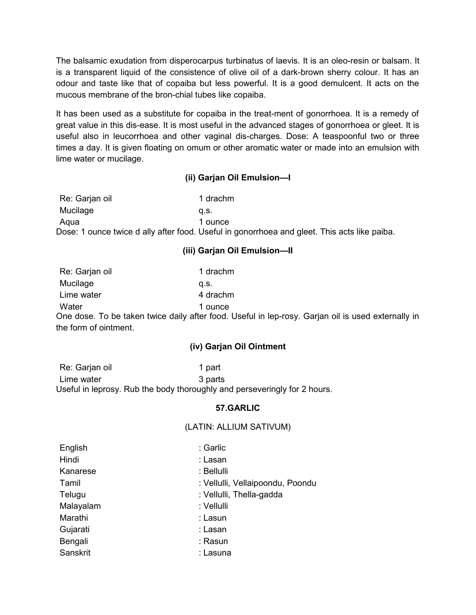The balsamic exudation from disperocarpus turbinatus of laevis. It is an oleo-resin or balsam. It is a transparent liquid of the consistence of olive oil of a dark-brown sherry colour. It has an odour and taste like that of copaiba but less powerful. It is a good demulcent. It acts on the mucous membrane of the bron-chial tubes like copaiba.

It has been used as a substitute for copaiba in the treat-ment of gonorrhoea. It is a remedy of great value in this dis-ease. It is most useful in the advanced stages of gonorrhoea or gleet. It is useful also in leucorrhoea and other vaginal dis-charges. Dose: A teaspoonful two or three times a day. It is given floating on omum or other aromatic water or made into an emulsion with lime water or mucilage.

# **(ii) Garjan Oil Emulsion—I**

Re: Garjan oil 1 drachm Mucilage q.s. Aqua 1 ounce Dose: 1 ounce twice d ally after food. Useful in gonorrhoea and gleet. This acts like paiba.

# **(iii) Garjan Oil Emulsion—II**

| Re: Garjan oil        | 1 drachm                                                                                           |  |
|-----------------------|----------------------------------------------------------------------------------------------------|--|
| Mucilage              | a.s.                                                                                               |  |
| Lime water            | 4 drachm                                                                                           |  |
| Water                 | 1 ounce                                                                                            |  |
|                       | One dose. To be taken twice daily after food. Useful in lep-rosy. Garjan oil is used externally in |  |
| the form of ointment. |                                                                                                    |  |

# **(iv) Garjan Oil Ointment**

Re: Garjan oil 1 part Lime water 3 parts Useful in leprosy. Rub the body thoroughly and perseveringly for 2 hours.

#### **57.GARLIC**

#### (LATIN: ALLIUM SATIVUM)

| : Garlic                         |
|----------------------------------|
| : Lasan                          |
| : Bellulli                       |
| : Vellulli, Vellaipoondu, Poondu |
| : Vellulli, Thella-gadda         |
| : Vellulli                       |
| : Lasun                          |
| : Lasan                          |
| : Rasun                          |
| : Lasuna                         |
|                                  |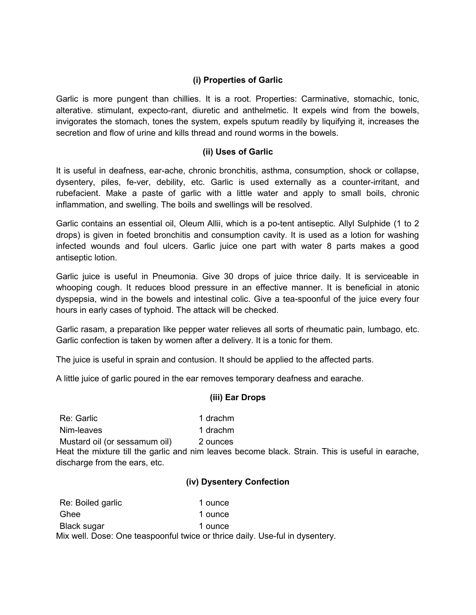# **(i) Properties of Garlic**

Garlic is more pungent than chillies. It is a root. Properties: Carminative, stomachic, tonic, alterative. stimulant, expecto-rant, diuretic and anthelmetic. It expels wind from the bowels, invigorates the stomach, tones the system, expels sputum readily by liquifying it, increases the secretion and flow of urine and kills thread and round worms in the bowels.

# **(ii) Uses of Garlic**

It is useful in deafness, ear-ache, chronic bronchitis, asthma, consumption, shock or collapse, dysentery, piles, fe-ver, debility, etc. Garlic is used externally as a counter-irritant, and rubefacient. Make a paste of garlic with a little water and apply to small boils, chronic inflammation, and swelling. The boils and swellings will be resolved.

Garlic contains an essential oil, Oleum Allii, which is a po-tent antiseptic. Allyl Sulphide (1 to 2 drops) is given in foeted bronchitis and consumption cavity. It is used as a lotion for washing infected wounds and foul ulcers. Garlic juice one part with water 8 parts makes a good antiseptic lotion.

Garlic juice is useful in Pneumonia. Give 30 drops of juice thrice daily. It is serviceable in whooping cough. It reduces blood pressure in an effective manner. It is beneficial in atonic dyspepsia, wind in the bowels and intestinal colic. Give a tea-spoonful of the juice every four hours in early cases of typhoid. The attack will be checked.

Garlic rasam, a preparation like pepper water relieves all sorts of rheumatic pain, lumbago, etc. Garlic confection is taken by women after a delivery. It is a tonic for them.

The juice is useful in sprain and contusion. It should be applied to the affected parts.

A little juice of garlic poured in the ear removes temporary deafness and earache.

# **(iii) Ear Drops**

Re: Garlic 2008 1 drachm Nim-leaves 1 drachm

Mustard oil (or sessamum oil) 2 ounces Heat the mixture till the garlic and nim leaves become black. Strain. This is useful in earache, discharge from the ears, etc.

# **(iv) Dysentery Confection**

| Re: Boiled garlic                                                            | 1 ounce |
|------------------------------------------------------------------------------|---------|
| Ghee                                                                         | 1 ounce |
| Black sugar                                                                  | 1 ounce |
| Mix well. Dose: One teaspoonful twice or thrice daily. Use-ful in dysentery. |         |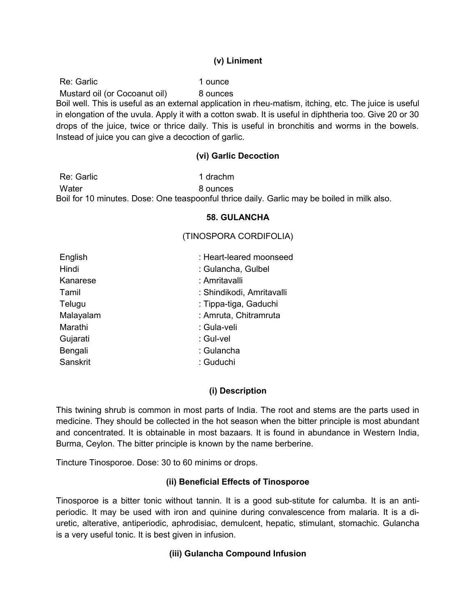### **(v) Liniment**

Re: Garlic 2008 1 ounce Mustard oil (or Cocoanut oil) 8 ounces Boil well. This is useful as an external application in rheu-matism, itching, etc. The juice is useful in elongation of the uvula. Apply it with a cotton swab. It is useful in diphtheria too. Give 20 or 30 drops of the juice, twice or thrice daily. This is useful in bronchitis and worms in the bowels. Instead of juice you can give a decoction of garlic.

# **(vi) Garlic Decoction**

Re: Garlic 1 drachm Water 8 ounces Boil for 10 minutes. Dose: One teaspoonful thrice daily. Garlic may be boiled in milk also.

#### **58. GULANCHA**

#### (TINOSPORA CORDIFOLIA)

| English   | : Heart-leared moonseed   |
|-----------|---------------------------|
| Hindi     | : Gulancha, Gulbel        |
| Kanarese  | : Amritavalli             |
| Tamil     | : Shindikodi, Amritavalli |
| Telugu    | : Tippa-tiga, Gaduchi     |
| Malayalam | : Amruta, Chitramruta     |
| Marathi   | : Gula-veli               |
| Gujarati  | : Gul-vel                 |
| Bengali   | : Gulancha                |
| Sanskrit  | : Guduchi                 |

#### **(i) Description**

This twining shrub is common in most parts of India. The root and stems are the parts used in medicine. They should be collected in the hot season when the bitter principle is most abundant and concentrated. It is obtainable in most bazaars. It is found in abundance in Western India, Burma, Ceylon. The bitter principle is known by the name berberine.

Tincture Tinosporoe. Dose: 30 to 60 minims or drops.

# **(ii) Beneficial Effects of Tinosporoe**

Tinosporoe is a bitter tonic without tannin. It is a good sub-stitute for calumba. It is an antiperiodic. It may be used with iron and quinine during convalescence from malaria. It is a diuretic, alterative, antiperiodic, aphrodisiac, demulcent, hepatic, stimulant, stomachic. Gulancha is a very useful tonic. It is best given in infusion.

# **(iii) Gulancha Compound Infusion**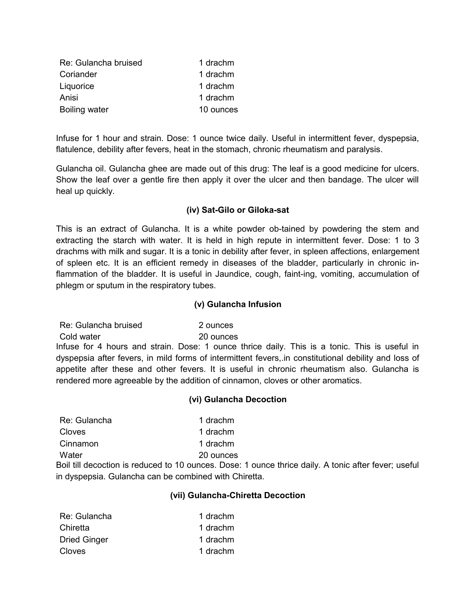| Re: Gulancha bruised | 1 drachm  |
|----------------------|-----------|
| Coriander            | 1 drachm  |
| Liquorice            | 1 drachm  |
| Anisi                | 1 drachm  |
| Boiling water        | 10 ounces |

Infuse for 1 hour and strain. Dose: 1 ounce twice daily. Useful in intermittent fever, dyspepsia, flatulence, debility after fevers, heat in the stomach, chronic rheumatism and paralysis.

Gulancha oil. Gulancha ghee are made out of this drug: The leaf is a good medicine for ulcers. Show the leaf over a gentle fire then apply it over the ulcer and then bandage. The ulcer will heal up quickly.

# **(iv) Sat-Gilo or Giloka-sat**

This is an extract of Gulancha. It is a white powder ob-tained by powdering the stem and extracting the starch with water. It is held in high repute in intermittent fever. Dose: 1 to 3 drachms with milk and sugar. It is a tonic in debility after fever, in spleen affections, enlargement of spleen etc. It is an efficient remedy in diseases of the bladder, particularly in chronic inflammation of the bladder. It is useful in Jaundice, cough, faint-ing, vomiting, accumulation of phlegm or sputum in the respiratory tubes.

# **(v) Gulancha Infusion**

Re: Gulancha bruised 2 ounces Cold water 20 ounces Infuse for 4 hours and strain. Dose: 1 ounce thrice daily. This is a tonic. This is useful in dyspepsia after fevers, in mild forms of intermittent fevers,.in constitutional debility and loss of appetite after these and other fevers. It is useful in chronic rheumatism also. Gulancha is rendered more agreeable by the addition of cinnamon, cloves or other aromatics.

# **(vi) Gulancha Decoction**

| Re: Gulancha | 1 drachm  |
|--------------|-----------|
| Cloves       | 1 drachm  |
| Cinnamon     | 1 drachm  |
| Water        | 20 ounces |

Boil till decoction is reduced to 10 ounces. Dose: 1 ounce thrice daily. A tonic after fever; useful in dyspepsia. Gulancha can be combined with Chiretta.

# **(vii) Gulancha-Chiretta Decoction**

| Re: Gulancha        | 1 drachm |
|---------------------|----------|
| Chiretta            | 1 drachm |
| <b>Dried Ginger</b> | 1 drachm |
| <b>Cloves</b>       | 1 drachm |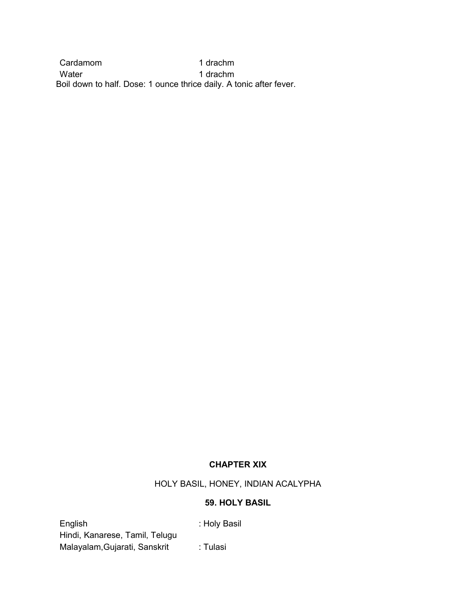Cardamom 1 drachm Water 1 drachm Boil down to half. Dose: 1 ounce thrice daily. A tonic after fever.

# **CHAPTER XIX**

# HOLY BASIL, HONEY, INDIAN ACALYPHA

# **59. HOLY BASIL**

| English                        | : Holy Basil |
|--------------------------------|--------------|
| Hindi, Kanarese, Tamil, Telugu |              |
| Malayalam, Gujarati, Sanskrit  | : Tulasi     |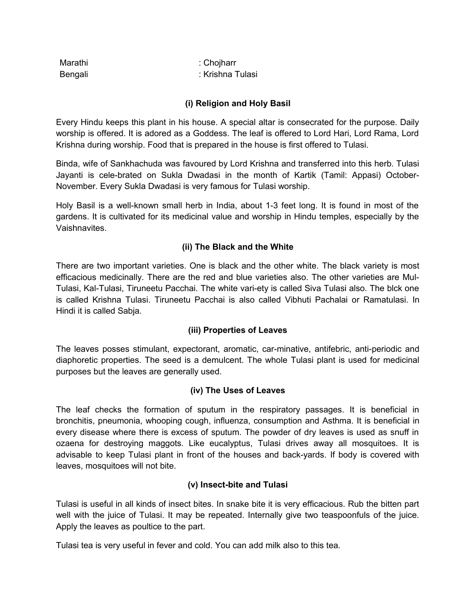| Marathi | : Chojharr       |
|---------|------------------|
| Bengali | : Krishna Tulasi |

# **(i) Religion and Holy Basil**

Every Hindu keeps this plant in his house. A special altar is consecrated for the purpose. Daily worship is offered. It is adored as a Goddess. The leaf is offered to Lord Hari, Lord Rama, Lord Krishna during worship. Food that is prepared in the house is first offered to Tulasi.

Binda, wife of Sankhachuda was favoured by Lord Krishna and transferred into this herb. Tulasi Jayanti is cele-brated on Sukla Dwadasi in the month of Kartik (Tamil: Appasi) October-November. Every Sukla Dwadasi is very famous for Tulasi worship.

Holy Basil is a well-known small herb in India, about 1-3 feet long. It is found in most of the gardens. It is cultivated for its medicinal value and worship in Hindu temples, especially by the Vaishnavites.

# **(ii) The Black and the White**

There are two important varieties. One is black and the other white. The black variety is most efficacious medicinally. There are the red and blue varieties also. The other varieties are Mul-Tulasi, Kal-Tulasi, Tiruneetu Pacchai. The white vari-ety is called Siva Tulasi also. The blck one is called Krishna Tulasi. Tiruneetu Pacchai is also called Vibhuti Pachalai or Ramatulasi. In Hindi it is called Sabja.

# **(iii) Properties of Leaves**

The leaves posses stimulant, expectorant, aromatic, car-minative, antifebric, anti-periodic and diaphoretic properties. The seed is a demulcent. The whole Tulasi plant is used for medicinal purposes but the leaves are generally used.

# **(iv) The Uses of Leaves**

The leaf checks the formation of sputum in the respiratory passages. It is beneficial in bronchitis, pneumonia, whooping cough, influenza, consumption and Asthma. It is beneficial in every disease where there is excess of sputum. The powder of dry leaves is used as snuff in ozaena for destroying maggots. Like eucalyptus, Tulasi drives away all mosquitoes. It is advisable to keep Tulasi plant in front of the houses and back-yards. If body is covered with leaves, mosquitoes will not bite.

# **(v) Insect-bite and Tulasi**

Tulasi is useful in all kinds of insect bites. In snake bite it is very efficacious. Rub the bitten part well with the juice of Tulasi. It may be repeated. Internally give two teaspoonfuls of the juice. Apply the leaves as poultice to the part.

Tulasi tea is very useful in fever and cold. You can add milk also to this tea.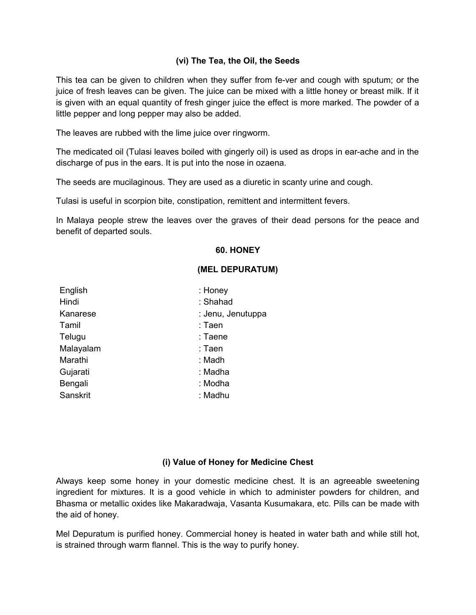## **(vi) The Tea, the Oil, the Seeds**

This tea can be given to children when they suffer from fe-ver and cough with sputum; or the juice of fresh leaves can be given. The juice can be mixed with a little honey or breast milk. If it is given with an equal quantity of fresh ginger juice the effect is more marked. The powder of a little pepper and long pepper may also be added.

The leaves are rubbed with the lime juice over ringworm.

The medicated oil (Tulasi leaves boiled with gingerly oil) is used as drops in ear-ache and in the discharge of pus in the ears. It is put into the nose in ozaena.

The seeds are mucilaginous. They are used as a diuretic in scanty urine and cough.

Tulasi is useful in scorpion bite, constipation, remittent and intermittent fevers.

In Malaya people strew the leaves over the graves of their dead persons for the peace and benefit of departed souls.

#### **60. HONEY**

#### **(MEL DEPURATUM)**

| English   | : Honey           |
|-----------|-------------------|
| Hindi     | : Shahad          |
| Kanarese  | : Jenu, Jenutuppa |
| Tamil     | : Taen            |
| Telugu    | : Taene           |
| Malayalam | : Taen            |
| Marathi   | : Madh            |
| Gujarati  | : Madha           |
| Bengali   | : Modha           |
| Sanskrit  | : Madhu           |
|           |                   |

### **(i) Value of Honey for Medicine Chest**

Always keep some honey in your domestic medicine chest. It is an agreeable sweetening ingredient for mixtures. It is a good vehicle in which to administer powders for children, and Bhasma or metallic oxides like Makaradwaja, Vasanta Kusumakara, etc. Pills can be made with the aid of honey.

Mel Depuratum is purified honey. Commercial honey is heated in water bath and while still hot, is strained through warm flannel. This is the way to purify honey.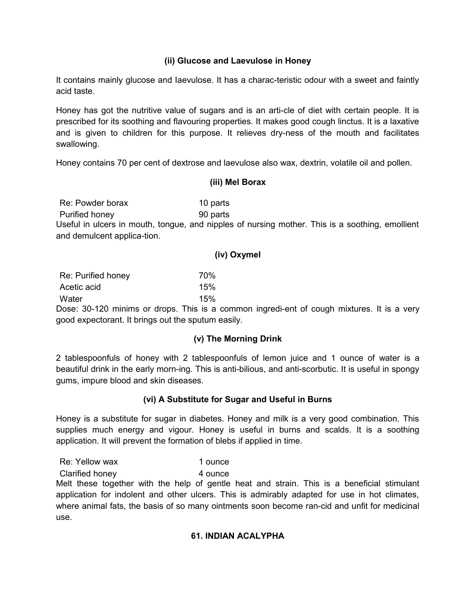## **(ii) Glucose and Laevulose in Honey**

It contains mainly glucose and Iaevulose. It has a charac-teristic odour with a sweet and faintly acid taste.

Honey has got the nutritive value of sugars and is an arti-cle of diet with certain people. It is prescribed for its soothing and flavouring properties. It makes good cough linctus. It is a laxative and is given to children for this purpose. It relieves dry-ness of the mouth and facilitates swallowing.

Honey contains 70 per cent of dextrose and laevulose also wax, dextrin, volatile oil and pollen.

#### **(iii) Mel Borax**

Re: Powder borax 10 parts Purified honey 90 parts

Useful in ulcers in mouth, tongue, and nipples of nursing mother. This is a soothing, emollient and demulcent applica-tion.

#### **(iv) Oxymel**

| Re: Purified honey | 70% |
|--------------------|-----|
| Acetic acid        | 15% |
| Water              | 15% |

Dose: 30-120 minims or drops. This is a common ingredi-ent of cough mixtures. It is a very good expectorant. It brings out the sputum easily.

### **(v) The Morning Drink**

2 tablespoonfuls of honey with 2 tablespoonfuls of lemon juice and 1 ounce of water is a beautiful drink in the early morn-ing. This is anti-bilious, and anti-scorbutic. It is useful in spongy gums, impure blood and skin diseases.

### **(vi) A Substitute for Sugar and Useful in Burns**

Honey is a substitute for sugar in diabetes. Honey and milk is a very good combination. This supplies much energy and vigour. Honey is useful in burns and scalds. It is a soothing application. It will prevent the formation of blebs if applied in time.

Re: Yellow wax 1 ounce

Clarified honey 4 ounce

Melt these together with the help of gentle heat and strain. This is a beneficial stimulant application for indolent and other ulcers. This is admirably adapted for use in hot climates, where animal fats, the basis of so many ointments soon become ran-cid and unfit for medicinal use.

### **61. INDIAN ACALYPHA**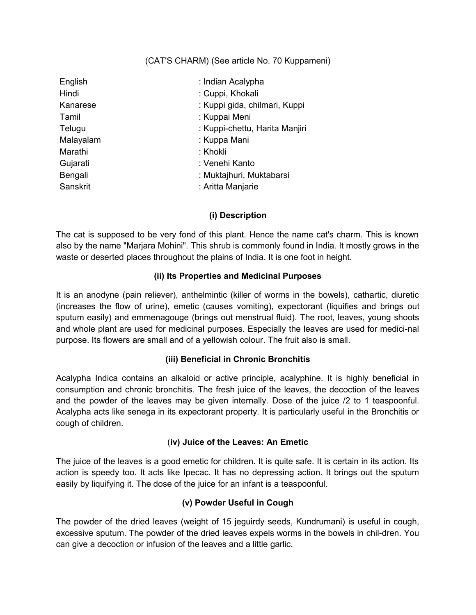## (CAT'S CHARM) (See article No. 70 Kuppameni)

| English   | : Indian Acalypha              |
|-----------|--------------------------------|
| Hindi     | : Cuppi, Khokali               |
| Kanarese  | : Kuppi gida, chilmari, Kuppi  |
| Tamil     | : Kuppai Meni                  |
| Telugu    | : Kuppi-chettu, Harita Manjiri |
| Malayalam | : Kuppa Mani                   |
| Marathi   | : Khokli                       |
| Gujarati  | : Venehi Kanto                 |
| Bengali   | : Muktajhuri, Muktabarsi       |
| Sanskrit  | : Aritta Manjarie              |

## **(i) Description**

The cat is supposed to be very fond of this plant. Hence the name cat's charm. This is known also by the name "Marjara Mohini". This shrub is commonly found in India. It mostly grows in the waste or deserted places throughout the plains of India. It is one foot in height.

## **(ii) Its Properties and Medicinal Purposes**

It is an anodyne (pain reliever), anthelmintic (killer of worms in the bowels), cathartic, diuretic (increases the flow of urine), emetic (causes vomiting), expectorant (liquifies and brings out sputum easily) and emmenagouge (brings out menstrual fluid). The root, leaves, young shoots and whole plant are used for medicinal purposes. Especially the leaves are used for medici-nal purpose. Its flowers are small and of a yellowish colour. The fruit also is small.

### **(iii) Beneficial in Chronic Bronchitis**

Acalypha Indica contains an alkaloid or active principle, acalyphine. It is highly beneficial in consumption and chronic bronchitis. The fresh juice of the leaves, the decoction of the leaves and the powder of the leaves may be given internally. Dose of the juice /2 to 1 teaspoonful. Acalypha acts like senega in its expectorant property. It is particularly useful in the Bronchitis or cough of children.

### (**iv) Juice of the Leaves: An Emetic**

The juice of the leaves is a good emetic for children. It is quite safe. It is certain in its action. Its action is speedy too. It acts like Ipecac. It has no depressing action. It brings out the sputum easily by liquifying it. The dose of the juice for an infant is a teaspoonful.

### **(v) Powder Useful in Cough**

The powder of the dried leaves (weight of 15 jeguirdy seeds, Kundrumani) is useful in cough, excessive sputum. The powder of the dried leaves expels worms in the bowels in chil-dren. You can give a decoction or infusion of the leaves and a little garlic.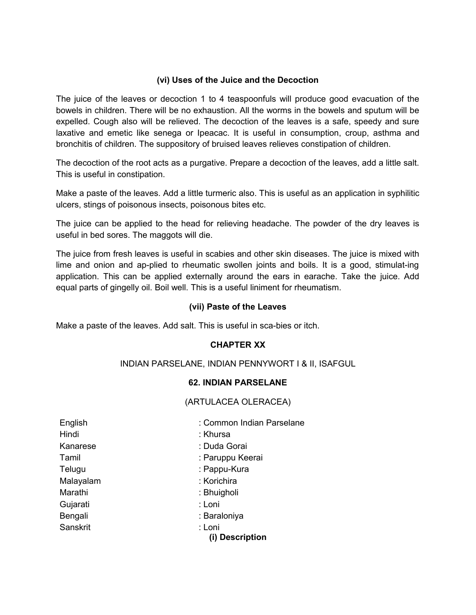## **(vi) Uses of the Juice and the Decoction**

The juice of the leaves or decoction 1 to 4 teaspoonfuls will produce good evacuation of the bowels in children. There will be no exhaustion. All the worms in the bowels and sputum will be expelled. Cough also will be relieved. The decoction of the leaves is a safe, speedy and sure laxative and emetic like senega or Ipeacac. It is useful in consumption, croup, asthma and bronchitis of children. The suppository of bruised leaves relieves constipation of children.

The decoction of the root acts as a purgative. Prepare a decoction of the leaves, add a little salt. This is useful in constipation.

Make a paste of the leaves. Add a little turmeric also. This is useful as an application in syphilitic ulcers, stings of poisonous insects, poisonous bites etc.

The juice can be applied to the head for relieving headache. The powder of the dry leaves is useful in bed sores. The maggots will die.

The juice from fresh leaves is useful in scabies and other skin diseases. The juice is mixed with lime and onion and ap-plied to rheumatic swollen joints and boils. It is a good, stimulat-ing application. This can be applied externally around the ears in earache. Take the juice. Add equal parts of gingelly oil. Boil well. This is a useful liniment for rheumatism.

### **(vii) Paste of the Leaves**

Make a paste of the leaves. Add salt. This is useful in sca-bies or itch.

### **CHAPTER XX**

## INDIAN PARSELANE, INDIAN PENNYWORT I & II, ISAFGUL

#### **62. INDIAN PARSELANE**

### (ARTULACEA OLERACEA)

Gujarati : Loni Sanskrit : Loni

- English : Common Indian Parselane Hindi : Khursa Kanarese : Duda Gorai Tamil : Paruppu Keerai Telugu : Pappu-Kura Malayalam : Korichira Marathi : Bhuigholi Bengali : Baraloniya
	- **(i) Description**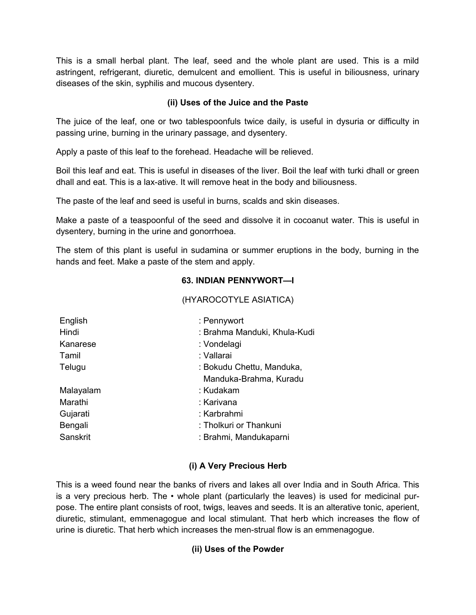This is a small herbal plant. The leaf, seed and the whole plant are used. This is a mild astringent, refrigerant, diuretic, demulcent and emollient. This is useful in biliousness, urinary diseases of the skin, syphilis and mucous dysentery.

# **(ii) Uses of the Juice and the Paste**

The juice of the leaf, one or two tablespoonfuls twice daily, is useful in dysuria or difficulty in passing urine, burning in the urinary passage, and dysentery.

Apply a paste of this leaf to the forehead. Headache will be relieved.

Boil this leaf and eat. This is useful in diseases of the liver. Boil the leaf with turki dhall or green dhall and eat. This is a lax-ative. It will remove heat in the body and biliousness.

The paste of the leaf and seed is useful in burns, scalds and skin diseases.

Make a paste of a teaspoonful of the seed and dissolve it in cocoanut water. This is useful in dysentery, burning in the urine and gonorrhoea.

The stem of this plant is useful in sudamina or summer eruptions in the body, burning in the hands and feet. Make a paste of the stem and apply.

# **63. INDIAN PENNYWORT—I**

(HYAROCOTYLE ASIATICA)

| English   | : Pennywort                  |
|-----------|------------------------------|
| Hindi     | : Brahma Manduki, Khula-Kudi |
| Kanarese  | : Vondelagi                  |
| Tamil     | : Vallarai                   |
| Telugu    | : Bokudu Chettu, Manduka,    |
|           | Manduka-Brahma, Kuradu       |
| Malayalam | : Kudakam                    |
| Marathi   | : Karivana                   |
| Gujarati  | : Karbrahmi                  |
| Bengali   | : Tholkuri or Thankuni       |
| Sanskrit  | : Brahmi, Mandukaparni       |
|           |                              |

# **(i) A Very Precious Herb**

This is a weed found near the banks of rivers and lakes all over India and in South Africa. This is a very precious herb. The  $\cdot$  whole plant (particularly the leaves) is used for medicinal purpose. The entire plant consists of root, twigs, leaves and seeds. It is an alterative tonic, aperient, diuretic, stimulant, emmenagogue and local stimulant. That herb which increases the flow of urine is diuretic. That herb which increases the men-strual flow is an emmenagogue.

# **(ii) Uses of the Powder**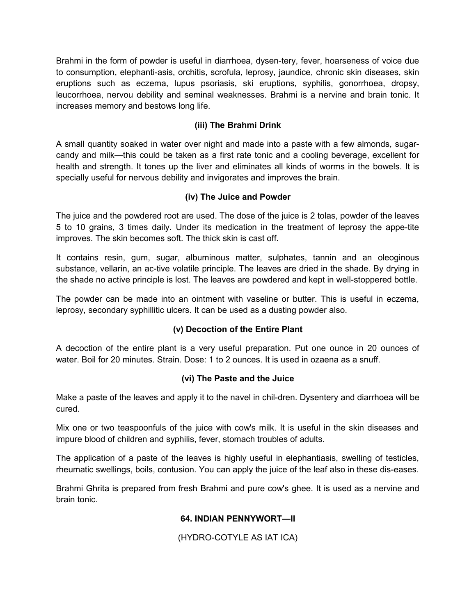Brahmi in the form of powder is useful in diarrhoea, dysen-tery, fever, hoarseness of voice due to consumption, elephanti-asis, orchitis, scrofula, leprosy, jaundice, chronic skin diseases, skin eruptions such as eczema, lupus psoriasis, ski eruptions, syphilis, gonorrhoea, dropsy, leucorrhoea, nervou debility and seminal weaknesses. Brahmi is a nervine and brain tonic. It increases memory and bestows long life.

# **(iii) The Brahmi Drink**

A small quantity soaked in water over night and made into a paste with a few almonds, sugarcandy and milk—this could be taken as a first rate tonic and a cooling beverage, excellent for health and strength. It tones up the liver and eliminates all kinds of worms in the bowels. It is specially useful for nervous debility and invigorates and improves the brain.

# **(iv) The Juice and Powder**

The juice and the powdered root are used. The dose of the juice is 2 tolas, powder of the leaves 5 to 10 grains, 3 times daily. Under its medication in the treatment of leprosy the appe-tite improves. The skin becomes soft. The thick skin is cast off.

It contains resin, gum, sugar, albuminous matter, sulphates, tannin and an oleoginous substance, vellarin, an ac-tive volatile principle. The leaves are dried in the shade. By drying in the shade no active principle is lost. The leaves are powdered and kept in well-stoppered bottle.

The powder can be made into an ointment with vaseline or butter. This is useful in eczema, leprosy, secondary syphillitic ulcers. It can be used as a dusting powder also.

# **(v) Decoction of the Entire Plant**

A decoction of the entire plant is a very useful preparation. Put one ounce in 20 ounces of water. Boil for 20 minutes. Strain. Dose: 1 to 2 ounces. It is used in ozaena as a snuff.

# **(vi) The Paste and the Juice**

Make a paste of the leaves and apply it to the navel in chil-dren. Dysentery and diarrhoea will be cured.

Mix one or two teaspoonfuls of the juice with cow's milk. It is useful in the skin diseases and impure blood of children and syphilis, fever, stomach troubles of adults.

The application of a paste of the leaves is highly useful in elephantiasis, swelling of testicles, rheumatic swellings, boils, contusion. You can apply the juice of the leaf also in these dis-eases.

Brahmi Ghrita is prepared from fresh Brahmi and pure cow's ghee. It is used as a nervine and brain tonic.

# **64. INDIAN PENNYWORT—II**

(HYDRO-COTYLE AS IAT ICA)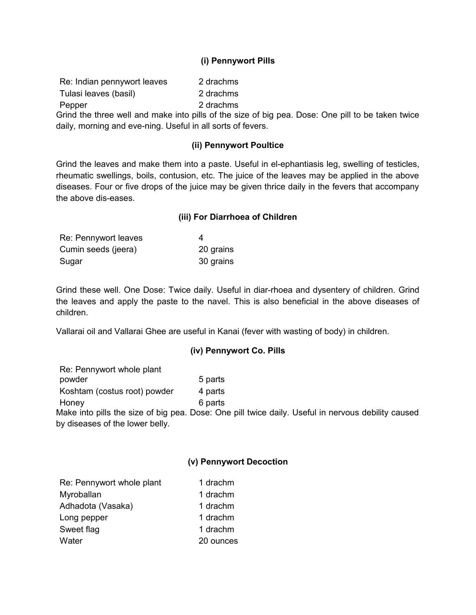## **(i) Pennywort Pills**

| Re: Indian pennywort leaves | 2 drachms |
|-----------------------------|-----------|
| Tulasi leaves (basil)       | 2 drachms |
| Pepper                      | 2 drachms |

Grind the three well and make into pills of the size of big pea. Dose: One pill to be taken twice daily, morning and eve-ning. Useful in all sorts of fevers.

#### **(ii) Pennywort Poultice**

Grind the leaves and make them into a paste. Useful in el-ephantiasis leg, swelling of testicles, rheumatic swellings, boils, contusion, etc. The juice of the leaves may be applied in the above diseases. Four or five drops of the juice may be given thrice daily in the fevers that accompany the above dis-eases.

#### **(iii) For Diarrhoea of Children**

| Re: Pennywort leaves | 4         |
|----------------------|-----------|
| Cumin seeds (jeera)  | 20 grains |
| Sugar                | 30 grains |

Grind these well. One Dose: Twice daily. Useful in diar-rhoea and dysentery of children. Grind the leaves and apply the paste to the navel. This is also beneficial in the above diseases of children.

Vallarai oil and Vallarai Ghee are useful in Kanai (fever with wasting of body) in children.

### **(iv) Pennywort Co. Pills**

| Re: Pennywort whole plant                                                                          |         |  |  |
|----------------------------------------------------------------------------------------------------|---------|--|--|
| powder                                                                                             | 5 parts |  |  |
| Koshtam (costus root) powder                                                                       | 4 parts |  |  |
| Honey                                                                                              | 6 parts |  |  |
| Make into pills the size of big pea. Dose: One pill twice daily. Useful in nervous debility caused |         |  |  |
| by diseases of the lower belly.                                                                    |         |  |  |

### **(v) Pennywort Decoction**

| Re: Pennywort whole plant | 1 drachm  |
|---------------------------|-----------|
| Myroballan                | 1 drachm  |
| Adhadota (Vasaka)         | 1 drachm  |
| Long pepper               | 1 drachm  |
| Sweet flag                | 1 drachm  |
| Water                     | 20 ounces |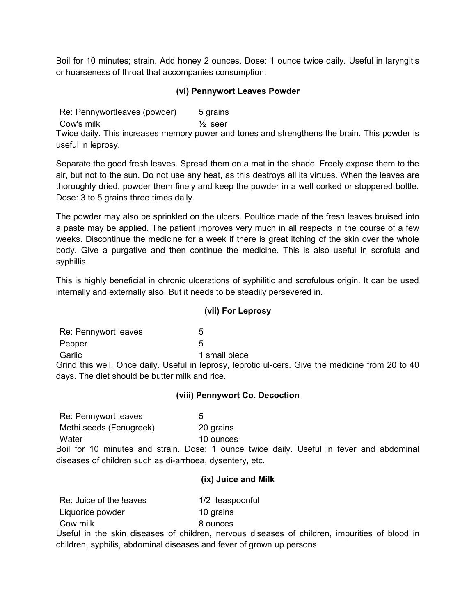Boil for 10 minutes; strain. Add honey 2 ounces. Dose: 1 ounce twice daily. Useful in laryngitis or hoarseness of throat that accompanies consumption.

## **(vi) Pennywort Leaves Powder**

Re: Pennywortleaves (powder) 5 grains

Cow's milk  $\frac{1}{2}$  seer

Twice daily. This increases memory power and tones and strengthens the brain. This powder is useful in leprosy.

Separate the good fresh leaves. Spread them on a mat in the shade. Freely expose them to the air, but not to the sun. Do not use any heat, as this destroys all its virtues. When the leaves are thoroughly dried, powder them finely and keep the powder in a well corked or stoppered bottle. Dose: 3 to 5 grains three times daily.

The powder may also be sprinkled on the ulcers. Poultice made of the fresh leaves bruised into a paste may be applied. The patient improves very much in all respects in the course of a few weeks. Discontinue the medicine for a week if there is great itching of the skin over the whole body. Give a purgative and then continue the medicine. This is also useful in scrofula and syphillis.

This is highly beneficial in chronic ulcerations of syphilitic and scrofulous origin. It can be used internally and externally also. But it needs to be steadily persevered in.

### **(vii) For Leprosy**

Re: Pennywort leaves 5 Pepper 5 Garlic **6** and 1 small piece

Grind this well. Once daily. Useful in leprosy, leprotic ul-cers. Give the medicine from 20 to 40 days. The diet should be butter milk and rice.

### **(viii) Pennywort Co. Decoction**

Re: Pennywort leaves 5 Methi seeds (Fenugreek) 20 grains

Water 10 ounces

Boil for 10 minutes and strain. Dose: 1 ounce twice daily. Useful in fever and abdominal diseases of children such as di-arrhoea, dysentery, etc.

#### **(ix) Juice and Milk**

| Re: Juice of the leaves | 1/2 teaspoonful |
|-------------------------|-----------------|
| Liquorice powder        | 10 grains       |
| Cow milk                | 8 ounces        |

Useful in the skin diseases of children, nervous diseases of children, impurities of blood in children, syphilis, abdominal diseases and fever of grown up persons.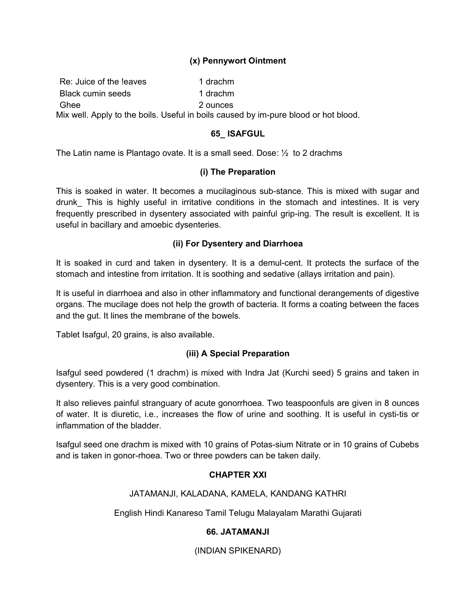## **(x) Pennywort Ointment**

Re: Juice of the leaves 1 drachm Black cumin seeds 1 drachm Ghee 2 ounces Mix well. Apply to the boils. Useful in boils caused by im-pure blood or hot blood.

### **65\_ ISAFGUL**

The Latin name is Plantago ovate. It is a small seed. Dose: ½ to 2 drachms

### **(i) The Preparation**

This is soaked in water. It becomes a mucilaginous sub-stance. This is mixed with sugar and drunk\_ This is highly useful in irritative conditions in the stomach and intestines. It is very frequently prescribed in dysentery associated with painful grip-ing. The result is excellent. It is useful in bacillary and amoebic dysenteries.

### **(ii) For Dysentery and Diarrhoea**

It is soaked in curd and taken in dysentery. It is a demul-cent. It protects the surface of the stomach and intestine from irritation. It is soothing and sedative (allays irritation and pain).

It is useful in diarrhoea and also in other inflammatory and functional derangements of digestive organs. The mucilage does not help the growth of bacteria. It forms a coating between the faces and the gut. It lines the membrane of the bowels.

Tablet Isafgul, 20 grains, is also available.

### **(iii) A Special Preparation**

Isafgul seed powdered (1 drachm) is mixed with Indra Jat (Kurchi seed) 5 grains and taken in dysentery. This is a very good combination.

It also relieves painful stranguary of acute gonorrhoea. Two teaspoonfuls are given in 8 ounces of water. It is diuretic, i.e., increases the flow of urine and soothing. It is useful in cysti-tis or inflammation of the bladder.

Isafgul seed one drachm is mixed with 10 grains of Potas-sium Nitrate or in 10 grains of Cubebs and is taken in gonor-rhoea. Two or three powders can be taken daily.

### **CHAPTER XXI**

### JATAMANJI, KALADANA, KAMELA, KANDANG KATHRI

English Hindi Kanareso Tamil Telugu Malayalam Marathi Gujarati

# **66. JATAMANJI**

(INDIAN SPIKENARD)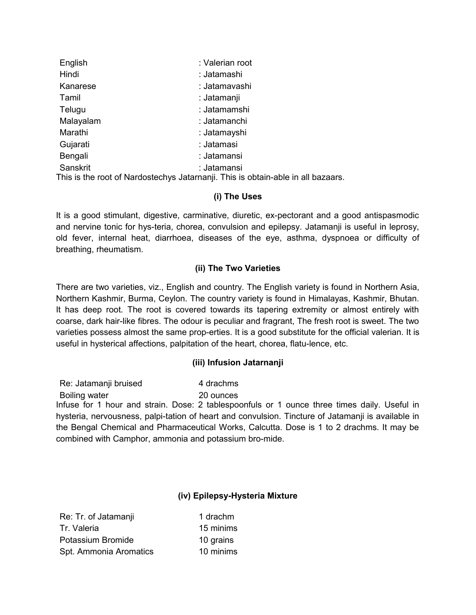| English                                                                          | : Valerian root |  |
|----------------------------------------------------------------------------------|-----------------|--|
| Hindi                                                                            | : Jatamashi     |  |
| Kanarese                                                                         | : Jatamavashi   |  |
| Tamil                                                                            | : Jatamanji     |  |
| Telugu                                                                           | : Jatamamshi    |  |
| Malayalam                                                                        | : Jatamanchi    |  |
| Marathi                                                                          | : Jatamayshi    |  |
| Gujarati                                                                         | : Jatamasi      |  |
| Bengali                                                                          | : Jatamansi     |  |
| Sanskrit                                                                         | : Jatamansi     |  |
| This is the root of Nardostechys Jatarnanji. This is obtain-able in all bazaars. |                 |  |

### **(i) The Uses**

It is a good stimulant, digestive, carminative, diuretic, ex-pectorant and a good antispasmodic and nervine tonic for hys-teria, chorea, convulsion and epilepsy. Jatamanji is useful in leprosy, old fever, internal heat, diarrhoea, diseases of the eye, asthma, dyspnoea or difficulty of breathing, rheumatism.

## **(ii) The Two Varieties**

There are two varieties, viz., English and country. The English variety is found in Northern Asia, Northern Kashmir, Burma, Ceylon. The country variety is found in Himalayas, Kashmir, Bhutan. It has deep root. The root is covered towards its tapering extremity or almost entirely with coarse, dark hair-like fibres. The odour is peculiar and fragrant, The fresh root is sweet. The two varieties possess almost the same prop-erties. It is a good substitute for the official valerian. It is useful in hysterical affections, palpitation of the heart, chorea, flatu-lence, etc.

### **(iii) Infusion Jatarnanji**

Re: Jatamanji bruised 4 drachms Boiling water 20 ounces Infuse for 1 hour and strain. Dose: 2 tablespoonfuls or 1 ounce three times daily. Useful in hysteria, nervousness, palpi-tation of heart and convulsion. Tincture of Jatamanji is available in the Bengal Chemical and Pharmaceutical Works, Calcutta. Dose is 1 to 2 drachms. It may be combined with Camphor, ammonia and potassium bro-mide.

# **(iv) Epilepsy-Hysteria Mixture**

Re: Tr. of Jatamanji 1 drachm Tr. Valeria 15 minims Potassium Bromide 10 grains Spt. Ammonia Aromatics 10 minims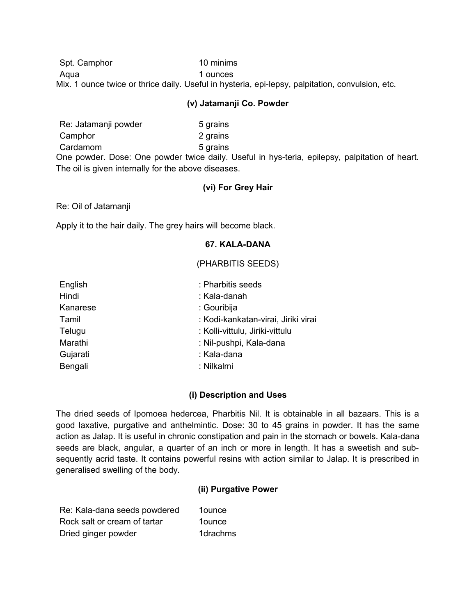Spt. Camphor 10 minims Aqua 1 ounces Mix. 1 ounce twice or thrice daily. Useful in hysteria, epi-lepsy, palpitation, convulsion, etc.

#### **(v) Jatamanji Co. Powder**

Re: Jatamanji powder 5 grains Camphor 2 grains Cardamom 5 grains One powder. Dose: One powder twice daily. Useful in hys-teria, epilepsy, palpitation of heart. The oil is given internally for the above diseases.

### **(vi) For Grey Hair**

Re: Oil of Jatamanji

Apply it to the hair daily. The grey hairs will become black.

#### **67. KALA-DANA**

#### (PHARBITIS SEEDS)

| English  | : Pharbitis seeds                   |
|----------|-------------------------------------|
| Hindi    | : Kala-danah                        |
| Kanarese | : Gouribija                         |
| Tamil    | : Kodi-kankatan-virai, Jiriki virai |
| Telugu   | : Kolli-vittulu, Jiriki-vittulu     |
| Marathi  | : Nil-pushpi, Kala-dana             |
| Gujarati | : Kala-dana                         |
| Bengali  | : Nilkalmi                          |

#### **(i) Description and Uses**

The dried seeds of Ipomoea hedercea, Pharbitis Nil. It is obtainable in all bazaars. This is a good laxative, purgative and anthelmintic. Dose: 30 to 45 grains in powder. It has the same action as Jalap. It is useful in chronic constipation and pain in the stomach or bowels. Kala-dana seeds are black, angular, a quarter of an inch or more in length. It has a sweetish and subsequently acrid taste. It contains powerful resins with action similar to Jalap. It is prescribed in generalised swelling of the body.

#### **(ii) Purgative Power**

| Re: Kala-dana seeds powdered | 1 <sub>ounce</sub> |
|------------------------------|--------------------|
| Rock salt or cream of tartar | 1 <sub>ounce</sub> |
| Dried ginger powder          | 1drachms           |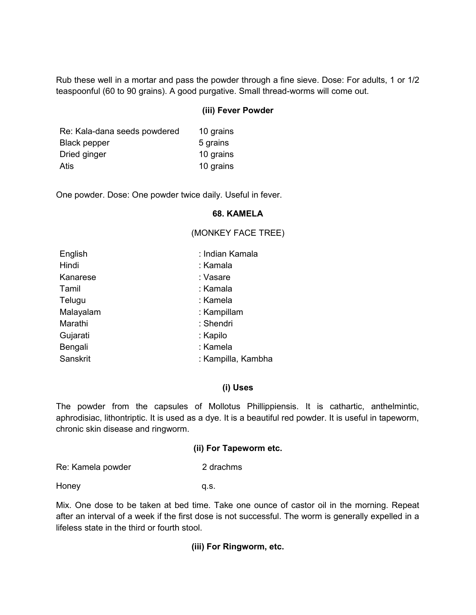Rub these well in a mortar and pass the powder through a fine sieve. Dose: For adults, 1 or 1/2 teaspoonful (60 to 90 grains). A good purgative. Small thread-worms will come out.

## **(iii) Fever Powder**

Re: Kala-dana seeds powdered 10 grains Black pepper 5 grains Dried ginger 10 grains Atis 10 grains

One powder. Dose: One powder twice daily. Useful in fever.

#### **68. KAMELA**

(MONKEY FACE TREE)

| English   | : Indian Kamala    |
|-----------|--------------------|
| Hindi     | : Kamala           |
| Kanarese  | : Vasare           |
| Tamil     | : Kamala           |
| Telugu    | : Kamela           |
| Malayalam | : Kampillam        |
| Marathi   | : Shendri          |
| Gujarati  | : Kapilo           |
| Bengali   | : Kamela           |
| Sanskrit  | : Kampilla, Kambha |

### **(i) Uses**

The powder from the capsules of Mollotus Phillippiensis. It is cathartic, anthelmintic, aphrodisiac, lithontriptic. It is used as a dye. It is a beautiful red powder. It is useful in tapeworm, chronic skin disease and ringworm.

#### **(ii) For Tapeworm etc.**

Re: Kamela powder 2 drachms

Honey q.s.

Mix. One dose to be taken at bed time. Take one ounce of castor oil in the morning. Repeat after an interval of a week if the first dose is not successful. The worm is generally expelled in a lifeless state in the third or fourth stool.

**(iii) For Ringworm, etc.**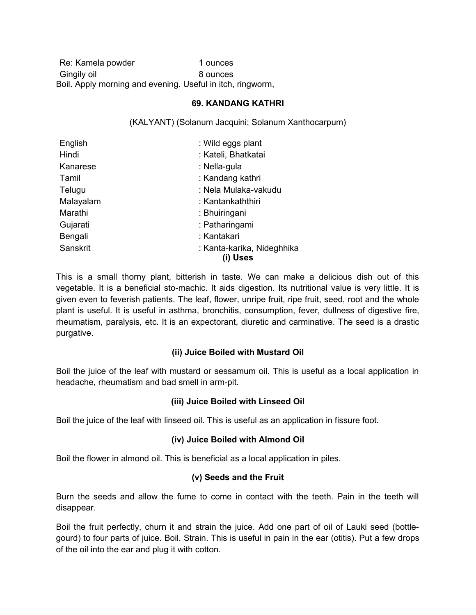Re: Kamela powder 1 ounces Gingily oil **8 ounces** Boil. Apply morning and evening. Useful in itch, ringworm,

#### **69. KANDANG KATHRI**

(KALYANT) (Solanum Jacquini; Solanum Xanthocarpum)

| English   | : Wild eggs plant          |
|-----------|----------------------------|
| Hindi     | : Kateli, Bhatkatai        |
| Kanarese  | : Nella-gula               |
| Tamil     | : Kandang kathri           |
| Telugu    | : Nela Mulaka-vakudu       |
| Malayalam | : Kantankaththiri          |
| Marathi   | : Bhuiringani              |
| Gujarati  | : Patharingami             |
| Bengali   | : Kantakari                |
| Sanskrit  | : Kanta-karika, Nideghhika |
|           | (i) Uses                   |

This is a small thorny plant, bitterish in taste. We can make a delicious dish out of this vegetable. It is a beneficial sto-machic. It aids digestion. Its nutritional value is very little. It is given even to feverish patients. The leaf, flower, unripe fruit, ripe fruit, seed, root and the whole plant is useful. It is useful in asthma, bronchitis, consumption, fever, dullness of digestive fire, rheumatism, paralysis, etc. It is an expectorant, diuretic and carminative. The seed is a drastic purgative.

### **(ii) Juice Boiled with Mustard Oil**

Boil the juice of the leaf with mustard or sessamum oil. This is useful as a local application in headache, rheumatism and bad smell in arm-pit.

### **(iii) Juice Boiled with Linseed Oil**

Boil the juice of the leaf with linseed oil. This is useful as an application in fissure foot.

### **(iv) Juice Boiled with Almond Oil**

Boil the flower in almond oil. This is beneficial as a local application in piles.

### **(v) Seeds and the Fruit**

Burn the seeds and allow the fume to come in contact with the teeth. Pain in the teeth will disappear.

Boil the fruit perfectly, churn it and strain the juice. Add one part of oil of Lauki seed (bottlegourd) to four parts of juice. Boil. Strain. This is useful in pain in the ear (otitis). Put a few drops of the oil into the ear and plug it with cotton.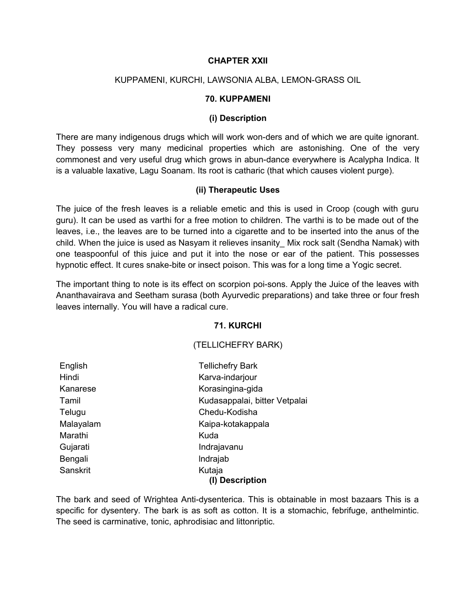#### **CHAPTER XXII**

#### KUPPAMENI, KURCHI, LAWSONIA ALBA, LEMON-GRASS OIL

#### **70. KUPPAMENI**

### **(i) Description**

There are many indigenous drugs which will work won-ders and of which we are quite ignorant. They possess very many medicinal properties which are astonishing. One of the very commonest and very useful drug which grows in abun-dance everywhere is Acalypha Indica. It is a valuable laxative, Lagu Soanam. Its root is catharic (that which causes violent purge).

### **(ii) Therapeutic Uses**

The juice of the fresh leaves is a reliable emetic and this is used in Croop (cough with guru guru). It can be used as varthi for a free motion to children. The varthi is to be made out of the leaves, i.e., the leaves are to be turned into a cigarette and to be inserted into the anus of the child. When the juice is used as Nasyam it relieves insanity Mix rock salt (Sendha Namak) with one teaspoonful of this juice and put it into the nose or ear of the patient. This possesses hypnotic effect. It cures snake-bite or insect poison. This was for a long time a Yogic secret.

The important thing to note is its effect on scorpion poi-sons. Apply the Juice of the leaves with Ananthavairava and Seetham surasa (both Ayurvedic preparations) and take three or four fresh leaves internally. You will have a radical cure.

### **71. KURCHI**

### (TELLICHEFRY BARK)

| English   | <b>Tellichefry Bark</b>       |
|-----------|-------------------------------|
| Hindi     | Karva-indarjour               |
| Kanarese  | Korasingina-gida              |
| Tamil     | Kudasappalai, bitter Vetpalai |
| Telugu    | Chedu-Kodisha                 |
| Malayalam | Kaipa-kotakappala             |
| Marathi   | Kuda                          |
| Gujarati  | Indrajavanu                   |
| Bengali   | Indrajab                      |
| Sanskrit  | Kutaja                        |
|           | (I) Description               |

The bark and seed of Wrightea Anti-dysenterica. This is obtainable in most bazaars This is a specific for dysentery. The bark is as soft as cotton. It is a stomachic, febrifuge, anthelmintic. The seed is carminative, tonic, aphrodisiac and littonriptic.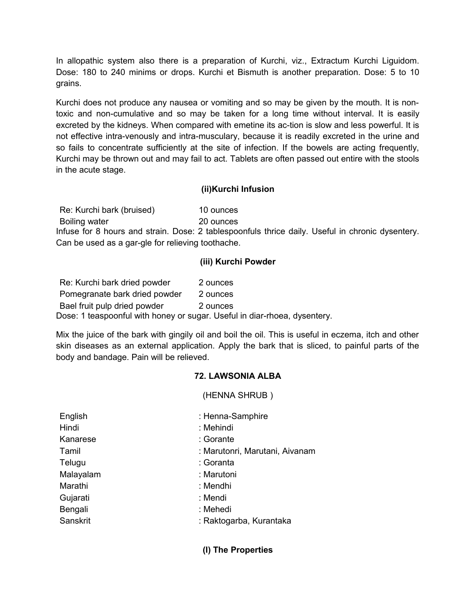In allopathic system also there is a preparation of Kurchi, viz., Extractum Kurchi Liguidom. Dose: 180 to 240 minims or drops. Kurchi et Bismuth is another preparation. Dose: 5 to 10 grains.

Kurchi does not produce any nausea or vomiting and so may be given by the mouth. It is nontoxic and non-cumulative and so may be taken for a long time without interval. It is easily excreted by the kidneys. When compared with emetine its ac-tion is slow and less powerful. It is not effective intra-venously and intra-musculary, because it is readily excreted in the urine and so fails to concentrate sufficiently at the site of infection. If the bowels are acting frequently, Kurchi may be thrown out and may fail to act. Tablets are often passed out entire with the stools in the acute stage.

# **(ii)Kurchi Infusion**

Re: Kurchi bark (bruised) 10 ounces Boiling water 20 ounces Infuse for 8 hours and strain. Dose: 2 tablespoonfuls thrice daily. Useful in chronic dysentery. Can be used as a gar-gle for relieving toothache.

## **(iii) Kurchi Powder**

| Re: Kurchi bark dried powder  | 2 ounces                                                                  |
|-------------------------------|---------------------------------------------------------------------------|
| Pomegranate bark dried powder | 2 ounces                                                                  |
| Bael fruit pulp dried powder  | 2 ounces                                                                  |
|                               | Dose: 1 teaspoonful with honey or sugar. Useful in diar-rhoea, dysentery. |

Mix the juice of the bark with gingily oil and boil the oil. This is useful in eczema, itch and other skin diseases as an external application. Apply the bark that is sliced, to painful parts of the body and bandage. Pain will be relieved.

# **72. LAWSONIA ALBA**

(HENNA SHRUB )

| English   | : Henna-Samphire               |
|-----------|--------------------------------|
| Hindi     | : Mehindi                      |
| Kanarese  | : Gorante                      |
| Tamil     | : Marutonri, Marutani, Aivanam |
| Telugu    | : Goranta                      |
| Malayalam | : Marutoni                     |
| Marathi   | : Mendhi                       |
| Gujarati  | :Mendi                         |
| Bengali   | : Mehedi                       |
| Sanskrit  | : Raktogarba, Kurantaka        |
|           |                                |
|           |                                |

**(I) The Properties**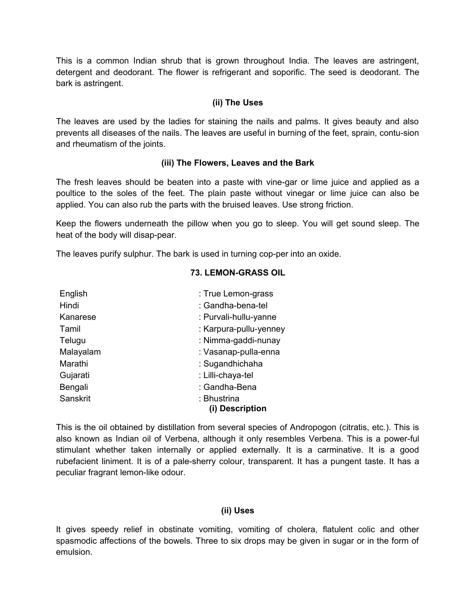This is a common Indian shrub that is grown throughout India. The leaves are astringent, detergent and deodorant. The flower is refrigerant and soporific. The seed is deodorant. The bark is astringent.

#### **(ii) The Uses**

The leaves are used by the ladies for staining the nails and palms. It gives beauty and also prevents all diseases of the nails. The leaves are useful in burning of the feet, sprain, contu-sion and rheumatism of the joints.

### **(iii) The Flowers, Leaves and the Bark**

The fresh leaves should be beaten into a paste with vine-gar or lime juice and applied as a poultice to the soles of the feet. The plain paste without vinegar or lime juice can also be applied. You can also rub the parts with the bruised leaves. Use strong friction.

Keep the flowers underneath the pillow when you go to sleep. You will get sound sleep. The heat of the body will disap-pear.

The leaves purify sulphur. The bark is used in turning cop-per into an oxide.

### **73. LEMON-GRASS OIL**

| : True Lemon-grass             |
|--------------------------------|
| : Gandha-bena-tel              |
| : Purvali-hullu-yanne          |
| : Karpura-pullu-yenney         |
| : Nimma-gaddi-nunay            |
| : Vasanap-pulla-enna           |
| : Sugandhichaha                |
| : Lilli-chaya-tel              |
| : Gandha-Bena                  |
| : Bhustrina<br>(i) Description |
|                                |

This is the oil obtained by distillation from several species of Andropogon (citratis, etc.). This is also known as Indian oil of Verbena, although it only resembles Verbena. This is a power-ful stimulant whether taken internally or applied externally. It is a carminative. It is a good rubefacient liniment. It is of a pale-sherry colour, transparent. It has a pungent taste. It has a peculiar fragrant lemon-like odour.

#### **(ii) Uses**

It gives speedy relief in obstinate vomiting, vomiting of cholera, flatulent colic and other spasmodic affections of the bowels. Three to six drops may be given in sugar or in the form of emulsion.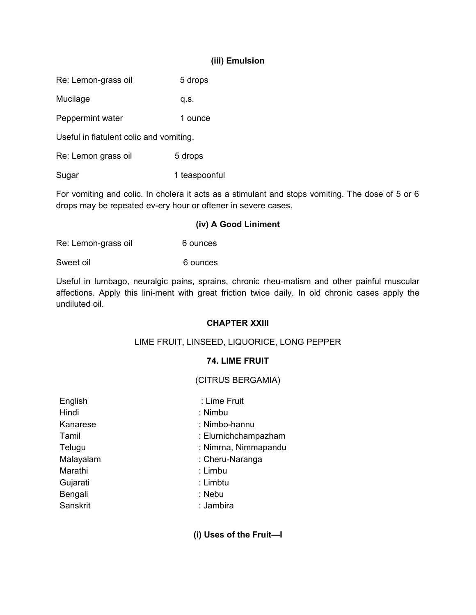## **(iii) Emulsion**

Re: Lemon-grass oil 5 drops

Mucilage q.s.

Peppermint water 1 ounce

Useful in flatulent colic and vomiting.

Re: Lemon grass oil 5 drops

Sugar 1 teaspoonful

For vomiting and colic. In cholera it acts as a stimulant and stops vomiting. The dose of 5 or 6 drops may be repeated ev-ery hour or oftener in severe cases.

### **(iv) A Good Liniment**

Re: Lemon-grass oil 6 ounces

Sweet oil 6 ounces

Useful in lumbago, neuralgic pains, sprains, chronic rheu-matism and other painful muscular affections. Apply this lini-ment with great friction twice daily. In old chronic cases apply the undiluted oil.

### **CHAPTER XXIII**

### LIME FRUIT, LINSEED, LIQUORICE, LONG PEPPER

### **74. LIME FRUIT**

### (CITRUS BERGAMIA)

| English   | : Lime Fruit         |
|-----------|----------------------|
| Hindi     | : Nimbu              |
| Kanarese  | : Nimbo-hannu        |
| Tamil     | : Elurnichchampazham |
| Telugu    | : Nimrna, Nimmapandu |
| Malayalam | : Cheru-Naranga      |
| Marathi   | : Lirnbu             |
| Gujarati  | : Limbtu             |
| Bengali   | : Nebu               |
| Sanskrit  | : Jambira            |
|           |                      |
|           |                      |

**(i) Uses of the Fruit—I**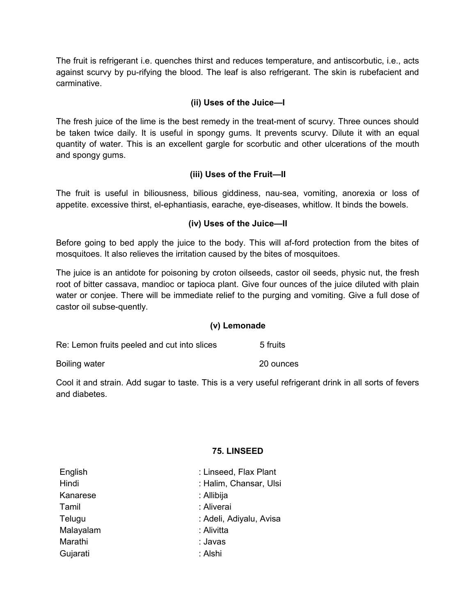The fruit is refrigerant i.e. quenches thirst and reduces temperature, and antiscorbutic, i.e., acts against scurvy by pu-rifying the blood. The leaf is also refrigerant. The skin is rubefacient and carminative.

# **(ii) Uses of the Juice—I**

The fresh juice of the lime is the best remedy in the treat-ment of scurvy. Three ounces should be taken twice daily. It is useful in spongy gums. It prevents scurvy. Dilute it with an equal quantity of water. This is an excellent gargle for scorbutic and other ulcerations of the mouth and spongy gums.

# **(iii) Uses of the Fruit—II**

The fruit is useful in biliousness, bilious giddiness, nau-sea, vomiting, anorexia or loss of appetite. excessive thirst, el-ephantiasis, earache, eye-diseases, whitlow. It binds the bowels.

## **(iv) Uses of the Juice—II**

Before going to bed apply the juice to the body. This will af-ford protection from the bites of mosquitoes. It also relieves the irritation caused by the bites of mosquitoes.

The juice is an antidote for poisoning by croton oilseeds, castor oil seeds, physic nut, the fresh root of bitter cassava, mandioc or tapioca plant. Give four ounces of the juice diluted with plain water or conjee. There will be immediate relief to the purging and vomiting. Give a full dose of castor oil subse-quently.

### **(v) Lemonade**

Re: Lemon fruits peeled and cut into slices 5 fruits

Boiling water 20 ounces

Cool it and strain. Add sugar to taste. This is a very useful refrigerant drink in all sorts of fevers and diabetes.

### **75. LINSEED**

| English   | : Linseed, Flax Plant   |
|-----------|-------------------------|
| Hindi     | : Halim, Chansar, Ulsi  |
| Kanarese  | : Allibija              |
| Tamil     | : Aliverai              |
| Telugu    | : Adeli, Adiyalu, Avisa |
| Malayalam | : Alivitta              |
| Marathi   | : Javas                 |
| Gujarati  | : Alshi                 |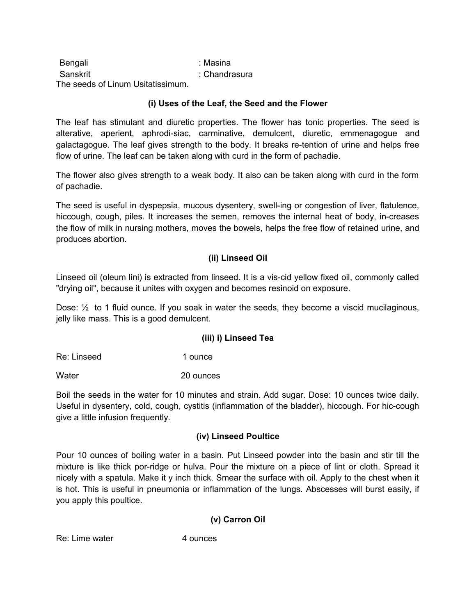| Bengali                           | :Masina       |
|-----------------------------------|---------------|
| Sanskrit                          | : Chandrasura |
| The seeds of Linum Usitatissimum. |               |

### **(i) Uses of the Leaf, the Seed and the Flower**

The leaf has stimulant and diuretic properties. The flower has tonic properties. The seed is alterative, aperient, aphrodi-siac, carminative, demulcent, diuretic, emmenagogue and galactagogue. The leaf gives strength to the body. It breaks re-tention of urine and helps free flow of urine. The leaf can be taken along with curd in the form of pachadie.

The flower also gives strength to a weak body. It also can be taken along with curd in the form of pachadie.

The seed is useful in dyspepsia, mucous dysentery, swell-ing or congestion of liver, flatulence, hiccough, cough, piles. It increases the semen, removes the internal heat of body, in-creases the flow of milk in nursing mothers, moves the bowels, helps the free flow of retained urine, and produces abortion.

### **(ii) Linseed Oil**

Linseed oil (oleum lini) is extracted from linseed. It is a vis-cid yellow fixed oil, commonly called "drying oil", because it unites with oxygen and becomes resinoid on exposure.

Dose:  $\frac{1}{2}$  to 1 fluid ounce. If you soak in water the seeds, they become a viscid mucilaginous, jelly like mass. This is a good demulcent.

### **(iii) i) Linseed Tea**

Re: Linseed 1 ounce

Water 20 ounces

Boil the seeds in the water for 10 minutes and strain. Add sugar. Dose: 10 ounces twice daily. Useful in dysentery, cold, cough, cystitis (inflammation of the bladder), hiccough. For hic-cough give a little infusion frequently.

### **(iv) Linseed Poultice**

Pour 10 ounces of boiling water in a basin. Put Linseed powder into the basin and stir till the mixture is like thick por-ridge or hulva. Pour the mixture on a piece of lint or cloth. Spread it nicely with a spatula. Make it y inch thick. Smear the surface with oil. Apply to the chest when it is hot. This is useful in pneumonia or inflammation of the lungs. Abscesses will burst easily, if you apply this poultice.

**(v) Carron Oil**

Re: Lime water 4 ounces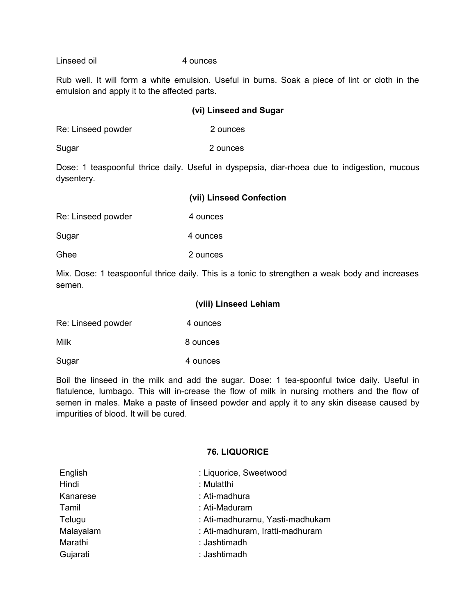Linseed oil 4 ounces

Rub well. It will form a white emulsion. Useful in burns. Soak a piece of lint or cloth in the emulsion and apply it to the affected parts.

#### **(vi) Linseed and Sugar**

Re: Linseed powder 2 ounces

Sugar 2 ounces

Dose: 1 teaspoonful thrice daily. Useful in dyspepsia, diar-rhoea due to indigestion, mucous dysentery.

#### **(vii) Linseed Confection**

|  | Re: Linseed powder | 4 ounces |
|--|--------------------|----------|
|--|--------------------|----------|

Sugar 4 ounces Ghee 2 ounces

Mix. Dose: 1 teaspoonful thrice daily. This is a tonic to strengthen a weak body and increases semen.

#### **(viii) Linseed Lehiam**

Re: Linseed powder 4 ounces

Milk 8 ounces

Sugar 4 ounces

Boil the linseed in the milk and add the sugar. Dose: 1 tea-spoonful twice daily. Useful in flatulence, lumbago. This will in-crease the flow of milk in nursing mothers and the flow of semen in males. Make a paste of linseed powder and apply it to any skin disease caused by impurities of blood. It will be cured.

### **76. LIQUORICE**

| English   | : Liquorice, Sweetwood          |
|-----------|---------------------------------|
| Hindi     | : Mulatthi                      |
| Kanarese  | : Ati-madhura                   |
| Tamil     | : Ati-Maduram                   |
| Telugu    | : Ati-madhuramu, Yasti-madhukam |
| Malayalam | : Ati-madhuram, Iratti-madhuram |
| Marathi   | : Jashtimadh                    |
| Gujarati  | : Jashtimadh                    |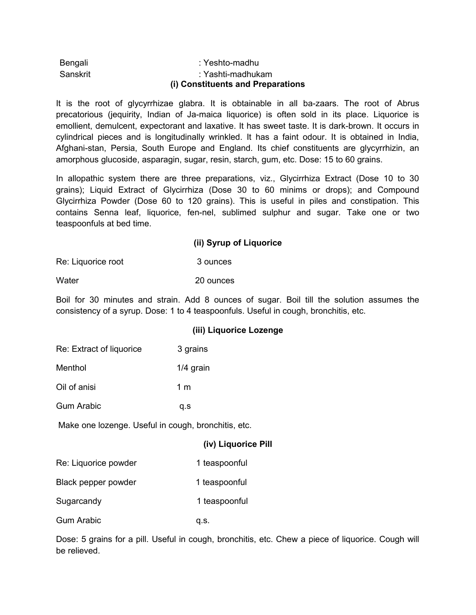|          | (i) Constituents and Preparations |
|----------|-----------------------------------|
| Sanskrit | : Yashti-madhukam                 |
| Bengali  | : Yeshto-madhu                    |

It is the root of glycyrrhizae glabra. It is obtainable in all ba-zaars. The root of Abrus precatorious (jequirity, Indian of Ja-maica liquorice) is often sold in its place. Liquorice is emollient, demulcent, expectorant and laxative. It has sweet taste. It is dark-brown. It occurs in cylindrical pieces and is longitudinally wrinkled. It has a faint odour. It is obtained in India, Afghani-stan, Persia, South Europe and England. Its chief constituents are glycyrrhizin, an amorphous glucoside, asparagin, sugar, resin, starch, gum, etc. Dose: 15 to 60 grains.

In allopathic system there are three preparations, viz., Glycirrhiza Extract (Dose 10 to 30 grains); Liquid Extract of Glycirrhiza (Dose 30 to 60 minims or drops); and Compound Glycirrhiza Powder (Dose 60 to 120 grains). This is useful in piles and constipation. This contains Senna leaf, liquorice, fen-nel, sublimed sulphur and sugar. Take one or two teaspoonfuls at bed time.

#### **(ii) Syrup of Liquorice**

| Re: Liquorice root | 3 ounces |
|--------------------|----------|
|--------------------|----------|

Water 20 ounces

Boil for 30 minutes and strain. Add 8 ounces of sugar. Boil till the solution assumes the consistency of a syrup. Dose: 1 to 4 teaspoonfuls. Useful in cough, bronchitis, etc.

### **(iii) Liquorice Lozenge**

| Re: Extract of liquorice |  | 3 grains |
|--------------------------|--|----------|
|                          |  |          |

| Menthol      | $1/4$ grain |
|--------------|-------------|
| Oil of anisi | 1 m         |

Gum Arabic q.s

Gum Arabic q.s.

Make one lozenge. Useful in cough, bronchitis, etc.

|                      | (iv) Liquorice Pill |
|----------------------|---------------------|
| Re: Liquorice powder | 1 teaspoonful       |
| Black pepper powder  | 1 teaspoonful       |
| Sugarcandy           | 1 teaspoonful       |
|                      |                     |

Dose: 5 grains for a pill. Useful in cough, bronchitis, etc. Chew a piece of liquorice. Cough will be relieved.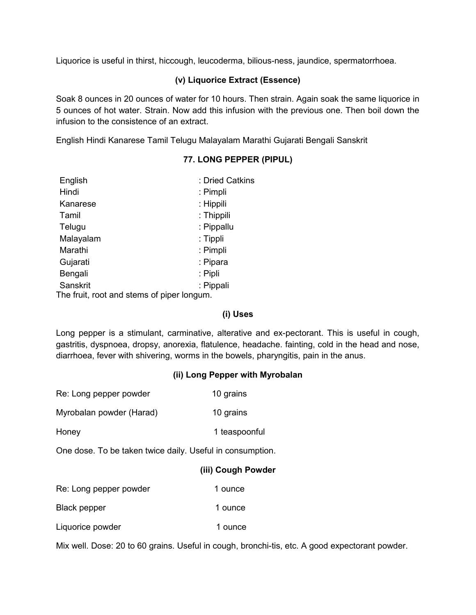Liquorice is useful in thirst, hiccough, leucoderma, bilious-ness, jaundice, spermatorrhoea.

# **(v) Liquorice Extract (Essence)**

Soak 8 ounces in 20 ounces of water for 10 hours. Then strain. Again soak the same liquorice in 5 ounces of hot water. Strain. Now add this infusion with the previous one. Then boil down the infusion to the consistence of an extract.

English Hindi Kanarese Tamil Telugu Malayalam Marathi Gujarati Bengali Sanskrit

## **77. LONG PEPPER (PIPUL)**

| English                                    | : Dried Catkins |
|--------------------------------------------|-----------------|
| Hindi                                      | : Pimpli        |
| Kanarese                                   | : Hippili       |
| Tamil                                      | : Thippili      |
| Telugu                                     | : Pippallu      |
| Malayalam                                  | : Tippli        |
| Marathi                                    | : Pimpli        |
| Gujarati                                   | : Pipara        |
| Bengali                                    | : Pipli         |
| Sanskrit                                   | : Pippali       |
| The fruit, root and stems of piper longum. |                 |

### **(i) Uses**

Long pepper is a stimulant, carminative, alterative and ex-pectorant. This is useful in cough, gastritis, dyspnoea, dropsy, anorexia, flatulence, headache. fainting, cold in the head and nose, diarrhoea, fever with shivering, worms in the bowels, pharyngitis, pain in the anus.

# **(ii) Long Pepper with Myrobalan**

|                                                           | (iii) Cough Powder |  |
|-----------------------------------------------------------|--------------------|--|
| One dose. To be taken twice daily. Useful in consumption. |                    |  |
| Honey                                                     | 1 teaspoonful      |  |
| Myrobalan powder (Harad)                                  | 10 grains          |  |
| Re: Long pepper powder                                    | 10 grains          |  |

| Re: Long pepper powder | 1 ounce |
|------------------------|---------|
| Black pepper           | 1 ounce |

Liquorice powder 1 ounce

Mix well. Dose: 20 to 60 grains. Useful in cough, bronchi-tis, etc. A good expectorant powder.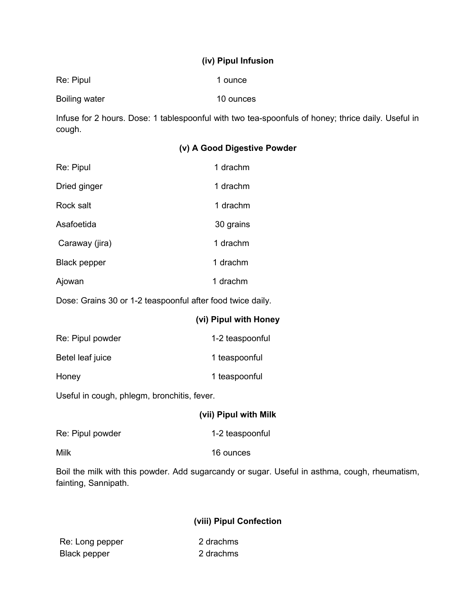# **(iv) Pipul Infusion**

| Re: Pipul     | 1 ounce   |
|---------------|-----------|
| Boiling water | 10 ounces |

Infuse for 2 hours. Dose: 1 tablespoonful with two tea-spoonfuls of honey; thrice daily. Useful in cough.

# **(v) A Good Digestive Powder**

| Re: Pipul      | 1 drachm  |
|----------------|-----------|
| Dried ginger   | 1 drachm  |
| Rock salt      | 1 drachm  |
| Asafoetida     | 30 grains |
| Caraway (jira) | 1 drachm  |
| Black pepper   | 1 drachm  |
| Ajowan         | 1 drachm  |

Dose: Grains 30 or 1-2 teaspoonful after food twice daily.

# **(vi) Pipul with Honey**

| Re: Pipul powder | 1-2 teaspoonful |
|------------------|-----------------|
| Betel leaf juice | 1 teaspoonful   |
| Honey            | 1 teaspoonful   |

Useful in cough, phlegm, bronchitis, fever.

|                  | (vii) Pipul with Milk |
|------------------|-----------------------|
| Re: Pipul powder | 1-2 teaspoonful       |
| Milk             | 16 ounces             |

Boil the milk with this powder. Add sugarcandy or sugar. Useful in asthma, cough, rheumatism, fainting, Sannipath.

### **(viii) Pipul Confection**

| Re: Long pepper     | 2 drachms |
|---------------------|-----------|
| <b>Black pepper</b> | 2 drachms |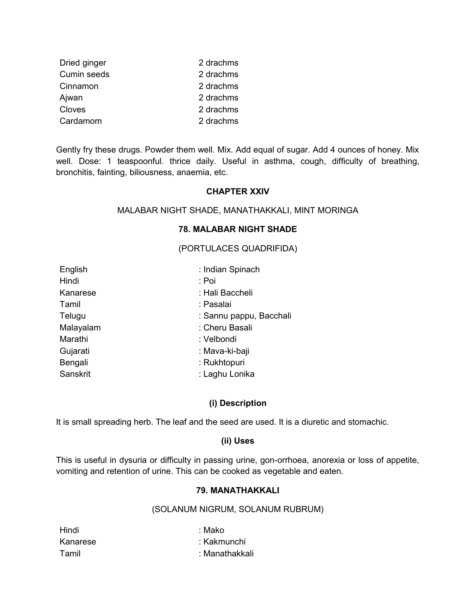| 2 drachms |
|-----------|
| 2 drachms |
| 2 drachms |
| 2 drachms |
| 2 drachms |
| 2 drachms |
|           |

Gently fry these drugs. Powder them well. Mix. Add equal of sugar. Add 4 ounces of honey. Mix well. Dose: 1 teaspoonful. thrice daily. Useful in asthma, cough, difficulty of breathing, bronchitis, fainting, biliousness, anaemia, etc.

### **CHAPTER XXIV**

#### MALABAR NIGHT SHADE, MANATHAKKALI, MINT MORINGA

#### **78. MALABAR NIGHT SHADE**

#### (PORTULACES QUADRIFIDA)

| English   | : Indian Spinach        |
|-----------|-------------------------|
| Hindi     | : Poi                   |
| Kanarese  | : Hali Baccheli         |
| Tamil     | : Pasalai               |
| Telugu    | : Sannu pappu, Bacchali |
| Malayalam | : Cheru Basali          |
| Marathi   | : Velbondi              |
| Gujarati  | : Mava-ki-baji          |
| Bengali   | : Rukhtopuri            |
| Sanskrit  | : Laghu Lonika          |

#### **(i) Description**

It is small spreading herb. The leaf and the seed are used. It is a diuretic and stomachic.

#### **(ii) Uses**

This is useful in dysuria or difficulty in passing urine, gon-orrhoea, anorexia or loss of appetite, vomiting and retention of urine. This can be cooked as vegetable and eaten.

#### **79. MANATHAKKALI**

## (SOLANUM NIGRUM, SOLANUM RUBRUM)

| Hindi    | ∶ Mako         |
|----------|----------------|
| Kanarese | ∶ Kakmunchi    |
| Tamil    | : Manathakkali |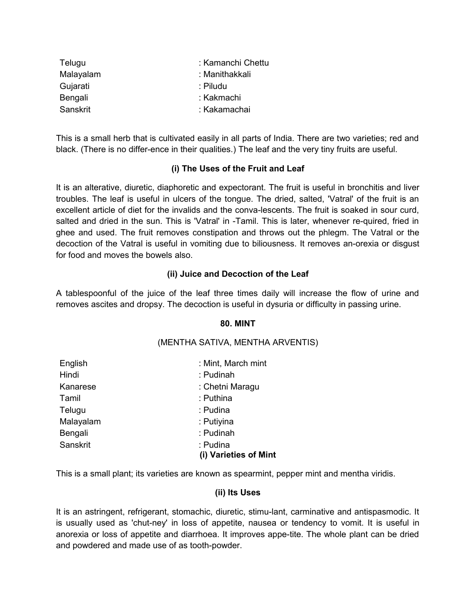| : Kamanchi Chettu |
|-------------------|
| : Manithakkali    |
| : Piludu          |
| : Kakmachi        |
| : Kakamachai      |
|                   |

This is a small herb that is cultivated easily in all parts of India. There are two varieties; red and black. (There is no differ-ence in their qualities.) The leaf and the very tiny fruits are useful.

## **(i) The Uses of the Fruit and Leaf**

It is an alterative, diuretic, diaphoretic and expectorant. The fruit is useful in bronchitis and liver troubles. The leaf is useful in ulcers of the tongue. The dried, salted, 'Vatral' of the fruit is an excellent article of diet for the invalids and the conva-lescents. The fruit is soaked in sour curd, salted and dried in the sun. This is 'Vatral' in -Tamil. This is later, whenever re-quired, fried in ghee and used. The fruit removes constipation and throws out the phlegm. The Vatral or the decoction of the Vatral is useful in vomiting due to biliousness. It removes an-orexia or disgust for food and moves the bowels also.

### **(ii) Juice and Decoction of the Leaf**

A tablespoonful of the juice of the leaf three times daily will increase the flow of urine and removes ascites and dropsy. The decoction is useful in dysuria or difficulty in passing urine.

#### **80. MINT**

#### (MENTHA SATIVA, MENTHA ARVENTIS)

| English   | : Mint, March mint                |
|-----------|-----------------------------------|
| Hindi     | : Pudinah                         |
| Kanarese  | : Chetni Maragu                   |
| Tamil     | : Puthina                         |
| Telugu    | : Pudina                          |
| Malayalam | : Putiyina                        |
| Bengali   | : Pudinah                         |
| Sanskrit  | : Pudina<br>(i) Varieties of Mint |

This is a small plant; its varieties are known as spearmint, pepper mint and mentha viridis.

#### **(ii) Its Uses**

It is an astringent, refrigerant, stomachic, diuretic, stimu-lant, carminative and antispasmodic. It is usually used as 'chut-ney' in loss of appetite, nausea or tendency to vomit. It is useful in anorexia or loss of appetite and diarrhoea. It improves appe-tite. The whole plant can be dried and powdered and made use of as tooth-powder.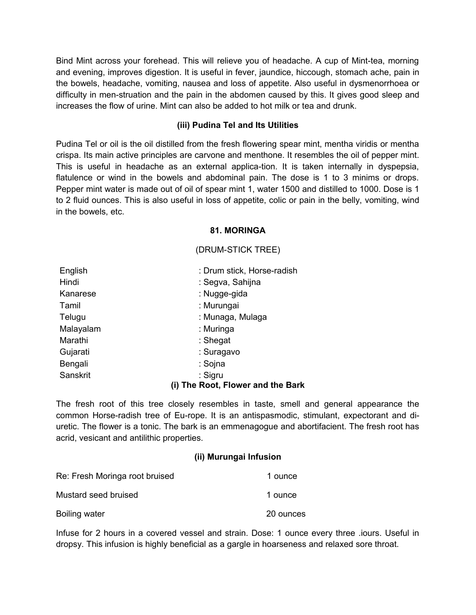Bind Mint across your forehead. This will relieve you of headache. A cup of Mint-tea, morning and evening, improves digestion. It is useful in fever, jaundice, hiccough, stomach ache, pain in the bowels, headache, vomiting, nausea and loss of appetite. Also useful in dysmenorrhoea or difficulty in men-struation and the pain in the abdomen caused by this. It gives good sleep and increases the flow of urine. Mint can also be added to hot milk or tea and drunk.

## **(iii) Pudina Tel and Its Utilities**

Pudina Tel or oil is the oil distilled from the fresh flowering spear mint, mentha viridis or mentha crispa. Its main active principles are carvone and menthone. It resembles the oil of pepper mint. This is useful in headache as an external applica-tion. It is taken internally in dyspepsia, flatulence or wind in the bowels and abdominal pain. The dose is 1 to 3 minims or drops. Pepper mint water is made out of oil of spear mint 1, water 1500 and distilled to 1000. Dose is 1 to 2 fluid ounces. This is also useful in loss of appetite, colic or pain in the belly, vomiting, wind in the bowels, etc.

### **81. MORINGA**

### (DRUM-STICK TREE)

| English   | : Drum stick, Horse-radish    |
|-----------|-------------------------------|
| Hindi     | : Segva, Sahijna              |
| Kanarese  | : Nugge-gida                  |
| Tamil     | : Murungai                    |
| Telugu    | : Munaga, Mulaga              |
| Malayalam | : Muringa                     |
| Marathi   | : Shegat                      |
| Gujarati  | : Suragavo                    |
| Bengali   | : Sojna                       |
| Sanskrit  | : Sigru                       |
|           | The Root, Flower and the Bark |

The fresh root of this tree closely resembles in taste, smell and general appearance the common Horse-radish tree of Eu-rope. It is an antispasmodic, stimulant, expectorant and diuretic. The flower is a tonic. The bark is an emmenagogue and abortifacient. The fresh root has acrid, vesicant and antilithic properties.

### **(ii) Murungai Infusion**

| Re: Fresh Moringa root bruised | 1 ounce   |
|--------------------------------|-----------|
| Mustard seed bruised           | 1 ounce   |
| Boiling water                  | 20 ounces |

Infuse for 2 hours in a covered vessel and strain. Dose: 1 ounce every three .iours. Useful in dropsy. This infusion is highly beneficial as a gargle in hoarseness and relaxed sore throat.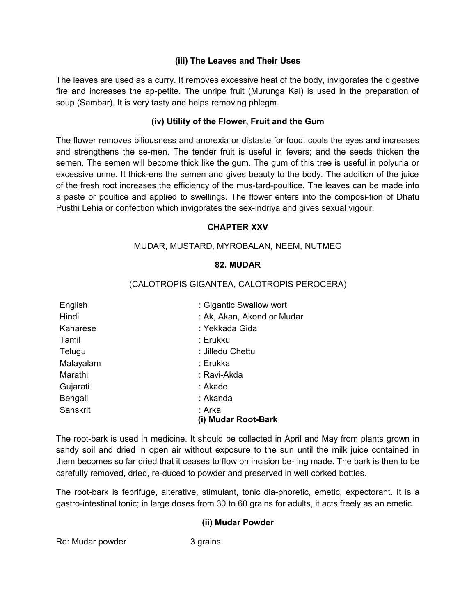# **(iii) The Leaves and Their Uses**

The leaves are used as a curry. It removes excessive heat of the body, invigorates the digestive fire and increases the ap-petite. The unripe fruit (Murunga Kai) is used in the preparation of soup (Sambar). It is very tasty and helps removing phlegm.

# **(iv) Utility of the Flower, Fruit and the Gum**

The flower removes biliousness and anorexia or distaste for food, cools the eyes and increases and strengthens the se-men. The tender fruit is useful in fevers; and the seeds thicken the semen. The semen will become thick like the gum. The gum of this tree is useful in polyuria or excessive urine. It thick-ens the semen and gives beauty to the body. The addition of the juice of the fresh root increases the efficiency of the mus-tard-poultice. The leaves can be made into a paste or poultice and applied to swellings. The flower enters into the composi-tion of Dhatu Pusthi Lehia or confection which invigorates the sex-indriya and gives sexual vigour.

## **CHAPTER XXV**

# MUDAR, MUSTARD, MYROBALAN, NEEM, NUTMEG

## **82. MUDAR**

# (CALOTROPIS GIGANTEA, CALOTROPIS PEROCERA)

| English   | : Gigantic Swallow wort    |
|-----------|----------------------------|
| Hindi     | : Ak, Akan, Akond or Mudar |
| Kanarese  | : Yekkada Gida             |
| Tamil     | : Erukku                   |
| Telugu    | : Jilledu Chettu           |
| Malayalam | : Erukka                   |
| Marathi   | : Ravi-Akda                |
| Gujarati  | : Akado                    |
| Bengali   | : Akanda                   |
| Sanskrit  | : Arka                     |
|           | (i) Mudar Root-Bark        |

The root-bark is used in medicine. It should be collected in April and May from plants grown in sandy soil and dried in open air without exposure to the sun until the milk juice contained in them becomes so far dried that it ceases to flow on incision be- ing made. The bark is then to be carefully removed, dried, re-duced to powder and preserved in well corked bottles.

The root-bark is febrifuge, alterative, stimulant, tonic dia-phoretic, emetic, expectorant. It is a gastro-intestinal tonic; in large doses from 30 to 60 grains for adults, it acts freely as an emetic.

# **(ii) Mudar Powder**

Re: Mudar powder 3 grains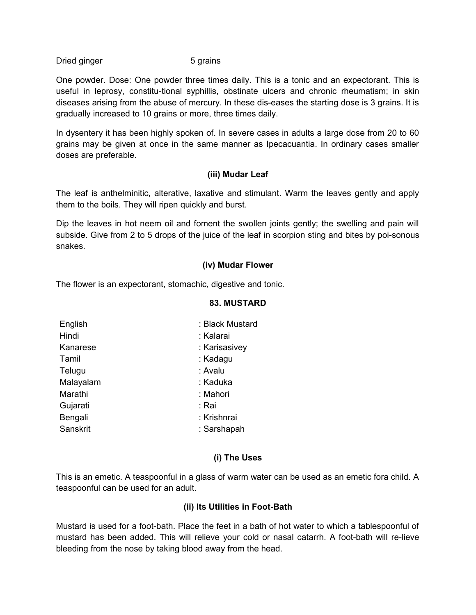Dried ginger 5 grains

One powder. Dose: One powder three times daily. This is a tonic and an expectorant. This is useful in leprosy, constitu-tional syphillis, obstinate ulcers and chronic rheumatism; in skin diseases arising from the abuse of mercury. In these dis-eases the starting dose is 3 grains. It is gradually increased to 10 grains or more, three times daily.

In dysentery it has been highly spoken of. In severe cases in adults a large dose from 20 to 60 grains may be given at once in the same manner as Ipecacuantia. In ordinary cases smaller doses are preferable.

### **(iii) Mudar Leaf**

The leaf is anthelminitic, alterative, laxative and stimulant. Warm the leaves gently and apply them to the boils. They will ripen quickly and burst.

Dip the leaves in hot neem oil and foment the swollen joints gently; the swelling and pain will subside. Give from 2 to 5 drops of the juice of the leaf in scorpion sting and bites by poi-sonous snakes.

### **(iv) Mudar Flower**

The flower is an expectorant, stomachic, digestive and tonic.

#### **83. MUSTARD**

| English   | : Black Mustard |
|-----------|-----------------|
| Hindi     | : Kalarai       |
| Kanarese  | : Karisasivey   |
| Tamil     | : Kadagu        |
| Telugu    | : Avalu         |
| Malayalam | : Kaduka        |
| Marathi   | : Mahori        |
| Gujarati  | : Rai           |
| Bengali   | : Krishnrai     |
| Sanskrit  | : Sarshapah     |

### **(i) The Uses**

This is an emetic. A teaspoonful in a glass of warm water can be used as an emetic fora child. A teaspoonful can be used for an adult.

### **(ii) Its Utilities in Foot-Bath**

Mustard is used for a foot-bath. Place the feet in a bath of hot water to which a tablespoonful of mustard has been added. This will relieve your cold or nasal catarrh. A foot-bath will re-lieve bleeding from the nose by taking blood away from the head.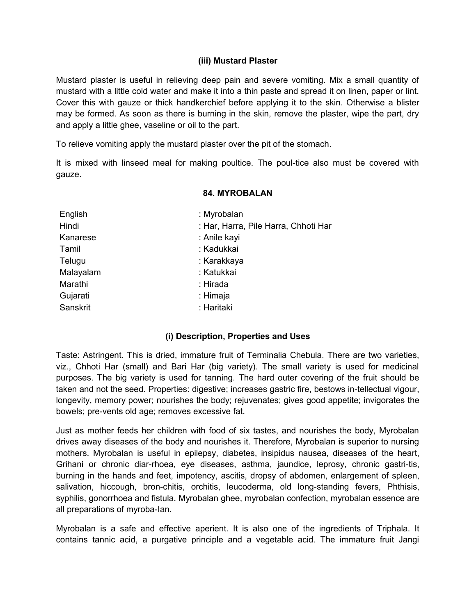## **(iii) Mustard Plaster**

Mustard plaster is useful in relieving deep pain and severe vomiting. Mix a small quantity of mustard with a little cold water and make it into a thin paste and spread it on linen, paper or lint. Cover this with gauze or thick handkerchief before applying it to the skin. Otherwise a blister may be formed. As soon as there is burning in the skin, remove the plaster, wipe the part, dry and apply a little ghee, vaseline or oil to the part.

To relieve vomiting apply the mustard plaster over the pit of the stomach.

It is mixed with linseed meal for making poultice. The poul-tice also must be covered with gauze.

### **84. MYROBALAN**

| : Myrobalan                          |
|--------------------------------------|
| : Har, Harra, Pile Harra, Chhoti Har |
| : Anile kayi                         |
| : Kadukkai                           |
| : Karakkaya                          |
| : Katukkai                           |
| : Hirada                             |
| : Himaja                             |
| : Haritaki                           |
|                                      |

# **(i) Description, Properties and Uses**

Taste: Astringent. This is dried, immature fruit of Terminalia Chebula. There are two varieties, viz., Chhoti Har (small) and Bari Har (big variety). The small variety is used for medicinal purposes. The big variety is used for tanning. The hard outer covering of the fruit should be taken and not the seed. Properties: digestive; increases gastric fire, bestows in-tellectual vigour, longevity, memory power; nourishes the body; rejuvenates; gives good appetite; invigorates the bowels; pre-vents old age; removes excessive fat.

Just as mother feeds her children with food of six tastes, and nourishes the body, Myrobalan drives away diseases of the body and nourishes it. Therefore, Myrobalan is superior to nursing mothers. Myrobalan is useful in epilepsy, diabetes, insipidus nausea, diseases of the heart, Grihani or chronic diar-rhoea, eye diseases, asthma, jaundice, leprosy, chronic gastri-tis, burning in the hands and feet, impotency, ascitis, dropsy of abdomen, enlargement of spleen, salivation, hiccough, bron-chitis, orchitis, leucoderma, old long-standing fevers, Phthisis, syphilis, gonorrhoea and fistula. Myrobalan ghee, myrobalan confection, myrobalan essence are all preparations of myroba-Ian.

Myrobalan is a safe and effective aperient. It is also one of the ingredients of Triphala. It contains tannic acid, a purgative principle and a vegetable acid. The immature fruit Jangi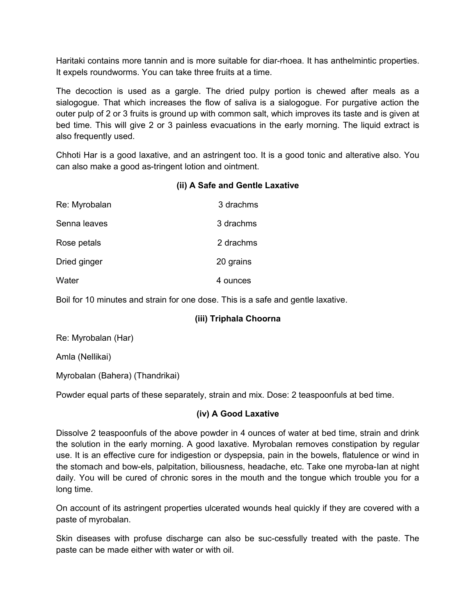Haritaki contains more tannin and is more suitable for diar-rhoea. It has anthelmintic properties. It expels roundworms. You can take three fruits at a time.

The decoction is used as a gargle. The dried pulpy portion is chewed after meals as a sialogogue. That which increases the flow of saliva is a sialogogue. For purgative action the outer pulp of 2 or 3 fruits is ground up with common salt, which improves its taste and is given at bed time. This will give 2 or 3 painless evacuations in the early morning. The liquid extract is also frequently used.

Chhoti Har is a good laxative, and an astringent too. It is a good tonic and alterative also. You can also make a good as-tringent lotion and ointment.

### **(ii) A Safe and Gentle Laxative**

| Re: Myrobalan | 3 drachms |
|---------------|-----------|
| Senna leaves  | 3 drachms |
| Rose petals   | 2 drachms |
| Dried ginger  | 20 grains |
| Water         | 4 ounces  |

Boil for 10 minutes and strain for one dose. This is a safe and gentle laxative.

# **(iii) Triphala Choorna**

Re: Myrobalan (Har)

Amla (Nellikai)

Myrobalan (Bahera) (Thandrikai)

Powder equal parts of these separately, strain and mix. Dose: 2 teaspoonfuls at bed time.

#### **(iv) A Good Laxative**

Dissolve 2 teaspoonfuls of the above powder in 4 ounces of water at bed time, strain and drink the solution in the early morning. A good laxative. Myrobalan removes constipation by regular use. It is an effective cure for indigestion or dyspepsia, pain in the bowels, flatulence or wind in the stomach and bow-els, palpitation, biliousness, headache, etc. Take one myroba-Ian at night daily. You will be cured of chronic sores in the mouth and the tongue which trouble you for a long time.

On account of its astringent properties ulcerated wounds heal quickly if they are covered with a paste of myrobalan.

Skin diseases with profuse discharge can also be suc-cessfully treated with the paste. The paste can be made either with water or with oil.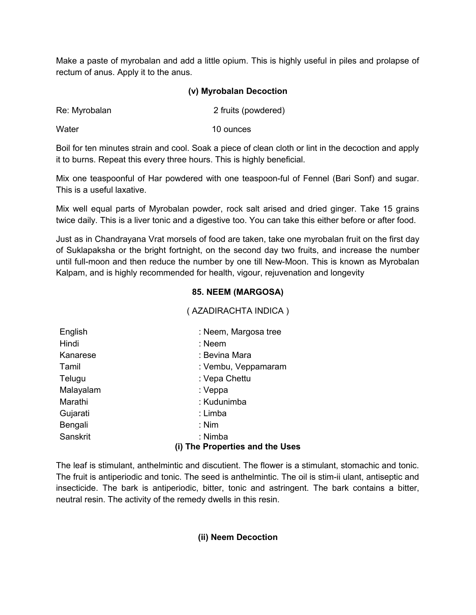Make a paste of myrobalan and add a little opium. This is highly useful in piles and prolapse of rectum of anus. Apply it to the anus.

## **(v) Myrobalan Decoction**

| Re: Myrobalan | 2 fruits (powdered) |
|---------------|---------------------|
|               |                     |

Water 10 ounces

Boil for ten minutes strain and cool. Soak a piece of clean cloth or lint in the decoction and apply it to burns. Repeat this every three hours. This is highly beneficial.

Mix one teaspoonful of Har powdered with one teaspoon-ful of Fennel (Bari Sonf) and sugar. This is a useful laxative.

Mix well equal parts of Myrobalan powder, rock salt arised and dried ginger. Take 15 grains twice daily. This is a liver tonic and a digestive too. You can take this either before or after food.

Just as in Chandrayana Vrat morsels of food are taken, take one myrobalan fruit on the first day of Suklapaksha or the bright fortnight, on the second day two fruits, and increase the number until full-moon and then reduce the number by one till New-Moon. This is known as Myrobalan Kalpam, and is highly recommended for health, vigour, rejuvenation and longevity

# **85. NEEM (MARGOSA)**

## ( AZADIRACHTA INDICA )

| English   | : Neem, Margosa tree            |
|-----------|---------------------------------|
| Hindi     | : Neem                          |
| Kanarese  | : Bevina Mara                   |
| Tamil     | : Vembu, Veppamaram             |
| Telugu    | : Vepa Chettu                   |
| Malayalam | : Veppa                         |
| Marathi   | : Kudunimba                     |
| Gujarati  | : Limba                         |
| Bengali   | : Nim                           |
| Sanskrit  | : Nimba                         |
|           | (i) The Properties and the Uses |

The leaf is stimulant, anthelmintic and discutient. The flower is a stimulant, stomachic and tonic. The fruit is antiperiodic and tonic. The seed is anthelmintic. The oil is stim-ii ulant, antiseptic and insecticide. The bark is antiperiodic, bitter, tonic and astringent. The bark contains a bitter, neutral resin. The activity of the remedy dwells in this resin.

**(ii) Neem Decoction**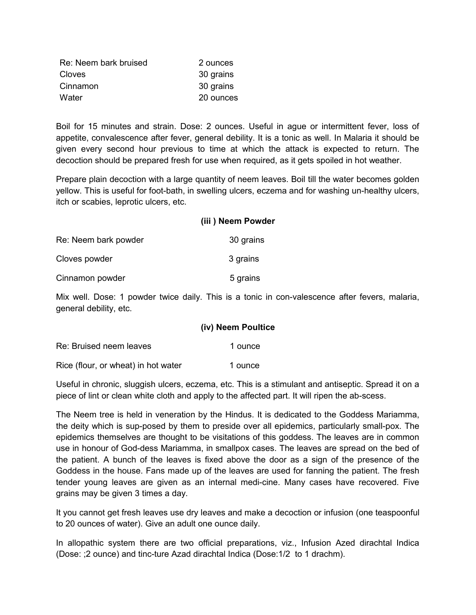| Re: Neem bark bruised | 2 ounces  |
|-----------------------|-----------|
| Cloves                | 30 grains |
| Cinnamon              | 30 grains |
| Water                 | 20 ounces |

Boil for 15 minutes and strain. Dose: 2 ounces. Useful in ague or intermittent fever, loss of appetite, convalescence after fever, general debility. It is a tonic as well. In Malaria it should be given every second hour previous to time at which the attack is expected to return. The decoction should be prepared fresh for use when required, as it gets spoiled in hot weather.

Prepare plain decoction with a large quantity of neem leaves. Boil till the water becomes golden yellow. This is useful for foot-bath, in swelling ulcers, eczema and for washing un-healthy ulcers, itch or scabies, leprotic ulcers, etc.

|                      | (iii) Neem Powder |
|----------------------|-------------------|
| Re: Neem bark powder | 30 grains         |
| Cloves powder        | 3 grains          |
| Cinnamon powder      | 5 grains          |

Mix well. Dose: 1 powder twice daily. This is a tonic in con-valescence after fevers, malaria, general debility, etc.

|                                     | (iv) Neem Poultice |
|-------------------------------------|--------------------|
| Re: Bruised neem leaves             | 1 ounce            |
| Rice (flour, or wheat) in hot water | 1 ounce            |

Useful in chronic, sluggish ulcers, eczema, etc. This is a stimulant and antiseptic. Spread it on a piece of lint or clean white cloth and apply to the affected part. It will ripen the ab-scess.

The Neem tree is held in veneration by the Hindus. It is dedicated to the Goddess Mariamma, the deity which is sup-posed by them to preside over all epidemics, particularly small-pox. The epidemics themselves are thought to be visitations of this goddess. The leaves are in common use in honour of God-dess Mariamma, in smallpox cases. The leaves are spread on the bed of the patient. A bunch of the leaves is fixed above the door as a sign of the presence of the Goddess in the house. Fans made up of the leaves are used for fanning the patient. The fresh tender young leaves are given as an internal medi-cine. Many cases have recovered. Five grains may be given 3 times a day.

It you cannot get fresh leaves use dry leaves and make a decoction or infusion (one teaspoonful to 20 ounces of water). Give an adult one ounce daily.

In allopathic system there are two official preparations, viz., Infusion Azed dirachtal Indica (Dose: ;2 ounce) and tinc-ture Azad dirachtal Indica (Dose:1/2 to 1 drachm).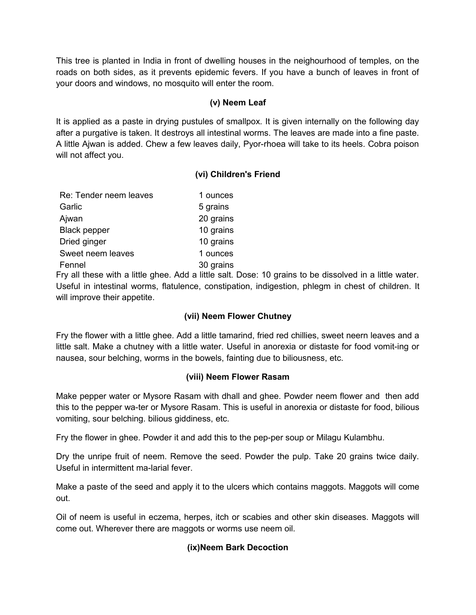This tree is planted in India in front of dwelling houses in the neighourhood of temples, on the roads on both sides, as it prevents epidemic fevers. If you have a bunch of leaves in front of your doors and windows, no mosquito will enter the room.

# **(v) Neem Leaf**

It is applied as a paste in drying pustules of smallpox. It is given internally on the following day after a purgative is taken. It destroys all intestinal worms. The leaves are made into a fine paste. A little Ajwan is added. Chew a few leaves daily, Pyor-rhoea will take to its heels. Cobra poison will not affect you.

# **(vi) Children's Friend**

| Re: Tender neem leaves | 1 ounces  |
|------------------------|-----------|
| Garlic                 | 5 grains  |
| Ajwan                  | 20 grains |
| <b>Black pepper</b>    | 10 grains |
| Dried ginger           | 10 grains |
| Sweet neem leaves      | 1 ounces  |
| Fennel                 | 30 grains |

Fry all these with a little ghee. Add a little salt. Dose: 10 grains to be dissolved in a little water. Useful in intestinal worms, flatulence, constipation, indigestion, phlegm in chest of children. It will improve their appetite.

# **(vii) Neem Flower Chutney**

Fry the flower with a little ghee. Add a little tamarind, fried red chillies, sweet neern leaves and a little salt. Make a chutney with a little water. Useful in anorexia or distaste for food vomit-ing or nausea, sour belching, worms in the bowels, fainting due to biliousness, etc.

### **(viii) Neem Flower Rasam**

Make pepper water or Mysore Rasam with dhall and ghee. Powder neem flower and then add this to the pepper wa-ter or Mysore Rasam. This is useful in anorexia or distaste for food, bilious vomiting, sour belching. bilious giddiness, etc.

Fry the flower in ghee. Powder it and add this to the pep-per soup or Milagu Kulambhu.

Dry the unripe fruit of neem. Remove the seed. Powder the pulp. Take 20 grains twice daily. Useful in intermittent ma-larial fever.

Make a paste of the seed and apply it to the ulcers which contains maggots. Maggots will come out.

Oil of neem is useful in eczema, herpes, itch or scabies and other skin diseases. Maggots will come out. Wherever there are maggots or worms use neem oil.

# **(ix)Neem Bark Decoction**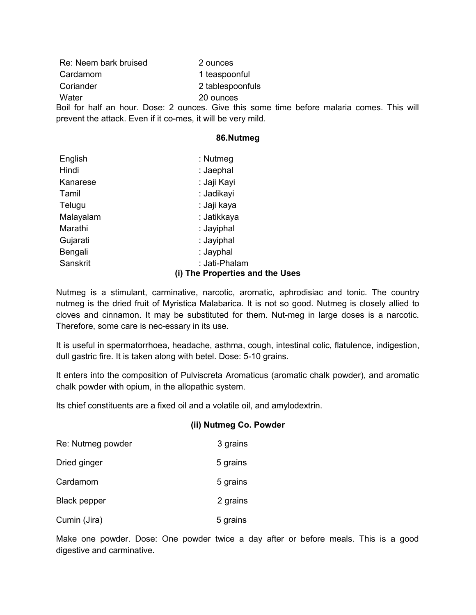Re: Neem bark bruised 2 ounces Cardamom 1 teaspoonful Coriander 2 tablespoonfuls Water 20 ounces

Boil for half an hour. Dose: 2 ounces. Give this some time before malaria comes. This will prevent the attack. Even if it co-mes, it will be very mild.

#### **86.Nutmeg**

| English   | : Nutmeg                        |
|-----------|---------------------------------|
| Hindi     | : Jaephal                       |
| Kanarese  | : Jaji Kayi                     |
| Tamil     | : Jadikayi                      |
| Telugu    | : Jaji kaya                     |
| Malayalam | : Jatikkaya                     |
| Marathi   | : Jayiphal                      |
| Gujarati  | : Jayiphal                      |
| Bengali   | : Jayphal                       |
| Sanskrit  | : Jati-Phalam                   |
|           | (i) The Properties and the Uses |

Nutmeg is a stimulant, carminative, narcotic, aromatic, aphrodisiac and tonic. The country nutmeg is the dried fruit of Myristica Malabarica. It is not so good. Nutmeg is closely allied to cloves and cinnamon. It may be substituted for them. Nut-meg in large doses is a narcotic. Therefore, some care is nec-essary in its use.

It is useful in spermatorrhoea, headache, asthma, cough, intestinal colic, flatulence, indigestion, dull gastric fire. It is taken along with betel. Dose: 5-10 grains.

It enters into the composition of Pulviscreta Aromaticus (aromatic chalk powder), and aromatic chalk powder with opium, in the allopathic system.

Its chief constituents are a fixed oil and a volatile oil, and amylodextrin.

#### **(ii) Nutmeg Co. Powder**

| Re: Nutmeg powder   | 3 grains |
|---------------------|----------|
| Dried ginger        | 5 grains |
| Cardamom            | 5 grains |
| <b>Black pepper</b> | 2 grains |
| Cumin (Jira)        | 5 grains |

Make one powder. Dose: One powder twice a day after or before meals. This is a good digestive and carminative.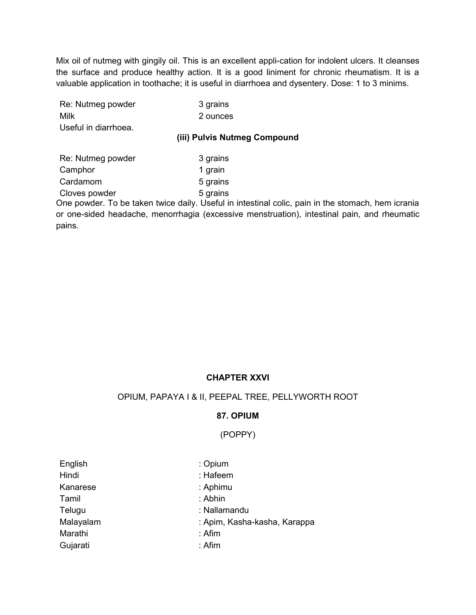Mix oil of nutmeg with gingily oil. This is an excellent appli-cation for indolent ulcers. It cleanses the surface and produce healthy action. It is a good liniment for chronic rheumatism. It is a valuable application in toothache; it is useful in diarrhoea and dysentery. Dose: 1 to 3 minims.

| Re: Nutmeg powder    | 3 grains |
|----------------------|----------|
| Milk                 | 2 ounces |
| Useful in diarrhoea. |          |

#### **(iii) Pulvis Nutmeg Compound**

| Re: Nutmeg powder | 3 grains |
|-------------------|----------|
| Camphor           | 1 grain  |
| Cardamom          | 5 grains |
| Cloves powder     | 5 grains |

One powder. To be taken twice daily. Useful in intestinal colic, pain in the stomach, hem icrania or one-sided headache, menorrhagia (excessive menstruation), intestinal pain, and rheumatic pains.

# **CHAPTER XXVI**

### OPIUM, PAPAYA I & II, PEEPAL TREE, PELLYWORTH ROOT

### **87. OPIUM**

### (POPPY)

| English   | : Opium    |
|-----------|------------|
| Hindi     | : Hafeem   |
| Kanarese  | : Aphimu   |
| Tamil     | : Abhin    |
| Telugu    | : Nallama  |
| Malayalam | : Apim, Ka |
| Marathi   | : Afim     |
| Gujarati  | : Afim     |

| Hindi     | : Hafeem                     |
|-----------|------------------------------|
| Kanarese  | : Aphimu                     |
| Tamil     | : Abhin                      |
| Telugu    | : Nallamandu                 |
| Malayalam | : Apim, Kasha-kasha, Karappa |
| Marathi   | : Afim                       |
|           |                              |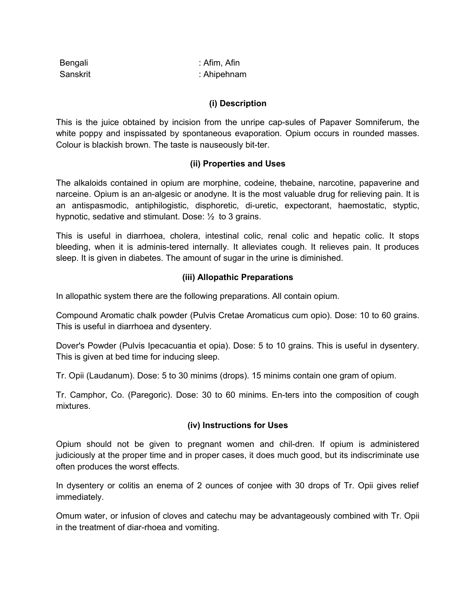| Bengali  | : Afim, Afin |
|----------|--------------|
| Sanskrit | : Ahipehnam  |

## **(i) Description**

This is the juice obtained by incision from the unripe cap-sules of Papaver Somniferum, the white poppy and inspissated by spontaneous evaporation. Opium occurs in rounded masses. Colour is blackish brown. The taste is nauseously bit-ter.

## **(ii) Properties and Uses**

The alkaloids contained in opium are morphine, codeine, thebaine, narcotine, papaverine and narceine. Opium is an an-algesic or anodyne. It is the most valuable drug for relieving pain. It is an antispasmodic, antiphilogistic, disphoretic, di-uretic, expectorant, haemostatic, styptic, hypnotic, sedative and stimulant. Dose: ½ to 3 grains.

This is useful in diarrhoea, cholera, intestinal colic, renal colic and hepatic colic. It stops bleeding, when it is adminis-tered internally. It alleviates cough. It relieves pain. It produces sleep. It is given in diabetes. The amount of sugar in the urine is diminished.

## **(iii) Allopathic Preparations**

In allopathic system there are the following preparations. All contain opium.

Compound Aromatic chalk powder (Pulvis Cretae Aromaticus cum opio). Dose: 10 to 60 grains. This is useful in diarrhoea and dysentery.

Dover's Powder (Pulvis Ipecacuantia et opia). Dose: 5 to 10 grains. This is useful in dysentery. This is given at bed time for inducing sleep.

Tr. Opii (Laudanum). Dose: 5 to 30 minims (drops). 15 minims contain one gram of opium.

Tr. Camphor, Co. (Paregoric). Dose: 30 to 60 minims. En-ters into the composition of cough mixtures.

# **(iv) Instructions for Uses**

Opium should not be given to pregnant women and chil-dren. If opium is administered judiciously at the proper time and in proper cases, it does much good, but its indiscriminate use often produces the worst effects.

In dysentery or colitis an enema of 2 ounces of conjee with 30 drops of Tr. Opii gives relief immediately.

Omum water, or infusion of cloves and catechu may be advantageously combined with Tr. Opii in the treatment of diar-rhoea and vomiting.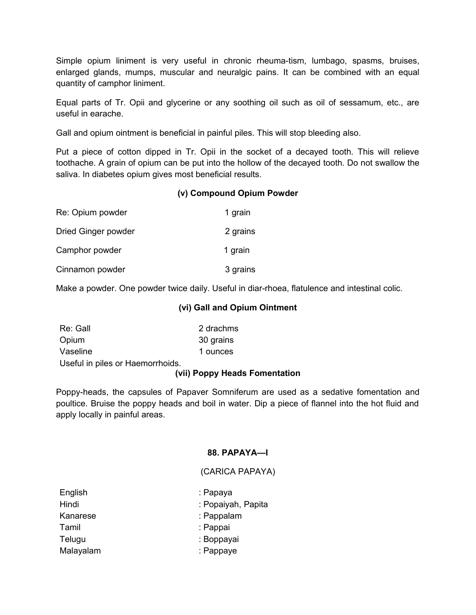Simple opium liniment is very useful in chronic rheuma-tism, lumbago, spasms, bruises, enlarged glands, mumps, muscular and neuralgic pains. It can be combined with an equal quantity of camphor liniment.

Equal parts of Tr. Opii and glycerine or any soothing oil such as oil of sessamum, etc., are useful in earache.

Gall and opium ointment is beneficial in painful piles. This will stop bleeding also.

Put a piece of cotton dipped in Tr. Opii in the socket of a decayed tooth. This will relieve toothache. A grain of opium can be put into the hollow of the decayed tooth. Do not swallow the saliva. In diabetes opium gives most beneficial results.

### **(v) Compound Opium Powder**

| Re: Opium powder    | 1 grain  |
|---------------------|----------|
| Dried Ginger powder | 2 grains |
| Camphor powder      | 1 grain  |
| Cinnamon powder     | 3 grains |

Make a powder. One powder twice daily. Useful in diar-rhoea, flatulence and intestinal colic.

#### **(vi) Gall and Opium Ointment**

| Re: Gall |  | 2 drachms |
|----------|--|-----------|
| Opium    |  | 30 grains |
| Vaseline |  | 1 ounces  |
| .        |  |           |

Useful in piles or Haemorrhoids.

### **(vii) Poppy Heads Fomentation**

Poppy-heads, the capsules of Papaver Somniferum are used as a sedative fomentation and poultice. Bruise the poppy heads and boil in water. Dip a piece of flannel into the hot fluid and apply locally in painful areas.

#### **88. PAPAYA—I**

#### (CARICA PAPAYA)

| : Papaya           |
|--------------------|
| : Popaiyah, Papita |
| : Pappalam         |
| : Pappai           |
| : Boppayai         |
| : Pappaye          |
|                    |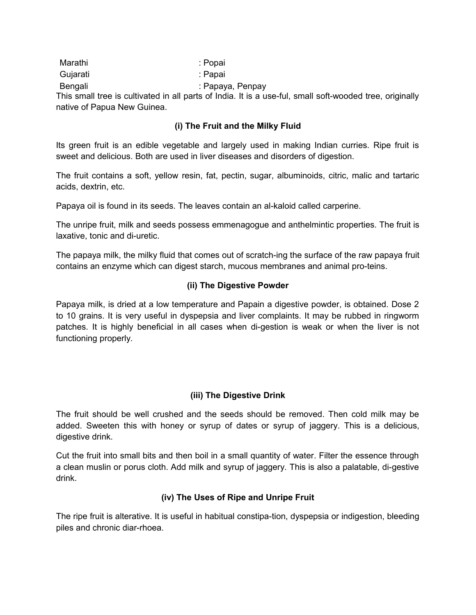| Marathi                     | : Popai                                                                                                  |  |
|-----------------------------|----------------------------------------------------------------------------------------------------------|--|
| Gujarati                    | : Papai                                                                                                  |  |
| Bengali                     | : Papaya, Penpay                                                                                         |  |
|                             | This small tree is cultivated in all parts of India. It is a use-ful, small soft-wooded tree, originally |  |
| native of Papua New Guinea. |                                                                                                          |  |

### **(i) The Fruit and the Milky Fluid**

Its green fruit is an edible vegetable and largely used in making Indian curries. Ripe fruit is sweet and delicious. Both are used in liver diseases and disorders of digestion.

The fruit contains a soft, yellow resin, fat, pectin, sugar, albuminoids, citric, malic and tartaric acids, dextrin, etc.

Papaya oil is found in its seeds. The leaves contain an al-kaloid called carperine.

The unripe fruit, milk and seeds possess emmenagogue and anthelmintic properties. The fruit is laxative, tonic and di-uretic.

The papaya milk, the milky fluid that comes out of scratch-ing the surface of the raw papaya fruit contains an enzyme which can digest starch, mucous membranes and animal pro-teins.

### **(ii) The Digestive Powder**

Papaya milk, is dried at a low temperature and Papain a digestive powder, is obtained. Dose 2 to 10 grains. It is very useful in dyspepsia and liver complaints. It may be rubbed in ringworm patches. It is highly beneficial in all cases when di-gestion is weak or when the liver is not functioning properly.

# **(iii) The Digestive Drink**

The fruit should be well crushed and the seeds should be removed. Then cold milk may be added. Sweeten this with honey or syrup of dates or syrup of jaggery. This is a delicious, digestive drink.

Cut the fruit into small bits and then boil in a small quantity of water. Filter the essence through a clean muslin or porus cloth. Add milk and syrup of jaggery. This is also a palatable, di-gestive drink.

# **(iv) The Uses of Ripe and Unripe Fruit**

The ripe fruit is alterative. It is useful in habitual constipa-tion, dyspepsia or indigestion, bleeding piles and chronic diar-rhoea.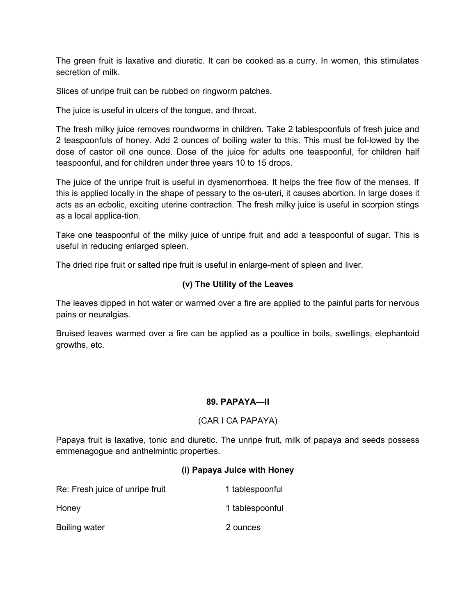The green fruit is laxative and diuretic. It can be cooked as a curry. In women, this stimulates secretion of milk.

Slices of unripe fruit can be rubbed on ringworm patches.

The juice is useful in ulcers of the tongue, and throat.

The fresh milky juice removes roundworms in children. Take 2 tablespoonfuls of fresh juice and 2 teaspoonfuls of honey. Add 2 ounces of boiling water to this. This must be fol-lowed by the dose of castor oil one ounce. Dose of the juice for adults one teaspoonful, for children half teaspoonful, and for children under three years 10 to 15 drops.

The juice of the unripe fruit is useful in dysmenorrhoea. It helps the free flow of the menses. If this is applied locally in the shape of pessary to the os-uteri, it causes abortion. In large doses it acts as an ecbolic, exciting uterine contraction. The fresh milky juice is useful in scorpion stings as a local applica-tion.

Take one teaspoonful of the milky juice of unripe fruit and add a teaspoonful of sugar. This is useful in reducing enlarged spleen.

The dried ripe fruit or salted ripe fruit is useful in enlarge-ment of spleen and liver.

# **(v) The Utility of the Leaves**

The leaves dipped in hot water or warmed over a fire are applied to the painful parts for nervous pains or neuralgias.

Bruised leaves warmed over a fire can be applied as a poultice in boils, swellings, elephantoid growths, etc.

### **89. PAPAYA—II**

### (CAR I CA PAPAYA)

Papaya fruit is laxative, tonic and diuretic. The unripe fruit, milk of papaya and seeds possess emmenagogue and anthelmintic properties.

### **(i) Papaya Juice with Honey**

| Re: Fresh juice of unripe fruit | 1 tablespoonful |
|---------------------------------|-----------------|
| Honey                           | 1 tablespoonful |
| Boiling water                   | 2 ounces        |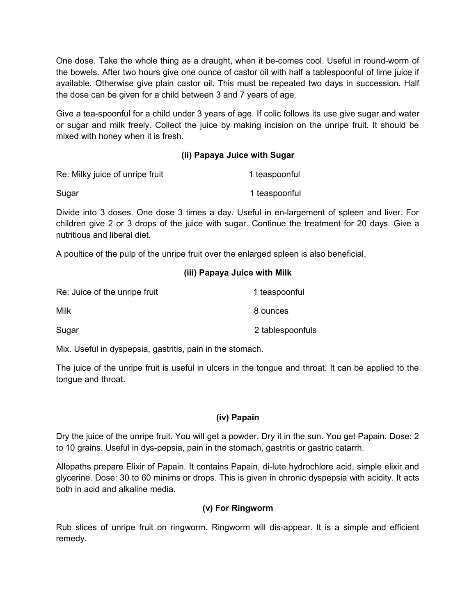One dose. Take the whole thing as a draught, when it be-comes cool. Useful in round-worm of the bowels. After two hours give one ounce of castor oil with half a tablespoonful of lime juice if available. Otherwise give plain castor oil. This must be repeated two days in succession. Half the dose can be given for a child between 3 and 7 years of age.

Give a tea-spoonful for a child under 3 years of age. If colic follows its use give sugar and water or sugar and milk freely. Collect the juice by making incision on the unripe fruit. It should be mixed with honey when it is fresh.

### **(ii) Papaya Juice with Sugar**

| Re: Milky juice of unripe fruit | 1 teaspoonful |
|---------------------------------|---------------|
| Sugar                           | 1 teaspoonful |

Divide into 3 doses. One dose 3 times a day. Useful in en-largement of spleen and liver. For children give 2 or 3 drops of the juice with sugar. Continue the treatment for 20 days. Give a nutritious and liberal diet.

A poultice of the pulp of the unripe fruit over the enlarged spleen is also beneficial.

### **(iii) Papaya Juice with Milk**

| Re: Juice of the unripe fruit | 1 teaspoonful    |
|-------------------------------|------------------|
| Milk                          | 8 ounces         |
| Sugar                         | 2 tablespoonfuls |

Mix. Useful in dyspepsia, gastritis, pain in the stomach.

The juice of the unripe fruit is useful in ulcers in the tongue and throat. It can be applied to the tongue and throat.

### **(iv) Papain**

Dry the juice of the unripe fruit. You will get a powder. Dry it in the sun. You get Papain. Dose: 2 to 10 grains. Useful in dys-pepsia, pain in the stomach, gastritis or gastric catarrh.

Allopaths prepare Elixir of Papain. It contains Papain, di-lute hydrochlore acid, simple elixir and glycerine. Dose: 30 to 60 minims or drops. This is given in chronic dyspepsia with acidity. It acts both in acid and alkaline media.

# **(v) For Ringworm**

Rub slices of unripe fruit on ringworm. Ringworm will dis-appear. It is a simple and efficient remedy.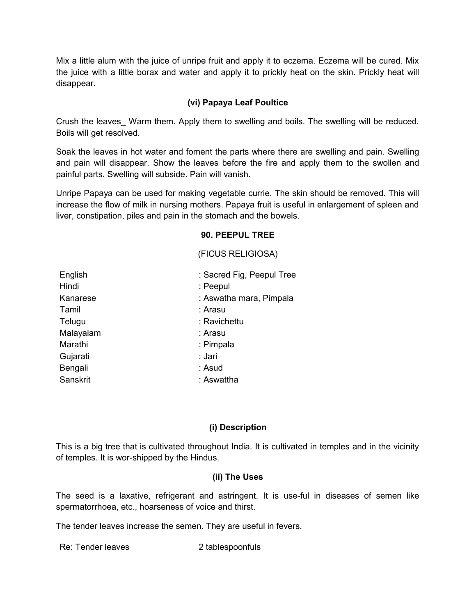Mix a little alum with the juice of unripe fruit and apply it to eczema. Eczema will be cured. Mix the juice with a little borax and water and apply it to prickly heat on the skin. Prickly heat will disappear.

# **(vi) Papaya Leaf Poultice**

Crush the leaves\_ Warm them. Apply them to swelling and boils. The swelling will be reduced. Boils will get resolved.

Soak the leaves in hot water and foment the parts where there are swelling and pain. Swelling and pain will disappear. Show the leaves before the fire and apply them to the swollen and painful parts. Swelling will subside. Pain will vanish.

Unripe Papaya can be used for making vegetable currie. The skin should be removed. This will increase the flow of milk in nursing mothers. Papaya fruit is useful in enlargement of spleen and liver, constipation, piles and pain in the stomach and the bowels.

# **90. PEEPUL TREE**

### (FICUS RELIGIOSA)

| English   | : Sacred Fig, Peepul Tree |
|-----------|---------------------------|
| Hindi     | : Peepul                  |
| Kanarese  | : Aswatha mara, Pimpala   |
| Tamil     | : Arasu                   |
| Telugu    | : Ravichettu              |
| Malayalam | : Arasu                   |
| Marathi   | : Pimpala                 |
| Gujarati  | : Jari                    |
| Bengali   | : Asud                    |
| Sanskrit  | : Aswattha                |
|           |                           |

### **(i) Description**

This is a big tree that is cultivated throughout India. It is cultivated in temples and in the vicinity of temples. It is wor-shipped by the Hindus.

### **(ii) The Uses**

The seed is a laxative, refrigerant and astringent. It is use-ful in diseases of semen like spermatorrhoea, etc., hoarseness of voice and thirst.

The tender leaves increase the semen. They are useful in fevers.

Re: Tender leaves 2 tablespoonfuls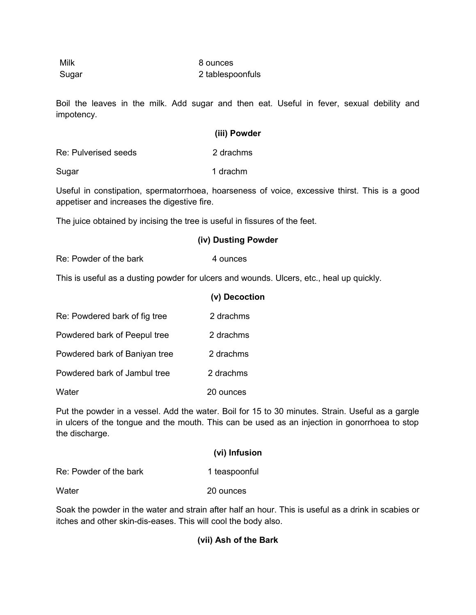Milk 8 ounces Sugar 2 tablespoonfuls

Boil the leaves in the milk. Add sugar and then eat. Useful in fever, sexual debility and impotency.

|                      | (iii) Powder |
|----------------------|--------------|
| Re: Pulverised seeds | 2 drachms    |
| Sugar                | 1 drachm     |

Useful in constipation, spermatorrhoea, hoarseness of voice, excessive thirst. This is a good appetiser and increases the digestive fire.

The juice obtained by incising the tree is useful in fissures of the feet.

### **(iv) Dusting Powder**

| Re: Powder of the bark | 4 ounces |
|------------------------|----------|
|------------------------|----------|

This is useful as a dusting powder for ulcers and wounds. Ulcers, etc., heal up quickly.

|                               | (v) Decoction |
|-------------------------------|---------------|
| Re: Powdered bark of fig tree | 2 drachms     |
| Powdered bark of Peepul tree  | 2 drachms     |
| Powdered bark of Baniyan tree | 2 drachms     |
| Powdered bark of Jambul tree  | 2 drachms     |
| Water                         | ounces        |

Put the powder in a vessel. Add the water. Boil for 15 to 30 minutes. Strain. Useful as a gargle in ulcers of the tongue and the mouth. This can be used as an injection in gonorrhoea to stop the discharge.

# **(vi) Infusion** Re: Powder of the bark 1 teaspoonful Water 20 ounces

Soak the powder in the water and strain after half an hour. This is useful as a drink in scabies or itches and other skin-dis-eases. This will cool the body also.

# **(vii) Ash of the Bark**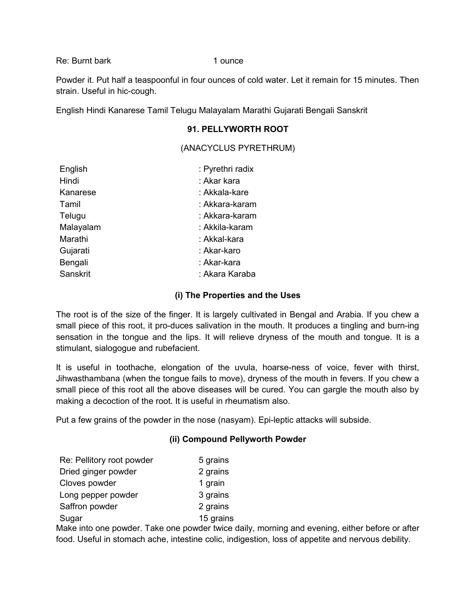Re: Burnt bark 1 ounce

Powder it. Put half a teaspoonful in four ounces of cold water. Let it remain for 15 minutes. Then strain. Useful in hic-cough.

English Hindi Kanarese Tamil Telugu Malayalam Marathi Gujarati Bengali Sanskrit

### **91. PELLYWORTH ROOT**

### (ANACYCLUS PYRETHRUM)

| English   | : Pyrethri radix |
|-----------|------------------|
| Hindi     | : Akar kara      |
| Kanarese  | : Akkala-kare    |
| Tamil     | : Akkara-karam   |
| Telugu    | : Akkara-karam   |
| Malayalam | : Akkila-karam   |
| Marathi   | : Akkal-kara     |
| Gujarati  | : Akar-karo      |
| Bengali   | : Akar-kara      |
| Sanskrit  | : Akara Karaba   |
|           |                  |

### **(i) The Properties and the Uses**

The root is of the size of the finger. It is largely cultivated in Bengal and Arabia. If you chew a small piece of this root, it pro-duces salivation in the mouth. It produces a tingling and burn-ing sensation in the tongue and the lips. It will relieve dryness of the mouth and tongue. It is a stimulant, sialogogue and rubefacient.

It is useful in toothache, elongation of the uvula, hoarse-ness of voice, fever with thirst, Jihwasthambana (when the tongue fails to move), dryness of the mouth in fevers. If you chew a small piece of this root all the above diseases will be cured. You can gargle the mouth also by making a decoction of the root. It is useful in rheumatism also.

Put a few grains of the powder in the nose (nasyam). Epi-leptic attacks will subside.

# **(ii) Compound Pellyworth Powder**

| Re: Pellitory root powder | 5 grains  |
|---------------------------|-----------|
| Dried ginger powder       | 2 grains  |
| Cloves powder             | 1 grain   |
| Long pepper powder        | 3 grains  |
| Saffron powder            | 2 grains  |
| Sugar                     | 15 grains |
|                           |           |

Make into one powder. Take one powder twice daily, morning and evening, either before or after food. Useful in stomach ache, intestine colic, indigestion, loss of appetite and nervous debility.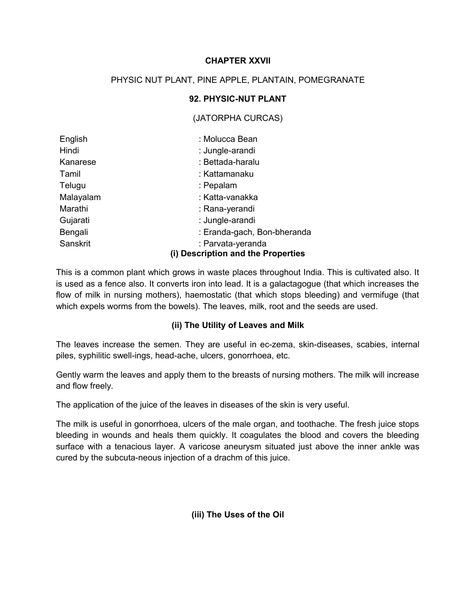### **CHAPTER XXVII**

### PHYSIC NUT PLANT, PINE APPLE, PLANTAIN, POMEGRANATE

### **92. PHYSIC-NUT PLANT**

### (JATORPHA CURCAS)

| English   | : Molucca Bean                     |
|-----------|------------------------------------|
| Hindi     | : Jungle-arandi                    |
| Kanarese  | : Bettada-haralu                   |
| Tamil     | : Kattamanaku                      |
| Telugu    | : Pepalam                          |
| Malayalam | : Katta-vanakka                    |
| Marathi   | : Rana-yerandi                     |
| Gujarati  | : Jungle-arandi                    |
| Bengali   | : Eranda-gach, Bon-bheranda        |
| Sanskrit  | : Parvata-yeranda                  |
|           | (i) Description and the Properties |

This is a common plant which grows in waste places throughout India. This is cultivated also. It is used as a fence also. It converts iron into lead. It is a galactagogue (that which increases the flow of milk in nursing mothers), haemostatic (that which stops bleeding) and vermifuge (that which expels worms from the bowels). The leaves, milk, root and the seeds are used.

### **(ii) The Utility of Leaves and Milk**

The leaves increase the semen. They are useful in ec-zema, skin-diseases, scabies, internal piles, syphilitic swell-ings, head-ache, ulcers, gonorrhoea, etc.

Gently warm the leaves and apply them to the breasts of nursing mothers. The milk will increase and flow freely.

The application of the juice of the leaves in diseases of the skin is very useful.

The milk is useful in gonorrhoea, ulcers of the male organ, and toothache. The fresh juice stops bleeding in wounds and heals them quickly. It coagulates the blood and covers the bleeding surface with a tenacious layer. A varicose aneurysm situated just above the inner ankle was cured by the subcuta-neous injection of a drachm of this juice.

# **(iii) The Uses of the Oil**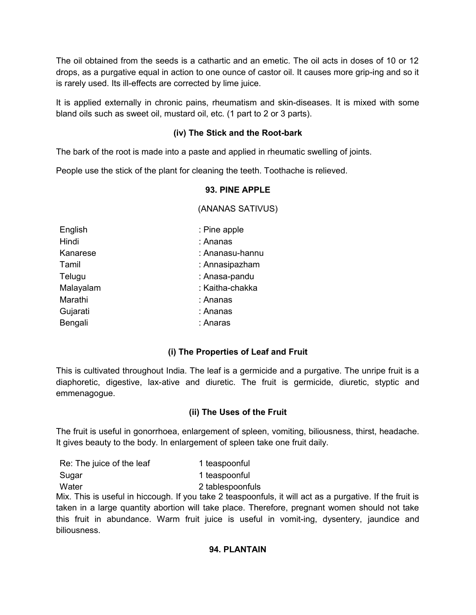The oil obtained from the seeds is a cathartic and an emetic. The oil acts in doses of 10 or 12 drops, as a purgative equal in action to one ounce of castor oil. It causes more grip-ing and so it is rarely used. Its ill-effects are corrected by lime juice.

It is applied externally in chronic pains, rheumatism and skin-diseases. It is mixed with some bland oils such as sweet oil, mustard oil, etc. (1 part to 2 or 3 parts).

# **(iv) The Stick and the Root-bark**

The bark of the root is made into a paste and applied in rheumatic swelling of joints.

People use the stick of the plant for cleaning the teeth. Toothache is relieved.

# **93. PINE APPLE**

# (ANANAS SATIVUS)

| English   | : Pine apple    |
|-----------|-----------------|
| Hindi     | : Ananas        |
| Kanarese  | : Ananasu-hannu |
| Tamil     | : Annasipazham  |
| Telugu    | : Anasa-pandu   |
| Malayalam | : Kaitha-chakka |
| Marathi   | : Ananas        |
| Gujarati  | : Ananas        |
| Bengali   | : Anaras        |
|           |                 |

# **(i) The Properties of Leaf and Fruit**

This is cultivated throughout India. The leaf is a germicide and a purgative. The unripe fruit is a diaphoretic, digestive, lax-ative and diuretic. The fruit is germicide, diuretic, styptic and emmenagogue.

# **(ii) The Uses of the Fruit**

The fruit is useful in gonorrhoea, enlargement of spleen, vomiting, biliousness, thirst, headache. It gives beauty to the body. In enlargement of spleen take one fruit daily.

| Re: The juice of the leaf | 1 teaspoonful    |
|---------------------------|------------------|
| Sugar                     | 1 teaspoonful    |
| Water                     | 2 tablespoonfuls |

Mix. This is useful in hiccough. If you take 2 teaspoonfuls, it will act as a purgative. If the fruit is taken in a large quantity abortion will take place. Therefore, pregnant women should not take this fruit in abundance. Warm fruit juice is useful in vomit-ing, dysentery, jaundice and biliousness.

### **94. PLANTAIN**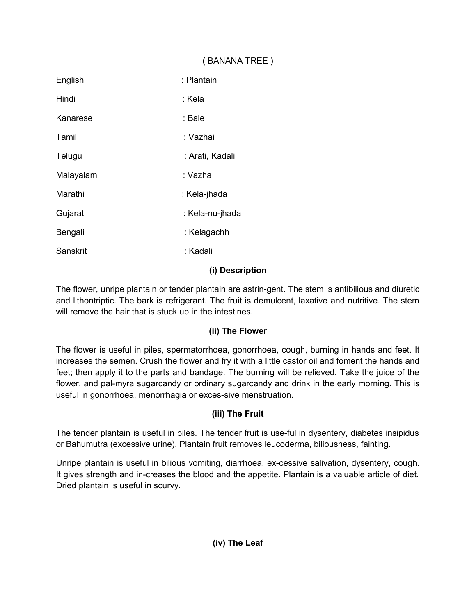# ( BANANA TREE )

| English   | : Plantain      |
|-----------|-----------------|
| Hindi     | : Kela          |
| Kanarese  | : Bale          |
| Tamil     | : Vazhai        |
| Telugu    | : Arati, Kadali |
| Malayalam | : Vazha         |
| Marathi   | : Kela-jhada    |
| Gujarati  | : Kela-nu-jhada |
| Bengali   | : Kelagachh     |
| Sanskrit  | : Kadali        |

# **(i) Description**

The flower, unripe plantain or tender plantain are astrin-gent. The stem is antibilious and diuretic and lithontriptic. The bark is refrigerant. The fruit is demulcent, laxative and nutritive. The stem will remove the hair that is stuck up in the intestines.

# **(ii) The Flower**

The flower is useful in piles, spermatorrhoea, gonorrhoea, cough, burning in hands and feet. It increases the semen. Crush the flower and fry it with a little castor oil and foment the hands and feet; then apply it to the parts and bandage. The burning will be relieved. Take the juice of the flower, and pal-myra sugarcandy or ordinary sugarcandy and drink in the early morning. This is useful in gonorrhoea, menorrhagia or exces-sive menstruation.

# **(iii) The Fruit**

The tender plantain is useful in piles. The tender fruit is use-ful in dysentery, diabetes insipidus or Bahumutra (excessive urine). Plantain fruit removes leucoderma, biliousness, fainting.

Unripe plantain is useful in bilious vomiting, diarrhoea, ex-cessive salivation, dysentery, cough. It gives strength and in-creases the blood and the appetite. Plantain is a valuable article of diet. Dried plantain is useful in scurvy.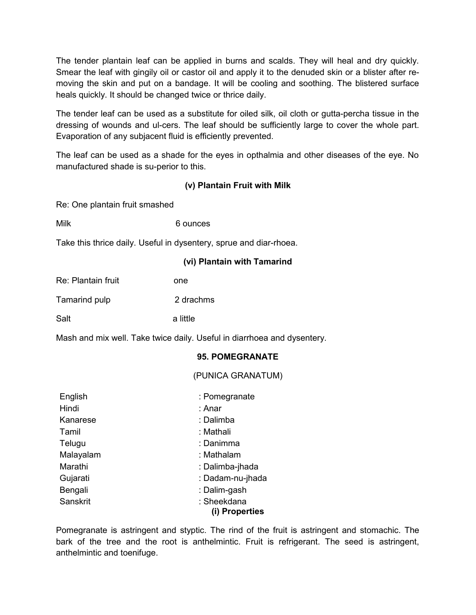The tender plantain leaf can be applied in burns and scalds. They will heal and dry quickly. Smear the leaf with gingily oil or castor oil and apply it to the denuded skin or a blister after removing the skin and put on a bandage. It will be cooling and soothing. The blistered surface heals quickly. It should be changed twice or thrice daily.

The tender leaf can be used as a substitute for oiled silk, oil cloth or gutta-percha tissue in the dressing of wounds and ul-cers. The leaf should be sufficiently large to cover the whole part. Evaporation of any subjacent fluid is efficiently prevented.

The leaf can be used as a shade for the eyes in opthalmia and other diseases of the eye. No manufactured shade is su-perior to this.

### **(v) Plantain Fruit with Milk**

Re: One plantain fruit smashed

Milk 6 ounces

Take this thrice daily. Useful in dysentery, sprue and diar-rhoea.

| (vi) Plantain with Tamarind |
|-----------------------------|
|-----------------------------|

| Re: Plantain fruit | one       |
|--------------------|-----------|
| Tamarind pulp      | 2 drachms |

Salt a little

Mash and mix well. Take twice daily. Useful in diarrhoea and dysentery.

### **95. POMEGRANATE**

(PUNICA GRANATUM)

| English   | : Pomegranate                 |
|-----------|-------------------------------|
| Hindi     | : Anar                        |
| Kanarese  | : Dalimba                     |
| Tamil     | : Mathali                     |
| Telugu    | : Danimma                     |
| Malayalam | : Mathalam                    |
| Marathi   | : Dalimba-jhada               |
| Gujarati  | : Dadam-nu-jhada              |
| Bengali   | : Dalim-gash                  |
| Sanskrit  | : Sheekdana<br>(i) Properties |

Pomegranate is astringent and styptic. The rind of the fruit is astringent and stomachic. The bark of the tree and the root is anthelmintic. Fruit is refrigerant. The seed is astringent, anthelmintic and toenifuge.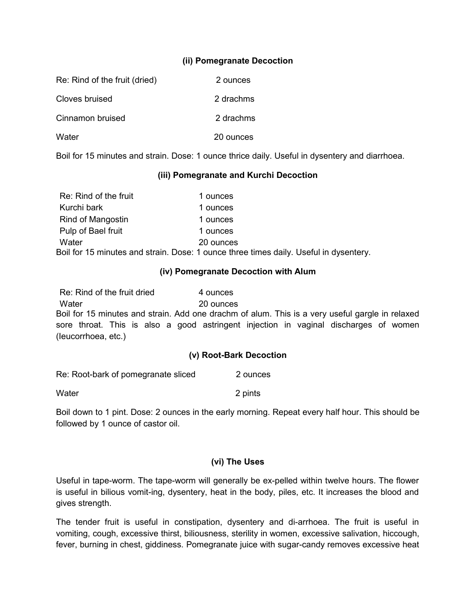### **(ii) Pomegranate Decoction**

| Re: Rind of the fruit (dried) | 2 ounces  |
|-------------------------------|-----------|
| Cloves bruised                | 2 drachms |
| Cinnamon bruised              | 2 drachms |
| Water                         | 20 ounces |

Boil for 15 minutes and strain. Dose: 1 ounce thrice daily. Useful in dysentery and diarrhoea.

### **(iii) Pomegranate and Kurchi Decoction**

| Re: Rind of the fruit | 1 ounces                                                                              |
|-----------------------|---------------------------------------------------------------------------------------|
| Kurchi bark           | 1 ounces                                                                              |
| Rind of Mangostin     | 1 ounces                                                                              |
| Pulp of Bael fruit    | 1 ounces                                                                              |
| Water                 | 20 ounces                                                                             |
|                       | Boil for 15 minutes and strain. Dose: 1 ounce three times daily. Useful in dysentery. |

#### **(iv) Pomegranate Decoction with Alum**

Re: Rind of the fruit dried 4 ounces Water 20 ounces Boil for 15 minutes and strain. Add one drachm of alum. This is a very useful gargle in relaxed sore throat. This is also a good astringent injection in vaginal discharges of women (Ieucorrhoea, etc.)

### **(v) Root-Bark Decoction**

Re: Root-bark of pomegranate sliced 2 ounces

Water 2 pints

Boil down to 1 pint. Dose: 2 ounces in the early morning. Repeat every half hour. This should be followed by 1 ounce of castor oil.

#### **(vi) The Uses**

Useful in tape-worm. The tape-worm will generally be ex-pelled within twelve hours. The flower is useful in bilious vomit-ing, dysentery, heat in the body, piles, etc. It increases the blood and gives strength.

The tender fruit is useful in constipation, dysentery and di-arrhoea. The fruit is useful in vomiting, cough, excessive thirst, biliousness, sterility in women, excessive salivation, hiccough, fever, burning in chest, giddiness. Pomegranate juice with sugar-candy removes excessive heat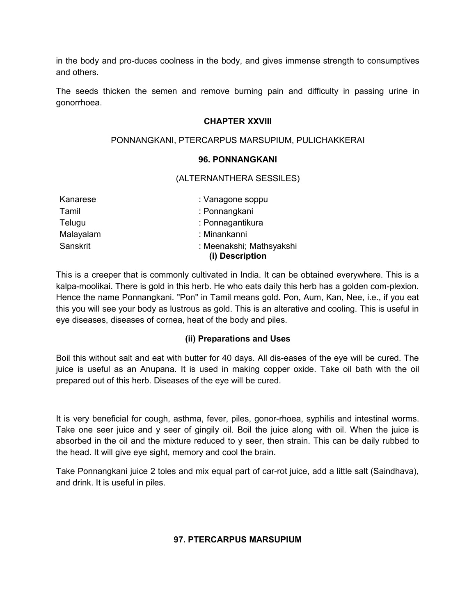in the body and pro-duces coolness in the body, and gives immense strength to consumptives and others.

The seeds thicken the semen and remove burning pain and difficulty in passing urine in gonorrhoea.

#### **CHAPTER XXVIII**

#### PONNANGKANI, PTERCARPUS MARSUPIUM, PULICHAKKERAI

#### **96. PONNANGKANI**

#### (ALTERNANTHERA SESSILES)

| Kanarese  | : Vanagone soppu         |
|-----------|--------------------------|
| Tamil     | : Ponnangkani            |
| Telugu    | : Ponnagantikura         |
| Malayalam | : Minankanni             |
| Sanskrit  | : Meenakshi; Mathsyakshi |
|           | (i) Description          |

This is a creeper that is commonly cultivated in India. It can be obtained everywhere. This is a kalpa-moolikai. There is gold in this herb. He who eats daily this herb has a golden com-plexion. Hence the name Ponnangkani. "Pon" in Tamil means gold. Pon, Aum, Kan, Nee, i.e., if you eat this you will see your body as lustrous as gold. This is an alterative and cooling. This is useful in eye diseases, diseases of cornea, heat of the body and piles.

#### **(ii) Preparations and Uses**

Boil this without salt and eat with butter for 40 days. All dis-eases of the eye will be cured. The juice is useful as an Anupana. It is used in making copper oxide. Take oil bath with the oil prepared out of this herb. Diseases of the eye will be cured.

It is very beneficial for cough, asthma, fever, piles, gonor-rhoea, syphilis and intestinal worms. Take one seer juice and y seer of gingily oil. Boil the juice along with oil. When the juice is absorbed in the oil and the mixture reduced to y seer, then strain. This can be daily rubbed to the head. It will give eye sight, memory and cool the brain.

Take Ponnangkani juice 2 toles and mix equal part of car-rot juice, add a little salt (Saindhava), and drink. It is useful in piles.

### **97. PTERCARPUS MARSUPIUM**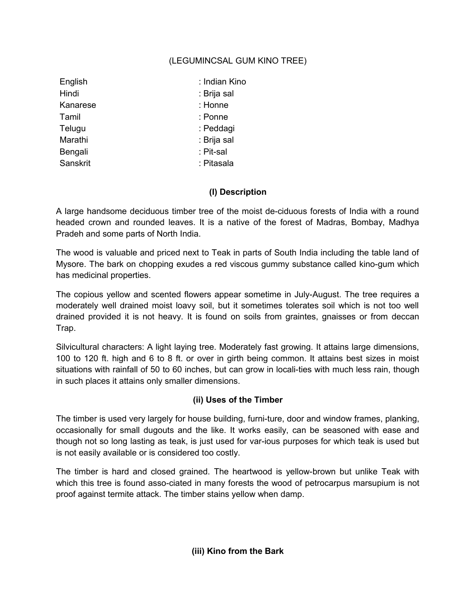# (LEGUMINCSAL GUM KINO TREE)

| : Indian Kino |
|---------------|
| : Brija sal   |
| : Honne       |
| : Ponne       |
| : Peddagi     |
| : Brija sal   |
| : Pit-sal     |
| : Pitasala    |
|               |

# **(I) Description**

A large handsome deciduous timber tree of the moist de-ciduous forests of India with a round headed crown and rounded leaves. It is a native of the forest of Madras, Bombay, Madhya Pradeh and some parts of North India.

The wood is valuable and priced next to Teak in parts of South India including the table land of Mysore. The bark on chopping exudes a red viscous gummy substance called kino-gum which has medicinal properties.

The copious yellow and scented flowers appear sometime in July-August. The tree requires a moderately well drained moist loavy soil, but it sometimes tolerates soil which is not too well drained provided it is not heavy. It is found on soils from graintes, gnaisses or from deccan Trap.

Silvicultural characters: A light laying tree. Moderately fast growing. It attains large dimensions, 100 to 120 ft. high and 6 to 8 ft. or over in girth being common. It attains best sizes in moist situations with rainfall of 50 to 60 inches, but can grow in locali-ties with much less rain, though in such places it attains only smaller dimensions.

# **(ii) Uses of the Timber**

The timber is used very largely for house building, furni-ture, door and window frames, planking, occasionally for small dugouts and the like. It works easily, can be seasoned with ease and though not so long lasting as teak, is just used for var-ious purposes for which teak is used but is not easily available or is considered too costly.

The timber is hard and closed grained. The heartwood is yellow-brown but unlike Teak with which this tree is found asso-ciated in many forests the wood of petrocarpus marsupium is not proof against termite attack. The timber stains yellow when damp.

**(iii) Kino from the Bark**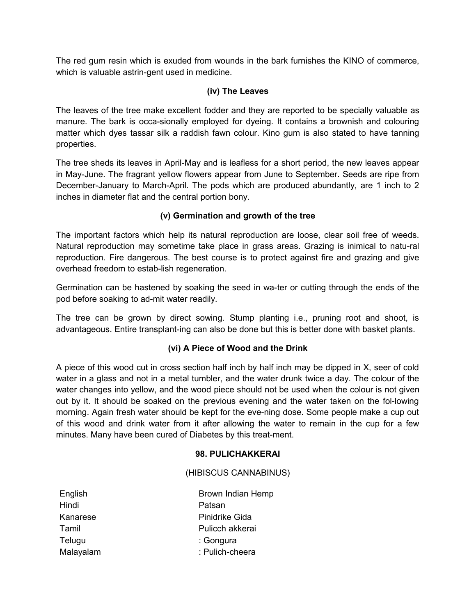The red gum resin which is exuded from wounds in the bark furnishes the KINO of commerce, which is valuable astrin-gent used in medicine.

### **(iv) The Leaves**

The leaves of the tree make excellent fodder and they are reported to be specially valuable as manure. The bark is occa-sionally employed for dyeing. It contains a brownish and colouring matter which dyes tassar silk a raddish fawn colour. Kino gum is also stated to have tanning properties.

The tree sheds its leaves in April-May and is leafless for a short period, the new leaves appear in May-June. The fragrant yellow flowers appear from June to September. Seeds are ripe from December-January to March-April. The pods which are produced abundantly, are 1 inch to 2 inches in diameter flat and the central portion bony.

# **(v) Germination and growth of the tree**

The important factors which help its natural reproduction are loose, clear soil free of weeds. Natural reproduction may sometime take place in grass areas. Grazing is inimical to natu-ral reproduction. Fire dangerous. The best course is to protect against fire and grazing and give overhead freedom to estab-lish regeneration.

Germination can be hastened by soaking the seed in wa-ter or cutting through the ends of the pod before soaking to ad-mit water readily.

The tree can be grown by direct sowing. Stump planting i.e., pruning root and shoot, is advantageous. Entire transplant-ing can also be done but this is better done with basket plants.

# **(vi) A Piece of Wood and the Drink**

A piece of this wood cut in cross section half inch by half inch may be dipped in X, seer of cold water in a glass and not in a metal tumbler, and the water drunk twice a day. The colour of the water changes into yellow, and the wood piece should not be used when the colour is not given out by it. It should be soaked on the previous evening and the water taken on the fol-lowing morning. Again fresh water should be kept for the eve-ning dose. Some people make a cup out of this wood and drink water from it after allowing the water to remain in the cup for a few minutes. Many have been cured of Diabetes by this treat-ment.

### **98. PULICHAKKERAI**

### (HIBISCUS CANNABINUS)

English Brown Indian Hemp Hindi Patsan Kanarese **Pinidrike Gida** Tamil **Tamil Pulicch akkerai** Telugu : Gongura : Gongura Malayalam : Pulich-cheera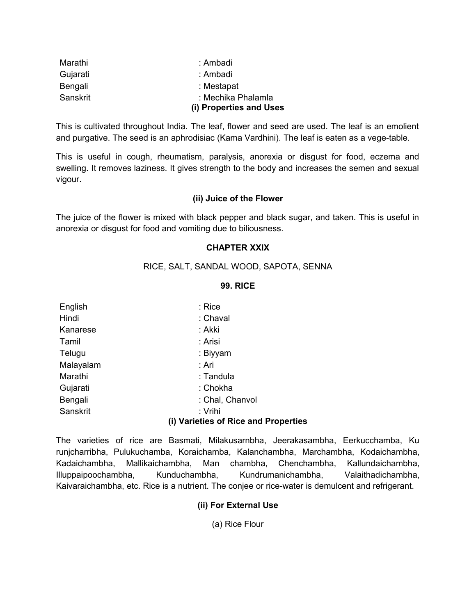| (i) Properties and Uses |
|-------------------------|
| : Mechika Phalamla      |
| : Mestapat              |
| : Ambadi                |
| : Ambadi                |
|                         |

This is cultivated throughout India. The leaf, flower and seed are used. The leaf is an emolient and purgative. The seed is an aphrodisiac (Kama Vardhini). The leaf is eaten as a vege-table.

This is useful in cough, rheumatism, paralysis, anorexia or disgust for food, eczema and swelling. It removes laziness. It gives strength to the body and increases the semen and sexual vigour.

### **(ii) Juice of the Flower**

The juice of the flower is mixed with black pepper and black sugar, and taken. This is useful in anorexia or disgust for food and vomiting due to biliousness.

### **CHAPTER XXIX**

RICE, SALT, SANDAL WOOD, SAPOTA, SENNA

#### **99. RICE**

| English   | : Rice                               |
|-----------|--------------------------------------|
| Hindi     | : Chaval                             |
| Kanarese  | : Akki                               |
| Tamil     | : Arisi                              |
| Telugu    | : Biyyam                             |
| Malayalam | : Ari                                |
| Marathi   | : Tandula                            |
| Gujarati  | : Chokha                             |
| Bengali   | : Chal, Chanvol                      |
| Sanskrit  | : Vrihi                              |
|           | (i) Varieties of Rice and Properties |

The varieties of rice are Basmati, Milakusarnbha, Jeerakasambha, Eerkucchamba, Ku runjcharribha, Pulukuchamba, Koraichamba, Kalanchambha, Marchambha, Kodaichambha, Kadaichambha, Mallikaichambha, Man chambha, Chenchambha, Kallundaichambha, Illuppaipoochambha, Kunduchambha, Kundrumanichambha, Valaithadichambha, Kaivaraichambha, etc. Rice is a nutrient. The conjee or rice-water is demulcent and refrigerant.

### **(ii) For External Use**

(a) Rice Flour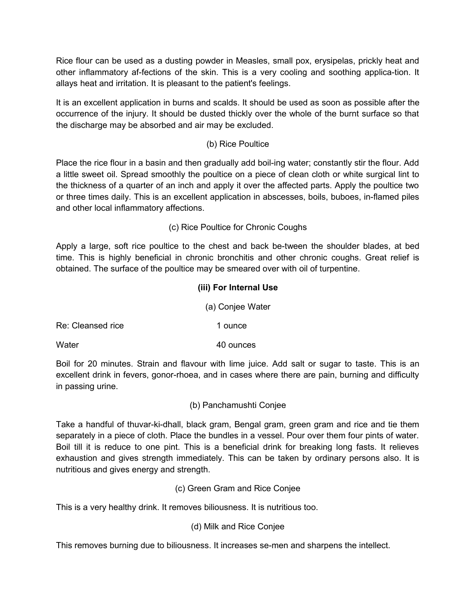Rice flour can be used as a dusting powder in Measles, small pox, erysipelas, prickly heat and other inflammatory af-fections of the skin. This is a very cooling and soothing applica-tion. It allays heat and irritation. It is pleasant to the patient's feelings.

It is an excellent application in burns and scalds. It should be used as soon as possible after the occurrence of the injury. It should be dusted thickly over the whole of the burnt surface so that the discharge may be absorbed and air may be excluded.

# (b) Rice Poultice

Place the rice flour in a basin and then gradually add boil-ing water; constantly stir the flour. Add a little sweet oil. Spread smoothly the poultice on a piece of clean cloth or white surgical lint to the thickness of a quarter of an inch and apply it over the affected parts. Apply the poultice two or three times daily. This is an excellent application in abscesses, boils, buboes, in-flamed piles and other local inflammatory affections.

(c) Rice Poultice for Chronic Coughs

Apply a large, soft rice poultice to the chest and back be-tween the shoulder blades, at bed time. This is highly beneficial in chronic bronchitis and other chronic coughs. Great relief is obtained. The surface of the poultice may be smeared over with oil of turpentine.

# **(iii) For Internal Use**

|                   | (a) Conjee Water |
|-------------------|------------------|
| Re: Cleansed rice | 1 ounce          |
| Water             | 40 ounces        |

Boil for 20 minutes. Strain and flavour with lime juice. Add salt or sugar to taste. This is an excellent drink in fevers, gonor-rhoea, and in cases where there are pain, burning and difficulty in passing urine.

# (b) Panchamushti Conjee

Take a handful of thuvar-ki-dhall, black gram, Bengal gram, green gram and rice and tie them separately in a piece of cloth. Place the bundles in a vessel. Pour over them four pints of water. Boil till it is reduce to one pint. This is a beneficial drink for breaking long fasts. It relieves exhaustion and gives strength immediately. This can be taken by ordinary persons also. It is nutritious and gives energy and strength.

# (c) Green Gram and Rice Conjee

This is a very healthy drink. It removes biliousness. It is nutritious too.

# (d) Milk and Rice Conjee

This removes burning due to biliousness. It increases se-men and sharpens the intellect.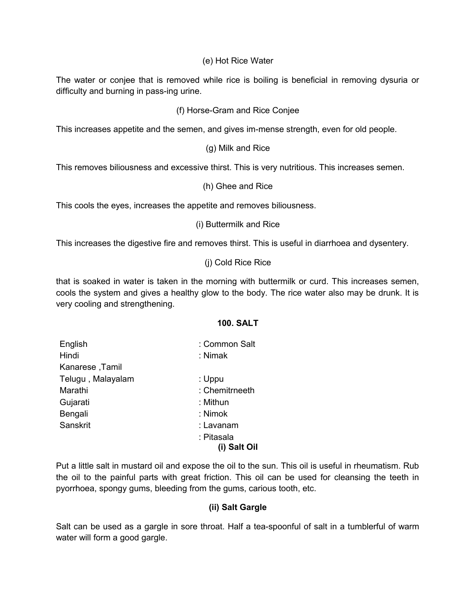(e) Hot Rice Water

The water or conjee that is removed while rice is boiling is beneficial in removing dysuria or difficulty and burning in pass-ing urine.

### (f) Horse-Gram and Rice Conjee

This increases appetite and the semen, and gives im-mense strength, even for old people.

(g) Milk and Rice

This removes biliousness and excessive thirst. This is very nutritious. This increases semen.

(h) Ghee and Rice

This cools the eyes, increases the appetite and removes biliousness.

(i) Buttermilk and Rice

This increases the digestive fire and removes thirst. This is useful in diarrhoea and dysentery.

#### (j) Cold Rice Rice

that is soaked in water is taken in the morning with buttermilk or curd. This increases semen, cools the system and gives a healthy glow to the body. The rice water also may be drunk. It is very cooling and strengthening.

#### **100. SALT**

| English           | : Common Salt  |
|-------------------|----------------|
| Hindi             | : Nimak        |
| Kanarese, Tamil   |                |
| Telugu, Malayalam | : Uppu         |
| Marathi           | : Chemitrneeth |
| Gujarati          | : Mithun       |
| Bengali           | : Nimok        |
| Sanskrit          | : Lavanam      |
|                   | ∶ Pitasala     |
|                   | (i) Salt Oil   |

Put a little salt in mustard oil and expose the oil to the sun. This oil is useful in rheumatism. Rub the oil to the painful parts with great friction. This oil can be used for cleansing the teeth in pyorrhoea, spongy gums, bleeding from the gums, carious tooth, etc.

### **(ii) Salt Gargle**

Salt can be used as a gargle in sore throat. Half a tea-spoonful of salt in a tumblerful of warm water will form a good gargle.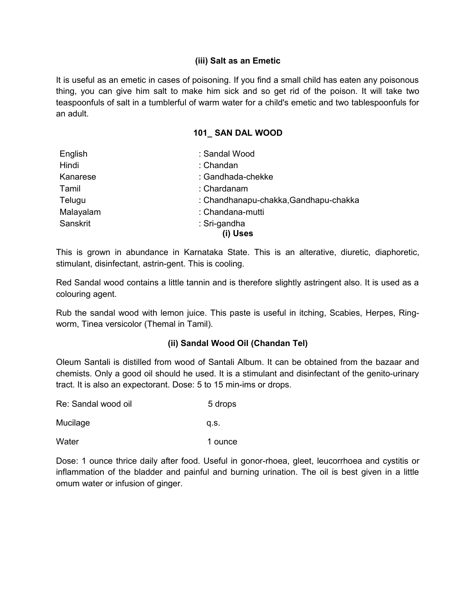### **(iii) Salt as an Emetic**

It is useful as an emetic in cases of poisoning. If you find a small child has eaten any poisonous thing, you can give him salt to make him sick and so get rid of the poison. It will take two teaspoonfuls of salt in a tumblerful of warm water for a child's emetic and two tablespoonfuls for an adult.

### **101\_ SAN DAL WOOD**

| English   | : Sandal Wood                         |
|-----------|---------------------------------------|
| Hindi     | : Chandan                             |
| Kanarese  | : Gandhada-chekke                     |
| Tamil     | : Chardanam                           |
| Telugu    | : Chandhanapu-chakka, Gandhapu-chakka |
| Malayalam | : Chandana-mutti                      |
| Sanskrit  | : Sri-gandha<br>(i) Uses              |

This is grown in abundance in Karnataka State. This is an alterative, diuretic, diaphoretic, stimulant, disinfectant, astrin-gent. This is cooling.

Red Sandal wood contains a little tannin and is therefore slightly astringent also. It is used as a colouring agent.

Rub the sandal wood with lemon juice. This paste is useful in itching, Scabies, Herpes, Ringworm, Tinea versicolor (Themal in Tamil).

### **(ii) Sandal Wood Oil (Chandan Tel)**

Oleum Santali is distilled from wood of Santali Album. It can be obtained from the bazaar and chemists. Only a good oil should he used. It is a stimulant and disinfectant of the genito-urinary tract. It is also an expectorant. Dose: 5 to 15 min-ims or drops.

Re: Sandal wood oil 5 drops

Mucilage q.s.

Water 1 ounce

Dose: 1 ounce thrice daily after food. Useful in gonor-rhoea, gleet, leucorrhoea and cystitis or inflammation of the bladder and painful and burning urination. The oil is best given in a little omum water or infusion of ginger.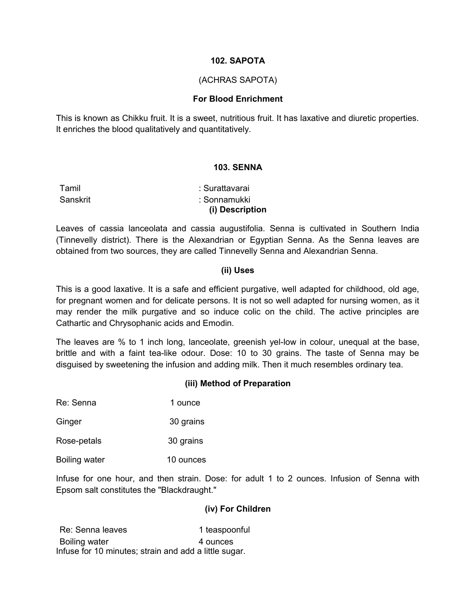#### **102. SAPOTA**

### (ACHRAS SAPOTA)

#### **For Blood Enrichment**

This is known as Chikku fruit. It is a sweet, nutritious fruit. It has laxative and diuretic properties. It enriches the blood qualitatively and quantitatively.

#### **103. SENNA**

| Tamil    | : Surattavarai  |
|----------|-----------------|
| Sanskrit | : Sonnamukki    |
|          | (i) Description |

Leaves of cassia lanceolata and cassia augustifolia. Senna is cultivated in Southern India (Tinnevelly district). There is the Alexandrian or Egyptian Senna. As the Senna leaves are obtained from two sources, they are called Tinnevelly Senna and Alexandrian Senna.

#### **(ii) Uses**

This is a good laxative. It is a safe and efficient purgative, well adapted for childhood, old age, for pregnant women and for delicate persons. It is not so well adapted for nursing women, as it may render the milk purgative and so induce colic on the child. The active principles are Cathartic and Chrysophanic acids and Emodin.

The leaves are % to 1 inch long, lanceolate, greenish yel-low in colour, unequal at the base, brittle and with a faint tea-like odour. Dose: 10 to 30 grains. The taste of Senna may be disguised by sweetening the infusion and adding milk. Then it much resembles ordinary tea.

#### **(iii) Method of Preparation**

| Re: Senna | 1 ounce |
|-----------|---------|
|           |         |
| --        |         |

Ginger 30 grains

Rose-petals 30 grains

Boiling water 10 ounces

Infuse for one hour, and then strain. Dose: for adult 1 to 2 ounces. Infusion of Senna with Epsom salt constitutes the "Blackdraught."

#### **(iv) For Children**

Re: Senna leaves 1 teaspoonful Boiling water **4 ounces** Infuse for 10 minutes; strain and add a little sugar.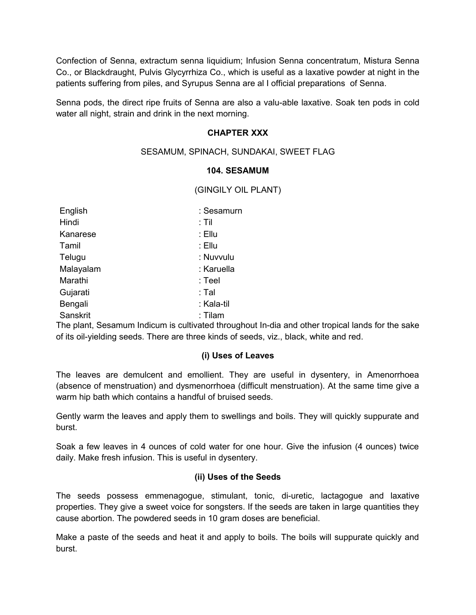Confection of Senna, extractum senna liquidium; Infusion Senna concentratum, Mistura Senna Co., or Blackdraught, Pulvis Glycyrrhiza Co., which is useful as a laxative powder at night in the patients suffering from piles, and Syrupus Senna are al I official preparations of Senna.

Senna pods, the direct ripe fruits of Senna are also a valu-able laxative. Soak ten pods in cold water all night, strain and drink in the next morning.

### **CHAPTER XXX**

### SESAMUM, SPINACH, SUNDAKAI, SWEET FLAG

#### **104. SESAMUM**

### (GINGILY OIL PLANT)

| English   | : Sesamurn |
|-----------|------------|
| Hindi     | : Til      |
| Kanarese  | : Ellu     |
| Tamil     | : Ellu     |
| Telugu    | : Nuvvulu  |
| Malayalam | : Karuella |
| Marathi   | : Teel     |
| Gujarati  | : Tal      |
| Bengali   | : Kala-til |
| Sanskrit  | : Tilam    |

The plant, Sesamum Indicum is cultivated throughout In-dia and other tropical lands for the sake of its oil-yielding seeds. There are three kinds of seeds, viz., black, white and red.

### **(i) Uses of Leaves**

The leaves are demulcent and emollient. They are useful in dysentery, in Amenorrhoea (absence of menstruation) and dysmenorrhoea (difficult menstruation). At the same time give a warm hip bath which contains a handful of bruised seeds.

Gently warm the leaves and apply them to swellings and boils. They will quickly suppurate and burst.

Soak a few leaves in 4 ounces of cold water for one hour. Give the infusion (4 ounces) twice daily. Make fresh infusion. This is useful in dysentery.

### **(ii) Uses of the Seeds**

The seeds possess emmenagogue, stimulant, tonic, di-uretic, lactagogue and laxative properties. They give a sweet voice for songsters. If the seeds are taken in large quantities they cause abortion. The powdered seeds in 10 gram doses are beneficial.

Make a paste of the seeds and heat it and apply to boils. The boils will suppurate quickly and burst.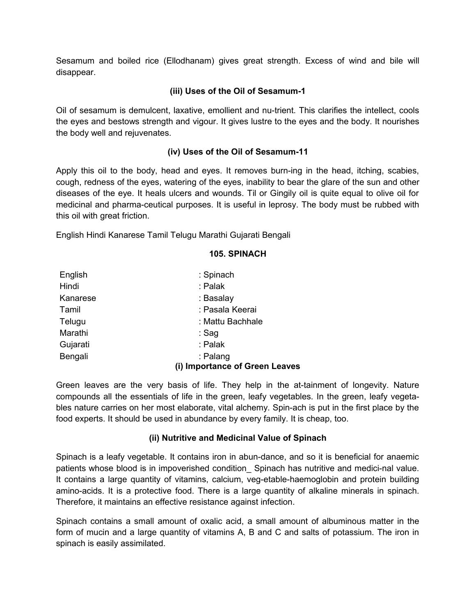Sesamum and boiled rice (Ellodhanam) gives great strength. Excess of wind and bile will disappear.

### **(iii) Uses of the Oil of Sesamum-1**

Oil of sesamum is demulcent, laxative, emollient and nu-trient. This clarifies the intellect, cools the eyes and bestows strength and vigour. It gives lustre to the eyes and the body. It nourishes the body well and rejuvenates.

### **(iv) Uses of the Oil of Sesamum-11**

Apply this oil to the body, head and eyes. It removes burn-ing in the head, itching, scabies, cough, redness of the eyes, watering of the eyes, inability to bear the glare of the sun and other diseases of the eye. It heals ulcers and wounds. Til or Gingily oil is quite equal to olive oil for medicinal and pharma-ceutical purposes. It is useful in leprosy. The body must be rubbed with this oil with great friction.

English Hindi Kanarese Tamil Telugu Marathi Gujarati Bengali

# **105. SPINACH**

| English  | : Spinach                      |
|----------|--------------------------------|
| Hindi    | : Palak                        |
| Kanarese | : Basalay                      |
| Tamil    | : Pasala Keerai                |
| Telugu   | : Mattu Bachhale               |
| Marathi  | : Sag                          |
| Gujarati | : Palak                        |
| Bengali  | : Palang                       |
|          | (i) Importance of Green Leaves |

Green leaves are the very basis of life. They help in the at-tainment of longevity. Nature compounds all the essentials of life in the green, leafy vegetables. In the green, leafy vegetables nature carries on her most elaborate, vital alchemy. Spin-ach is put in the first place by the food experts. It should be used in abundance by every family. It is cheap, too.

### **(ii) Nutritive and Medicinal Value of Spinach**

Spinach is a leafy vegetable. It contains iron in abun-dance, and so it is beneficial for anaemic patients whose blood is in impoverished condition\_ Spinach has nutritive and medici-nal value. It contains a large quantity of vitamins, calcium, veg-etable-haemoglobin and protein building amino-acids. It is a protective food. There is a large quantity of alkaline minerals in spinach. Therefore, it maintains an effective resistance against infection.

Spinach contains a small amount of oxalic acid, a small amount of albuminous matter in the form of mucin and a large quantity of vitamins A, B and C and salts of potassium. The iron in spinach is easily assimilated.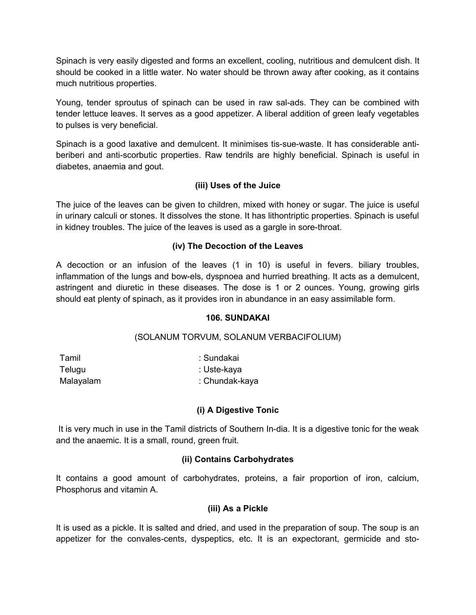Spinach is very easily digested and forms an excellent, cooling, nutritious and demulcent dish. It should be cooked in a little water. No water should be thrown away after cooking, as it contains much nutritious properties.

Young, tender sproutus of spinach can be used in raw sal-ads. They can be combined with tender lettuce leaves. It serves as a good appetizer. A liberal addition of green leafy vegetables to pulses is very beneficial.

Spinach is a good laxative and demulcent. It minimises tis-sue-waste. It has considerable antiberiberi and anti-scorbutic properties. Raw tendrils are highly beneficial. Spinach is useful in diabetes, anaemia and gout.

### **(iii) Uses of the Juice**

The juice of the leaves can be given to children, mixed with honey or sugar. The juice is useful in urinary calculi or stones. It dissolves the stone. It has lithontriptic properties. Spinach is useful in kidney troubles. The juice of the leaves is used as a gargle in sore-throat.

### **(iv) The Decoction of the Leaves**

A decoction or an infusion of the leaves (1 in 10) is useful in fevers. biliary troubles, inflammation of the lungs and bow-els, dyspnoea and hurried breathing. It acts as a demulcent, astringent and diuretic in these diseases. The dose is 1 or 2 ounces. Young, growing girls should eat plenty of spinach, as it provides iron in abundance in an easy assimilable form.

### **106. SUNDAKAI**

### (SOLANUM TORVUM, SOLANUM VERBACIFOLIUM)

| Tamil     | : Sundakai     |
|-----------|----------------|
| Telugu    | : Uste-kaya    |
| Malayalam | : Chundak-kaya |

### **(i) A Digestive Tonic**

 It is very much in use in the Tamil districts of Southern In-dia. It is a digestive tonic for the weak and the anaemic. It is a small, round, green fruit.

### **(ii) Contains Carbohydrates**

It contains a good amount of carbohydrates, proteins, a fair proportion of iron, calcium, Phosphorus and vitamin A.

### **(iii) As a Pickle**

It is used as a pickle. It is salted and dried, and used in the preparation of soup. The soup is an appetizer for the convales-cents, dyspeptics, etc. It is an expectorant, germicide and sto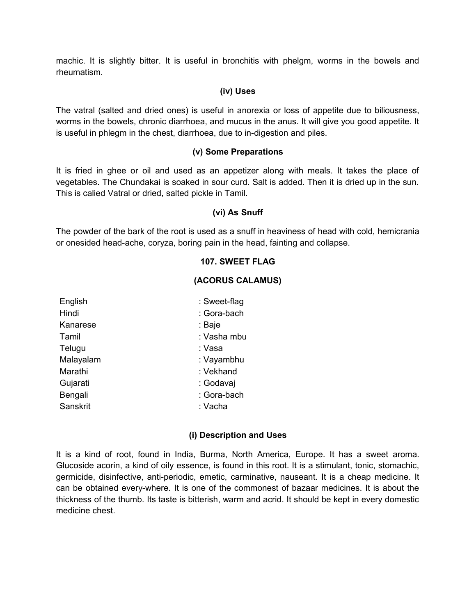machic. It is slightly bitter. It is useful in bronchitis with phelgm, worms in the bowels and rheumatism.

### **(iv) Uses**

The vatral (salted and dried ones) is useful in anorexia or loss of appetite due to biliousness, worms in the bowels, chronic diarrhoea, and mucus in the anus. It will give you good appetite. It is useful in phlegm in the chest, diarrhoea, due to in-digestion and piles.

### **(v) Some Preparations**

It is fried in ghee or oil and used as an appetizer along with meals. It takes the place of vegetables. The Chundakai is soaked in sour curd. Salt is added. Then it is dried up in the sun. This is calied Vatral or dried, salted pickle in Tamil.

### **(vi) As Snuff**

The powder of the bark of the root is used as a snuff in heaviness of head with cold, hemicrania or onesided head-ache, coryza, boring pain in the head, fainting and collapse.

### **107. SWEET FLAG**

### **(ACORUS CALAMUS)**

| English   | : Sweet-flag |
|-----------|--------------|
| Hindi     | : Gora-bach  |
| Kanarese  | : Baje       |
| Tamil     | : Vasha mbu  |
| Telugu    | : Vasa       |
| Malayalam | : Vayambhu   |
| Marathi   | : Vekhand    |
| Gujarati  | : Godavaj    |
| Bengali   | : Gora-bach  |
| Sanskrit  | : Vacha      |
|           |              |

### **(i) Description and Uses**

It is a kind of root, found in India, Burma, North America, Europe. It has a sweet aroma. Glucoside acorin, a kind of oily essence, is found in this root. It is a stimulant, tonic, stomachic, germicide, disinfective, anti-periodic, emetic, carminative, nauseant. It is a cheap medicine. It can be obtained every-where. It is one of the commonest of bazaar medicines. It is about the thickness of the thumb. Its taste is bitterish, warm and acrid. It should be kept in every domestic medicine chest.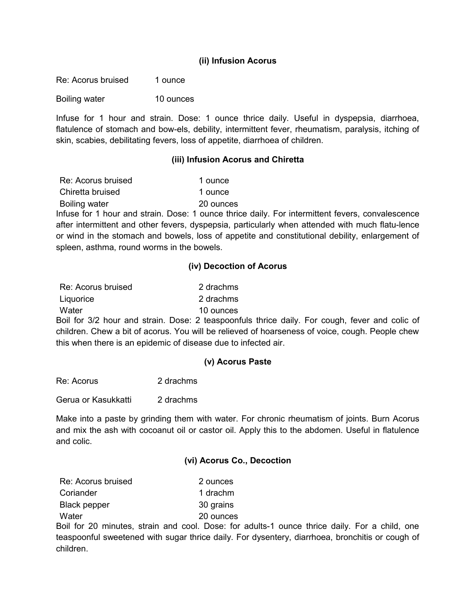### **(ii) Infusion Acorus**

Re: Acorus bruised 1 ounce

Boiling water 10 ounces

Infuse for 1 hour and strain. Dose: 1 ounce thrice daily. Useful in dyspepsia, diarrhoea, flatulence of stomach and bow-els, debility, intermittent fever, rheumatism, paralysis, itching of skin, scabies, debilitating fevers, loss of appetite, diarrhoea of children.

### **(iii) Infusion Acorus and Chiretta**

| Re: Acorus bruised | 1 ounce   |
|--------------------|-----------|
| Chiretta bruised   | 1 ounce   |
| Boiling water      | 20 ounces |

Infuse for 1 hour and strain. Dose: 1 ounce thrice daily. For intermittent fevers, convalescence after intermittent and other fevers, dyspepsia, particularly when attended with much flatu-lence or wind in the stomach and bowels, loss of appetite and constitutional debility, enlargement of spleen, asthma, round worms in the bowels.

### **(iv) Decoction of Acorus**

| Re: Acorus bruised | 2 drachms |
|--------------------|-----------|
| Liquorice          | 2 drachms |
| Water              | 10 ounces |

Boil for 3/2 hour and strain. Dose: 2 teaspoonfuls thrice daily. For cough, fever and colic of children. Chew a bit of acorus. You will be relieved of hoarseness of voice, cough. People chew this when there is an epidemic of disease due to infected air.

### **(v) Acorus Paste**

Re: Acorus 2 drachms

Gerua or Kasukkatti 2 drachms

Make into a paste by grinding them with water. For chronic rheumatism of joints. Burn Acorus and mix the ash with cocoanut oil or castor oil. Apply this to the abdomen. Useful in flatulence and colic.

### **(vi) Acorus Co., Decoction**

| Re: Acorus bruised  | 2 ounces  |
|---------------------|-----------|
| Coriander           | 1 drachm  |
| <b>Black pepper</b> | 30 grains |
| Water               | 20 ounces |

Boil for 20 minutes, strain and cool. Dose: for adults-1 ounce thrice daily. For a child, one teaspoonful sweetened with sugar thrice daily. For dysentery, diarrhoea, bronchitis or cough of children.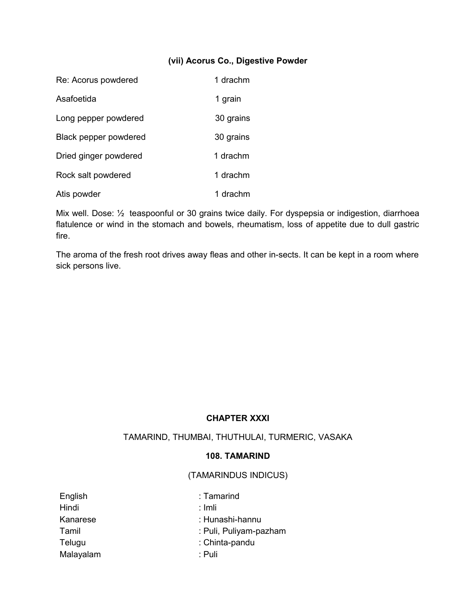### **(vii) Acorus Co., Digestive Powder**

| Re: Acorus powdered   | 1 drachm  |
|-----------------------|-----------|
| Asafoetida            | 1 grain   |
| Long pepper powdered  | 30 grains |
| Black pepper powdered | 30 grains |
| Dried ginger powdered | 1 drachm  |
| Rock salt powdered    | 1 drachm  |
| Atis powder           | 1 drachm  |

Mix well. Dose: 1/2 teaspoonful or 30 grains twice daily. For dyspepsia or indigestion, diarrhoea flatulence or wind in the stomach and bowels, rheumatism, loss of appetite due to dull gastric fire.

The aroma of the fresh root drives away fleas and other in-sects. It can be kept in a room where sick persons live.

### **CHAPTER XXXI**

# TAMARIND, THUMBAI, THUTHULAI, TURMERIC, VASAKA

#### **108. TAMARIND**

### (TAMARINDUS INDICUS)

| English   |
|-----------|
| Hindi     |
| Kanarese  |
| Tamil     |
| Telugu    |
| Malayalam |

: Tamarind  $:$  Imli : Hunashi-hannu : Puli, Puliyam-pazham : Chinta-pandu  $:$  Puli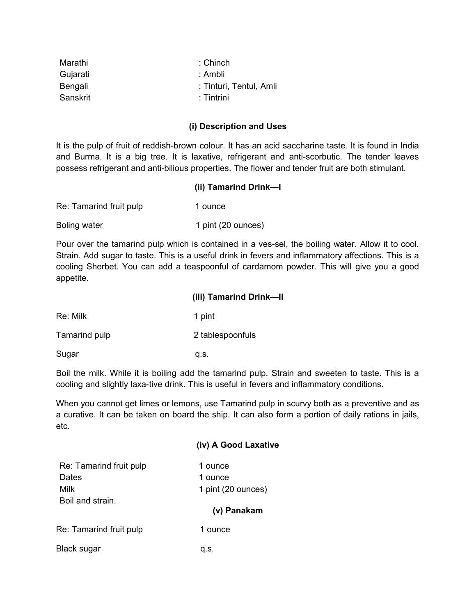| : Chinch                |
|-------------------------|
| : Ambli                 |
| : Tinturi, Tentul, Amli |
| : Tintrini              |
|                         |

### **(i) Description and Uses**

It is the pulp of fruit of reddish-brown colour. It has an acid saccharine taste. It is found in India and Burma. It is a big tree. It is laxative, refrigerant and anti-scorbutic. The tender leaves possess refrigerant and anti-bilious properties. The flower and tender fruit are both stimulant.

**(ii) Tamarind Drink—I**

| Re: Tamarind fruit pulp | 1 ounce            |
|-------------------------|--------------------|
| Boling water            | 1 pint (20 ounces) |

Pour over the tamarind pulp which is contained in a ves-sel, the boiling water. Allow it to cool. Strain. Add sugar to taste. This is a useful drink in fevers and inflammatory affections. This is a cooling Sherbet. You can add a teaspoonful of cardamom powder. This will give you a good appetite.

|               | (iii) Tamarind Drink-II |
|---------------|-------------------------|
| Re: Milk      | 1 pint                  |
| Tamarind pulp | 2 tablespoonfuls        |
| Sugar         | a.s.                    |

Boil the milk. While it is boiling add the tamarind pulp. Strain and sweeten to taste. This is a cooling and slightly laxa-tive drink. This is useful in fevers and inflammatory conditions.

When you cannot get limes or lemons, use Tamarind pulp in scurvy both as a preventive and as a curative. It can be taken on board the ship. It can also form a portion of daily rations in jails, etc.

|                         | (iv) A Good Laxative |
|-------------------------|----------------------|
| Re: Tamarind fruit pulp | 1 ounce              |
| Dates                   | 1 ounce              |
| Milk                    | 1 pint (20 ounces)   |
| Boil and strain.        | (v) Panakam          |
| Re: Tamarind fruit pulp | 1 ounce              |
| Black sugar             | q.s.                 |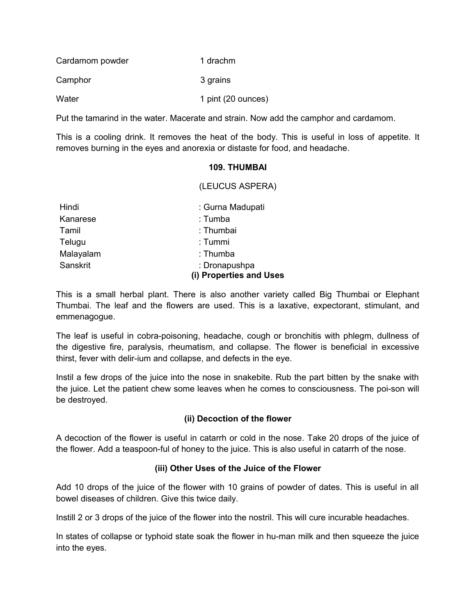| Cardamom powder | 1 drachm           |
|-----------------|--------------------|
| Camphor         | 3 grains           |
| Water           | 1 pint (20 ounces) |

Put the tamarind in the water. Macerate and strain. Now add the camphor and cardamom.

This is a cooling drink. It removes the heat of the body. This is useful in loss of appetite. It removes burning in the eyes and anorexia or distaste for food, and headache.

#### **109. THUMBAI**

(LEUCUS ASPERA)

Kanarese : Tumba

Hindi : Gurna Madupati

Tamil : Thumbai Telugu : Tummi Malayalam : Thumba Sanskrit : Dronapushpa **(i) Properties and Uses**

This is a small herbal plant. There is also another variety called Big Thumbai or Elephant Thumbai. The leaf and the flowers are used. This is a laxative, expectorant, stimulant, and emmenagogue.

The leaf is useful in cobra-poisoning, headache, cough or bronchitis with phlegm, dullness of the digestive fire, paralysis, rheumatism, and collapse. The flower is beneficial in excessive thirst, fever with delir-ium and collapse, and defects in the eye.

Instil a few drops of the juice into the nose in snakebite. Rub the part bitten by the snake with the juice. Let the patient chew some leaves when he comes to consciousness. The poi-son will be destroyed.

### **(ii) Decoction of the flower**

A decoction of the flower is useful in catarrh or cold in the nose. Take 20 drops of the juice of the flower. Add a teaspoon-ful of honey to the juice. This is also useful in catarrh of the nose.

### **(iii) Other Uses of the Juice of the Flower**

Add 10 drops of the juice of the flower with 10 grains of powder of dates. This is useful in all bowel diseases of children. Give this twice daily.

Instill 2 or 3 drops of the juice of the flower into the nostril. This will cure incurable headaches.

In states of collapse or typhoid state soak the flower in hu-man milk and then squeeze the juice into the eyes.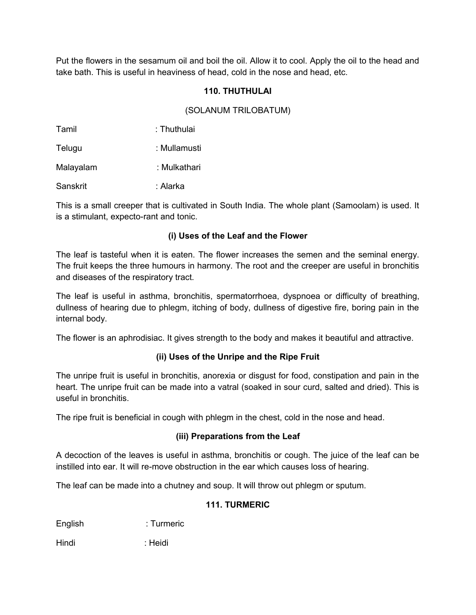Put the flowers in the sesamum oil and boil the oil. Allow it to cool. Apply the oil to the head and take bath. This is useful in heaviness of head, cold in the nose and head, etc.

### **110. THUTHULAI**

### (SOLANUM TRILOBATUM)

| Tamil     | : Thuthulai  |
|-----------|--------------|
| Telugu    | : Mullamusti |
| Malayalam | : Mulkathari |
| Sanskrit  | : Alarka     |

This is a small creeper that is cultivated in South India. The whole plant (Samoolam) is used. It is a stimulant, expecto-rant and tonic.

### **(i) Uses of the Leaf and the Flower**

The leaf is tasteful when it is eaten. The flower increases the semen and the seminal energy. The fruit keeps the three humours in harmony. The root and the creeper are useful in bronchitis and diseases of the respiratory tract.

The leaf is useful in asthma, bronchitis, spermatorrhoea, dyspnoea or difficulty of breathing, dullness of hearing due to phlegm, itching of body, dullness of digestive fire, boring pain in the internal body.

The flower is an aphrodisiac. It gives strength to the body and makes it beautiful and attractive.

# **(ii) Uses of the Unripe and the Ripe Fruit**

The unripe fruit is useful in bronchitis, anorexia or disgust for food, constipation and pain in the heart. The unripe fruit can be made into a vatral (soaked in sour curd, salted and dried). This is useful in bronchitis.

The ripe fruit is beneficial in cough with phlegm in the chest, cold in the nose and head.

### **(iii) Preparations from the Leaf**

A decoction of the leaves is useful in asthma, bronchitis or cough. The juice of the leaf can be instilled into ear. It will re-move obstruction in the ear which causes loss of hearing.

The leaf can be made into a chutney and soup. It will throw out phlegm or sputum.

### **111. TURMERIC**

English : Turmeric

Hindi : Heidi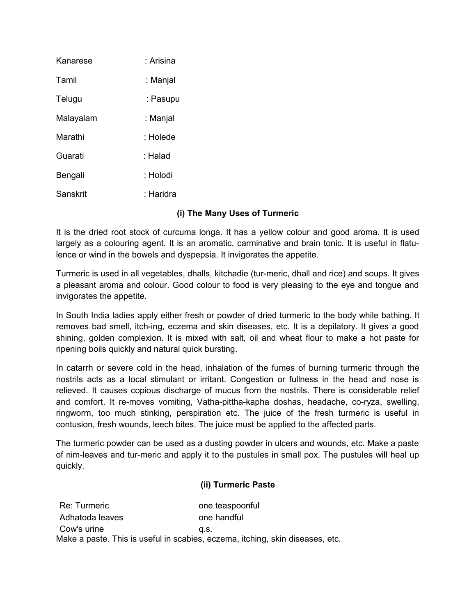| Kanarese  | : Arisina |
|-----------|-----------|
| Tamil     | : Manjal  |
| Telugu    | : Pasupu  |
| Malayalam | : Manjal  |
| Marathi   | : Holede  |
| Guarati   | ∴ Halad   |
| Bengali   | : Holodi  |
| Sanskrit  | : Haridra |

### **(i) The Many Uses of Turmeric**

It is the dried root stock of curcuma longa. It has a yellow colour and good aroma. It is used largely as a colouring agent. It is an aromatic, carminative and brain tonic. It is useful in flatulence or wind in the bowels and dyspepsia. It invigorates the appetite.

Turmeric is used in all vegetables, dhalls, kitchadie (tur-meric, dhall and rice) and soups. It gives a pleasant aroma and colour. Good colour to food is very pleasing to the eye and tongue and invigorates the appetite.

In South India ladies apply either fresh or powder of dried turmeric to the body while bathing. It removes bad smell, itch-ing, eczema and skin diseases, etc. It is a depilatory. It gives a good shining, golden complexion. It is mixed with salt, oil and wheat flour to make a hot paste for ripening boils quickly and natural quick bursting.

In catarrh or severe cold in the head, inhalation of the fumes of burning turmeric through the nostrils acts as a local stimulant or irritant. Congestion or fullness in the head and nose is relieved. It causes copious discharge of mucus from the nostrils. There is considerable relief and comfort. It re-moves vomiting, Vatha-pittha-kapha doshas, headache, co-ryza, swelling, ringworm, too much stinking, perspiration etc. The juice of the fresh turmeric is useful in contusion, fresh wounds, leech bites. The juice must be applied to the affected parts.

The turmeric powder can be used as a dusting powder in ulcers and wounds, etc. Make a paste of nim-leaves and tur-meric and apply it to the pustules in small pox. The pustules will heal up quickly.

### **(ii) Turmeric Paste**

Re: Turmeric **Department one teaspoonful** Adhatoda leaves one handful Cow's urine q.s. Make a paste. This is useful in scabies, eczema, itching, skin diseases, etc.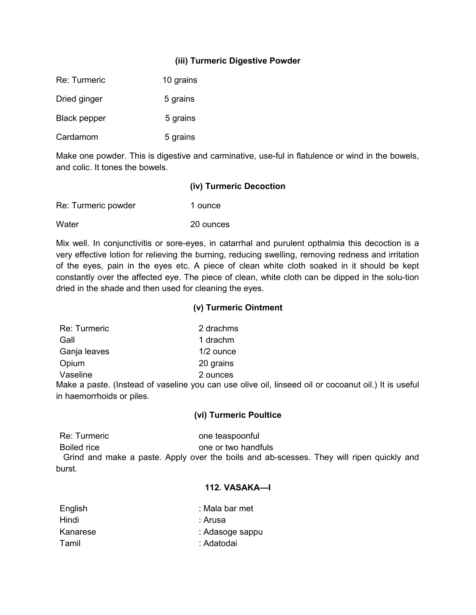### **(iii) Turmeric Digestive Powder**

| Re: Turmeric        | 10 grains |
|---------------------|-----------|
| Dried ginger        | 5 grains  |
| <b>Black pepper</b> | 5 grains  |
| Cardamom            | 5 grains  |

Make one powder. This is digestive and carminative, use-ful in flatulence or wind in the bowels, and colic. It tones the bowels.

| Re: Turmeric powder | 1 ounce |
|---------------------|---------|
|---------------------|---------|

| Water | 20 ounces |
|-------|-----------|
|-------|-----------|

Mix well. In conjunctivitis or sore-eyes, in catarrhal and purulent opthalmia this decoction is a very effective lotion for relieving the burning, reducing swelling, removing redness and irritation of the eyes, pain in the eyes etc. A piece of clean white cloth soaked in it should be kept constantly over the affected eye. The piece of clean, white cloth can be dipped in the solu-tion dried in the shade and then used for cleaning the eyes.

#### **(v) Turmeric Ointment**

| Re: Turmeric | 2 drachms   |
|--------------|-------------|
| Gall         | 1 drachm    |
| Ganja leaves | $1/2$ ounce |
| Opium        | 20 grains   |
| Vaseline     | 2 ounces    |

Make a paste. (Instead of vaseline you can use olive oil, linseed oil or cocoanut oil.) It is useful in haemorrhoids or piles.

#### **(vi) Turmeric Poultice**

Re: Turmeric **Department one teaspoonful** Boiled rice **building the set one or two handfuls**  Grind and make a paste. Apply over the boils and ab-scesses. They will ripen quickly and burst.

### **112. VASAKA—I**

| English  | : Mala bar met  |
|----------|-----------------|
| Hindi    | ∶ Arusa         |
| Kanarese | : Adasoge sappu |
| Tamil    | : Adatodai      |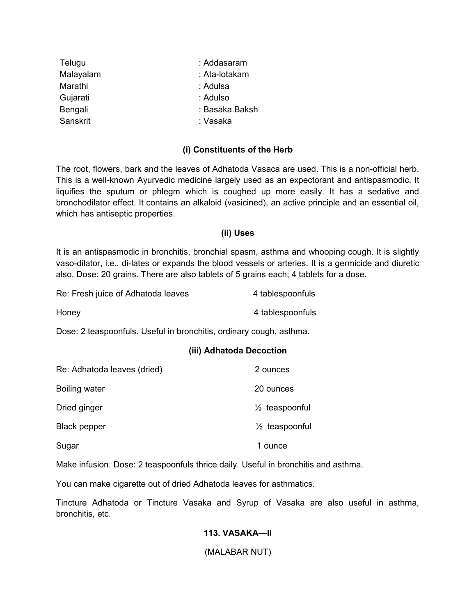| Telugu    | : Addasaram    |
|-----------|----------------|
| Malayalam | : Ata-lotakam  |
| Marathi   | : Adulsa       |
| Gujarati  | : Adulso       |
| Bengali   | : Basaka.Baksh |
| Sanskrit  | : Vasaka       |
|           |                |

### **(i) Constituents of the Herb**

The root, flowers, bark and the leaves of Adhatoda Vasaca are used. This is a non-official herb. This is a well-known Ayurvedic medicine largely used as an expectorant and antispasmodic. It liquifies the sputum or phlegm which is coughed up more easily. It has a sedative and bronchodilator effect. It contains an alkaloid (vasicined), an active principle and an essential oil, which has antiseptic properties.

#### **(ii) Uses**

It is an antispasmodic in bronchitis, bronchial spasm, asthma and whooping cough. It is slightly vaso-dilator, i.e., di-lates or expands the blood vessels or arteries. It is a germicide and diuretic also. Dose: 20 grains. There are also tablets of 5 grains each; 4 tablets for a dose.

| Re: Fresh juice of Adhatoda leaves | 4 tablespoonfuls |
|------------------------------------|------------------|
| Honey                              | 4 tablespoonfuls |

Dose: 2 teaspoonfuls. Useful in bronchitis, ordinary cough, asthma.

### **(iii) Adhatoda Decoction**

| Re: Adhatoda leaves (dried) | 2 ounces                  |
|-----------------------------|---------------------------|
| Boiling water               | 20 ounces                 |
| Dried ginger                | $\frac{1}{2}$ teaspoonful |
| <b>Black pepper</b>         | $\frac{1}{2}$ teaspoonful |
| Sugar                       | 1 ounce                   |

Make infusion. Dose: 2 teaspoonfuls thrice daily. Useful in bronchitis and asthma.

You can make cigarette out of dried Adhatoda leaves for asthmatics.

Tincture Adhatoda or Tincture Vasaka and Syrup of Vasaka are also useful in asthma, bronchitis, etc.

### **113. VASAKA—II**

(MALABAR NUT)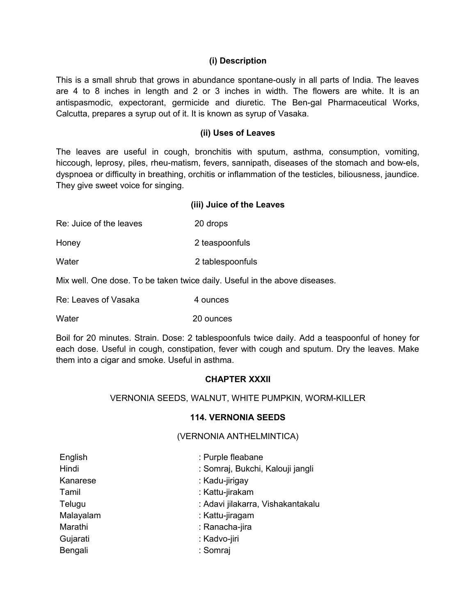#### **(i) Description**

This is a small shrub that grows in abundance spontane-ously in all parts of India. The leaves are 4 to 8 inches in length and 2 or 3 inches in width. The flowers are white. It is an antispasmodic, expectorant, germicide and diuretic. The Ben-gal Pharmaceutical Works, Calcutta, prepares a syrup out of it. It is known as syrup of Vasaka.

#### **(ii) Uses of Leaves**

The leaves are useful in cough, bronchitis with sputum, asthma, consumption, vomiting, hiccough, leprosy, piles, rheu-matism, fevers, sannipath, diseases of the stomach and bow-els, dyspnoea or difficulty in breathing, orchitis or inflammation of the testicles, biliousness, jaundice. They give sweet voice for singing.

#### **(iii) Juice of the Leaves**

Re: Juice of the leaves 20 drops

Honey 2 teaspoonfuls

Water 2 tablespoonfuls

Mix well. One dose. To be taken twice daily. Useful in the above diseases.

| Re: Leaves of Vasaka | 4 ounces |
|----------------------|----------|
|                      |          |

Water 20 ounces

Boil for 20 minutes. Strain. Dose: 2 tablespoonfuls twice daily. Add a teaspoonful of honey for each dose. Useful in cough, constipation, fever with cough and sputum. Dry the leaves. Make them into a cigar and smoke. Useful in asthma.

### **CHAPTER XXXII**

#### VERNONIA SEEDS, WALNUT, WHITE PUMPKIN, WORM-KILLER

#### **114. VERNONIA SEEDS**

#### (VERNONIA ANTHELMINTICA)

| English   | : Purple fleabane                 |
|-----------|-----------------------------------|
| Hindi     | : Somraj, Bukchi, Kalouji jangli  |
| Kanarese  | : Kadu-jirigay                    |
| Tamil     | : Kattu-jirakam                   |
| Telugu    | : Adavi jilakarra, Vishakantakalu |
| Malayalam | : Kattu-jiragam                   |
| Marathi   | : Ranacha-jira                    |
| Gujarati  | : Kadvo-jiri                      |
| Bengali   | : Somraj                          |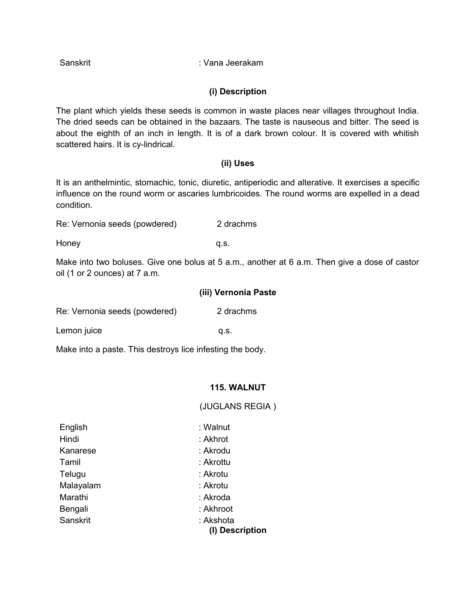Sanskrit : Vana Jeerakam

### **(i) Description**

The plant which yields these seeds is common in waste places near villages throughout India. The dried seeds can be obtained in the bazaars. The taste is nauseous and bitter. The seed is about the eighth of an inch in length. It is of a dark brown colour. It is covered with whitish scattered hairs. It is cy-lindrical.

#### **(ii) Uses**

It is an anthelmintic, stomachic, tonic, diuretic, antiperiodic and alterative. It exercises a specific influence on the round worm or ascaries lumbricoides. The round worms are expelled in a dead condition.

Re: Vernonia seeds (powdered) 2 drachms

Honey **q.s.** 

Make into two boluses. Give one bolus at 5 a.m., another at 6 a.m. Then give a dose of castor oil (1 or 2 ounces) at 7 a.m.

### **(iii) Vernonia Paste**

| Re: Vernonia seeds (powdered) | 2 drachms |
|-------------------------------|-----------|
|-------------------------------|-----------|

Lemon juice q.s.

Make into a paste. This destroys lice infesting the body.

### **115. WALNUT**

(JUGLANS REGIA )

| : Walnut                     |
|------------------------------|
| : Akhrot                     |
| : Akrodu                     |
| : Akrottu                    |
| ∶ Akrotu                     |
| : Akrotu                     |
| : Akroda                     |
| : Akhroot                    |
| : Akshota<br>(I) Description |
|                              |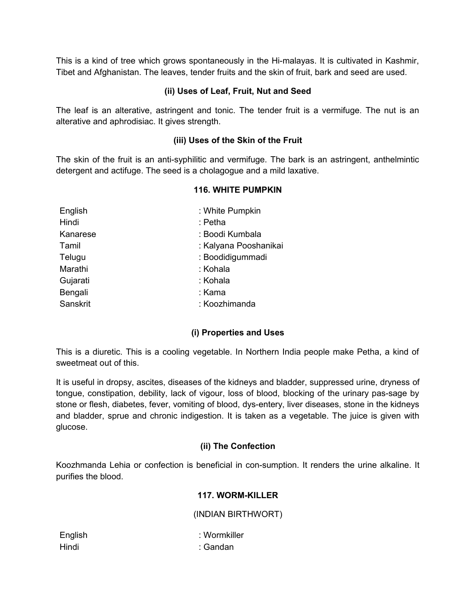This is a kind of tree which grows spontaneously in the Hi-malayas. It is cultivated in Kashmir, Tibet and Afghanistan. The leaves, tender fruits and the skin of fruit, bark and seed are used.

### **(ii) Uses of Leaf, Fruit, Nut and Seed**

The leaf is an alterative, astringent and tonic. The tender fruit is a vermifuge. The nut is an alterative and aphrodisiac. It gives strength.

### **(iii) Uses of the Skin of the Fruit**

The skin of the fruit is an anti-syphilitic and vermifuge. The bark is an astringent, anthelmintic detergent and actifuge. The seed is a cholagogue and a mild laxative.

### **116. WHITE PUMPKIN**

| English  | : White Pumpkin       |
|----------|-----------------------|
| Hindi    | : Petha               |
| Kanarese | : Boodi Kumbala       |
| Tamil    | : Kalyana Pooshanikai |
| Telugu   | : Boodidigummadi      |
| Marathi  | : Kohala              |
| Gujarati | : Kohala              |
| Bengali  | : Kama                |
| Sanskrit | : Koozhimanda         |
|          |                       |

# **(i) Properties and Uses**

This is a diuretic. This is a cooling vegetable. In Northern India people make Petha, a kind of sweetmeat out of this.

It is useful in dropsy, ascites, diseases of the kidneys and bladder, suppressed urine, dryness of tongue, constipation, debility, lack of vigour, loss of blood, blocking of the urinary pas-sage by stone or flesh, diabetes, fever, vomiting of blood, dys-entery, liver diseases, stone in the kidneys and bladder, sprue and chronic indigestion. It is taken as a vegetable. The juice is given with glucose.

### **(ii) The Confection**

Koozhmanda Lehia or confection is beneficial in con-sumption. It renders the urine alkaline. It purifies the blood.

### **117. WORM-KILLER**

### (INDIAN BIRTHWORT)

English : Wormkiller Hindi : Gandan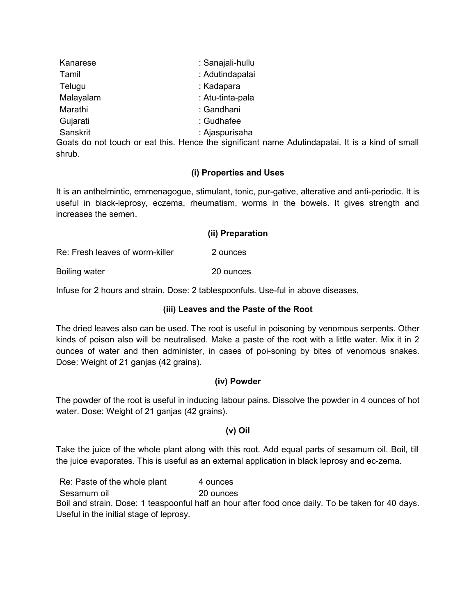| Kanarese                                                             | : Sanajali-hullu |
|----------------------------------------------------------------------|------------------|
| Tamil                                                                | : Adutindapalai  |
| Telugu                                                               | : Kadapara       |
| Malayalam                                                            | : Atu-tinta-pala |
| Marathi                                                              | : Gandhani       |
| Gujarati                                                             | : Gudhafee       |
| Sanskrit                                                             | : Ajaspurisaha   |
| ∩a sia dia mpiliharaha dan sai ikita di kacama ikia matamat@amani ma |                  |

Goats do not touch or eat this. Hence the significant name Adutindapalai. It is a kind of small shrub.

### **(i) Properties and Uses**

It is an anthelmintic, emmenagogue, stimulant, tonic, pur-gative, alterative and anti-periodic. It is useful in black-leprosy, eczema, rheumatism, worms in the bowels. It gives strength and increases the semen.

|  |  | (ii) Preparation |
|--|--|------------------|
|--|--|------------------|

Re: Fresh leaves of worm-killer 2 ounces

Boiling water 20 ounces

Infuse for 2 hours and strain. Dose: 2 tablespoonfuls. Use-ful in above diseases,

### **(iii) Leaves and the Paste of the Root**

The dried leaves also can be used. The root is useful in poisoning by venomous serpents. Other kinds of poison also will be neutralised. Make a paste of the root with a little water. Mix it in 2 ounces of water and then administer, in cases of poi-soning by bites of venomous snakes. Dose: Weight of 21 ganjas (42 grains).

### **(iv) Powder**

The powder of the root is useful in inducing labour pains. Dissolve the powder in 4 ounces of hot water. Dose: Weight of 21 ganjas (42 grains).

### **(v) Oil**

Take the juice of the whole plant along with this root. Add equal parts of sesamum oil. Boil, till the juice evaporates. This is useful as an external application in black leprosy and ec-zema.

Re: Paste of the whole plant 4 ounces

Sesamum oil 20 ounces

Boil and strain. Dose: 1 teaspoonful half an hour after food once daily. To be taken for 40 days. Useful in the initial stage of leprosy.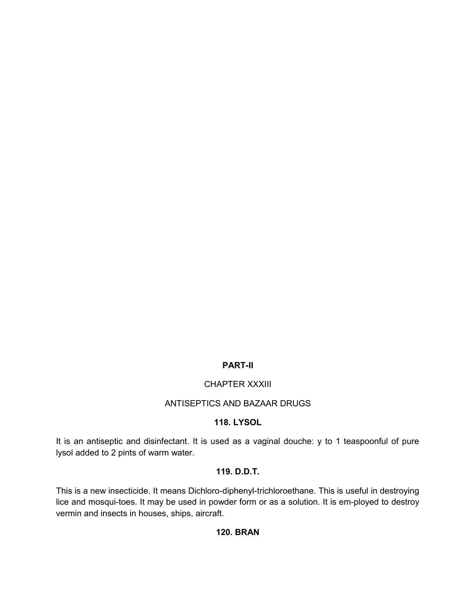# **PART-II**

# CHAPTER XXXIII

# ANTISEPTICS AND BAZAAR DRUGS

## **118. LYSOL**

It is an antiseptic and disinfectant. It is used as a vaginal douche: y to 1 teaspoonful of pure lysol added to 2 pints of warm water.

# **119. D.D.T.**

This is a new insecticide. It means Dichloro-diphenyl-trichloroethane. This is useful in destroying lice and mosqui-toes. It may be used in powder form or as a solution. It is em-ployed to destroy vermin and insects in houses, ships, aircraft.

### **120. BRAN**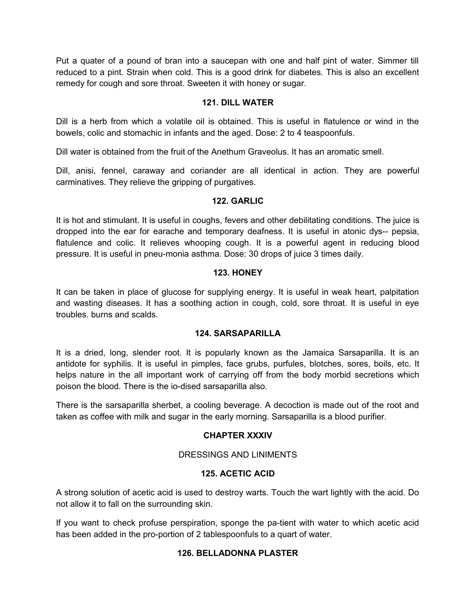Put a quater of a pound of bran into a saucepan with one and half pint of water. Simmer till reduced to a pint. Strain when cold. This is a good drink for diabetes. This is also an excellent remedy for cough and sore throat. Sweeten it with honey or sugar.

# **121. DILL WATER**

Dill is a herb from which a volatile oil is obtained. This is useful in flatulence or wind in the bowels, colic and stomachic in infants and the aged. Dose: 2 to 4 teaspoonfuls.

Dill water is obtained from the fruit of the Anethum Graveolus. It has an aromatic smell.

Dill, anisi, fennel, caraway and coriander are all identical in action. They are powerful carminatives. They relieve the gripping of purgatives.

# **122. GARLIC**

It is hot and stimulant. It is useful in coughs, fevers and other debilitating conditions. The juice is dropped into the ear for earache and temporary deafness. It is useful in atonic dys-- pepsia, flatulence and colic. It relieves whooping cough. It is a powerful agent in reducing blood pressure. It is useful in pneu-monia asthma. Dose: 30 drops of juice 3 times daily.

# **123. HONEY**

It can be taken in place of glucose for supplying energy. It is useful in weak heart, palpitation and wasting diseases. It has a soothing action in cough, cold, sore throat. It is useful in eye troubles. burns and scalds.

# **124. SARSAPARILLA**

It is a dried, long, slender root. It is popularly known as the Jamaica Sarsaparilla. It is an antidote for syphilis. It is useful in pimples, face grubs, purfules, blotches, sores, boils, etc. It helps nature in the all important work of carrying off from the body morbid secretions which poison the blood. There is the io-dised sarsaparilla also.

There is the sarsaparilla sherbet, a cooling beverage. A decoction is made out of the root and taken as coffee with milk and sugar in the early morning. Sarsaparilla is a blood purifier.

# **CHAPTER XXXIV**

# DRESSINGS AND LINIMENTS

# **125. ACETIC ACID**

A strong solution of acetic acid is used to destroy warts. Touch the wart lightly with the acid. Do not allow it to fall on the surrounding skin.

If you want to check profuse perspiration, sponge the pa-tient with water to which acetic acid has been added in the pro-portion of 2 tablespoonfuls to a quart of water.

# **126. BELLADONNA PLASTER**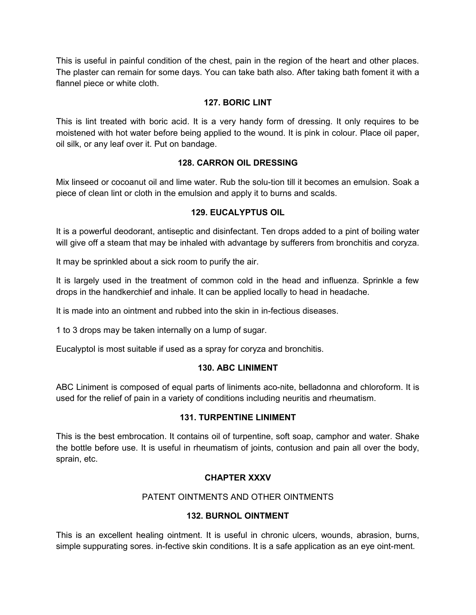This is useful in painful condition of the chest, pain in the region of the heart and other places. The plaster can remain for some days. You can take bath also. After taking bath foment it with a flannel piece or white cloth.

# **127. BORIC LINT**

This is lint treated with boric acid. It is a very handy form of dressing. It only requires to be moistened with hot water before being applied to the wound. It is pink in colour. Place oil paper, oil silk, or any leaf over it. Put on bandage.

# **128. CARRON OIL DRESSING**

Mix linseed or cocoanut oil and lime water. Rub the solu-tion till it becomes an emulsion. Soak a piece of clean lint or cloth in the emulsion and apply it to burns and scalds.

# **129. EUCALYPTUS OIL**

It is a powerful deodorant, antiseptic and disinfectant. Ten drops added to a pint of boiling water will give off a steam that may be inhaled with advantage by sufferers from bronchitis and coryza.

It may be sprinkled about a sick room to purify the air.

It is largely used in the treatment of common cold in the head and influenza. Sprinkle a few drops in the handkerchief and inhale. It can be applied locally to head in headache.

It is made into an ointment and rubbed into the skin in in-fectious diseases.

1 to 3 drops may be taken internally on a lump of sugar.

Eucalyptol is most suitable if used as a spray for coryza and bronchitis.

# **130. ABC LINIMENT**

ABC Liniment is composed of equal parts of liniments aco-nite, belladonna and chloroform. It is used for the relief of pain in a variety of conditions including neuritis and rheumatism.

# **131. TURPENTINE LINIMENT**

This is the best embrocation. It contains oil of turpentine, soft soap, camphor and water. Shake the bottle before use. It is useful in rheumatism of joints, contusion and pain all over the body, sprain, etc.

# **CHAPTER XXXV**

# PATENT OINTMENTS AND OTHER OINTMENTS

# **132. BURNOL OINTMENT**

This is an excellent healing ointment. It is useful in chronic ulcers, wounds, abrasion, burns, simple suppurating sores. in-fective skin conditions. It is a safe application as an eye oint-ment.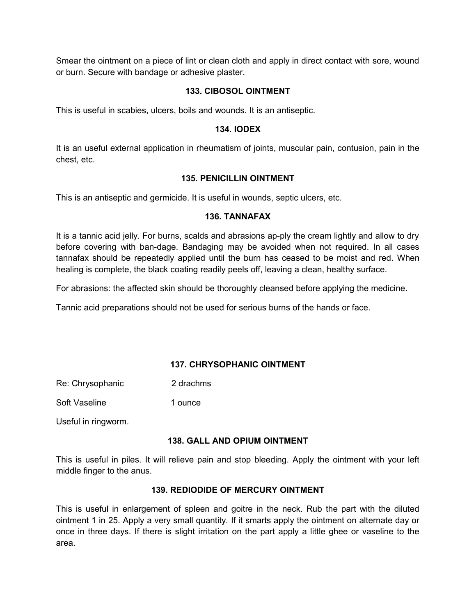Smear the ointment on a piece of lint or clean cloth and apply in direct contact with sore, wound or burn. Secure with bandage or adhesive plaster.

# **133. CIBOSOL OINTMENT**

This is useful in scabies, ulcers, boils and wounds. It is an antiseptic.

#### **134. IODEX**

It is an useful external application in rheumatism of joints, muscular pain, contusion, pain in the chest, etc.

### **135. PENICILLIN OINTMENT**

This is an antiseptic and germicide. It is useful in wounds, septic ulcers, etc.

#### **136. TANNAFAX**

It is a tannic acid jelly. For burns, scalds and abrasions ap-ply the cream lightly and allow to dry before covering with ban-dage. Bandaging may be avoided when not required. In all cases tannafax should be repeatedly applied until the burn has ceased to be moist and red. When healing is complete, the black coating readily peels off, leaving a clean, healthy surface.

For abrasions: the affected skin should be thoroughly cleansed before applying the medicine.

Tannic acid preparations should not be used for serious burns of the hands or face.

# **137. CHRYSOPHANIC OINTMENT**

Re: Chrysophanic 2 drachms

Soft Vaseline 1 ounce

Useful in ringworm.

#### **138. GALL AND OPIUM OINTMENT**

This is useful in piles. It will relieve pain and stop bleeding. Apply the ointment with your left middle finger to the anus.

#### **139. REDIODIDE OF MERCURY OINTMENT**

This is useful in enlargement of spleen and goitre in the neck. Rub the part with the diluted ointment 1 in 25. Apply a very small quantity. If it smarts apply the ointment on alternate day or once in three days. If there is slight irritation on the part apply a little ghee or vaseline to the area.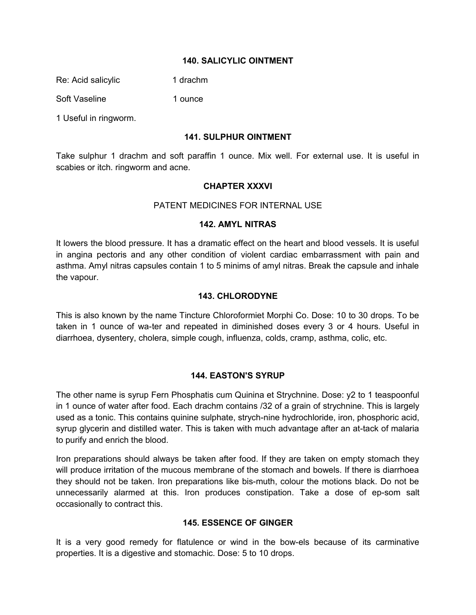### **140. SALICYLIC OINTMENT**

Re: Acid salicylic 1 drachm

Soft Vaseline 1 ounce

1 Useful in ringworm.

### **141. SULPHUR OINTMENT**

Take sulphur 1 drachm and soft paraffin 1 ounce. Mix well. For external use. It is useful in scabies or itch. ringworm and acne.

### **CHAPTER XXXVI**

### PATENT MEDICINES FOR INTERNAL USE

### **142. AMYL NITRAS**

It lowers the blood pressure. It has a dramatic effect on the heart and blood vessels. It is useful in angina pectoris and any other condition of violent cardiac embarrassment with pain and asthma. Amyl nitras capsules contain 1 to 5 minims of amyl nitras. Break the capsule and inhale the vapour.

# **143. CHLORODYNE**

This is also known by the name Tincture Chloroformiet Morphi Co. Dose: 10 to 30 drops. To be taken in 1 ounce of wa-ter and repeated in diminished doses every 3 or 4 hours. Useful in diarrhoea, dysentery, cholera, simple cough, influenza, colds, cramp, asthma, colic, etc.

# **144. EASTON'S SYRUP**

The other name is syrup Fern Phosphatis cum Quinina et Strychnine. Dose: y2 to 1 teaspoonful in 1 ounce of water after food. Each drachm contains /32 of a grain of strychnine. This is largely used as a tonic. This contains quinine sulphate, strych-nine hydrochloride, iron, phosphoric acid, syrup glycerin and distilled water. This is taken with much advantage after an at-tack of malaria to purify and enrich the blood.

Iron preparations should always be taken after food. If they are taken on empty stomach they will produce irritation of the mucous membrane of the stomach and bowels. If there is diarrhoea they should not be taken. Iron preparations like bis-muth, colour the motions black. Do not be unnecessarily alarmed at this. Iron produces constipation. Take a dose of ep-som salt occasionally to contract this.

# **145. ESSENCE OF GINGER**

It is a very good remedy for flatulence or wind in the bow-els because of its carminative properties. It is a digestive and stomachic. Dose: 5 to 10 drops.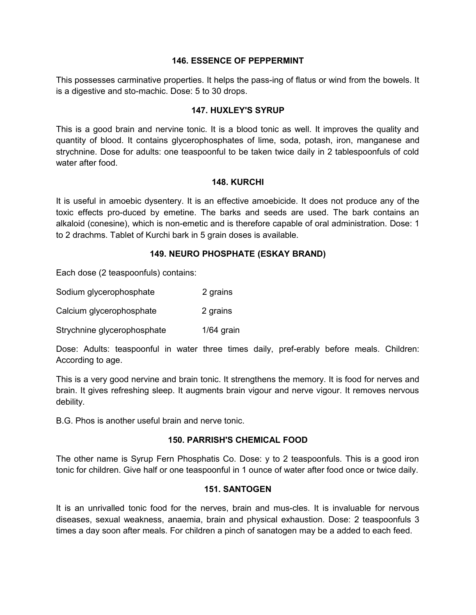#### **146. ESSENCE OF PEPPERMINT**

This possesses carminative properties. It helps the pass-ing of flatus or wind from the bowels. It is a digestive and sto-machic. Dose: 5 to 30 drops.

## **147. HUXLEY'S SYRUP**

This is a good brain and nervine tonic. It is a blood tonic as well. It improves the quality and quantity of blood. It contains glycerophosphates of lime, soda, potash, iron, manganese and strychnine. Dose for adults: one teaspoonful to be taken twice daily in 2 tablespoonfuls of cold water after food.

### **148. KURCHI**

It is useful in amoebic dysentery. It is an effective amoebicide. It does not produce any of the toxic effects pro-duced by emetine. The barks and seeds are used. The bark contains an alkaloid (conesine), which is non-emetic and is therefore capable of oral administration. Dose: 1 to 2 drachms. Tablet of Kurchi bark in 5 grain doses is available.

# **149. NEURO PHOSPHATE (ESKAY BRAND)**

Each dose (2 teaspoonfuls) contains:

| Sodium glycerophosphate     | 2 grains     |
|-----------------------------|--------------|
| Calcium glycerophosphate    | 2 grains     |
| Strychnine glycerophosphate | $1/64$ grain |

Dose: Adults: teaspoonful in water three times daily, pref-erably before meals. Children: According to age.

This is a very good nervine and brain tonic. It strengthens the memory. It is food for nerves and brain. It gives refreshing sleep. It augments brain vigour and nerve vigour. It removes nervous debility.

B.G. Phos is another useful brain and nerve tonic.

# **150. PARRISH'S CHEMICAL FOOD**

The other name is Syrup Fern Phosphatis Co. Dose: y to 2 teaspoonfuls. This is a good iron tonic for children. Give half or one teaspoonful in 1 ounce of water after food once or twice daily.

#### **151. SANTOGEN**

It is an unrivalled tonic food for the nerves, brain and mus-cles. It is invaluable for nervous diseases, sexual weakness, anaemia, brain and physical exhaustion. Dose: 2 teaspoonfuls 3 times a day soon after meals. For children a pinch of sanatogen may be a added to each feed.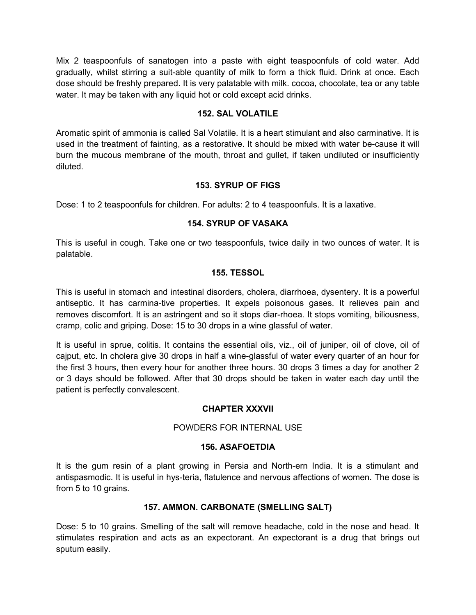Mix 2 teaspoonfuls of sanatogen into a paste with eight teaspoonfuls of cold water. Add gradually, whilst stirring a suit-able quantity of milk to form a thick fluid. Drink at once. Each dose should be freshly prepared. It is very palatable with milk. cocoa, chocolate, tea or any table water. It may be taken with any liquid hot or cold except acid drinks.

# **152. SAL VOLATILE**

Aromatic spirit of ammonia is called Sal Volatile. It is a heart stimulant and also carminative. It is used in the treatment of fainting, as a restorative. It should be mixed with water be-cause it will burn the mucous membrane of the mouth, throat and gullet, if taken undiluted or insufficiently diluted.

# **153. SYRUP OF FIGS**

Dose: 1 to 2 teaspoonfuls for children. For adults: 2 to 4 teaspoonfuls. It is a laxative.

# **154. SYRUP OF VASAKA**

This is useful in cough. Take one or two teaspoonfuls, twice daily in two ounces of water. It is palatable.

# **155. TESSOL**

This is useful in stomach and intestinal disorders, cholera, diarrhoea, dysentery. It is a powerful antiseptic. It has carmina-tive properties. It expels poisonous gases. It relieves pain and removes discomfort. It is an astringent and so it stops diar-rhoea. It stops vomiting, biliousness, cramp, colic and griping. Dose: 15 to 30 drops in a wine glassful of water.

It is useful in sprue, colitis. It contains the essential oils, viz., oil of juniper, oil of clove, oil of cajput, etc. In cholera give 30 drops in half a wine-glassful of water every quarter of an hour for the first 3 hours, then every hour for another three hours. 30 drops 3 times a day for another 2 or 3 days should be followed. After that 30 drops should be taken in water each day until the patient is perfectly convalescent.

# **CHAPTER XXXVII**

# POWDERS FOR INTERNAL USE

# **156. ASAFOETDIA**

It is the gum resin of a plant growing in Persia and North-ern India. It is a stimulant and antispasmodic. It is useful in hys-teria, flatulence and nervous affections of women. The dose is from 5 to 10 grains.

# **157. AMMON. CARBONATE (SMELLING SALT)**

Dose: 5 to 10 grains. Smelling of the salt will remove headache, cold in the nose and head. It stimulates respiration and acts as an expectorant. An expectorant is a drug that brings out sputum easily.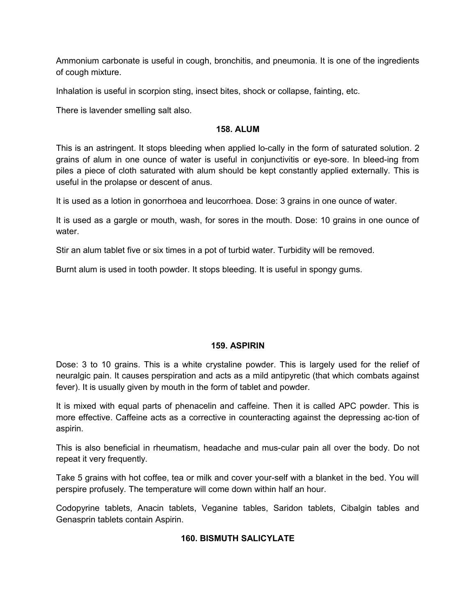Ammonium carbonate is useful in cough, bronchitis, and pneumonia. It is one of the ingredients of cough mixture.

Inhalation is useful in scorpion sting, insect bites, shock or collapse, fainting, etc.

There is lavender smelling salt also.

# **158. ALUM**

This is an astringent. It stops bleeding when applied lo-cally in the form of saturated solution. 2 grains of alum in one ounce of water is useful in conjunctivitis or eye-sore. In bleed-ing from piles a piece of cloth saturated with alum should be kept constantly applied externally. This is useful in the prolapse or descent of anus.

It is used as a lotion in gonorrhoea and leucorrhoea. Dose: 3 grains in one ounce of water.

It is used as a gargle or mouth, wash, for sores in the mouth. Dose: 10 grains in one ounce of water.

Stir an alum tablet five or six times in a pot of turbid water. Turbidity will be removed.

Burnt alum is used in tooth powder. It stops bleeding. It is useful in spongy gums.

# **159. ASPIRIN**

Dose: 3 to 10 grains. This is a white crystaline powder. This is largely used for the relief of neuralgic pain. It causes perspiration and acts as a mild antipyretic (that which combats against fever). It is usually given by mouth in the form of tablet and powder.

It is mixed with equal parts of phenacelin and caffeine. Then it is called APC powder. This is more effective. Caffeine acts as a corrective in counteracting against the depressing ac-tion of aspirin.

This is also beneficial in rheumatism, headache and mus-cular pain all over the body. Do not repeat it very frequently.

Take 5 grains with hot coffee, tea or milk and cover your-self with a blanket in the bed. You will perspire profusely. The temperature will come down within half an hour.

Codopyrine tablets, Anacin tablets, Veganine tables, Saridon tablets, Cibalgin tables and Genasprin tablets contain Aspirin.

# **160. BISMUTH SALICYLATE**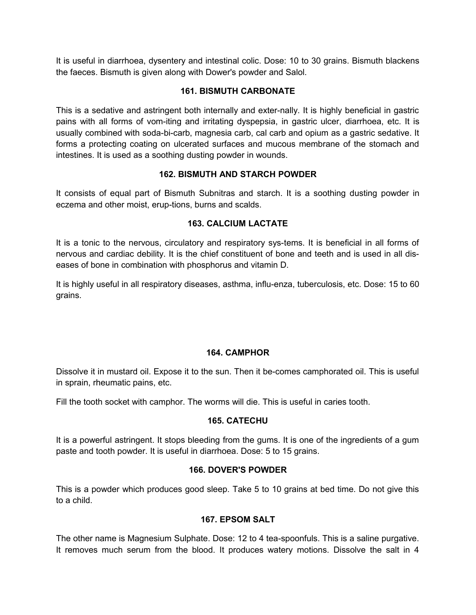It is useful in diarrhoea, dysentery and intestinal colic. Dose: 10 to 30 grains. Bismuth blackens the faeces. Bismuth is given along with Dower's powder and Salol.

# **161. BISMUTH CARBONATE**

This is a sedative and astringent both internally and exter-nally. It is highly beneficial in gastric pains with all forms of vom-iting and irritating dyspepsia, in gastric ulcer, diarrhoea, etc. It is usually combined with soda-bi-carb, magnesia carb, cal carb and opium as a gastric sedative. It forms a protecting coating on ulcerated surfaces and mucous membrane of the stomach and intestines. It is used as a soothing dusting powder in wounds.

# **162. BISMUTH AND STARCH POWDER**

It consists of equal part of Bismuth Subnitras and starch. It is a soothing dusting powder in eczema and other moist, erup-tions, burns and scalds.

# **163. CALCIUM LACTATE**

It is a tonic to the nervous, circulatory and respiratory sys-tems. It is beneficial in all forms of nervous and cardiac debility. It is the chief constituent of bone and teeth and is used in all diseases of bone in combination with phosphorus and vitamin D.

It is highly useful in all respiratory diseases, asthma, influ-enza, tuberculosis, etc. Dose: 15 to 60 grains.

# **164. CAMPHOR**

Dissolve it in mustard oil. Expose it to the sun. Then it be-comes camphorated oil. This is useful in sprain, rheumatic pains, etc.

Fill the tooth socket with camphor. The worms will die. This is useful in caries tooth.

# **165. CATECHU**

It is a powerful astringent. It stops bleeding from the gums. It is one of the ingredients of a gum paste and tooth powder. It is useful in diarrhoea. Dose: 5 to 15 grains.

# **166. DOVER'S POWDER**

This is a powder which produces good sleep. Take 5 to 10 grains at bed time. Do not give this to a child.

# **167. EPSOM SALT**

The other name is Magnesium Sulphate. Dose: 12 to 4 tea-spoonfuls. This is a saline purgative. It removes much serum from the blood. It produces watery motions. Dissolve the salt in 4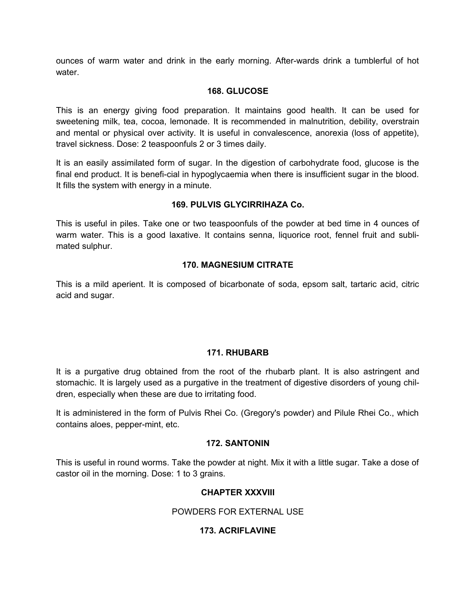ounces of warm water and drink in the early morning. After-wards drink a tumblerful of hot water.

## **168. GLUCOSE**

This is an energy giving food preparation. It maintains good health. It can be used for sweetening milk, tea, cocoa, lemonade. It is recommended in malnutrition, debility, overstrain and mental or physical over activity. It is useful in convalescence, anorexia (loss of appetite), travel sickness. Dose: 2 teaspoonfuls 2 or 3 times daily.

It is an easily assimilated form of sugar. In the digestion of carbohydrate food, glucose is the final end product. It is benefi-cial in hypoglycaemia when there is insufficient sugar in the blood. It fills the system with energy in a minute.

### **169. PULVIS GLYCIRRIHAZA Co.**

This is useful in piles. Take one or two teaspoonfuls of the powder at bed time in 4 ounces of warm water. This is a good laxative. It contains senna, liquorice root, fennel fruit and sublimated sulphur.

### **170. MAGNESIUM CITRATE**

This is a mild aperient. It is composed of bicarbonate of soda, epsom salt, tartaric acid, citric acid and sugar.

#### **171. RHUBARB**

It is a purgative drug obtained from the root of the rhubarb plant. It is also astringent and stomachic. It is largely used as a purgative in the treatment of digestive disorders of young children, especially when these are due to irritating food.

It is administered in the form of Pulvis Rhei Co. (Gregory's powder) and Pilule Rhei Co., which contains aloes, pepper-mint, etc.

#### **172. SANTONIN**

This is useful in round worms. Take the powder at night. Mix it with a little sugar. Take a dose of castor oil in the morning. Dose: 1 to 3 grains.

# **CHAPTER XXXVIII**

#### POWDERS FOR EXTERNAL USE

# **173. ACRIFLAVINE**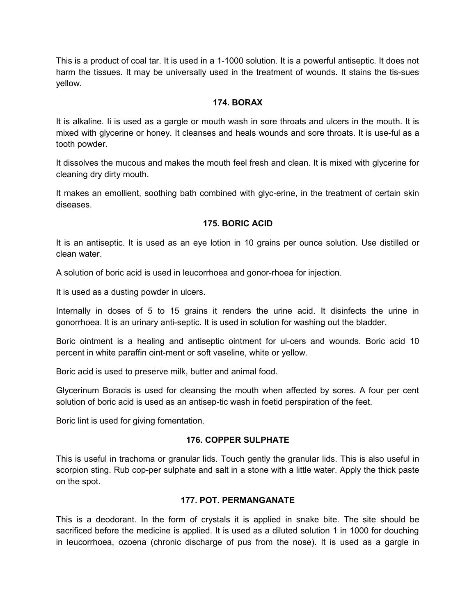This is a product of coal tar. It is used in a 1-1000 solution. It is a powerful antiseptic. It does not harm the tissues. It may be universally used in the treatment of wounds. It stains the tis-sues yellow.

# **174. BORAX**

It is alkaline. Ii is used as a gargle or mouth wash in sore throats and ulcers in the mouth. It is mixed with glycerine or honey. It cleanses and heals wounds and sore throats. It is use-ful as a tooth powder.

It dissolves the mucous and makes the mouth feel fresh and clean. It is mixed with glycerine for cleaning dry dirty mouth.

It makes an emollient, soothing bath combined with glyc-erine, in the treatment of certain skin diseases.

# **175. BORIC ACID**

It is an antiseptic. It is used as an eye lotion in 10 grains per ounce solution. Use distilled or clean water.

A solution of boric acid is used in leucorrhoea and gonor-rhoea for injection.

It is used as a dusting powder in ulcers.

Internally in doses of 5 to 15 grains it renders the urine acid. It disinfects the urine in gonorrhoea. It is an urinary anti-septic. It is used in solution for washing out the bladder.

Boric ointment is a healing and antiseptic ointment for ul-cers and wounds. Boric acid 10 percent in white paraffin oint-ment or soft vaseline, white or yellow.

Boric acid is used to preserve milk, butter and animal food.

Glycerinum Boracis is used for cleansing the mouth when affected by sores. A four per cent solution of boric acid is used as an antisep-tic wash in foetid perspiration of the feet.

Boric lint is used for giving fomentation.

# **176. COPPER SULPHATE**

This is useful in trachoma or granular lids. Touch gently the granular lids. This is also useful in scorpion sting. Rub cop-per sulphate and salt in a stone with a little water. Apply the thick paste on the spot.

# **177. POT. PERMANGANATE**

This is a deodorant. In the form of crystals it is applied in snake bite. The site should be sacrificed before the medicine is applied. It is used as a diluted solution 1 in 1000 for douching in leucorrhoea, ozoena (chronic discharge of pus from the nose). It is used as a gargle in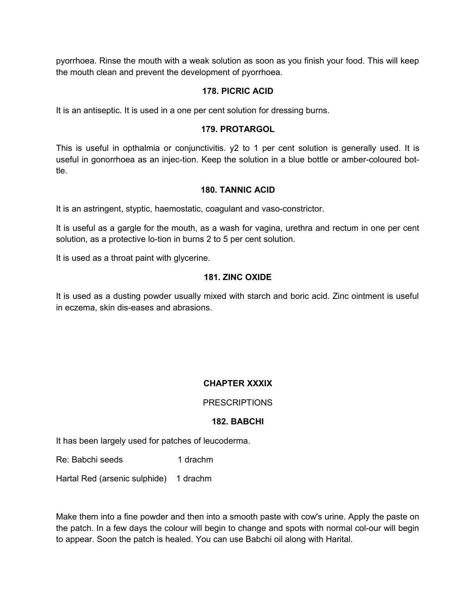pyorrhoea. Rinse the mouth with a weak solution as soon as you finish your food. This will keep the mouth clean and prevent the development of pyorrhoea.

# **178. PICRIC ACID**

It is an antiseptic. It is used in a one per cent solution for dressing burns.

### **179. PROTARGOL**

This is useful in opthalmia or conjunctivitis. y2 to 1 per cent solution is generally used. It is useful in gonorrhoea as an injec-tion. Keep the solution in a blue bottle or amber-coloured bottle.

# **180. TANNIC ACID**

It is an astringent, styptic, haemostatic, coagulant and vaso-constrictor.

It is useful as a gargle for the mouth, as a wash for vagina, urethra and rectum in one per cent solution, as a protective lo-tion in burns 2 to 5 per cent solution.

It is used as a throat paint with glycerine.

# **181. ZINC OXIDE**

It is used as a dusting powder usually mixed with starch and boric acid. Zinc ointment is useful in eczema, skin dis-eases and abrasions.

# **CHAPTER XXXIX**

# **PRESCRIPTIONS**

#### **182. BABCHI**

It has been largely used for patches of leucoderma.

Re: Babchi seeds 1 drachm

Hartal Red (arsenic sulphide) 1 drachm

Make them into a fine powder and then into a smooth paste with cow's urine. Apply the paste on the patch. In a few days the colour will begin to change and spots with normal col-our will begin to appear. Soon the patch is healed. You can use Babchi oil along with Harital.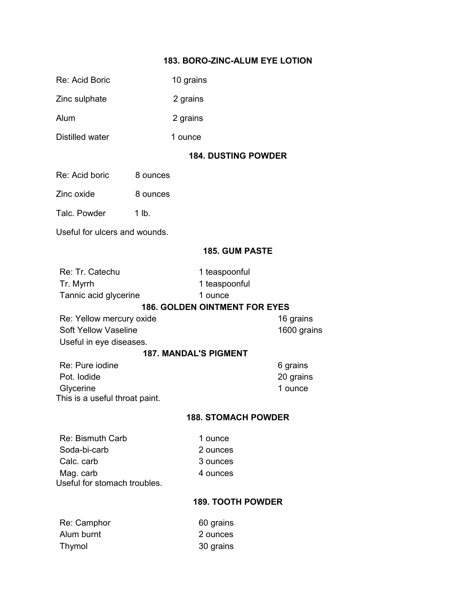# **183. BORO-ZINC-ALUM EYE LOTION**

Re: Acid Boric 10 grains

Zinc sulphate 2 grains

Alum 2 grains

Distilled water 1 ounce

# **184. DUSTING POWDER**

Re: Acid boric 8 ounces

Zinc oxide 8 ounces

Talc. Powder 1 lb.

Useful for ulcers and wounds.

### **185. GUM PASTE**

Re: Tr. Catechu 1 teaspoonful Tr. Myrrh 1 teaspoonful Tannic acid glycerine 1 ounce

# **186. GOLDEN OINTMENT FOR EYES**

Re: Yellow mercury oxide 16 grains Soft Yellow Vaseline 1600 grains Useful in eye diseases.

#### **187. MANDAL'S PIGMENT**

Re: Pure iodine 6 grains Pot. Iodide 20 grains Glycerine 1 ounce This is a useful throat paint.

#### **188. STOMACH POWDER**

| Re: Bismuth Carb             | 1 ounce  |
|------------------------------|----------|
| Soda-bi-carb                 | 2 ounces |
| Calc. carb                   | 3 ounces |
| Mag. carb                    | 4 ounces |
| Useful for stomach troubles. |          |

# **189. TOOTH POWDER**

| Re: Camphor | 60 grains |
|-------------|-----------|
| Alum burnt  | 2 ounces  |
| Thymol      | 30 grains |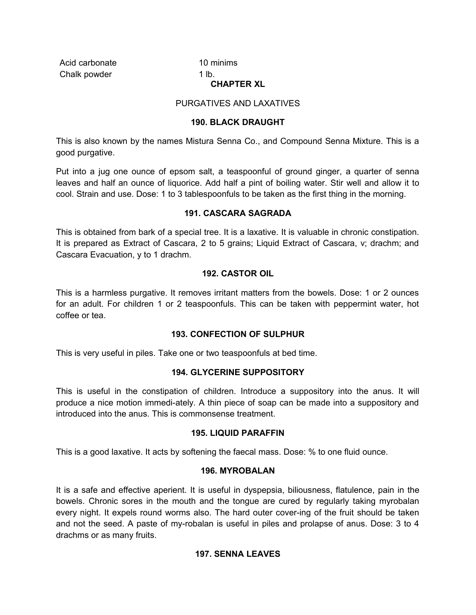Acid carbonate 10 minims Chalk powder 1 lb.

#### **CHAPTER XL**

## PURGATIVES AND LAXATIVES

#### **190. BLACK DRAUGHT**

This is also known by the names Mistura Senna Co., and Compound Senna Mixture. This is a good purgative.

Put into a jug one ounce of epsom salt, a teaspoonful of ground ginger, a quarter of senna leaves and half an ounce of liquorice. Add half a pint of boiling water. Stir well and allow it to cool. Strain and use. Dose: 1 to 3 tablespoonfuls to be taken as the first thing in the morning.

### **191. CASCARA SAGRADA**

This is obtained from bark of a special tree. It is a laxative. It is valuable in chronic constipation. It is prepared as Extract of Cascara, 2 to 5 grains; Liquid Extract of Cascara, v; drachm; and Cascara Evacuation, y to 1 drachm.

# **192. CASTOR OIL**

This is a harmless purgative. It removes irritant matters from the bowels. Dose: 1 or 2 ounces for an adult. For children 1 or 2 teaspoonfuls. This can be taken with peppermint water, hot coffee or tea.

# **193. CONFECTION OF SULPHUR**

This is very useful in piles. Take one or two teaspoonfuls at bed time.

# **194. GLYCERINE SUPPOSITORY**

This is useful in the constipation of children. Introduce a suppository into the anus. It will produce a nice motion immedi-ately. A thin piece of soap can be made into a suppository and introduced into the anus. This is commonsense treatment.

#### **195. LIQUID PARAFFIN**

This is a good laxative. It acts by softening the faecal mass. Dose: % to one fluid ounce.

#### **196. MYROBALAN**

It is a safe and effective aperient. It is useful in dyspepsia, biliousness, flatulence, pain in the bowels. Chronic sores in the mouth and the tongue are cured by regularly taking myrobalan every night. It expels round worms also. The hard outer cover-ing of the fruit should be taken and not the seed. A paste of my-robalan is useful in piles and prolapse of anus. Dose: 3 to 4 drachms or as many fruits.

#### **197. SENNA LEAVES**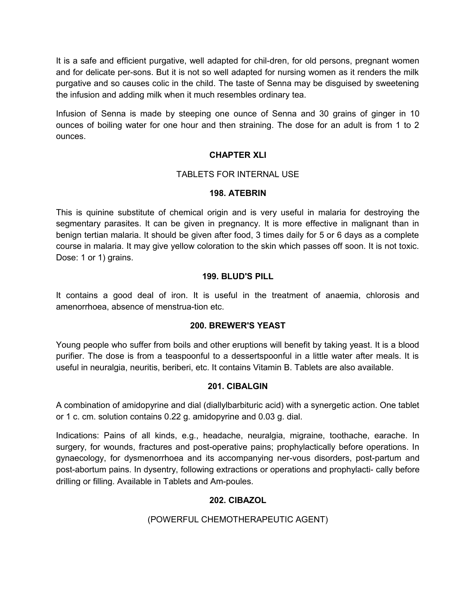It is a safe and efficient purgative, well adapted for chil-dren, for old persons, pregnant women and for delicate per-sons. But it is not so well adapted for nursing women as it renders the milk purgative and so causes colic in the child. The taste of Senna may be disguised by sweetening the infusion and adding milk when it much resembles ordinary tea.

Infusion of Senna is made by steeping one ounce of Senna and 30 grains of ginger in 10 ounces of boiling water for one hour and then straining. The dose for an adult is from 1 to 2 ounces.

# **CHAPTER XLI**

# TABLETS FOR INTERNAL USE

### **198. ATEBRIN**

This is quinine substitute of chemical origin and is very useful in malaria for destroying the segmentary parasites. It can be given in pregnancy. It is more effective in malignant than in benign tertian malaria. It should be given after food, 3 times daily for 5 or 6 days as a complete course in malaria. It may give yellow coloration to the skin which passes off soon. It is not toxic. Dose: 1 or 1) grains.

# **199. BLUD'S PILL**

It contains a good deal of iron. It is useful in the treatment of anaemia, chlorosis and amenorrhoea, absence of menstrua-tion etc.

# **200. BREWER'S YEAST**

Young people who suffer from boils and other eruptions will benefit by taking yeast. It is a blood purifier. The dose is from a teaspoonful to a dessertspoonful in a little water after meals. It is useful in neuralgia, neuritis, beriberi, etc. It contains Vitamin B. Tablets are also available.

# **201. CIBALGIN**

A combination of amidopyrine and dial (diallylbarbituric acid) with a synergetic action. One tablet or 1 c. cm. solution contains 0.22 g. amidopyrine and 0.03 g. dial.

Indications: Pains of all kinds, e.g., headache, neuralgia, migraine, toothache, earache. In surgery, for wounds, fractures and post-operative pains; prophylactically before operations. In gynaecology, for dysmenorrhoea and its accompanying ner-vous disorders, post-partum and post-abortum pains. In dysentry, following extractions or operations and prophylacti- cally before drilling or filling. Available in Tablets and Am-poules.

# **202. CIBAZOL**

# (POWERFUL CHEMOTHERAPEUTIC AGENT)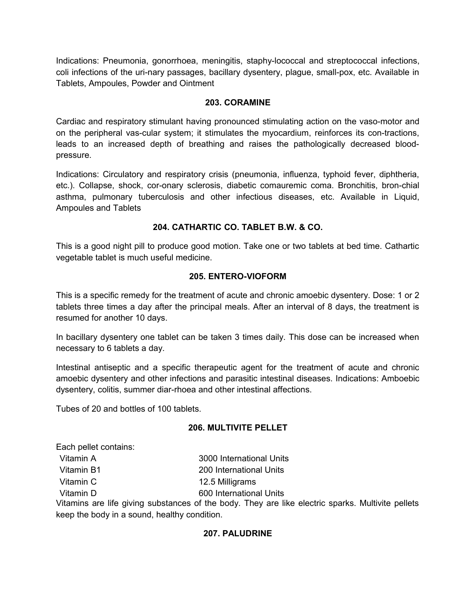Indications: Pneumonia, gonorrhoea, meningitis, staphy-lococcal and streptococcal infections, coli infections of the uri-nary passages, bacillary dysentery, plague, small-pox, etc. Available in Tablets, Ampoules, Powder and Ointment

# **203. CORAMINE**

Cardiac and respiratory stimulant having pronounced stimulating action on the vaso-motor and on the peripheral vas-cular system; it stimulates the myocardium, reinforces its con-tractions, leads to an increased depth of breathing and raises the pathologically decreased bloodpressure.

Indications: Circulatory and respiratory crisis (pneumonia, influenza, typhoid fever, diphtheria, etc.). Collapse, shock, cor-onary sclerosis, diabetic comauremic coma. Bronchitis, bron-chial asthma, pulmonary tuberculosis and other infectious diseases, etc. Available in Liquid, Ampoules and Tablets

# **204. CATHARTIC CO. TABLET B.W. & CO.**

This is a good night pill to produce good motion. Take one or two tablets at bed time. Cathartic vegetable tablet is much useful medicine.

# **205. ENTERO-VIOFORM**

This is a specific remedy for the treatment of acute and chronic amoebic dysentery. Dose: 1 or 2 tablets three times a day after the principal meals. After an interval of 8 days, the treatment is resumed for another 10 days.

In bacillary dysentery one tablet can be taken 3 times daily. This dose can be increased when necessary to 6 tablets a day.

Intestinal antiseptic and a specific therapeutic agent for the treatment of acute and chronic amoebic dysentery and other infections and parasitic intestinal diseases. Indications: Amboebic dysentery, colitis, summer diar-rhoea and other intestinal affections.

Tubes of 20 and bottles of 100 tablets.

# **206. MULTIVITE PELLET**

Each pellet contains: Vitamin A 3000 International Units Vitamin B1 200 International Units Vitamin C 12.5 Milligrams Vitamin D 600 International Units

Vitamins are life giving substances of the body. They are like electric sparks. Multivite pellets keep the body in a sound, healthy condition.

# **207. PALUDRINE**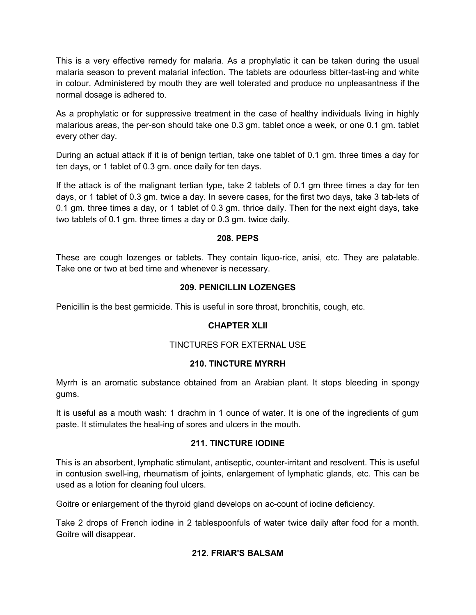This is a very effective remedy for malaria. As a prophylatic it can be taken during the usual malaria season to prevent malarial infection. The tablets are odourless bitter-tast-ing and white in colour. Administered by mouth they are well tolerated and produce no unpleasantness if the normal dosage is adhered to.

As a prophylatic or for suppressive treatment in the case of healthy individuals living in highly malarious areas, the per-son should take one 0.3 gm. tablet once a week, or one 0.1 gm. tablet every other day.

During an actual attack if it is of benign tertian, take one tablet of 0.1 gm. three times a day for ten days, or 1 tablet of 0.3 gm. once daily for ten days.

If the attack is of the malignant tertian type, take 2 tablets of 0.1 gm three times a day for ten days, or 1 tablet of 0.3 gm. twice a day. In severe cases, for the first two days, take 3 tab-lets of 0.1 gm. three times a day, or 1 tablet of 0.3 gm. thrice daily. Then for the next eight days, take two tablets of 0.1 gm. three times a day or 0.3 gm. twice daily.

# **208. PEPS**

These are cough lozenges or tablets. They contain liquo-rice, anisi, etc. They are palatable. Take one or two at bed time and whenever is necessary.

# **209. PENICILLIN LOZENGES**

Penicillin is the best germicide. This is useful in sore throat, bronchitis, cough, etc.

# **CHAPTER XLII**

# TINCTURES FOR EXTERNAL USE

# **210. TINCTURE MYRRH**

Myrrh is an aromatic substance obtained from an Arabian plant. It stops bleeding in spongy gums.

It is useful as a mouth wash: 1 drachm in 1 ounce of water. It is one of the ingredients of gum paste. It stimulates the heal-ing of sores and ulcers in the mouth.

# **211. TINCTURE IODINE**

This is an absorbent, lymphatic stimulant, antiseptic, counter-irritant and resolvent. This is useful in contusion swell-ing, rheumatism of joints, enlargement of lymphatic glands, etc. This can be used as a lotion for cleaning foul ulcers.

Goitre or enlargement of the thyroid gland develops on ac-count of iodine deficiency.

Take 2 drops of French iodine in 2 tablespoonfuls of water twice daily after food for a month. Goitre will disappear.

# **212. FRIAR'S BALSAM**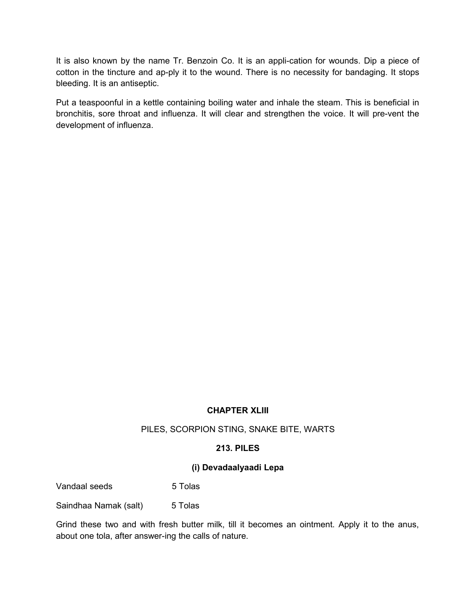It is also known by the name Tr. Benzoin Co. It is an appli-cation for wounds. Dip a piece of cotton in the tincture and ap-ply it to the wound. There is no necessity for bandaging. It stops bleeding. It is an antiseptic.

Put a teaspoonful in a kettle containing boiling water and inhale the steam. This is beneficial in bronchitis, sore throat and influenza. It will clear and strengthen the voice. It will pre-vent the development of influenza.

# **CHAPTER XLIII**

#### PILES, SCORPION STING, SNAKE BITE, WARTS

## **213. PILES**

#### **(i) Devadaalyaadi Lepa**

| Vandaal seeds | 5 Tolas |
|---------------|---------|
|---------------|---------|

Saindhaa Namak (salt) 5 Tolas

Grind these two and with fresh butter milk, till it becomes an ointment. Apply it to the anus, about one tola, after answer-ing the calls of nature.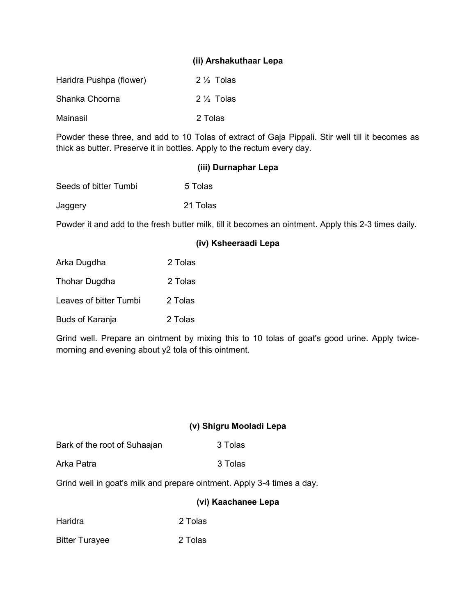# **(ii) Arshakuthaar Lepa**

| Haridra Pushpa (flower) | $2\frac{1}{2}$ Tolas |
|-------------------------|----------------------|
| Shanka Choorna          | $2\frac{1}{2}$ Tolas |
| Mainasil                | 2 Tolas              |

Powder these three, and add to 10 Tolas of extract of Gaja Pippali. Stir well till it becomes as thick as butter. Preserve it in bottles. Apply to the rectum every day.

### **(iii) Durnaphar Lepa**

| Seeds of bitter Tumbi | 5 Tolas |
|-----------------------|---------|
|                       |         |

Jaggery 21 Tolas

Powder it and add to the fresh butter milk, till it becomes an ointment. Apply this 2-3 times daily.

|                        | (iv) Ksheeraadi Lepa |
|------------------------|----------------------|
| Arka Dugdha            | 2 Tolas              |
| Thohar Dugdha          | 2 Tolas              |
| Leaves of bitter Tumbi | 2 Tolas              |
| Buds of Karanja        | 2 Tolas              |

Grind well. Prepare an ointment by mixing this to 10 tolas of goat's good urine. Apply twicemorning and evening about y2 tola of this ointment.

# **(v) Shigru Mooladi Lepa**

| Bark of the root of Suhaajan | 3 Tolas |
|------------------------------|---------|
|------------------------------|---------|

Arka Patra **3** Tolas

Grind well in goat's milk and prepare ointment. Apply 3-4 times a day.

#### **(vi) Kaachanee Lepa**

Haridra 2 Tolas

Bitter Turayee 2 Tolas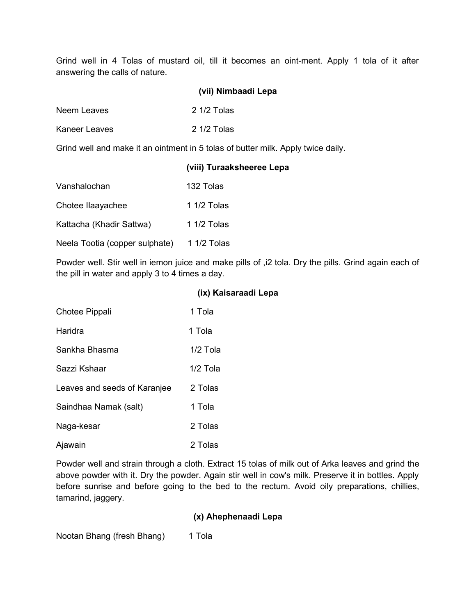Grind well in 4 Tolas of mustard oil, till it becomes an oint-ment. Apply 1 tola of it after answering the calls of nature.

|               | (vii) Nimbaadi Lepa |
|---------------|---------------------|
| Neem Leaves   | $2.1/2$ Tolas       |
| Kaneer Leaves | $21/2$ Tolas        |

Grind well and make it an ointment in 5 tolas of butter milk. Apply twice daily.

# **(viii) Turaaksheeree Lepa**

| Vanshalochan             | 132 Tolas     |
|--------------------------|---------------|
| Chotee Ilaayachee        | 1 $1/2$ Tolas |
| Kattacha (Khadir Sattwa) | 1 1/2 Tolas   |

Neela Tootia (copper sulphate) 1 1/2 Tolas

Powder well. Stir well in iemon juice and make pills of ,i2 tola. Dry the pills. Grind again each of the pill in water and apply 3 to 4 times a day.

# **(ix) Kaisaraadi Lepa**

| <b>Chotee Pippali</b>        | 1 Tola     |
|------------------------------|------------|
| Haridra                      | 1 Tola     |
| Sankha Bhasma                | $1/2$ Tola |
| Sazzi Kshaar                 | $1/2$ Tola |
| Leaves and seeds of Karanjee | 2 Tolas    |
| Saindhaa Namak (salt)        | 1 Tola     |
| Naga-kesar                   | 2 Tolas    |
| Ajawain                      | 2 Tolas    |

Powder well and strain through a cloth. Extract 15 tolas of milk out of Arka leaves and grind the above powder with it. Dry the powder. Again stir well in cow's milk. Preserve it in bottles. Apply before sunrise and before going to the bed to the rectum. Avoid oily preparations, chillies, tamarind, jaggery.

# **(x) Ahephenaadi Lepa**

Nootan Bhang (fresh Bhang) 1 Tola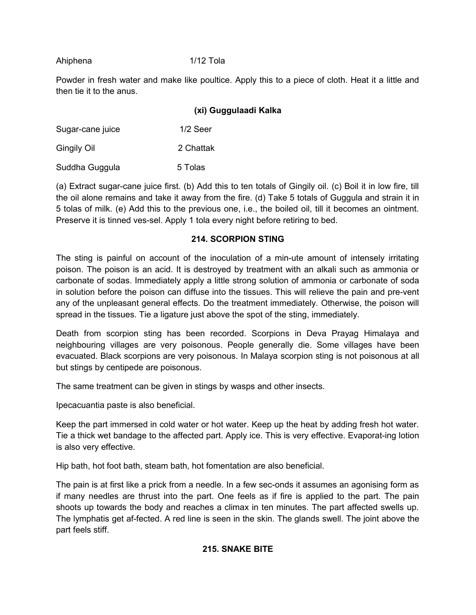Ahiphena 1/12 Tola

Powder in fresh water and make like poultice. Apply this to a piece of cloth. Heat it a little and then tie it to the anus.

# **(xi) Guggulaadi Kalka**

| Sugar-cane juice | $1/2$ Seer |
|------------------|------------|
| Gingily Oil      | 2 Chattak  |
| Suddha Guggula   | 5 Tolas    |

(a) Extract sugar-cane juice first. (b) Add this to ten totals of Gingily oil. (c) Boil it in low fire, till the oil alone remains and take it away from the fire. (d) Take 5 totals of Guggula and strain it in 5 tolas of milk. (e) Add this to the previous one, i.e., the boiled oil, till it becomes an ointment. Preserve it is tinned ves-sel. Apply 1 tola every night before retiring to bed.

# **214. SCORPION STING**

The sting is painful on account of the inoculation of a min-ute amount of intensely irritating poison. The poison is an acid. It is destroyed by treatment with an alkali such as ammonia or carbonate of sodas. Immediately apply a little strong solution of ammonia or carbonate of soda in solution before the poison can diffuse into the tissues. This will relieve the pain and pre-vent any of the unpleasant general effects. Do the treatment immediately. Otherwise, the poison will spread in the tissues. Tie a ligature just above the spot of the sting, immediately.

Death from scorpion sting has been recorded. Scorpions in Deva Prayag Himalaya and neighbouring villages are very poisonous. People generally die. Some villages have been evacuated. Black scorpions are very poisonous. In Malaya scorpion sting is not poisonous at all but stings by centipede are poisonous.

The same treatment can be given in stings by wasps and other insects.

Ipecacuantia paste is also beneficial.

Keep the part immersed in cold water or hot water. Keep up the heat by adding fresh hot water. Tie a thick wet bandage to the affected part. Apply ice. This is very effective. Evaporat-ing lotion is also very effective.

Hip bath, hot foot bath, steam bath, hot fomentation are also beneficial.

The pain is at first like a prick from a needle. In a few sec-onds it assumes an agonising form as if many needles are thrust into the part. One feels as if fire is applied to the part. The pain shoots up towards the body and reaches a climax in ten minutes. The part affected swells up. The lymphatis get af-fected. A red line is seen in the skin. The glands swell. The joint above the part feels stiff.

# **215. SNAKE BITE**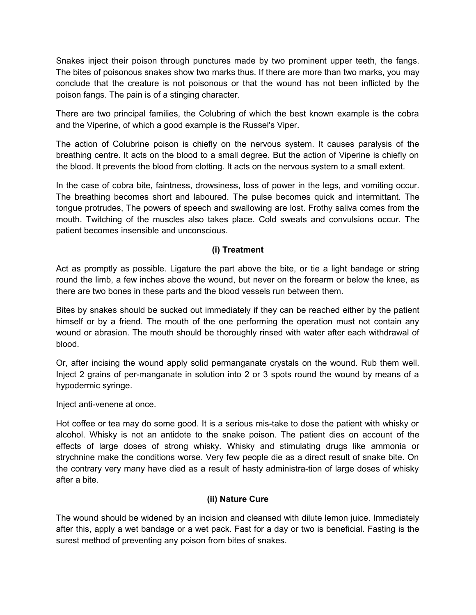Snakes inject their poison through punctures made by two prominent upper teeth, the fangs. The bites of poisonous snakes show two marks thus. If there are more than two marks, you may conclude that the creature is not poisonous or that the wound has not been inflicted by the poison fangs. The pain is of a stinging character.

There are two principal families, the Colubring of which the best known example is the cobra and the Viperine, of which a good example is the Russel's Viper.

The action of Colubrine poison is chiefly on the nervous system. It causes paralysis of the breathing centre. It acts on the blood to a small degree. But the action of Viperine is chiefly on the blood. It prevents the blood from clotting. It acts on the nervous system to a small extent.

In the case of cobra bite, faintness, drowsiness, loss of power in the legs, and vomiting occur. The breathing becomes short and laboured. The pulse becomes quick and intermittant. The tongue protrudes, The powers of speech and swallowing are lost. Frothy saliva comes from the mouth. Twitching of the muscles also takes place. Cold sweats and convulsions occur. The patient becomes insensible and unconscious.

# **(i) Treatment**

Act as promptly as possible. Ligature the part above the bite, or tie a light bandage or string round the limb, a few inches above the wound, but never on the forearm or below the knee, as there are two bones in these parts and the blood vessels run between them.

Bites by snakes should be sucked out immediately if they can be reached either by the patient himself or by a friend. The mouth of the one performing the operation must not contain any wound or abrasion. The mouth should be thoroughly rinsed with water after each withdrawal of blood.

Or, after incising the wound apply solid permanganate crystals on the wound. Rub them well. Inject 2 grains of per-manganate in solution into 2 or 3 spots round the wound by means of a hypodermic syringe.

Inject anti-venene at once.

Hot coffee or tea may do some good. It is a serious mis-take to dose the patient with whisky or alcohol. Whisky is not an antidote to the snake poison. The patient dies on account of the effects of large doses of strong whisky. Whisky and stimulating drugs like ammonia or strychnine make the conditions worse. Very few people die as a direct result of snake bite. On the contrary very many have died as a result of hasty administra-tion of large doses of whisky after a bite.

# **(ii) Nature Cure**

The wound should be widened by an incision and cleansed with dilute lemon juice. Immediately after this, apply a wet bandage or a wet pack. Fast for a day or two is beneficial. Fasting is the surest method of preventing any poison from bites of snakes.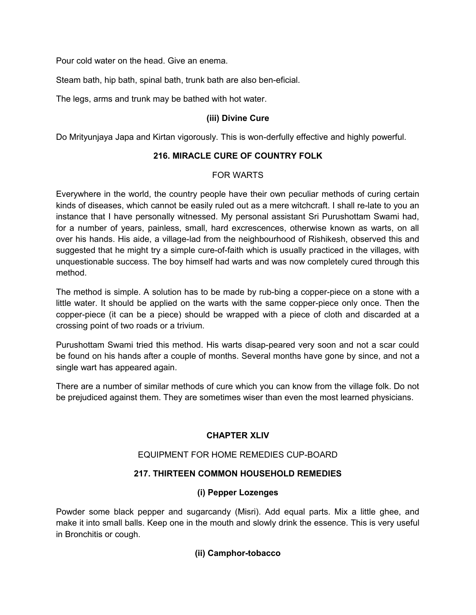Pour cold water on the head. Give an enema.

Steam bath, hip bath, spinal bath, trunk bath are also ben-eficial.

The legs, arms and trunk may be bathed with hot water.

## **(iii) Divine Cure**

Do Mrityunjaya Japa and Kirtan vigorously. This is won-derfully effective and highly powerful.

# **216. MIRACLE CURE OF COUNTRY FOLK**

# FOR WARTS

Everywhere in the world, the country people have their own peculiar methods of curing certain kinds of diseases, which cannot be easily ruled out as a mere witchcraft. I shall re-late to you an instance that I have personally witnessed. My personal assistant Sri Purushottam Swami had, for a number of years, painless, small, hard excrescences, otherwise known as warts, on all over his hands. His aide, a village-lad from the neighbourhood of Rishikesh, observed this and suggested that he might try a simple cure-of-faith which is usually practiced in the villages, with unquestionable success. The boy himself had warts and was now completely cured through this method.

The method is simple. A solution has to be made by rub-bing a copper-piece on a stone with a little water. It should be applied on the warts with the same copper-piece only once. Then the copper-piece (it can be a piece) should be wrapped with a piece of cloth and discarded at a crossing point of two roads or a trivium.

Purushottam Swami tried this method. His warts disap-peared very soon and not a scar could be found on his hands after a couple of months. Several months have gone by since, and not a single wart has appeared again.

There are a number of similar methods of cure which you can know from the village folk. Do not be prejudiced against them. They are sometimes wiser than even the most learned physicians.

# **CHAPTER XLIV**

# EQUIPMENT FOR HOME REMEDIES CUP-BOARD

# **217. THIRTEEN COMMON HOUSEHOLD REMEDIES**

#### **(i) Pepper Lozenges**

Powder some black pepper and sugarcandy (Misri). Add equal parts. Mix a little ghee, and make it into small balls. Keep one in the mouth and slowly drink the essence. This is very useful in Bronchitis or cough.

# **(ii) Camphor-tobacco**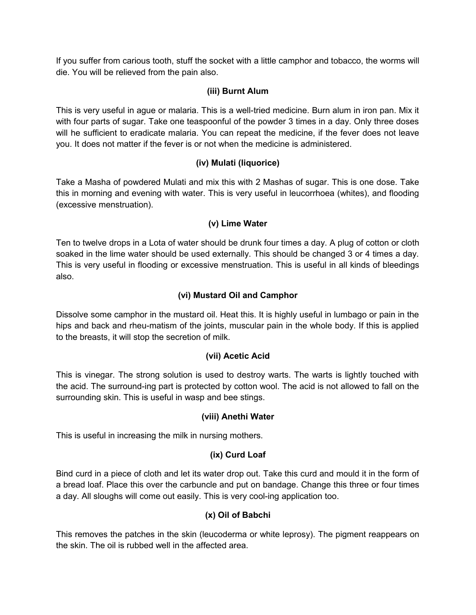If you suffer from carious tooth, stuff the socket with a little camphor and tobacco, the worms will die. You will be relieved from the pain also.

# **(iii) Burnt Alum**

This is very useful in ague or malaria. This is a well-tried medicine. Burn alum in iron pan. Mix it with four parts of sugar. Take one teaspoonful of the powder 3 times in a day. Only three doses will he sufficient to eradicate malaria. You can repeat the medicine, if the fever does not leave you. It does not matter if the fever is or not when the medicine is administered.

# **(iv) Mulati (liquorice)**

Take a Masha of powdered Mulati and mix this with 2 Mashas of sugar. This is one dose. Take this in morning and evening with water. This is very useful in leucorrhoea (whites), and flooding (excessive menstruation).

# **(v) Lime Water**

Ten to twelve drops in a Lota of water should be drunk four times a day. A plug of cotton or cloth soaked in the lime water should be used externally. This should be changed 3 or 4 times a day. This is very useful in flooding or excessive menstruation. This is useful in all kinds of bleedings also.

# **(vi) Mustard Oil and Camphor**

Dissolve some camphor in the mustard oil. Heat this. It is highly useful in lumbago or pain in the hips and back and rheu-matism of the joints, muscular pain in the whole body. If this is applied to the breasts, it will stop the secretion of milk.

# **(vii) Acetic Acid**

This is vinegar. The strong solution is used to destroy warts. The warts is lightly touched with the acid. The surround-ing part is protected by cotton wool. The acid is not allowed to fall on the surrounding skin. This is useful in wasp and bee stings.

# **(viii) Anethi Water**

This is useful in increasing the milk in nursing mothers.

# **(ix) Curd Loaf**

Bind curd in a piece of cloth and let its water drop out. Take this curd and mould it in the form of a bread loaf. Place this over the carbuncle and put on bandage. Change this three or four times a day. All sloughs will come out easily. This is very cool-ing application too.

# **(x) Oil of Babchi**

This removes the patches in the skin (leucoderma or white leprosy). The pigment reappears on the skin. The oil is rubbed well in the affected area.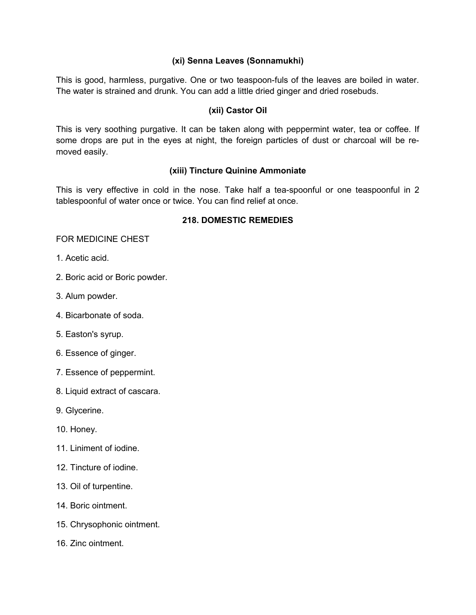# **(xi) Senna Leaves (Sonnamukhi)**

This is good, harmless, purgative. One or two teaspoon-fuls of the leaves are boiled in water. The water is strained and drunk. You can add a little dried ginger and dried rosebuds.

# **(xii) Castor Oil**

This is very soothing purgative. It can be taken along with peppermint water, tea or coffee. If some drops are put in the eyes at night, the foreign particles of dust or charcoal will be removed easily.

# **(xiii) Tincture Quinine Ammoniate**

This is very effective in cold in the nose. Take half a tea-spoonful or one teaspoonful in 2 tablespoonful of water once or twice. You can find relief at once.

# **218. DOMESTIC REMEDIES**

FOR MEDICINE CHEST

- 1. Acetic acid.
- 2. Boric acid or Boric powder.
- 3. Alum powder.
- 4. Bicarbonate of soda.
- 5. Easton's syrup.
- 6. Essence of ginger.
- 7. Essence of peppermint.
- 8. Liquid extract of cascara.
- 9. Glycerine.
- 10. Honey.
- 11. Liniment of iodine.
- 12. Tincture of iodine.
- 13. Oil of turpentine.
- 14. Boric ointment.
- 15. Chrysophonic ointment.
- 16. Zinc ointment.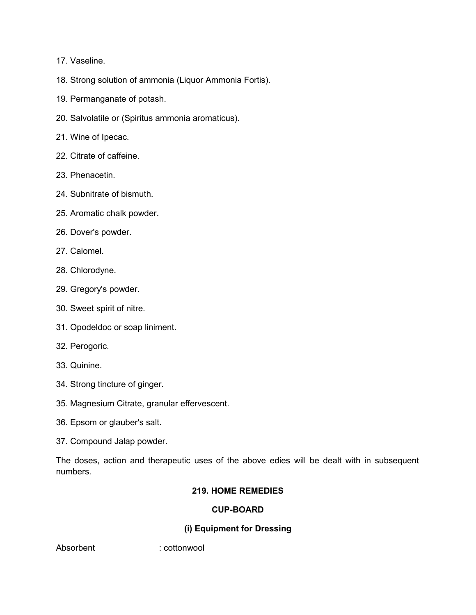17. Vaseline.

18. Strong solution of ammonia (Liquor Ammonia Fortis).

- 19. Permanganate of potash.
- 20. Salvolatile or (Spiritus ammonia aromaticus).
- 21. Wine of Ipecac.
- 22. Citrate of caffeine.
- 23. Phenacetin.
- 24. Subnitrate of bismuth.
- 25. Aromatic chalk powder.
- 26. Dover's powder.
- 27. Calomel.
- 28. Chlorodyne.
- 29. Gregory's powder.
- 30. Sweet spirit of nitre.
- 31. Opodeldoc or soap liniment.
- 32. Perogoric.
- 33. Quinine.
- 34. Strong tincture of ginger.
- 35. Magnesium Citrate, granular effervescent.
- 36. Epsom or glauber's salt.
- 37. Compound Jalap powder.

The doses, action and therapeutic uses of the above edies will be dealt with in subsequent numbers.

# **219. HOME REMEDIES**

# **CUP-BOARD**

# **(i) Equipment for Dressing**

Absorbent : cottonwool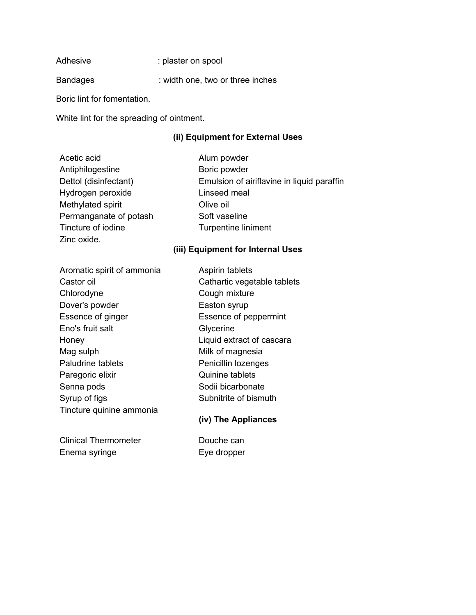Adhesive : plaster on spool

Bandages : width one, two or three inches

Boric lint for fomentation.

White lint for the spreading of ointment.

# **(ii) Equipment for External Uses**

| Acetic acid            | Alum powder                                |
|------------------------|--------------------------------------------|
| Antiphilogestine       | Boric powder                               |
| Dettol (disinfectant)  | Emulsion of airiflavine in liquid paraffin |
| Hydrogen peroxide      | Linseed meal                               |
| Methylated spirit      | Olive oil                                  |
| Permanganate of potash | Soft vaseline                              |
| Tincture of iodine     | <b>Turpentine liniment</b>                 |
| Zinc oxide.            |                                            |
|                        |                                            |

# **(iii) Equipment for Internal Uses**

| Aromatic spirit of ammonia                                           | Aspirin tablets              |
|----------------------------------------------------------------------|------------------------------|
| Castor oil                                                           | Cathartic vegetable tablets  |
| Chlorodyne                                                           | Cough mixture                |
| Dover's powder                                                       | Easton syrup                 |
| Essence of ginger                                                    | <b>Essence of peppermint</b> |
| Eno's fruit salt                                                     | Glycerine                    |
| Honey                                                                | Liquid extract of cascara    |
| Mag sulph                                                            | Milk of magnesia             |
| Paludrine tablets                                                    | Penicillin lozenges          |
| Paregoric elixir                                                     | Quinine tablets              |
| Senna pods                                                           | Sodii bicarbonate            |
| Syrup of figs                                                        | Subnitrite of bismuth        |
| Tincture quinine ammonia                                             |                              |
|                                                                      | (iv) The Appliances          |
| $\bigcap$ is the set $\bigcup$ in the second second set of $\bigcup$ | n <b>.</b>                   |

Clinical Thermometer **Douche can** Enema syringe Eye dropper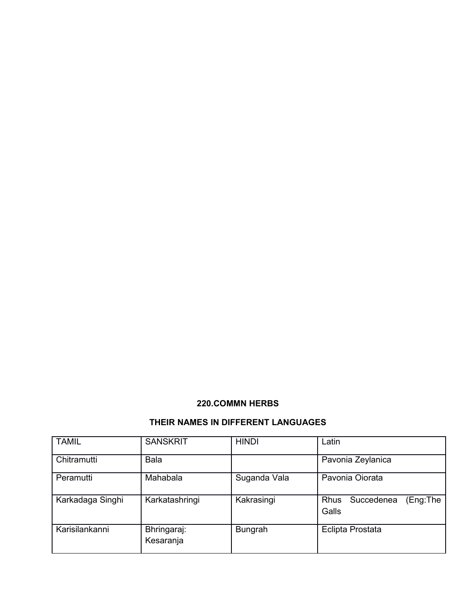# **220.COMMN HERBS**

# **THEIR NAMES IN DIFFERENT LANGUAGES**

| <b>TAMIL</b>     | <b>SANSKRIT</b>          | <b>HINDI</b> | Latin                                          |
|------------------|--------------------------|--------------|------------------------------------------------|
| Chitramutti      | Bala                     |              | Pavonia Zeylanica                              |
| Peramutti        | Mahabala                 | Suganda Vala | Pavonia Oiorata                                |
| Karkadaga Singhi | Karkatashringi           | Kakrasingi   | <b>Rhus</b><br>Succedenea<br>(Eng:The<br>Galls |
| Karisilankanni   | Bhringaraj:<br>Kesaranja | Bungrah      | Eclipta Prostata                               |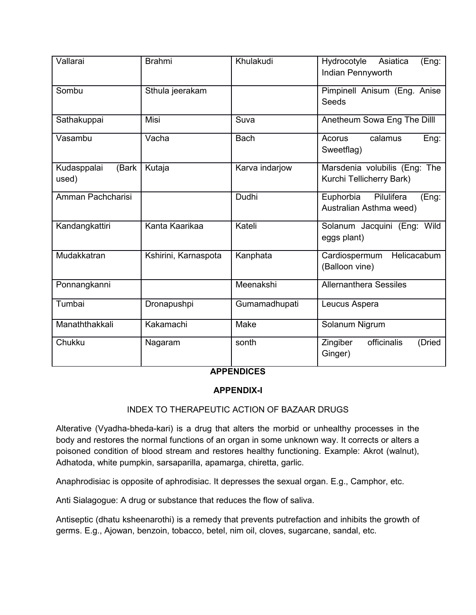| Vallarai                      | <b>Brahmi</b>        | Khulakudi      | Hydrocotyle<br>Asiatica<br>(Eng:<br>Indian Pennyworth       |
|-------------------------------|----------------------|----------------|-------------------------------------------------------------|
| Sombu                         | Sthula jeerakam      |                | Pimpinell Anisum (Eng. Anise<br><b>Seeds</b>                |
| Sathakuppai                   | Misi                 | Suva           | Anetheum Sowa Eng The Dilll                                 |
| Vasambu                       | Vacha                | <b>Bach</b>    | calamus<br>Acorus<br>Eng:<br>Sweetflag)                     |
| Kudasppalai<br>(Bark<br>used) | Kutaja               | Karva indarjow | Marsdenia volubilis (Eng: The<br>Kurchi Tellicherry Bark)   |
| Amman Pachcharisi             |                      | Dudhi          | Pilulifera<br>Euphorbia<br>(Eng:<br>Australian Asthma weed) |
| Kandangkattiri                | Kanta Kaarikaa       | Kateli         | Solanum Jacquini (Eng: Wild<br>eggs plant)                  |
| Mudakkatran                   | Kshirini, Karnaspota | Kanphata       | Cardiospermum<br>Helicacabum<br>(Balloon vine)              |
| Ponnangkanni                  |                      | Meenakshi      | <b>Allernanthera Sessiles</b>                               |
| Tumbai                        | Dronapushpi          | Gumamadhupati  | Leucus Aspera                                               |
| Manaththakkali                | Kakamachi            | Make           | Solanum Nigrum                                              |
| Chukku                        | Nagaram              | sonth          | Zingiber<br>officinalis<br>(Dried<br>Ginger)                |

# **APPENDICES**

# **APPENDIX-I**

# INDEX TO THERAPEUTIC ACTION OF BAZAAR DRUGS

Alterative (Vyadha-bheda-kari) is a drug that alters the morbid or unhealthy processes in the body and restores the normal functions of an organ in some unknown way. It corrects or alters a poisoned condition of blood stream and restores healthy functioning. Example: Akrot (walnut), Adhatoda, white pumpkin, sarsaparilla, apamarga, chiretta, garlic.

Anaphrodisiac is opposite of aphrodisiac. It depresses the sexual organ. E.g., Camphor, etc.

Anti Sialagogue: A drug or substance that reduces the flow of saliva.

Antiseptic (dhatu ksheenarothi) is a remedy that prevents putrefaction and inhibits the growth of germs. E.g., Ajowan, benzoin, tobacco, betel, nim oil, cloves, sugarcane, sandal, etc.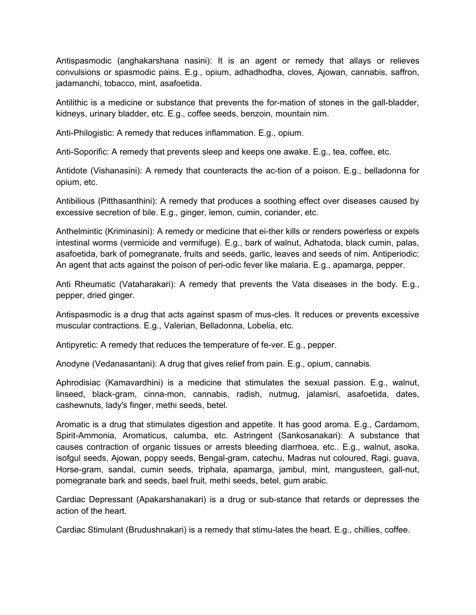Antispasmodic (anghakarshana nasini): It is an agent or remedy that allays or relieves convulsions or spasmodic pains. E.g., opium, adhadhodha, cloves, Ajowan, cannabis, saffron, jadamanchi, tobacco, mint, asafoetida.

Antilithic is a medicine or substance that prevents the for-mation of stones in the gall-bladder, kidneys, urinary bladder, etc. E.g., coffee seeds, benzoin, mountain nim.

Anti-Philogistic: A remedy that reduces inflammation. E.g., opium.

Anti-Soporific: A remedy that prevents sleep and keeps one awake. E.g., tea, coffee, etc.

Antidote (Vishanasini): A remedy that counteracts the ac-tion of a poison. E.g., belladonna for opium, etc.

Antibilious (Pitthasanthini): A remedy that produces a soothing effect over diseases caused by excessive secretion of bile. E.g., ginger, lemon, cumin, coriander, etc.

Anthelmintic (Kriminasini): A remedy or medicine that ei-ther kills or renders powerless or expels intestinal worms (vermicide and vermifuge). E.g., bark of walnut, Adhatoda, black cumin, palas, asafoetida, bark of pomegranate, fruits and seeds, garlic, leaves and seeds of nim. Antiperiodic: An agent that acts against the poison of peri-odic fever like malaria. E.g., apamarga, pepper.

Anti Rheumatic (Vataharakari): A remedy that prevents the Vata diseases in the body. E.g., pepper, dried ginger.

Antispasmodic is a drug that acts against spasm of mus-cles. It reduces or prevents excessive muscular contractions. E.g., Valerian, Belladonna, Lobelia, etc.

Antipyretic: A remedy that reduces the temperature of fe-ver. E.g., pepper.

Anodyne (Vedanasantani): A drug that gives relief from pain. E.g., opium, cannabis.

Aphrodisiac (Kamavardhini) is a medicine that stimulates the sexual passion. E.g., walnut, linseed, black-gram, cinna-mon, cannabis, radish, nutmug, jalamisri, asafoetida, dates, cashewnuts, lady's finger, methi seeds, betel.

Aromatic is a drug that stimulates digestion and appetite. It has good aroma. E.g., Cardamom, Spirit-Ammonia, Aromaticus, calumba, etc. Astringent (Sankosanakari): A substance that causes contraction of organic tissues or arrests bleeding diarrhoea, etc.. E.g., walnut, asoka, isofgul seeds, Ajowan, poppy seeds, Bengal-gram, catechu, Madras nut coloured, Ragi, guava, Horse-gram, sandal, cumin seeds, triphala, apamarga, jambul, mint, mangusteen, gall-nut, pomegranate bark and seeds, bael fruit, methi seeds, betel, gum arabic.

Cardiac Depressant (Apakarshanakari) is a drug or sub-stance that retards or depresses the action of the heart.

Cardiac Stimulant (Brudushnakari) is a remedy that stimu-lates the heart. E.g., chillies, coffee.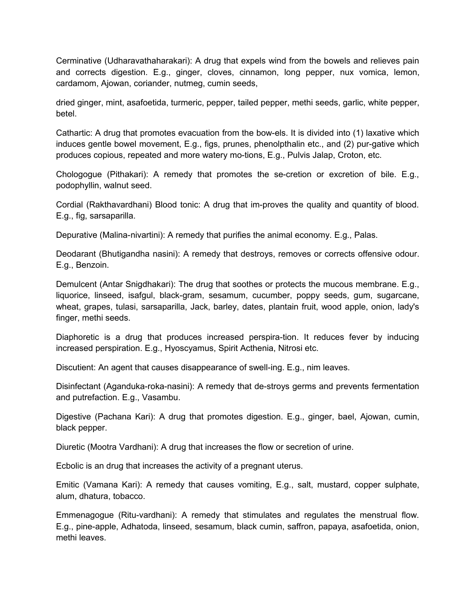Cerminative (Udharavathaharakari): A drug that expels wind from the bowels and relieves pain and corrects digestion. E.g., ginger, cloves, cinnamon, long pepper, nux vomica, lemon, cardamom, Ajowan, coriander, nutmeg, cumin seeds,

dried ginger, mint, asafoetida, turmeric, pepper, tailed pepper, methi seeds, garlic, white pepper, betel.

Cathartic: A drug that promotes evacuation from the bow-els. It is divided into (1) laxative which induces gentle bowel movement, E.g., figs, prunes, phenolpthalin etc., and (2) pur-gative which produces copious, repeated and more watery mo-tions, E.g., Pulvis Jalap, Croton, etc.

Chologogue (Pithakari): A remedy that promotes the se-cretion or excretion of bile. E.g., podophyllin, walnut seed.

Cordial (Rakthavardhani) Blood tonic: A drug that im-proves the quality and quantity of blood. E.g., fig, sarsaparilla.

Depurative (Malina-nivartini): A remedy that purifies the animal economy. E.g., Palas.

Deodarant (Bhutigandha nasini): A remedy that destroys, removes or corrects offensive odour. E.g., Benzoin.

Demulcent (Antar Snigdhakari): The drug that soothes or protects the mucous membrane. E.g., liquorice, linseed, isafgul, black-gram, sesamum, cucumber, poppy seeds, gum, sugarcane, wheat, grapes, tulasi, sarsaparilla, Jack, barley, dates, plantain fruit, wood apple, onion, lady's finger, methi seeds.

Diaphoretic is a drug that produces increased perspira-tion. It reduces fever by inducing increased perspiration. E.g., Hyoscyamus, Spirit Acthenia, Nitrosi etc.

Discutient: An agent that causes disappearance of swell-ing. E.g., nim leaves.

Disinfectant (Aganduka-roka-nasini): A remedy that de-stroys germs and prevents fermentation and putrefaction. E.g., Vasambu.

Digestive (Pachana Kari): A drug that promotes digestion. E.g., ginger, bael, Ajowan, cumin, black pepper.

Diuretic (Mootra Vardhani): A drug that increases the flow or secretion of urine.

Ecbolic is an drug that increases the activity of a pregnant uterus.

Emitic (Vamana Kari): A remedy that causes vomiting, E.g., salt, mustard, copper sulphate, alum, dhatura, tobacco.

Emmenagogue (Ritu-vardhani): A remedy that stimulates and regulates the menstrual flow. E.g., pine-apple, Adhatoda, linseed, sesamum, black cumin, saffron, papaya, asafoetida, onion, methi leaves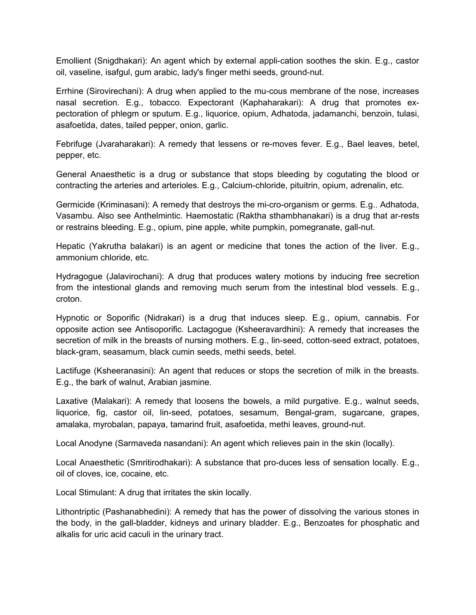Emollient (Snigdhakari): An agent which by external appli-cation soothes the skin. E.g., castor oil, vaseline, isafgul, gum arabic, lady's finger methi seeds, ground-nut.

Errhine (Sirovirechani): A drug when applied to the mu-cous membrane of the nose, increases nasal secretion. E.g., tobacco. Expectorant (Kaphaharakari): A drug that promotes expectoration of phlegm or sputum. E.g., liquorice, opium, Adhatoda, jadamanchi, benzoin, tulasi, asafoetida, dates, tailed pepper, onion, garlic.

Febrifuge (Jvaraharakari): A remedy that lessens or re-moves fever. E.g., Bael leaves, betel, pepper, etc.

General Anaesthetic is a drug or substance that stops bleeding by cogutating the blood or contracting the arteries and arterioles. E.g., Calcium-chloride, pituitrin, opium, adrenalin, etc.

Germicide (Kriminasani): A remedy that destroys the mi-cro-organism or germs. E.g.. Adhatoda, Vasambu. Also see Anthelmintic. Haemostatic (Raktha sthambhanakari) is a drug that ar-rests or restrains bleeding. E.g., opium, pine apple, white pumpkin, pomegranate, gall-nut.

Hepatic (Yakrutha balakari) is an agent or medicine that tones the action of the liver. E.g., ammonium chloride, etc.

Hydragogue (Jalavirochani): A drug that produces watery motions by inducing free secretion from the intestional glands and removing much serum from the intestinal blod vessels. E.g., croton.

Hypnotic or Soporific (Nidrakari) is a drug that induces sleep. E.g., opium, cannabis. For opposite action see Antisoporific. Lactagogue (Ksheeravardhini): A remedy that increases the secretion of milk in the breasts of nursing mothers. E.g., lin-seed, cotton-seed extract, potatoes, black-gram, seasamum, black cumin seeds, methi seeds, betel.

Lactifuge (Ksheeranasini): An agent that reduces or stops the secretion of milk in the breasts. E.g., the bark of walnut, Arabian jasmine.

Laxative (Malakari): A remedy that loosens the bowels, a mild purgative. E.g., walnut seeds, liquorice, fig, castor oil, lin-seed, potatoes, sesamum, Bengal-gram, sugarcane, grapes, amalaka, myrobalan, papaya, tamarind fruit, asafoetida, methi leaves, ground-nut.

Local Anodyne (Sarmaveda nasandani): An agent which relieves pain in the skin (locally).

Local Anaesthetic (Smritirodhakari): A substance that pro-duces less of sensation locally. E.g., oil of cloves, ice, cocaine, etc.

Local Stimulant: A drug that irritates the skin locally.

Lithontriptic (Pashanabhedini): A remedy that has the power of dissolving the various stones in the body, in the gall-bladder, kidneys and urinary bladder. E.g., Benzoates for phosphatic and alkalis for uric acid caculi in the urinary tract.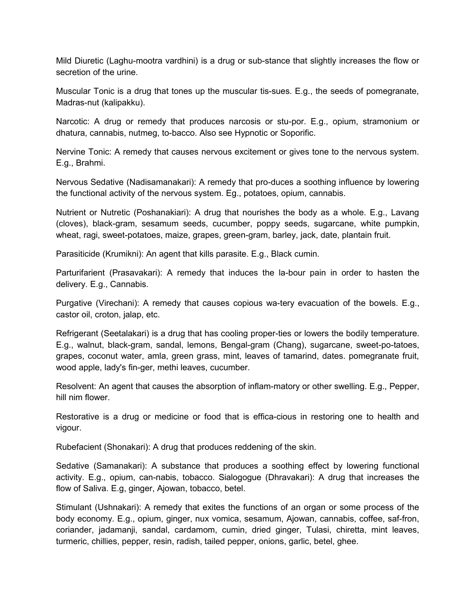Mild Diuretic (Laghu-mootra vardhini) is a drug or sub-stance that slightly increases the flow or secretion of the urine.

Muscular Tonic is a drug that tones up the muscular tis-sues. E.g., the seeds of pomegranate, Madras-nut (kalipakku).

Narcotic: A drug or remedy that produces narcosis or stu-por. E.g., opium, stramonium or dhatura, cannabis, nutmeg, to-bacco. Also see Hypnotic or Soporific.

Nervine Tonic: A remedy that causes nervous excitement or gives tone to the nervous system. E.g., Brahmi.

Nervous Sedative (Nadisamanakari): A remedy that pro-duces a soothing influence by lowering the functional activity of the nervous system. Eg., potatoes, opium, cannabis.

Nutrient or Nutretic (Poshanakiari): A drug that nourishes the body as a whole. E.g., Lavang (cloves), black-gram, sesamum seeds, cucumber, poppy seeds, sugarcane, white pumpkin, wheat, ragi, sweet-potatoes, maize, grapes, green-gram, barley, jack, date, plantain fruit.

Parasiticide (Krumikni): An agent that kills parasite. E.g., Black cumin.

Parturifarient (Prasavakari): A remedy that induces the la-bour pain in order to hasten the delivery. E.g., Cannabis.

Purgative (Virechani): A remedy that causes copious wa-tery evacuation of the bowels. E.g., castor oil, croton, jalap, etc.

Refrigerant (Seetalakari) is a drug that has cooling proper-ties or lowers the bodily temperature. E.g., walnut, black-gram, sandal, lemons, Bengal-gram (Chang), sugarcane, sweet-po-tatoes, grapes, coconut water, amla, green grass, mint, leaves of tamarind, dates. pomegranate fruit, wood apple, lady's fin-ger, methi leaves, cucumber.

Resolvent: An agent that causes the absorption of inflam-matory or other swelling. E.g., Pepper, hill nim flower.

Restorative is a drug or medicine or food that is effica-cious in restoring one to health and vigour.

Rubefacient (Shonakari): A drug that produces reddening of the skin.

Sedative (Samanakari): A substance that produces a soothing effect by lowering functional activity. E.g., opium, can-nabis, tobacco. Sialogogue (Dhravakari): A drug that increases the flow of Saliva. E.g, ginger, Ajowan, tobacco, betel.

Stimulant (Ushnakari): A remedy that exites the functions of an organ or some process of the body economy. E.g., opium, ginger, nux vomica, sesamum, Ajowan, cannabis, coffee, saf-fron, coriander, jadamanji, sandal, cardamom, cumin, dried ginger, Tulasi, chiretta, mint leaves, turmeric, chillies, pepper, resin, radish, tailed pepper, onions, garlic, betel, ghee.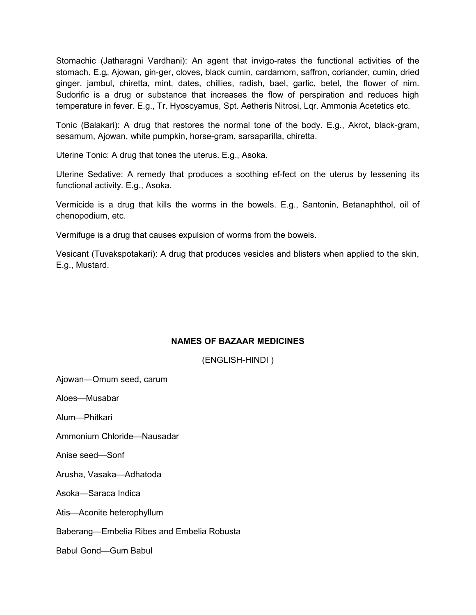Stomachic (Jatharagni Vardhani): An agent that invigo-rates the functional activities of the stomach. E.g,, Ajowan, gin-ger, cloves, black cumin, cardamom, saffron, coriander, cumin, dried ginger, jambul, chiretta, mint, dates, chillies, radish, bael, garlic, betel, the flower of nim. Sudorific is a drug or substance that increases the flow of perspiration and reduces high temperature in fever. E.g., Tr. Hyoscyamus, Spt. Aetheris Nitrosi, Lqr. Ammonia Acetetics etc.

Tonic (Balakari): A drug that restores the normal tone of the body. E.g., Akrot, black-gram, sesamum, Ajowan, white pumpkin, horse-gram, sarsaparilla, chiretta.

Uterine Tonic: A drug that tones the uterus. E.g., Asoka.

Uterine Sedative: A remedy that produces a soothing ef-fect on the uterus by lessening its functional activity. E.g., Asoka.

Vermicide is a drug that kills the worms in the bowels. E.g., Santonin, Betanaphthol, oil of chenopodium, etc.

Vermifuge is a drug that causes expulsion of worms from the bowels.

Vesicant (Tuvakspotakari): A drug that produces vesicles and blisters when applied to the skin, E.g., Mustard.

# **NAMES OF BAZAAR MEDICINES**

(ENGLISH-HINDI )

Ajowan—Omum seed, carum

Aloes—Musabar

Alum—Phitkari

Ammonium Chloride—Nausadar

Anise seed—Sonf

Arusha, Vasaka—Adhatoda

Asoka—Saraca Indica

Atis—Aconite heterophyllum

Baberang—Embelia Ribes and Embelia Robusta

Babul Gond—Gum Babul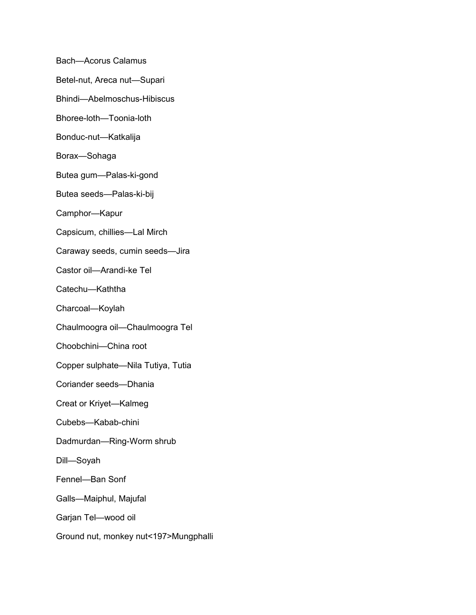Bach—Acorus Calamus

Betel-nut, Areca nut—Supari

Bhindi—Abelmoschus-Hibiscus

Bhoree-loth—Toonia-loth

Bonduc-nut—Katkalija

Borax—Sohaga

Butea gum—Palas-ki-gond

Butea seeds—Palas-ki-bij

Camphor—Kapur

Capsicum, chillies—Lal Mirch

Caraway seeds, cumin seeds—Jira

Castor oil—Arandi-ke Tel

Catechu—Kaththa

Charcoal—Koylah

Chaulmoogra oil—Chaulmoogra Tel

Choobchini—China root

Copper sulphate—Nila Tutiya, Tutia

Coriander seeds—Dhania

Creat or Kriyet—Kalmeg

Cubebs—Kabab-chini

Dadmurdan—Ring-Worm shrub

Dill—Soyah

Fennel—Ban Sonf

Galls—Maiphul, Majufal

Garjan Tel—wood oil

Ground nut, monkey nut<197>Mungphalli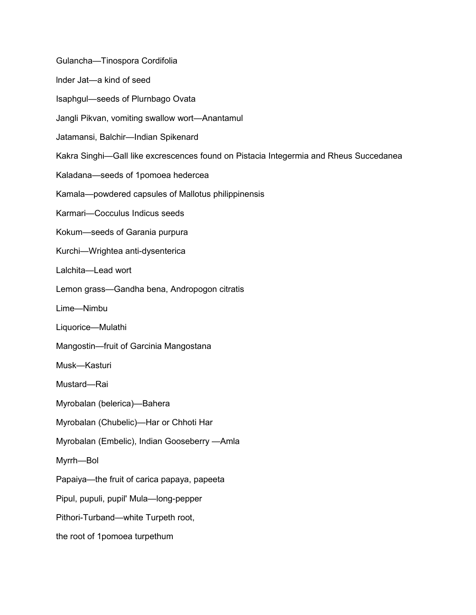Gulancha—Tinospora Cordifolia

lnder Jat—a kind of seed

Isaphgul—seeds of Plurnbago Ovata

Jangli Pikvan, vomiting swallow wort—Anantamul

Jatamansi, Balchir—Indian Spikenard

Kakra Singhi—Gall like excrescences found on Pistacia Integermia and Rheus Succedanea

Kaladana—seeds of 1pomoea hedercea

Kamala—powdered capsules of Mallotus philippinensis

Karmari—Cocculus Indicus seeds

Kokum—seeds of Garania purpura

Kurchi—Wrightea anti-dysenterica

Lalchita—Lead wort

Lemon grass—Gandha bena, Andropogon citratis

Lime—Nimbu

Liquorice—Mulathi

Mangostin—fruit of Garcinia Mangostana

Musk—Kasturi

Mustard—Rai

Myrobalan (belerica)—Bahera

Myrobalan (Chubelic)—Har or Chhoti Har

Myrobalan (Embelic), Indian Gooseberry —Amla

Myrrh—Bol

Papaiya—the fruit of carica papaya, papeeta

Pipul, pupuli, pupil' Mula—long-pepper

Pithori-Turband—white Turpeth root,

the root of 1pomoea turpethum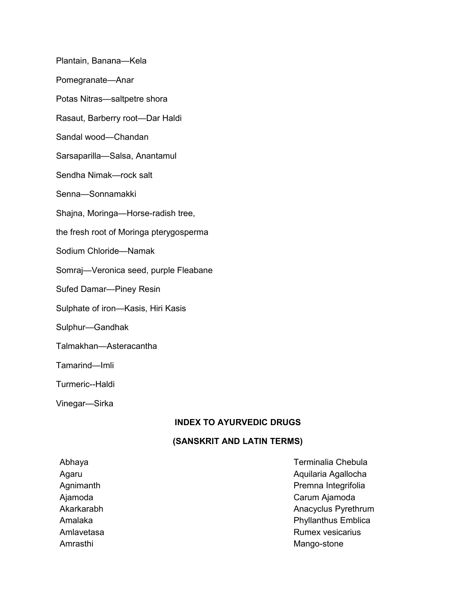Plantain, Banana—Kela

Pomegranate—Anar

Potas Nitras—saltpetre shora

Rasaut, Barberry root—Dar Haldi

Sandal wood—Chandan

Sarsaparilla—Salsa, Anantamul

Sendha Nimak—rock salt

Senna—Sonnamakki

Shajna, Moringa—Horse-radish tree,

the fresh root of Moringa pterygosperma

Sodium Chloride—Namak

Somraj—Veronica seed, purple Fleabane

Sufed Damar—Piney Resin

Sulphate of iron—Kasis, Hiri Kasis

Sulphur—Gandhak

Talmakhan—Asteracantha

Tamarind—Imli

Turmeric--Haldi

Vinegar—Sirka

#### **INDEX TO AYURVEDIC DRUGS**

#### **(SANSKRIT AND LATIN TERMS)**

| Abhaya     |
|------------|
| Agaru      |
| Agnimanth  |
| Ajamoda    |
| Akarkarabh |
| Amalaka    |
| Amlavetasa |
| Amrasthi   |

Terminalia Chebula Aquilaria Agallocha Premna Integrifolia Ajamoda Carum Ajamoda Anacyclus Pyrethrum Phyllanthus Emblica Rumex vesicarius Mango-stone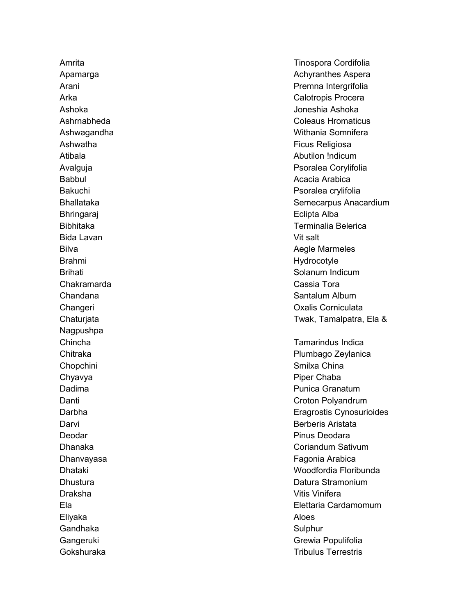Amrita Tinospora Cordifolia Bhringaraj **Eclipta Alba** Bida Lavan Vit salt Brahmi Hydrocotyle Chakramarda Cassia Tora Nagpushpa Chincha Tamarindus Indica Chopchini Smilxa China China China China China China China China China China China China China China China China Chyavya **Piper Chaba** Draksha Vitis Vinifera Eliyaka Aloes Gandhaka Sulphur

Apamarga Achyranthes Aspera Arani **Premna Intergrifolia** Arka Calotropis Procera Ashoka Joneshia Ashoka Ashrnabheda Coleaus Hromaticus Ashwagandha Withania Somnifera Ashwatha **Ficus Religiosa Ficus Religiosa** Atibala **Abutilon Indicum** Abutilon **!ndicum** Avalguja Psoralea Corylifolia Babbul **Babbul** Acacia Arabica Bakuchi **Pakuchi Psoralea crylifolia** eta eta alternativa eta eta alternativa eta eta eta eta alternativa eta e Bhallataka Semecarpus Anacardium Bibhitaka Terminalia Belerica Bilva Aegle Marmeles Brihati Solanum Indicum Computer Solanum Indicum Chandana **Santalum Album** Chandana Santalum Album Changeri Changeri Changeri Changeri Changeri Changeri Changeri Changeri Changeri Changeri Changeri Changeri Changeri Changeri Changeri Changeri Changeri Changeri Changeri Changeri Changeri Changeri Changeri Changeri Change Chaturjata Chaturiata Twak, Tamalpatra, Ela &

Chitraka Plumbago Zeylanica Dadima **Dadima** Punica Granatum Danti **Danti Croton Polyandrum** Darbha **Eragrostis Cynosurioides** Darvi **Berberis Aristata** Deodar **Pinus Deodara** Pinus Deodara Dhanaka Coriandum Sativum Dhanvayasa **Fagonia Arabica Fagonia Arabica** Dhataki Woodfordia Floribunda Dhustura Datura Stramonium Ela Elettaria Cardamomum Gangeruki Grewia Populifolia Gokshuraka **Tribulus Terrestris**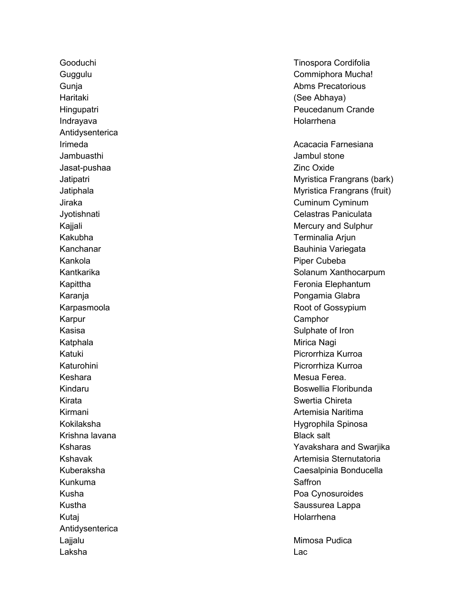Haritaki (See Abhaya) Indrayava **Holarrhena** Antidysenterica Irimeda **Acacacia Farnesiana** Jambuasthi Jambul stone Jasat-pushaa Zinc Oxide Kankola **Piper Cubeba** Karpur Camphor Camphor Katphala Mirica Nagi Keshara Mesua Ferea. Kirata **Swertia Chireta** Swertia Chireta Krishna lavana **Black salt** Kunkuma Saffron Kutaj **Estas de La Secondo de La Secondo de La Secondo de La Secondo de La Secondo de La Secondo de La Secondo de La Secondo de La Secondo de La Secondo de La Secondo de La Secondo de La Secondo de La Secondo de La Secondo** Antidysenterica Lajjalu **Mimosa Pudica** Mimosa Pudica Laksha Lac

Gooduchi Tinospora Cordifolia Guggulu Commiphora Mucha! Gunja **Abms Precatorious Abms** Precatorious Hingupatri Peucedanum Crande

Jatipatri **Myristica Frangrans (bark)** Jatiphala **Myristica Frangrans (fruit)** Myristica Frangrans (fruit) Jiraka Cuminum Cyminum Jyotishnati Celastras Paniculata Kajjali Mercury and Sulphur Kakubha Terminalia Arjun Kanchanar **Bauhinia Variegata Bauhinia Variegata** Kantkarika **Solanum Xanthocarpum** Solanum Xanthocarpum Kapittha **Feronia Elephantum** Feronia Elephantum Karanja **Caranja Pongamia Glabra** Pongamia Glabra Karpasmoola **Root of Gossypium** Kasisa **Sulphate of Iron** Sulphate of Iron Number of Iron Sulphate of Iron Number of Iron Number of Iron Number of Iron Number of Iron Number of Iron Number of Iron Number of Iron Number of Iron Number of Iron Number of Ir Katuki Picrorrhiza Kurroa Katurohini Picrorrhiza Kurroa Kindaru Boswellia Floribunda Kirmani **Artemisia Naritima** Kokilaksha **Hygrophila Spinosa** Ksharas Yavakshara and Swarjika Kshavak Artemisia Sternutatoria Kuberaksha Caesalpinia Bonducella Kusha Poa Cynosuroides Kustha **Saussurea Lappa** Saussurea Lappa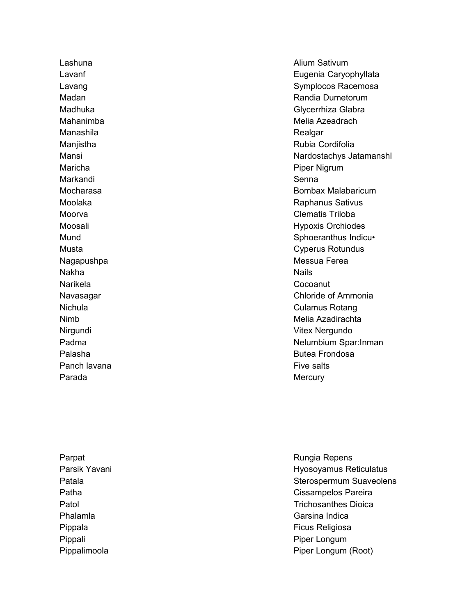Manashila **Manashila** Realgar Maricha **Piper Nigrum** Piper Nigrum Markandi Senna Senna Senna Senna Senna Senna Senna Senna Senna Senna Senna Senna Senna Senna Senna Senna Senna Nakha Nails and the control of the control of the control of the control of the control of the control of the control of the control of the control of the control of the control of the control of the control of the control Narikela Cocoanut Panch lavana Five salts and the salts of the salts of the salts of the salts of the salts of the salts of the salts of the salts of the salts of the salts of the salts of the salts of the salts of the salts of the salts of Parada Mercury

Parpat **Rungia Repension Community** Rungia Repension Rungia Repension Community Rungia Repension Pippali Pippali Piper Longum

Lashuna **Alium Sativum** Alium Sativum Lavanf **Eugenia Caryophyllata** Lavang **Symplocos** Racemosa **Calculation** Control Control Control Control Control Control Control Control Control Control Control Control Control Control Control Control Control Control Control Control Control Control Cont Madan **Madan** Randia Dumetorum Madhuka Glabra Glabra Glabra Glabra Glabra Glabra Glabra Glabra Glabra Glabra Glabra Glabra Glabra Glabra Glabra Mahanimba **Mahanimba** Melia Azeadrach Manjistha Rubia Cordifolia Mansi Nardostachys Jatamanshl Mocharasa Bombax Malabaricum Moolaka Raphanus Sativus Moorva **Clematis Triloba** Moosali **Moosali** Hypoxis Orchiodes Mund Sphoeranthus Indicu Musta Cyperus Rotundus Nagapushpa Messua Ferea Navasagar **Chloride of Ammonia** Nichula Culamus Rotang Nimb Melia Azadirachta Nirgundi Vitex Nergundo Padma Nelumbium Spar:Inman Palasha Butea Frondosa

Parsik Yavani **Hyosoyamus** Reticulatus Patala **Sterospermum Suaveolens Patala** Sterospermum Suaveolens Patha **Cissampelos Pareira** Cissampelos Pareira Patol Trichosanthes Dioica Phalamla Garsina Indica Pippala **Ficus Religiosa** Ficus Religiosa Pippalimoola **Pippalimoola** Piper Longum (Root)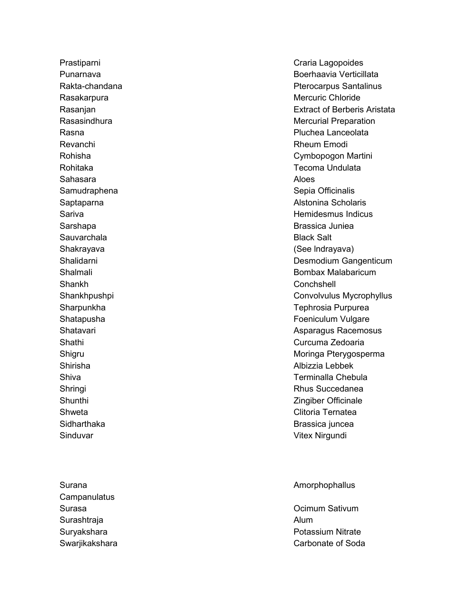Revanchi **Rheum Emodi** Rheum Emodi Sahasara **Aloes** Sauvarchala **Black Salt** Shankh Conchshell and Conchshell and Conchshell and Conchshell and Conchshell and Conchshell and Conchshell and Conchshell and Conchshell and Conchshell and Conchshell and Conchshell and Conchshell and Conchstell and Conch Sinduvar Vitex Nirgundi

**Campanulatus** Surasa Ocimum Sativum Surashtraja **Alum** 

Prastiparni **Craccial Lagopoides Craccial Lagopoides Craccial Lagopoides** Punarnava Boerhaavia Verticillata Rakta-chandana **Personalis Santalinus** Pterocarpus Santalinus Rasakarpura Mercuric Chloride News Assessment Chloride Network and Mercuric Chloride Rasanjan Extract of Berberis Aristata Rasasindhura **Mercurial Preparation** Mercurial Preparation Rasna **Pluchea Lanceolata** Rohisha Cymbopogon Martini Rohitaka Tecoma Undulata Samudraphena **Sepia Officinalis** Sepia Officinalis Saptaparna **Alstonina Scholaris** Alstonina Scholaris Sariva **Material Sariva** Hemidesmus Indicus Sarshapa Brassica Juniea Shakrayava (See lndrayava) Shalidarni Desmodium Gangenticum Shalmali Bombax Malabaricum Shankhpushpi Convolvulus Mycrophyllus Sharpunkha Tephrosia Purpurea Shatapusha **Foeniculum Vulgare** Shatavari **Asparagus Racemosus** Asparagus Racemosus Shathi Curcuma Zedoaria Shigru Moringa Pterygosperma Shirisha **Albizzia Lebbek** Shiva Terminalla Chebula Shringi Rhus Succedanea Shunthi **Zingiber Officinale** Shweta Clitoria Ternatea Sidharthaka Brassica juncea

#### Surana **Amorphophallus** Amorphophallus

Suryakshara **Potassium Nitrate** Potassium Nitrate Swarjikakshara Carbonate of Soda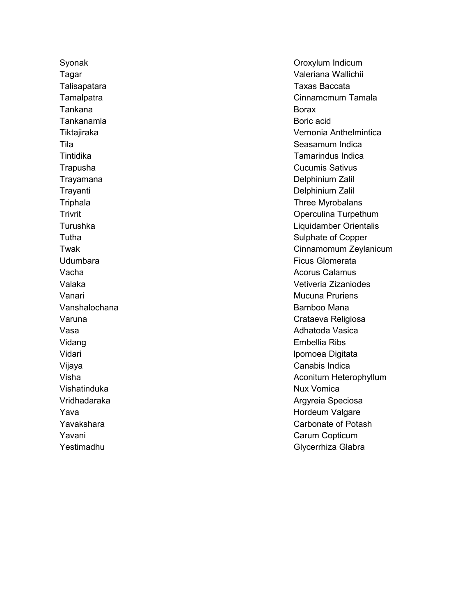Tankana Borax Tankanamla Boric acid Vidang Embellia Ribs Vishatinduka Nux Vomica Yestimadhu Glycerrhiza Glabra

Syonak **Oroxylum Indicum** Tagar Valeriana Wallichii Talisapatara Taxas Baccata Tamalpatra Cinnamcmum Tamala Tiktajiraka Vernonia Anthelmintica Tila Seasamum Indica Tintidika Tamarindus Indica Trapusha Cucumis Sativus Trayamana **Delphinium Zalil** Trayanti **Delphinium Zalil** Triphala Three Myrobalans Trivrit Operculina Turpethum Turushka Liquidamber Orientalis Tutha **Sulphate of Copper** Sulphate of Copper Twak Cinnamomum Zeylanicum Udumbara **Ficus Glomerata Ficus Glomerata** Vacha Acorus Calamus Calamus Calamus Calamus Calamus Calamus Calamus Calamus Calamus Calamus Calamus Calamus Ca Valaka Vetiveria Zizaniodes Vanari **Mucuna Pruriens** Vanari Mucuna Pruriens Vanshalochana **Bamboo Mana** Bamboo Mana Varuna Crataeva Religiosa Vasa Adhatoda Vasica Adhatoda Vasica Adhatoda Vasica Adhatoda Vasica Adhatoda Vasica Adhatoda Vasica Adhatoda V Vidari lpomoea Digitata Vijaya Canabis Indica Visha **Aconitum Heterophyllum** Vridhadaraka **Argyreia Speciosa** Yava **Hordeum Valgare** Hordeum Valgare Yavakshara Carbonate of Potash Yavani **Carum Copticum** Carum Copticum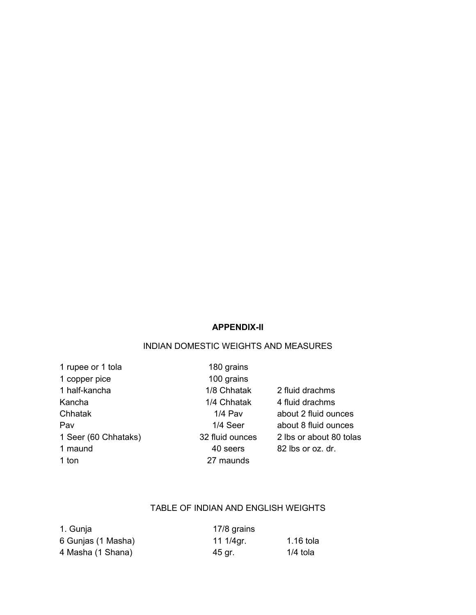### **APPENDIX-II**

### INDIAN DOMESTIC WEIGHTS AND MEASURES

1 rupee or 1 tola 180 grains 1 copper pice 100 grains 1 half-kancha 1/8 Chhatak 2 fluid drachms Kancha 1/4 Chhatak 4 fluid drachms Chhatak 2 1/4 Pav about 2 fluid ounces 1 maund 1 maund 20 seers 82 lbs or oz. dr. 1 ton 27 maunds

Pav **1/4 Seer** about 8 fluid ounces 1 Seer (60 Chhataks) 32 fluid ounces 2 lbs or about 80 tolas

### TABLE OF INDIAN AND ENGLISH WEIGHTS

| 1. Gunja           | 17/8 grains |            |
|--------------------|-------------|------------|
| 6 Gunjas (1 Masha) | 11 1/4ar.   | 1.16 tola  |
| 4 Masha (1 Shana)  | 45 gr.      | $1/4$ tola |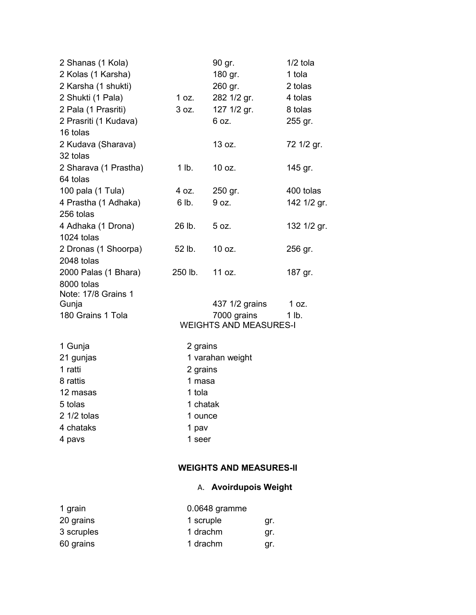| 2 Shanas (1 Kola)     |          | 90 gr.                        | $1/2$ tola  |
|-----------------------|----------|-------------------------------|-------------|
| 2 Kolas (1 Karsha)    |          | 180 gr.                       | 1 tola      |
| 2 Karsha (1 shukti)   |          | 260 gr.                       | 2 tolas     |
| 2 Shukti (1 Pala)     | 1 oz.    | 282 1/2 gr.                   | 4 tolas     |
| 2 Pala (1 Prasriti)   | 3 oz.    | 127 1/2 gr.                   | 8 tolas     |
| 2 Prasriti (1 Kudava) |          | 6 oz.                         | 255 gr.     |
| 16 tolas              |          |                               |             |
| 2 Kudava (Sharava)    |          | 13 oz.                        | 72 1/2 gr.  |
| 32 tolas              |          |                               |             |
| 2 Sharava (1 Prastha) | 1 lb.    | 10 oz.                        | 145 gr.     |
| 64 tolas              |          |                               |             |
| 100 pala (1 Tula)     | 4 oz.    | 250 gr.                       | 400 tolas   |
| 4 Prastha (1 Adhaka)  | 6 lb.    | 9 oz.                         | 142 1/2 gr. |
| 256 tolas             |          |                               |             |
| 4 Adhaka (1 Drona)    | 26 lb.   | 5 oz.                         | 132 1/2 gr. |
| 1024 tolas            |          |                               |             |
| 2 Dronas (1 Shoorpa)  | 52 lb.   | 10 oz.                        | 256 gr.     |
| 2048 tolas            |          |                               |             |
| 2000 Palas (1 Bhara)  | 250 lb.  | 11 oz.                        | 187 gr.     |
| 8000 tolas            |          |                               |             |
| Note: 17/8 Grains 1   |          |                               |             |
| Gunja                 |          | 437 1/2 grains                | 1 oz.       |
| 180 Grains 1 Tola     |          | 7000 grains                   | 1 lb.       |
|                       |          | <b>WEIGHTS AND MEASURES-I</b> |             |
| 1 Gunja               | 2 grains |                               |             |
| 21 gunjas             |          | 1 varahan weight              |             |
| 1 ratti               | 2 grains |                               |             |
| 8 rattis              | 1 masa   |                               |             |
| 12 masas              | 1 tola   |                               |             |
| 5 tolas               | 1 chatak |                               |             |
| 2 1/2 tolas           | 1 ounce  |                               |             |
| 4 chataks             | 1 pav    |                               |             |
| 4 pavs                | 1 seer   |                               |             |
|                       |          |                               |             |
|                       |          |                               |             |

# **WEIGHTS AND MEASURES-II**

A. **Avoirdupois Weight**

| 1 grain    | $0.0648$ gramme  |     |
|------------|------------------|-----|
| 20 grains  | 1 scruple<br>gr. |     |
| 3 scruples | 1 drachm         | gr. |
| 60 grains  | 1 drachm<br>ar.  |     |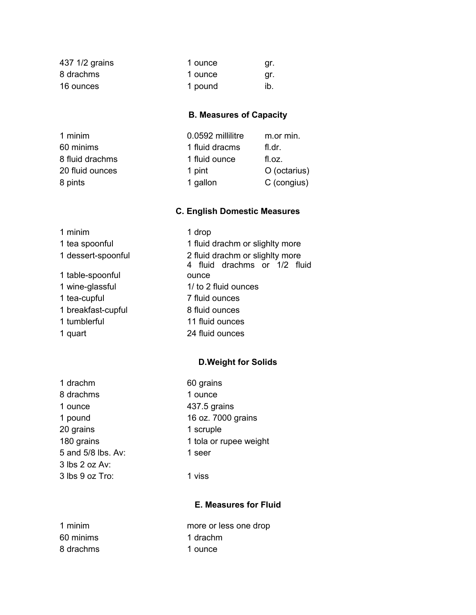| 437 1/2 grains | 1 ounce | gr. |
|----------------|---------|-----|
| 8 drachms      | 1 ounce | gr. |
| 16 ounces      | 1 pound | ib. |

## **B. Measures of Capacity**

| 1 minim         | 0.0592 millilitre | m.or min.    |
|-----------------|-------------------|--------------|
| 60 minims       | 1 fluid dracms    | fl.dr.       |
| 8 fluid drachms | 1 fluid ounce     | fl.oz.       |
| 20 fluid ounces | 1 pint            | O (octarius) |
| 8 pints         | 1 gallon          | C (congius)  |

## **C. English Domestic Measures**

| 1 minim            | 1 drop                                                          |  |
|--------------------|-----------------------------------------------------------------|--|
| 1 tea spoonful     | 1 fluid drachm or slighlty more                                 |  |
| 1 dessert-spoonful | 2 fluid drachm or slighlty more<br>4 fluid drachms or 1/2 fluid |  |
| 1 table-spoonful   | ounce                                                           |  |
| 1 wine-glassful    | 1/ to 2 fluid ounces                                            |  |
| 1 tea-cupful       | 7 fluid ounces                                                  |  |
| 1 breakfast-cupful | 8 fluid ounces                                                  |  |
| 1 tumblerful       | 11 fluid ounces                                                 |  |
| 1 quart            | 24 fluid ounces                                                 |  |
|                    |                                                                 |  |

## **D.Weight for Solids**

| 1 drachm           | 60 grains              |
|--------------------|------------------------|
| 8 drachms          | 1 ounce                |
| 1 ounce            | 437.5 grains           |
| 1 pound            | 16 oz. 7000 grains     |
| 20 grains          | 1 scruple              |
| 180 grains         | 1 tola or rupee weight |
| 5 and 5/8 lbs. Av: | 1 seer                 |
| 3 lbs 2 oz Av:     |                        |
| 3 lbs 9 oz Tro:    | 1 viss                 |
|                    |                        |

## **E. Measures for Fluid**

| 1 minim   |
|-----------|
| 60 minims |
| 8 drachms |

more or less one drop 1 drachm 1 ounce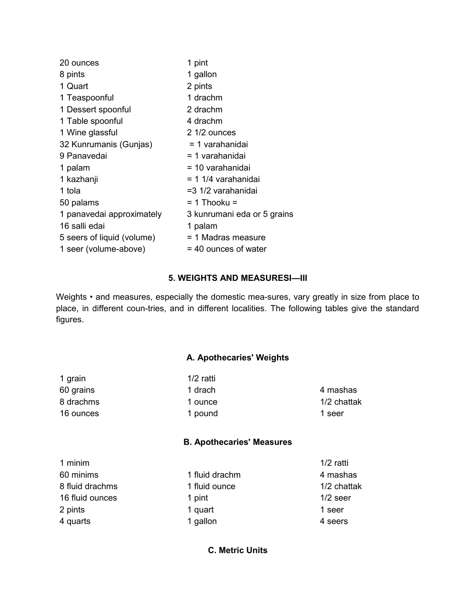| 20 ounces                  | 1 pint                      |
|----------------------------|-----------------------------|
| 8 pints                    | 1 gallon                    |
| 1 Quart                    | 2 pints                     |
| 1 Teaspoonful              | 1 drachm                    |
| 1 Dessert spoonful         | 2 drachm                    |
| 1 Table spoonful           | 4 drachm                    |
| 1 Wine glassful            | $21/2$ ounces               |
| 32 Kunrumanis (Gunjas)     | = 1 varahanidai             |
| 9 Panavedai                | = 1 varahanidai             |
| 1 palam                    | = 10 varahanidai            |
| 1 kazhanji                 | = 1 1/4 varahanidai         |
| 1 tola                     | =3 1/2 varahanidai          |
| 50 palams                  | $= 1$ Thooku =              |
| 1 panavedai approximately  | 3 kunrumani eda or 5 grains |
| 16 salli edai              | 1 palam                     |
| 5 seers of liquid (volume) | = 1 Madras measure          |
| 1 seer (volume-above)      | $=$ 40 ounces of water      |
|                            |                             |

### **5. WEIGHTS AND MEASURESI—III**

Weights • and measures, especially the domestic mea-sures, vary greatly in size from place to place, in different coun-tries, and in different localities. The following tables give the standard figures.

### **A. Apothecaries' Weights**

| 1 grain   | $1/2$ ratti |             |
|-----------|-------------|-------------|
| 60 grains | 1 drach     | 4 mashas    |
| 8 drachms | 1 ounce     | 1/2 chattak |
| 16 ounces | 1 pound     | 1 seer      |

### **B. Apothecaries' Measures**

| 1 minim         |                | 1/2 ratti   |
|-----------------|----------------|-------------|
| 60 minims       | 1 fluid drachm | 4 mashas    |
| 8 fluid drachms | 1 fluid ounce  | 1/2 chattak |
| 16 fluid ounces | 1 pint         | $1/2$ seer  |
| 2 pints         | 1 quart        | 1 seer      |
| 4 quarts        | 1 gallon       | 4 seers     |

### **C. Metric Units**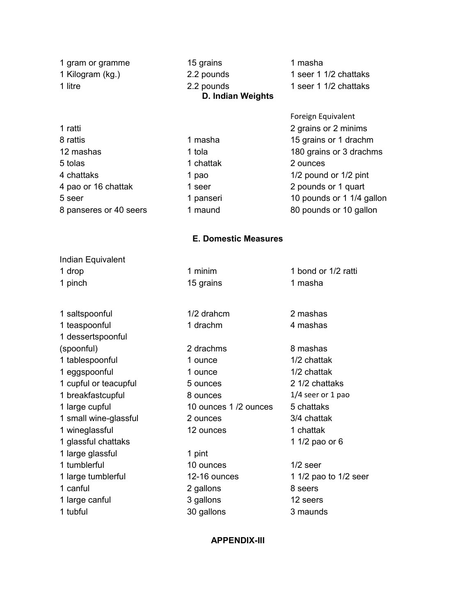| 1 gram or gramme<br>1 Kilogram (kg.)<br>1 litre                                                                      | 15 grains<br>2.2 pounds<br>2.2 pounds<br>D. Indian Weights                | 1 masha<br>1 seer 1 1/2 chattaks<br>1 seer 1 1/2 chattaks                                                                                                                                                         |
|----------------------------------------------------------------------------------------------------------------------|---------------------------------------------------------------------------|-------------------------------------------------------------------------------------------------------------------------------------------------------------------------------------------------------------------|
| 1 ratti<br>8 rattis<br>12 mashas<br>5 tolas<br>4 chattaks<br>4 pao or 16 chattak<br>5 seer<br>8 panseres or 40 seers | 1 masha<br>1 tola<br>1 chattak<br>1 pao<br>1 seer<br>1 panseri<br>1 maund | Foreign Equivalent<br>2 grains or 2 minims<br>15 grains or 1 drachm<br>180 grains or 3 drachms<br>2 ounces<br>1/2 pound or 1/2 pint<br>2 pounds or 1 quart<br>10 pounds or 1 1/4 gallon<br>80 pounds or 10 gallon |
|                                                                                                                      | <b>E. Domestic Measures</b>                                               |                                                                                                                                                                                                                   |
|                                                                                                                      |                                                                           |                                                                                                                                                                                                                   |
| Indian Equivalent                                                                                                    |                                                                           |                                                                                                                                                                                                                   |
| 1 drop                                                                                                               | 1 minim                                                                   | 1 bond or 1/2 ratti                                                                                                                                                                                               |
| 1 pinch                                                                                                              | 15 grains                                                                 | 1 masha                                                                                                                                                                                                           |
| 1 saltspoonful                                                                                                       | 1/2 drahcm                                                                | 2 mashas                                                                                                                                                                                                          |
| 1 teaspoonful                                                                                                        | 1 drachm                                                                  | 4 mashas                                                                                                                                                                                                          |
| 1 dessertspoonful                                                                                                    |                                                                           |                                                                                                                                                                                                                   |
| (spoonful)                                                                                                           | 2 drachms                                                                 | 8 mashas                                                                                                                                                                                                          |
| 1 tablespoonful                                                                                                      | 1 ounce                                                                   | 1/2 chattak                                                                                                                                                                                                       |
| 1 eggspoonful                                                                                                        | 1 ounce                                                                   | 1/2 chattak                                                                                                                                                                                                       |
| 1 cupful or teacupful                                                                                                | 5 ounces                                                                  | 2 1/2 chattaks                                                                                                                                                                                                    |
| 1 breakfastcupful                                                                                                    | 8 ounces                                                                  | 1/4 seer or 1 pao                                                                                                                                                                                                 |
| 1 large cupful                                                                                                       | 10 ounces 1/2 ounces                                                      | 5 chattaks                                                                                                                                                                                                        |
| 1 small wine-glassful                                                                                                | 2 ounces                                                                  | 3/4 chattak                                                                                                                                                                                                       |
| 1 wineglassful                                                                                                       | 12 ounces                                                                 | 1 chattak                                                                                                                                                                                                         |
| 1 glassful chattaks                                                                                                  |                                                                           | 1 1/2 pao or 6                                                                                                                                                                                                    |
| 1 large glassful                                                                                                     | 1 pint                                                                    |                                                                                                                                                                                                                   |
| 1 tumblerful                                                                                                         | 10 ounces                                                                 | $1/2$ seer                                                                                                                                                                                                        |
| 1 large tumblerful                                                                                                   | 12-16 ounces                                                              | 1 1/2 pao to 1/2 seer                                                                                                                                                                                             |

**APPENDIX-III**

1 canful 2 gallons 8 seers 1 large canful 1 and 3 gallons 12 seers 1 tubful 30 gallons 30 maunds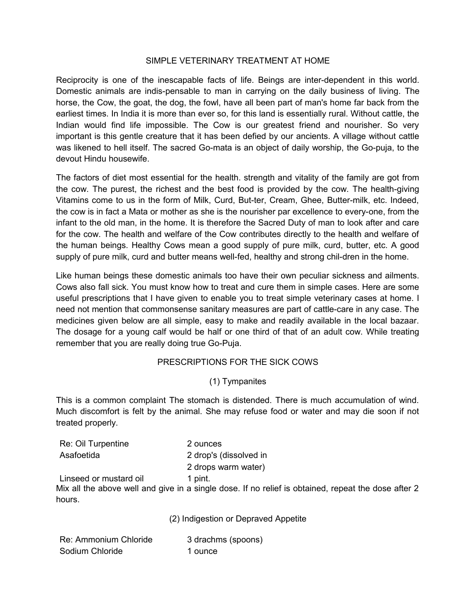#### SIMPLE VETERINARY TREATMENT AT HOME

Reciprocity is one of the inescapable facts of life. Beings are inter-dependent in this world. Domestic animals are indis-pensable to man in carrying on the daily business of living. The horse, the Cow, the goat, the dog, the fowl, have all been part of man's home far back from the earliest times. In India it is more than ever so, for this land is essentially rural. Without cattle, the Indian would find life impossible. The Cow is our greatest friend and nourisher. So very important is this gentle creature that it has been defied by our ancients. A village without cattle was likened to hell itself. The sacred Go-mata is an object of daily worship, the Go-puja, to the devout Hindu housewife.

The factors of diet most essential for the health. strength and vitality of the family are got from the cow. The purest, the richest and the best food is provided by the cow. The health-giving Vitamins come to us in the form of Milk, Curd, But-ter, Cream, Ghee, Butter-milk, etc. Indeed, the cow is in fact a Mata or mother as she is the nourisher par excellence to every-one, from the infant to the old man, in the home. It is therefore the Sacred Duty of man to look after and care for the cow. The health and welfare of the Cow contributes directly to the health and welfare of the human beings. Healthy Cows mean a good supply of pure milk, curd, butter, etc. A good supply of pure milk, curd and butter means well-fed, healthy and strong chil-dren in the home.

Like human beings these domestic animals too have their own peculiar sickness and ailments. Cows also fall sick. You must know how to treat and cure them in simple cases. Here are some useful prescriptions that I have given to enable you to treat simple veterinary cases at home. I need not mention that commonsense sanitary measures are part of cattle-care in any case. The medicines given below are all simple, easy to make and readily available in the local bazaar. The dosage for a young calf would be half or one third of that of an adult cow. While treating remember that you are really doing true Go-Puja.

### PRESCRIPTIONS FOR THE SICK COWS

### (1) Tympanites

This is a common complaint The stomach is distended. There is much accumulation of wind. Much discomfort is felt by the animal. She may refuse food or water and may die soon if not treated properly.

| Re: Oil Turpentine     | 2 ounces                                                                                                       |
|------------------------|----------------------------------------------------------------------------------------------------------------|
| Asafoetida             | 2 drop's (dissolved in                                                                                         |
|                        | 2 drops warm water)                                                                                            |
| Linseed or mustard oil | 1 pint.<br>Mix all the above well and give in a single dose. If no relief is obtained, repeat the dose after 2 |
| hours.                 |                                                                                                                |
|                        | (2) Indigestion or Depraved Appetite                                                                           |
| Re: Ammonium Chloride  | 3 drachms (spoons)                                                                                             |

Sodium Chloride 1 ounce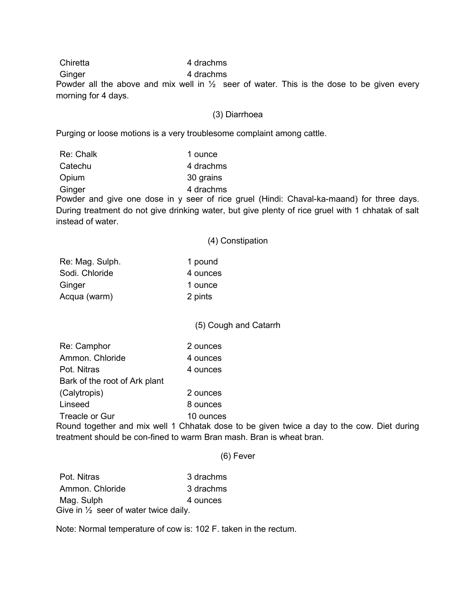Chiretta 4 drachms

Ginger **4** drachms

Powder all the above and mix well in  $\frac{1}{2}$  seer of water. This is the dose to be given every morning for 4 days.

(3) Diarrhoea

Purging or loose motions is a very troublesome complaint among cattle.

| Re: Chalk | 1 ounce   |
|-----------|-----------|
| Catechu   | 4 drachms |
| Opium     | 30 grains |
| Ginger    | 4 drachms |

Powder and give one dose in y seer of rice gruel (Hindi: Chaval-ka-maand) for three days. During treatment do not give drinking water, but give plenty of rice gruel with 1 chhatak of salt instead of water.

(4) Constipation

| Re: Mag. Sulph. | 1 pound  |
|-----------------|----------|
| Sodi, Chloride  | 4 ounces |
| Ginger          | 1 ounce  |
| Acqua (warm)    | 2 pints  |

(5) Cough and Catarrh

| Re: Camphor                                     | 2 ounces  |
|-------------------------------------------------|-----------|
| Ammon, Chloride                                 | 4 ounces  |
| Pot. Nitras                                     | 4 ounces  |
| Bark of the root of Ark plant                   |           |
| (Calytropis)                                    | 2 ounces  |
| Linseed                                         | 8 ounces  |
| Treacle or Gur                                  | 10 ounces |
| Round together and mix well 1 Chhatak dose to b |           |

Round together and mix well 1 Chhatak dose to be given twice a day to the cow. Diet during treatment should be con-fined to warm Bran mash. Bran is wheat bran.

#### (6) Fever

Pot. Nitras 3 drachms Ammon. Chloride 3 drachms Mag. Sulph 4 ounces Give in ½ seer of water twice daily.

Note: Normal temperature of cow is: 102 F. taken in the rectum.